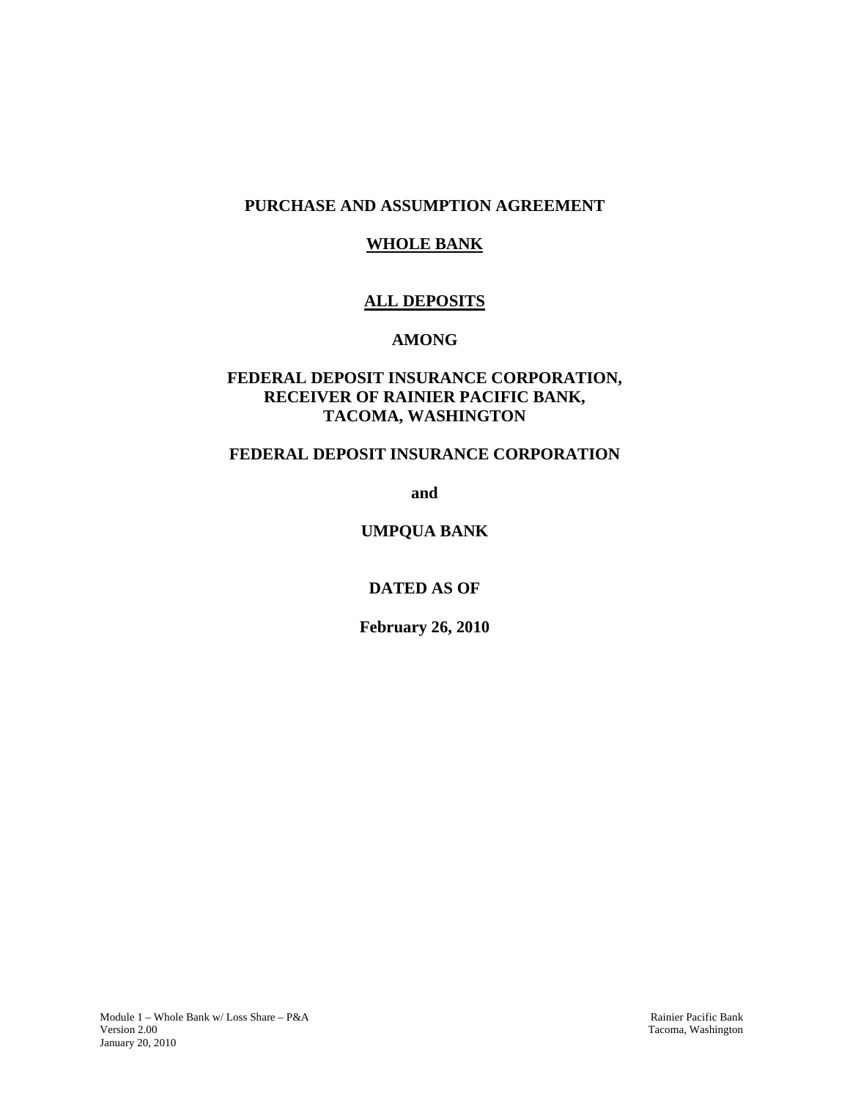#### **PURCHASE AND ASSUMPTION AGREEMENT**

#### **WHOLE BANK**

### **ALL DEPOSITS**

### **AMONG**

#### **FEDERAL DEPOSIT INSURANCE CORPORATION, RECEIVER OF RAINIER PACIFIC BANK, TACOMA, WASHINGTON**

## **FEDERAL DEPOSIT INSURANCE CORPORATION**

**and** 

### **UMPQUA BANK**

**DATED AS OF**

**February 26, 2010**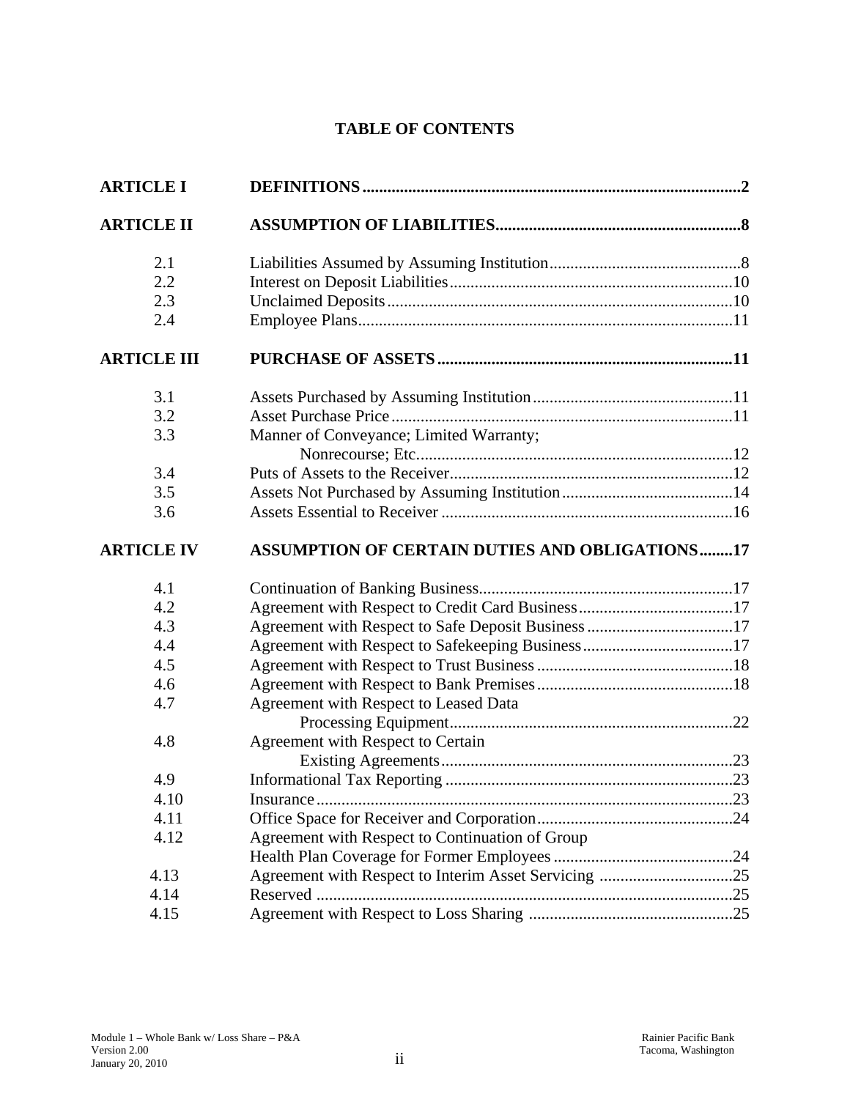## **TABLE OF CONTENTS**

| <b>ARTICLE I</b>   |                                                       |  |
|--------------------|-------------------------------------------------------|--|
| <b>ARTICLE II</b>  |                                                       |  |
| 2.1                |                                                       |  |
| 2.2                |                                                       |  |
| 2.3                |                                                       |  |
| 2.4                |                                                       |  |
| <b>ARTICLE III</b> |                                                       |  |
| 3.1                |                                                       |  |
| 3.2                |                                                       |  |
| 3.3                | Manner of Conveyance; Limited Warranty;               |  |
|                    |                                                       |  |
| 3.4                |                                                       |  |
| 3.5                |                                                       |  |
| 3.6                |                                                       |  |
| <b>ARTICLE IV</b>  | <b>ASSUMPTION OF CERTAIN DUTIES AND OBLIGATIONS17</b> |  |
| 4.1                |                                                       |  |
| 4.2                |                                                       |  |
| 4.3                |                                                       |  |
| 4.4                |                                                       |  |
| 4.5                |                                                       |  |
| 4.6                |                                                       |  |
| 4.7                | Agreement with Respect to Leased Data                 |  |
|                    |                                                       |  |
| 4.8                | Agreement with Respect to Certain                     |  |
|                    |                                                       |  |
| 4.9                |                                                       |  |
| 4.10               |                                                       |  |
| 4.11               |                                                       |  |
| 4.12               | Agreement with Respect to Continuation of Group       |  |
|                    |                                                       |  |
| 4.13               |                                                       |  |
| 4.14               |                                                       |  |
| 4.15               |                                                       |  |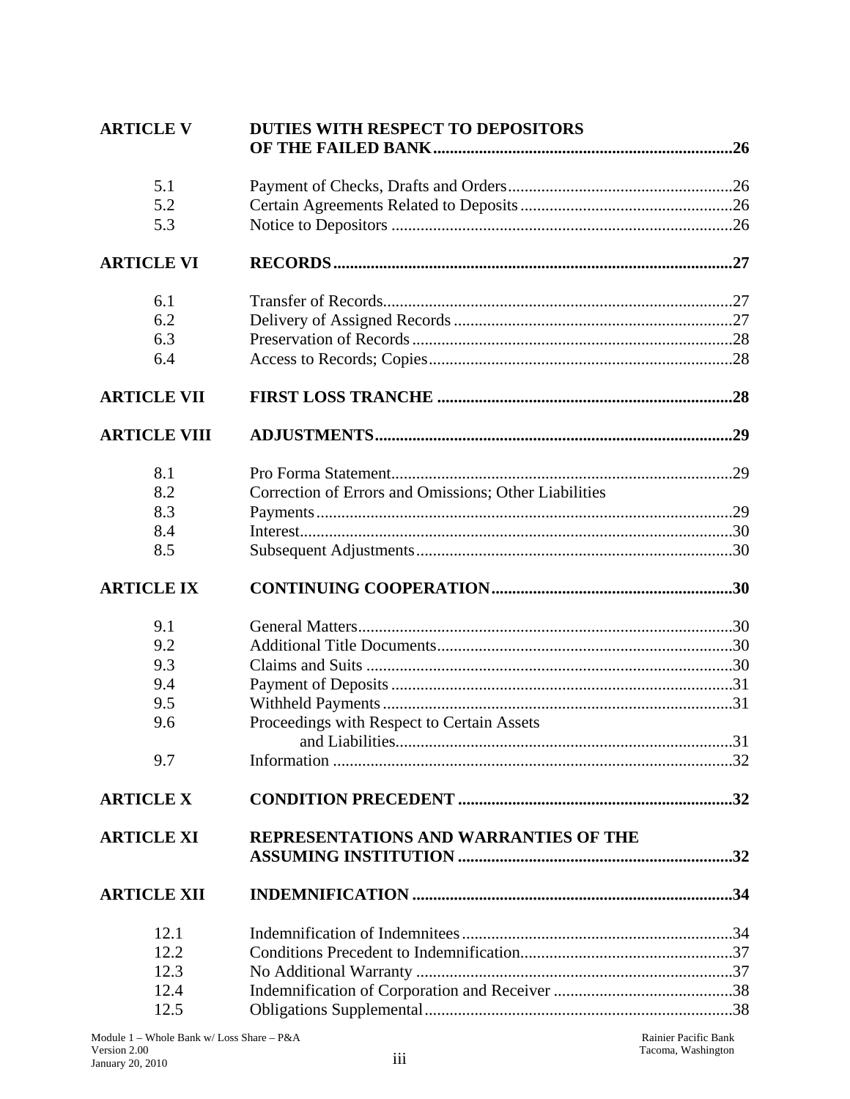| <b>ARTICLE V</b>    | <b>DUTIES WITH RESPECT TO DEPOSITORS</b>              |  |
|---------------------|-------------------------------------------------------|--|
|                     |                                                       |  |
| 5.1                 |                                                       |  |
| 5.2                 |                                                       |  |
| 5.3                 |                                                       |  |
| <b>ARTICLE VI</b>   |                                                       |  |
| 6.1                 |                                                       |  |
| 6.2                 |                                                       |  |
| 6.3                 |                                                       |  |
| 6.4                 |                                                       |  |
| <b>ARTICLE VII</b>  |                                                       |  |
| <b>ARTICLE VIII</b> |                                                       |  |
| 8.1                 |                                                       |  |
| 8.2                 | Correction of Errors and Omissions; Other Liabilities |  |
| 8.3                 |                                                       |  |
| 8.4                 |                                                       |  |
| 8.5                 |                                                       |  |
| <b>ARTICLE IX</b>   |                                                       |  |
| 9.1                 |                                                       |  |
| 9.2                 |                                                       |  |
| 9.3                 |                                                       |  |
| 9.4                 |                                                       |  |
| 9.5                 |                                                       |  |
| 9.6                 | Proceedings with Respect to Certain Assets            |  |
|                     |                                                       |  |
| 9.7                 |                                                       |  |
| <b>ARTICLE X</b>    |                                                       |  |
| <b>ARTICLE XI</b>   | REPRESENTATIONS AND WARRANTIES OF THE                 |  |
| <b>ARTICLE XII</b>  |                                                       |  |
| 12.1                |                                                       |  |
| 12.2                |                                                       |  |
| 12.3                |                                                       |  |
| 12.4                |                                                       |  |
| 12.5                |                                                       |  |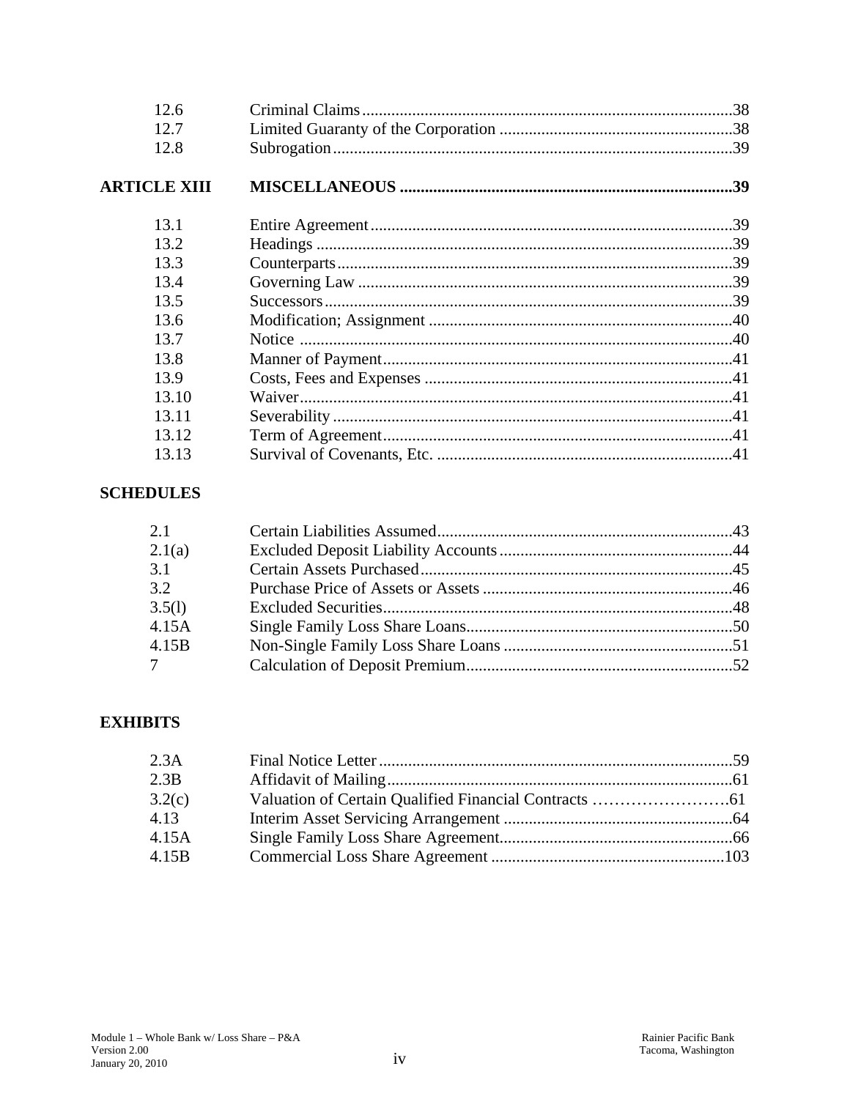| 12.6                |  |
|---------------------|--|
| 12.7                |  |
| 12.8                |  |
| <b>ARTICLE XIII</b> |  |
| 13.1                |  |
| 13.2                |  |
| 13.3                |  |
| 13.4                |  |
| 13.5                |  |
| 13.6                |  |
| 13.7                |  |
| 13.8                |  |
| 13.9                |  |
| 13.10               |  |
| 13.11               |  |
| 13.12               |  |
| 13.13               |  |

## **SCHEDULES**

# **EXHIBITS**

| 2.3A   |  |
|--------|--|
| 2.3B   |  |
| 3.2(c) |  |
| 4.13   |  |
| 4.15A  |  |
| 4.15B  |  |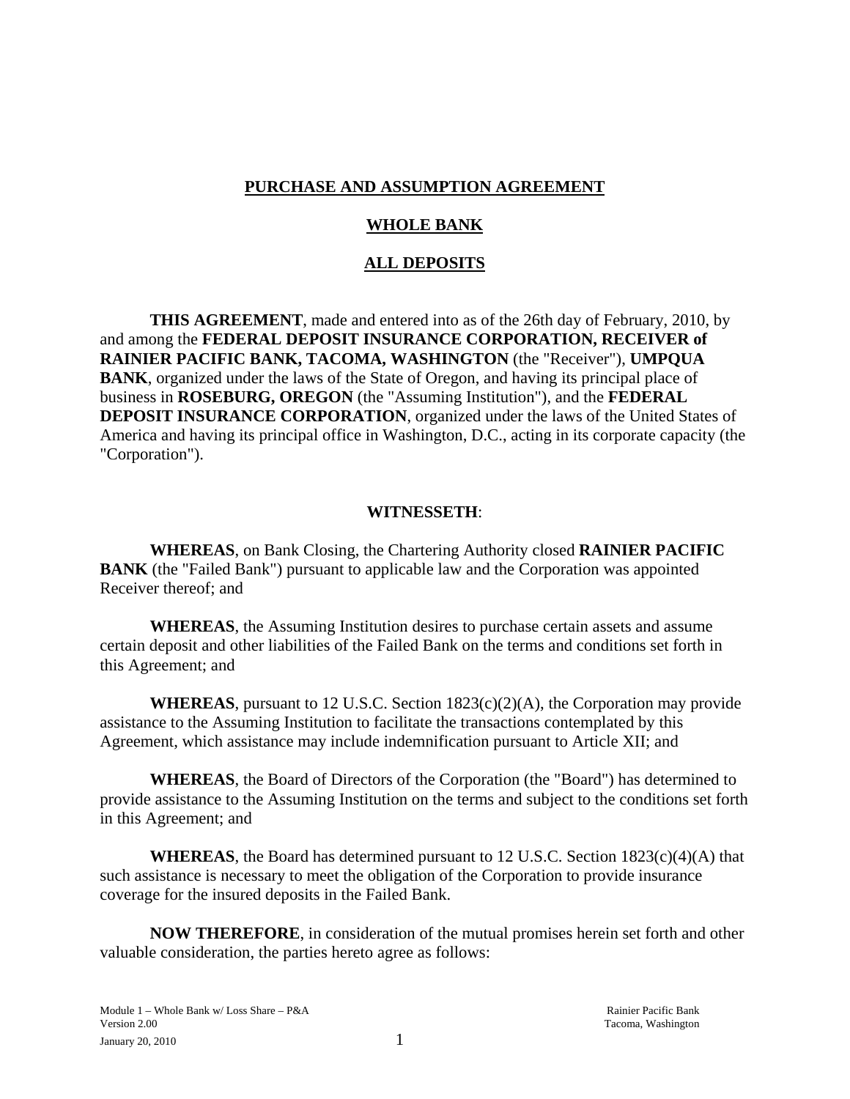### **PURCHASE AND ASSUMPTION AGREEMENT**

### **WHOLE BANK**

### **ALL DEPOSITS**

 **THIS AGREEMENT**, made and entered into as of the 26th day of February, 2010, by and among the **FEDERAL DEPOSIT INSURANCE CORPORATION, RECEIVER of RAINIER PACIFIC BANK, TACOMA, WASHINGTON** (the "Receiver"), **UMPQUA BANK**, organized under the laws of the State of Oregon, and having its principal place of business in **ROSEBURG, OREGON** (the "Assuming Institution"), and the **FEDERAL DEPOSIT INSURANCE CORPORATION**, organized under the laws of the United States of America and having its principal office in Washington, D.C., acting in its corporate capacity (the "Corporation").

#### **WITNESSETH**:

**WHEREAS**, on Bank Closing, the Chartering Authority closed **RAINIER PACIFIC BANK** (the "Failed Bank") pursuant to applicable law and the Corporation was appointed Receiver thereof; and

**WHEREAS**, the Assuming Institution desires to purchase certain assets and assume certain deposit and other liabilities of the Failed Bank on the terms and conditions set forth in this Agreement; and

**WHEREAS**, pursuant to 12 U.S.C. Section 1823(c)(2)(A), the Corporation may provide assistance to the Assuming Institution to facilitate the transactions contemplated by this Agreement, which assistance may include indemnification pursuant to Article XII; and

 **WHEREAS**, the Board of Directors of the Corporation (the "Board") has determined to provide assistance to the Assuming Institution on the terms and subject to the conditions set forth in this Agreement; and

**WHEREAS**, the Board has determined pursuant to 12 U.S.C. Section 1823(c)(4)(A) that such assistance is necessary to meet the obligation of the Corporation to provide insurance coverage for the insured deposits in the Failed Bank.

 **NOW THEREFORE**, in consideration of the mutual promises herein set forth and other valuable consideration, the parties hereto agree as follows: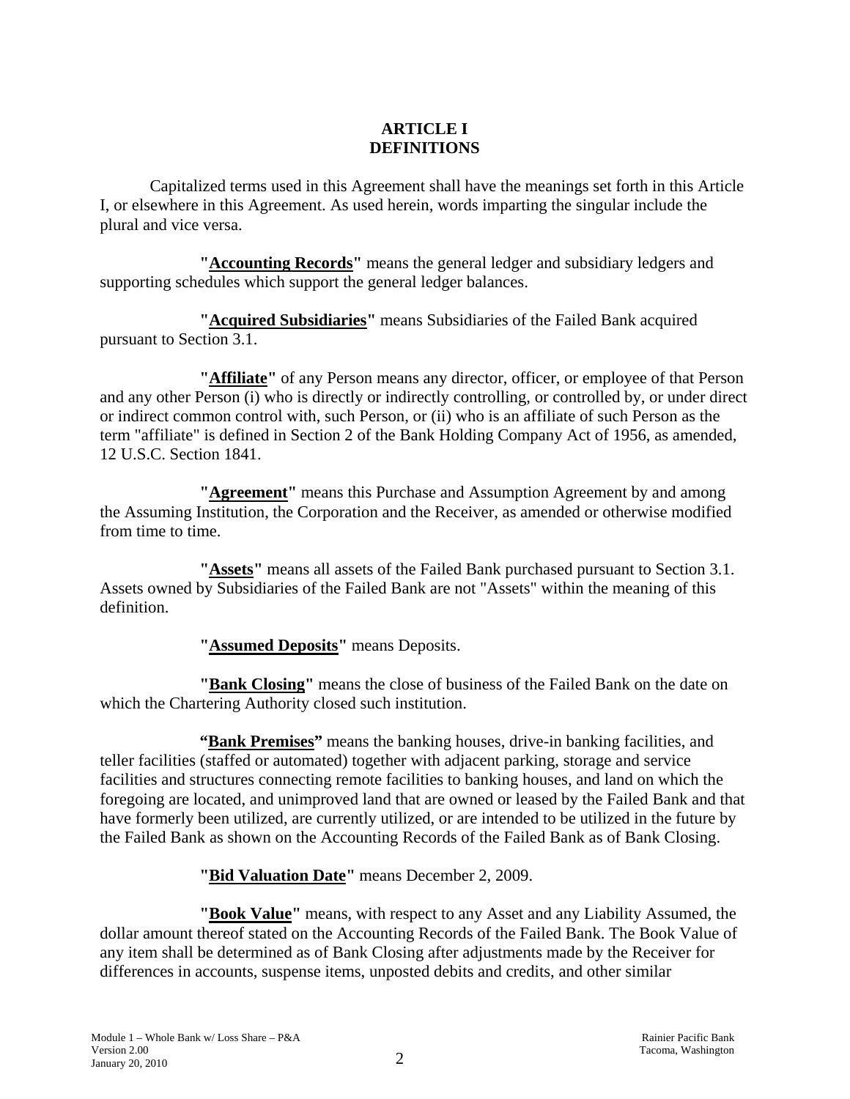## **ARTICLE I DEFINITIONS**

<span id="page-5-1"></span><span id="page-5-0"></span>Capitalized terms used in this Agreement shall have the meanings set forth in this Article I, or elsewhere in this Agreement. As used herein, words imparting the singular include the plural and vice versa.

**"Accounting Records"** means the general ledger and subsidiary ledgers and supporting schedules which support the general ledger balances.

**"Acquired Subsidiaries"** means Subsidiaries of the Failed Bank acquired pursuant to Section 3.1.

**"Affiliate"** of any Person means any director, officer, or employee of that Person and any other Person (i) who is directly or indirectly controlling, or controlled by, or under direct or indirect common control with, such Person, or (ii) who is an affiliate of such Person as the term "affiliate" is defined in Section 2 of the Bank Holding Company Act of 1956, as amended, 12 U.S.C. Section 1841.

**"Agreement"** means this Purchase and Assumption Agreement by and among the Assuming Institution, the Corporation and the Receiver, as amended or otherwise modified from time to time.

**"Assets"** means all assets of the Failed Bank purchased pursuant to Section 3.1. Assets owned by Subsidiaries of the Failed Bank are not "Assets" within the meaning of this definition.

**"Assumed Deposits"** means Deposits.

**"Bank Closing"** means the close of business of the Failed Bank on the date on which the Chartering Authority closed such institution.

**"Bank Premises"** means the banking houses, drive-in banking facilities, and teller facilities (staffed or automated) together with adjacent parking, storage and service facilities and structures connecting remote facilities to banking houses, and land on which the foregoing are located, and unimproved land that are owned or leased by the Failed Bank and that have formerly been utilized, are currently utilized, or are intended to be utilized in the future by the Failed Bank as shown on the Accounting Records of the Failed Bank as of Bank Closing.

**"Bid Valuation Date"** means December 2, 2009.

**"Book Value"** means, with respect to any Asset and any Liability Assumed, the dollar amount thereof stated on the Accounting Records of the Failed Bank. The Book Value of any item shall be determined as of Bank Closing after adjustments made by the Receiver for differences in accounts, suspense items, unposted debits and credits, and other similar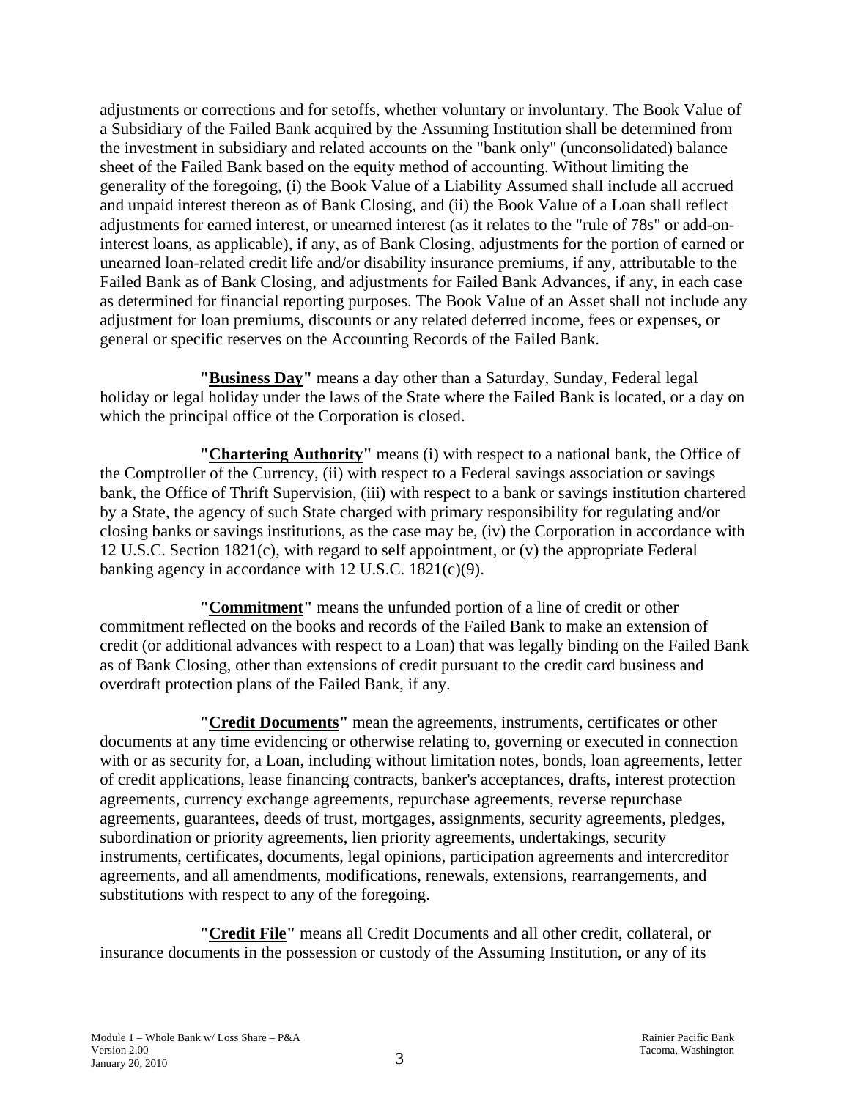<span id="page-6-0"></span>adjustments or corrections and for setoffs, whether voluntary or involuntary. The Book Value of a Subsidiary of the Failed Bank acquired by the Assuming Institution shall be determined from the investment in subsidiary and related accounts on the "bank only" (unconsolidated) balance sheet of the Failed Bank based on the equity method of accounting. Without limiting the generality of the foregoing, (i) the Book Value of a Liability Assumed shall include all accrued and unpaid interest thereon as of Bank Closing, and (ii) the Book Value of a Loan shall reflect adjustments for earned interest, or unearned interest (as it relates to the "rule of 78s" or add-oninterest loans, as applicable), if any, as of Bank Closing, adjustments for the portion of earned or unearned loan-related credit life and/or disability insurance premiums, if any, attributable to the Failed Bank as of Bank Closing, and adjustments for Failed Bank Advances, if any, in each case as determined for financial reporting purposes. The Book Value of an Asset shall not include any adjustment for loan premiums, discounts or any related deferred income, fees or expenses, or general or specific reserves on the Accounting Records of the Failed Bank.

**"Business Day"** means a day other than a Saturday, Sunday, Federal legal holiday or legal holiday under the laws of the State where the Failed Bank is located, or a day on which the principal office of the Corporation is closed.

**"Chartering Authority"** means (i) with respect to a national bank, the Office of the Comptroller of the Currency, (ii) with respect to a Federal savings association or savings bank, the Office of Thrift Supervision, (iii) with respect to a bank or savings institution chartered by a State, the agency of such State charged with primary responsibility for regulating and/or closing banks or savings institutions, as the case may be, (iv) the Corporation in accordance with 12 U.S.C. Section 1821(c), with regard to self appointment, or (v) the appropriate Federal banking agency in accordance with 12 U.S.C. 1821(c)(9).

**"Commitment"** means the unfunded portion of a line of credit or other commitment reflected on the books and records of the Failed Bank to make an extension of credit (or additional advances with respect to a Loan) that was legally binding on the Failed Bank as of Bank Closing, other than extensions of credit pursuant to the credit card business and overdraft protection plans of the Failed Bank, if any.

**"Credit Documents"** mean the agreements, instruments, certificates or other documents at any time evidencing or otherwise relating to, governing or executed in connection with or as security for, a Loan, including without limitation notes, bonds, loan agreements, letter of credit applications, lease financing contracts, banker's acceptances, drafts, interest protection agreements, currency exchange agreements, repurchase agreements, reverse repurchase agreements, guarantees, deeds of trust, mortgages, assignments, security agreements, pledges, subordination or priority agreements, lien priority agreements, undertakings, security instruments, certificates, documents, legal opinions, participation agreements and intercreditor agreements, and all amendments, modifications, renewals, extensions, rearrangements, and substitutions with respect to any of the foregoing.

**"Credit File"** means all Credit Documents and all other credit, collateral, or insurance documents in the possession or custody of the Assuming Institution, or any of its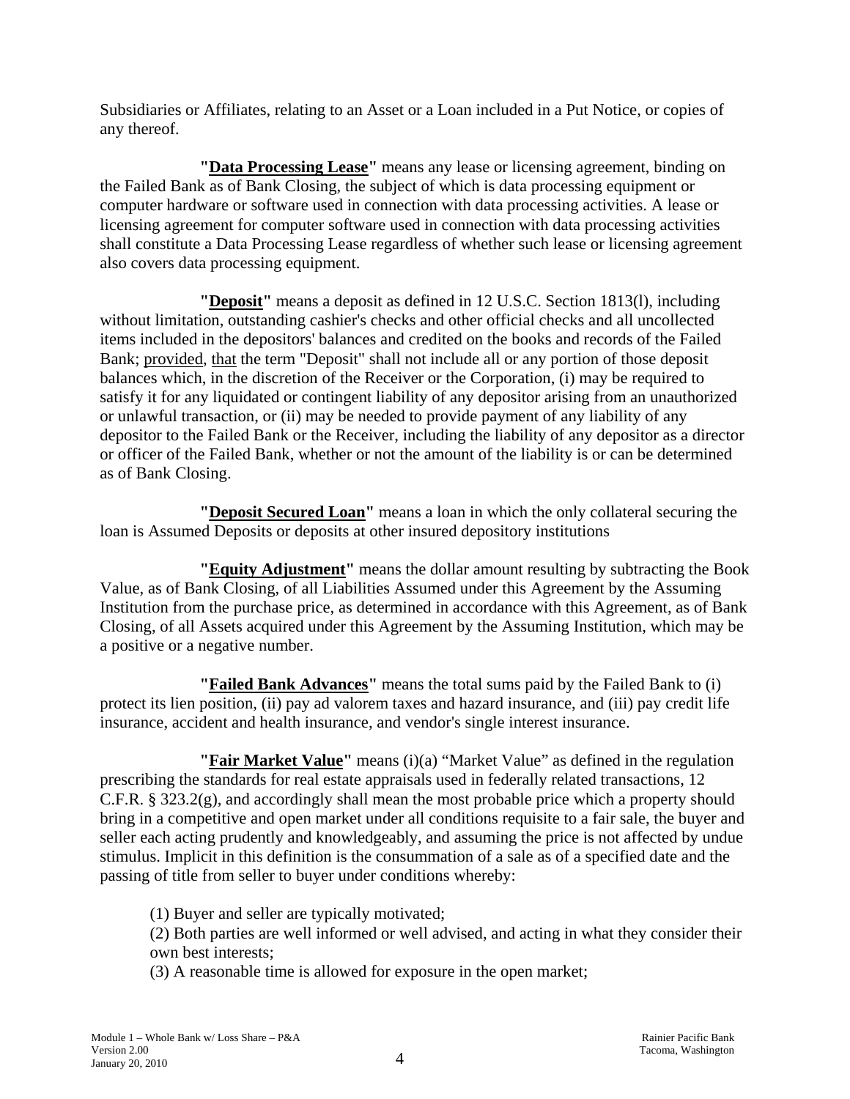<span id="page-7-0"></span>Subsidiaries or Affiliates, relating to an Asset or a Loan included in a Put Notice, or copies of any thereof.

**"Data Processing Lease"** means any lease or licensing agreement, binding on the Failed Bank as of Bank Closing, the subject of which is data processing equipment or computer hardware or software used in connection with data processing activities. A lease or licensing agreement for computer software used in connection with data processing activities shall constitute a Data Processing Lease regardless of whether such lease or licensing agreement also covers data processing equipment.

**"Deposit"** means a deposit as defined in 12 U.S.C. Section 1813(l), including without limitation, outstanding cashier's checks and other official checks and all uncollected items included in the depositors' balances and credited on the books and records of the Failed Bank; provided, that the term "Deposit" shall not include all or any portion of those deposit balances which, in the discretion of the Receiver or the Corporation, (i) may be required to satisfy it for any liquidated or contingent liability of any depositor arising from an unauthorized or unlawful transaction, or (ii) may be needed to provide payment of any liability of any depositor to the Failed Bank or the Receiver, including the liability of any depositor as a director or officer of the Failed Bank, whether or not the amount of the liability is or can be determined as of Bank Closing.

**"Deposit Secured Loan"** means a loan in which the only collateral securing the loan is Assumed Deposits or deposits at other insured depository institutions

**"Equity Adjustment"** means the dollar amount resulting by subtracting the Book Value, as of Bank Closing, of all Liabilities Assumed under this Agreement by the Assuming Institution from the purchase price, as determined in accordance with this Agreement, as of Bank Closing, of all Assets acquired under this Agreement by the Assuming Institution, which may be a positive or a negative number.

**"Failed Bank Advances"** means the total sums paid by the Failed Bank to (i) protect its lien position, (ii) pay ad valorem taxes and hazard insurance, and (iii) pay credit life insurance, accident and health insurance, and vendor's single interest insurance.

**"Fair Market Value"** means (i)(a) "Market Value" as defined in the regulation prescribing the standards for real estate appraisals used in federally related transactions, 12 C.F.R. § 323.2(g), and accordingly shall mean the most probable price which a property should bring in a competitive and open market under all conditions requisite to a fair sale, the buyer and seller each acting prudently and knowledgeably, and assuming the price is not affected by undue stimulus. Implicit in this definition is the consummation of a sale as of a specified date and the passing of title from seller to buyer under conditions whereby:

(1) Buyer and seller are typically motivated;

(2) Both parties are well informed or well advised, and acting in what they consider their own best interests;

(3) A reasonable time is allowed for exposure in the open market;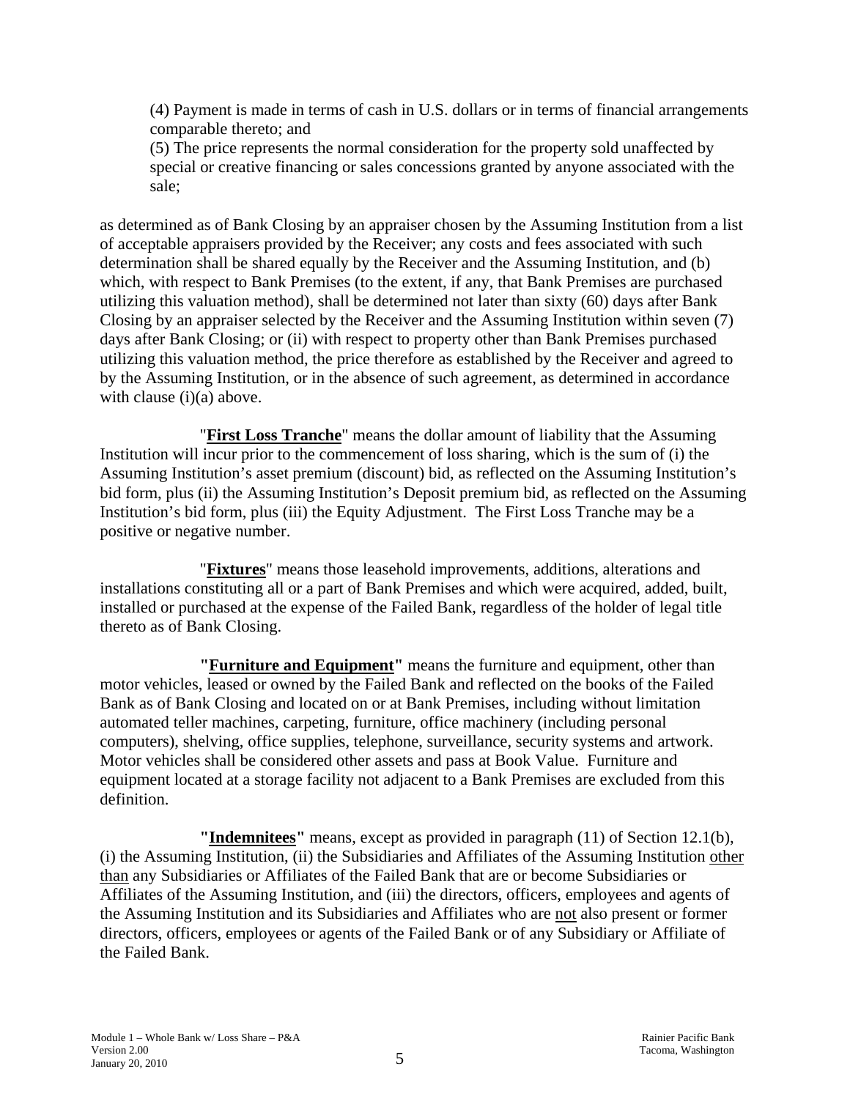(4) Payment is made in terms of cash in U.S. dollars or in terms of financial arrangements comparable thereto; and

(5) The price represents the normal consideration for the property sold unaffected by special or creative financing or sales concessions granted by anyone associated with the sale;

as determined as of Bank Closing by an appraiser chosen by the Assuming Institution from a list of acceptable appraisers provided by the Receiver; any costs and fees associated with such determination shall be shared equally by the Receiver and the Assuming Institution, and (b) which, with respect to Bank Premises (to the extent, if any, that Bank Premises are purchased utilizing this valuation method), shall be determined not later than sixty (60) days after Bank Closing by an appraiser selected by the Receiver and the Assuming Institution within seven (7) days after Bank Closing; or (ii) with respect to property other than Bank Premises purchased utilizing this valuation method, the price therefore as established by the Receiver and agreed to by the Assuming Institution, or in the absence of such agreement, as determined in accordance with clause (i)(a) above.

"**First Loss Tranche**" means the dollar amount of liability that the Assuming Institution will incur prior to the commencement of loss sharing, which is the sum of (i) the Assuming Institution's asset premium (discount) bid, as reflected on the Assuming Institution's bid form, plus (ii) the Assuming Institution's Deposit premium bid, as reflected on the Assuming Institution's bid form, plus (iii) the Equity Adjustment. The First Loss Tranche may be a positive or negative number.

"**Fixtures**" means those leasehold improvements, additions, alterations and installations constituting all or a part of Bank Premises and which were acquired, added, built, installed or purchased at the expense of the Failed Bank, regardless of the holder of legal title thereto as of Bank Closing.

**"Furniture and Equipment"** means the furniture and equipment, other than motor vehicles, leased or owned by the Failed Bank and reflected on the books of the Failed Bank as of Bank Closing and located on or at Bank Premises, including without limitation automated teller machines, carpeting, furniture, office machinery (including personal computers), shelving, office supplies, telephone, surveillance, security systems and artwork. Motor vehicles shall be considered other assets and pass at Book Value. Furniture and equipment located at a storage facility not adjacent to a Bank Premises are excluded from this definition.

**"Indemnitees"** means, except as provided in paragraph (11) of Section 12.1(b), (i) the Assuming Institution, (ii) the Subsidiaries and Affiliates of the Assuming Institution other than any Subsidiaries or Affiliates of the Failed Bank that are or become Subsidiaries or Affiliates of the Assuming Institution, and (iii) the directors, officers, employees and agents of the Assuming Institution and its Subsidiaries and Affiliates who are not also present or former directors, officers, employees or agents of the Failed Bank or of any Subsidiary or Affiliate of the Failed Bank.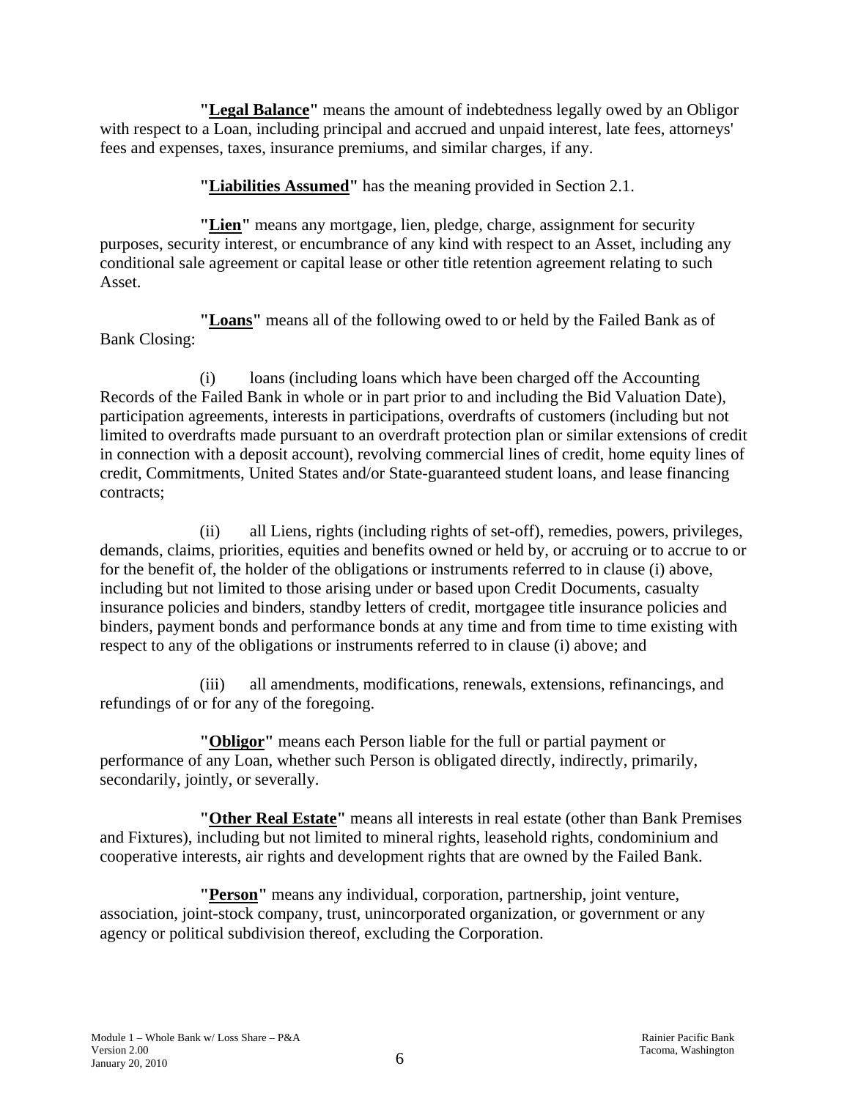**"Legal Balance"** means the amount of indebtedness legally owed by an Obligor with respect to a Loan, including principal and accrued and unpaid interest, late fees, attorneys' fees and expenses, taxes, insurance premiums, and similar charges, if any.

 **"Liabilities Assumed"** has the meaning provided in Section 2.1.

**"Lien"** means any mortgage, lien, pledge, charge, assignment for security purposes, security interest, or encumbrance of any kind with respect to an Asset, including any conditional sale agreement or capital lease or other title retention agreement relating to such Asset.

**"Loans"** means all of the following owed to or held by the Failed Bank as of Bank Closing:

(i) loans (including loans which have been charged off the Accounting Records of the Failed Bank in whole or in part prior to and including the Bid Valuation Date), participation agreements, interests in participations, overdrafts of customers (including but not limited to overdrafts made pursuant to an overdraft protection plan or similar extensions of credit in connection with a deposit account), revolving commercial lines of credit, home equity lines of credit, Commitments, United States and/or State-guaranteed student loans, and lease financing contracts;

(ii) all Liens, rights (including rights of set-off), remedies, powers, privileges, demands, claims, priorities, equities and benefits owned or held by, or accruing or to accrue to or for the benefit of, the holder of the obligations or instruments referred to in clause (i) above, including but not limited to those arising under or based upon Credit Documents, casualty insurance policies and binders, standby letters of credit, mortgagee title insurance policies and binders, payment bonds and performance bonds at any time and from time to time existing with respect to any of the obligations or instruments referred to in clause (i) above; and

(iii) all amendments, modifications, renewals, extensions, refinancings, and refundings of or for any of the foregoing.

**"Obligor"** means each Person liable for the full or partial payment or performance of any Loan, whether such Person is obligated directly, indirectly, primarily, secondarily, jointly, or severally.

**"Other Real Estate"** means all interests in real estate (other than Bank Premises and Fixtures), including but not limited to mineral rights, leasehold rights, condominium and cooperative interests, air rights and development rights that are owned by the Failed Bank.

**"Person"** means any individual, corporation, partnership, joint venture, association, joint-stock company, trust, unincorporated organization, or government or any agency or political subdivision thereof, excluding the Corporation.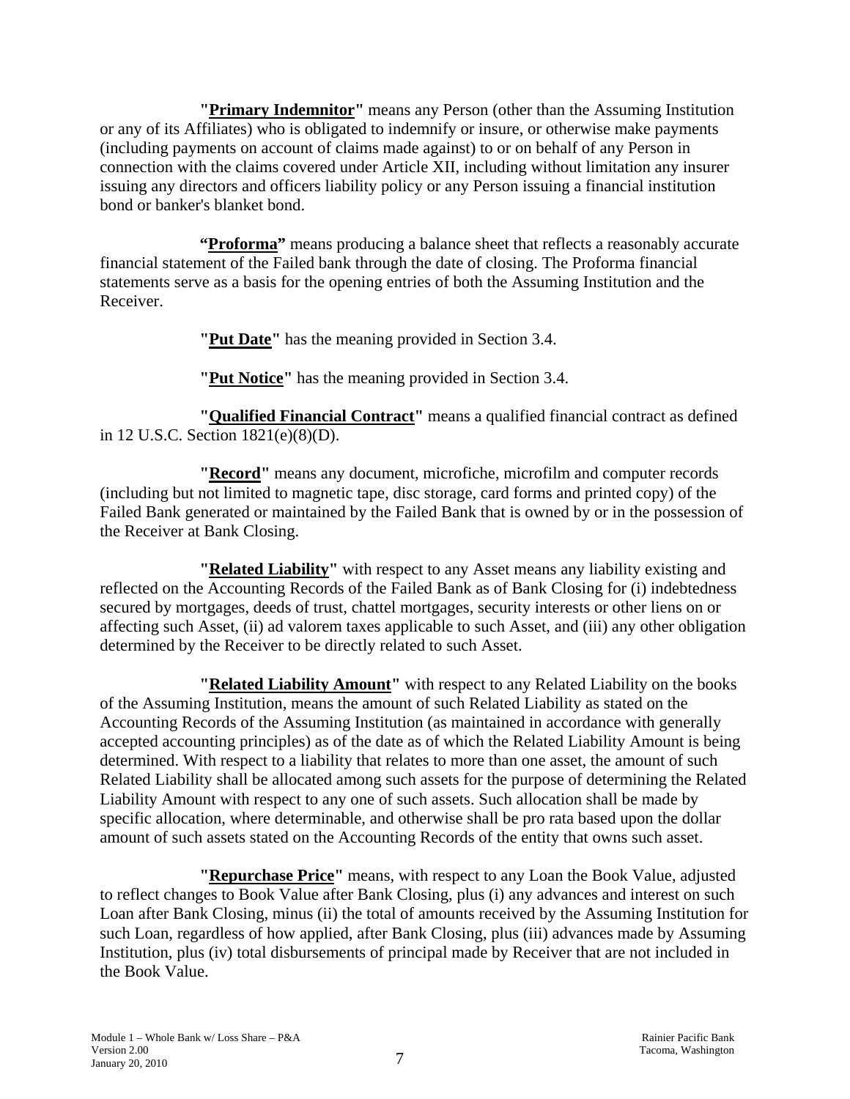**"Primary Indemnitor"** means any Person (other than the Assuming Institution or any of its Affiliates) who is obligated to indemnify or insure, or otherwise make payments (including payments on account of claims made against) to or on behalf of any Person in connection with the claims covered under Article XII, including without limitation any insurer issuing any directors and officers liability policy or any Person issuing a financial institution bond or banker's blanket bond.

"**Proforma**" means producing a balance sheet that reflects a reasonably accurate financial statement of the Failed bank through the date of closing. The Proforma financial statements serve as a basis for the opening entries of both the Assuming Institution and the Receiver.

**"Put Date"** has the meaning provided in Section 3.4.

**"Put Notice"** has the meaning provided in Section 3.4.

**"Qualified Financial Contract"** means a qualified financial contract as defined in 12 U.S.C. Section 1821(e)(8)(D).

**"Record"** means any document, microfiche, microfilm and computer records (including but not limited to magnetic tape, disc storage, card forms and printed copy) of the Failed Bank generated or maintained by the Failed Bank that is owned by or in the possession of the Receiver at Bank Closing.

**"Related Liability"** with respect to any Asset means any liability existing and reflected on the Accounting Records of the Failed Bank as of Bank Closing for (i) indebtedness secured by mortgages, deeds of trust, chattel mortgages, security interests or other liens on or affecting such Asset, (ii) ad valorem taxes applicable to such Asset, and (iii) any other obligation determined by the Receiver to be directly related to such Asset.

**"Related Liability Amount"** with respect to any Related Liability on the books of the Assuming Institution, means the amount of such Related Liability as stated on the Accounting Records of the Assuming Institution (as maintained in accordance with generally accepted accounting principles) as of the date as of which the Related Liability Amount is being determined. With respect to a liability that relates to more than one asset, the amount of such Related Liability shall be allocated among such assets for the purpose of determining the Related Liability Amount with respect to any one of such assets. Such allocation shall be made by specific allocation, where determinable, and otherwise shall be pro rata based upon the dollar amount of such assets stated on the Accounting Records of the entity that owns such asset.

**"Repurchase Price"** means, with respect to any Loan the Book Value, adjusted to reflect changes to Book Value after Bank Closing, plus (i) any advances and interest on such Loan after Bank Closing, minus (ii) the total of amounts received by the Assuming Institution for such Loan, regardless of how applied, after Bank Closing, plus (iii) advances made by Assuming Institution, plus (iv) total disbursements of principal made by Receiver that are not included in the Book Value.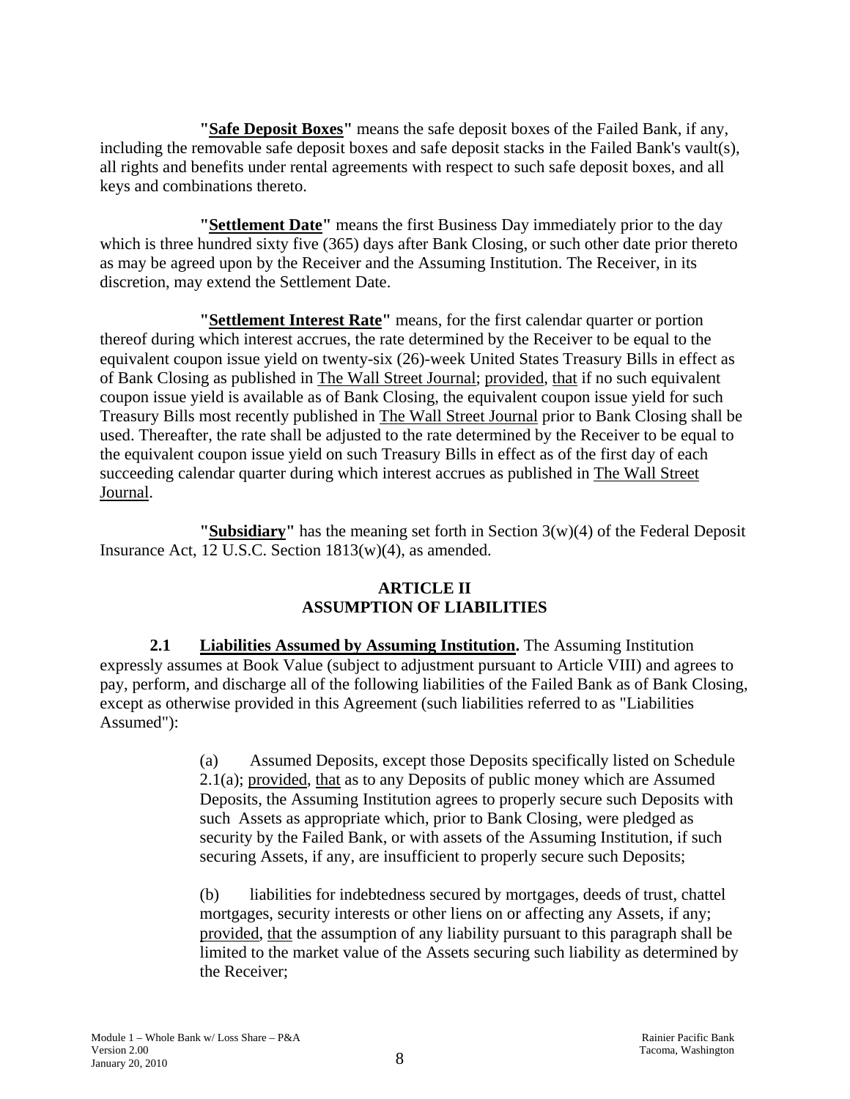**"Safe Deposit Boxes"** means the safe deposit boxes of the Failed Bank, if any, including the removable safe deposit boxes and safe deposit stacks in the Failed Bank's vault(s), all rights and benefits under rental agreements with respect to such safe deposit boxes, and all keys and combinations thereto.

**"Settlement Date"** means the first Business Day immediately prior to the day which is three hundred sixty five (365) days after Bank Closing, or such other date prior thereto as may be agreed upon by the Receiver and the Assuming Institution. The Receiver, in its discretion, may extend the Settlement Date.

**"Settlement Interest Rate"** means, for the first calendar quarter or portion thereof during which interest accrues, the rate determined by the Receiver to be equal to the equivalent coupon issue yield on twenty-six (26)-week United States Treasury Bills in effect as of Bank Closing as published in The Wall Street Journal; provided, that if no such equivalent coupon issue yield is available as of Bank Closing, the equivalent coupon issue yield for such Treasury Bills most recently published in The Wall Street Journal prior to Bank Closing shall be used. Thereafter, the rate shall be adjusted to the rate determined by the Receiver to be equal to the equivalent coupon issue yield on such Treasury Bills in effect as of the first day of each succeeding calendar quarter during which interest accrues as published in The Wall Street Journal.

**"Subsidiary"** has the meaning set forth in Section 3(w)(4) of the Federal Deposit Insurance Act, 12 U.S.C. Section 1813(w)(4), as amended.

### **ARTICLE II ASSUMPTION OF LIABILITIES**

<span id="page-11-1"></span><span id="page-11-0"></span> **2.1 Liabilities Assumed by Assuming Institution.** The Assuming Institution expressly assumes at Book Value (subject to adjustment pursuant to Article VIII) and agrees to pay, perform, and discharge all of the following liabilities of the Failed Bank as of Bank Closing, except as otherwise provided in this Agreement (such liabilities referred to as "Liabilities Assumed"):

> (a) Assumed Deposits, except those Deposits specifically listed on Schedule 2.1(a); provided, that as to any Deposits of public money which are Assumed Deposits, the Assuming Institution agrees to properly secure such Deposits with such Assets as appropriate which, prior to Bank Closing, were pledged as security by the Failed Bank, or with assets of the Assuming Institution, if such securing Assets, if any, are insufficient to properly secure such Deposits;

> (b) liabilities for indebtedness secured by mortgages, deeds of trust, chattel mortgages, security interests or other liens on or affecting any Assets, if any; provided, that the assumption of any liability pursuant to this paragraph shall be limited to the market value of the Assets securing such liability as determined by the Receiver;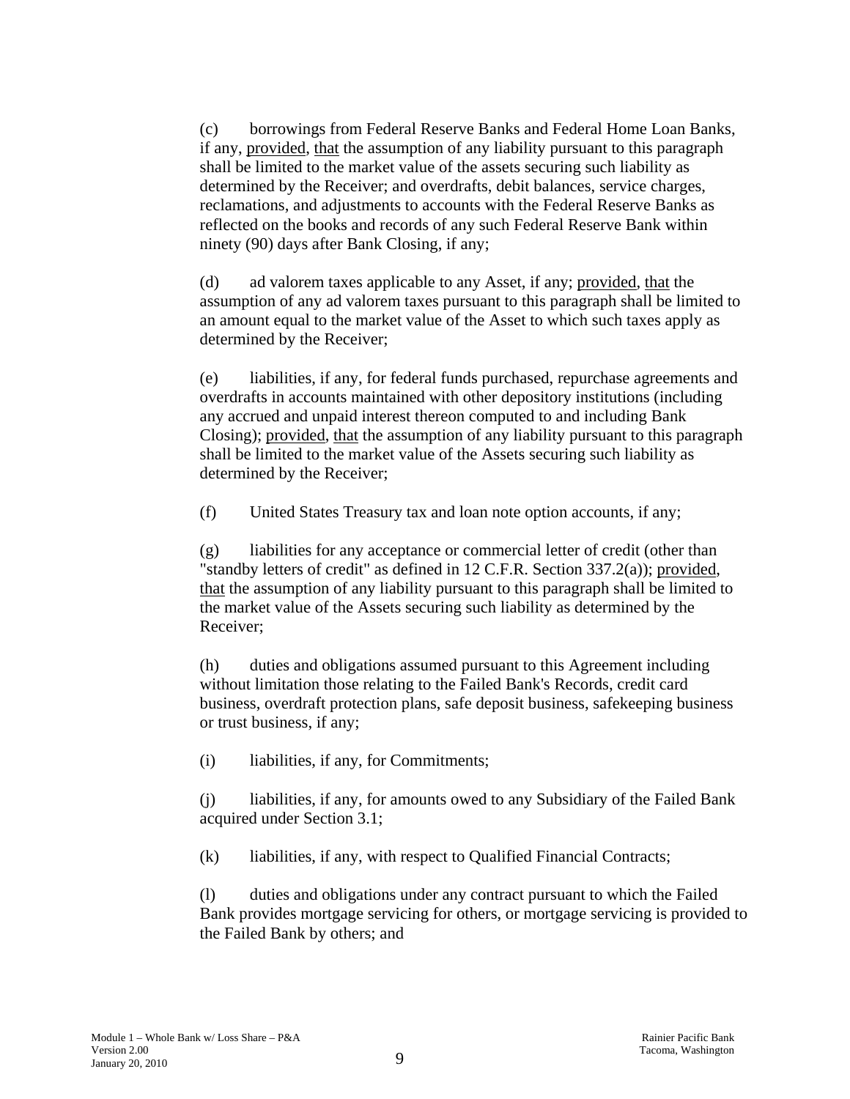(c) borrowings from Federal Reserve Banks and Federal Home Loan Banks, if any, provided, that the assumption of any liability pursuant to this paragraph shall be limited to the market value of the assets securing such liability as determined by the Receiver; and overdrafts, debit balances, service charges, reclamations, and adjustments to accounts with the Federal Reserve Banks as reflected on the books and records of any such Federal Reserve Bank within ninety (90) days after Bank Closing, if any;

(d) ad valorem taxes applicable to any Asset, if any; provided, that the assumption of any ad valorem taxes pursuant to this paragraph shall be limited to an amount equal to the market value of the Asset to which such taxes apply as determined by the Receiver;

(e) liabilities, if any, for federal funds purchased, repurchase agreements and overdrafts in accounts maintained with other depository institutions (including any accrued and unpaid interest thereon computed to and including Bank Closing); provided, that the assumption of any liability pursuant to this paragraph shall be limited to the market value of the Assets securing such liability as determined by the Receiver;

(f) United States Treasury tax and loan note option accounts, if any;

(g) liabilities for any acceptance or commercial letter of credit (other than "standby letters of credit" as defined in 12 C.F.R. Section 337.2(a)); provided, that the assumption of any liability pursuant to this paragraph shall be limited to the market value of the Assets securing such liability as determined by the Receiver;

(h) duties and obligations assumed pursuant to this Agreement including without limitation those relating to the Failed Bank's Records, credit card business, overdraft protection plans, safe deposit business, safekeeping business or trust business, if any;

(i) liabilities, if any, for Commitments;

(j) liabilities, if any, for amounts owed to any Subsidiary of the Failed Bank acquired under Section 3.1;

(k) liabilities, if any, with respect to Qualified Financial Contracts;

(l) duties and obligations under any contract pursuant to which the Failed Bank provides mortgage servicing for others, or mortgage servicing is provided to the Failed Bank by others; and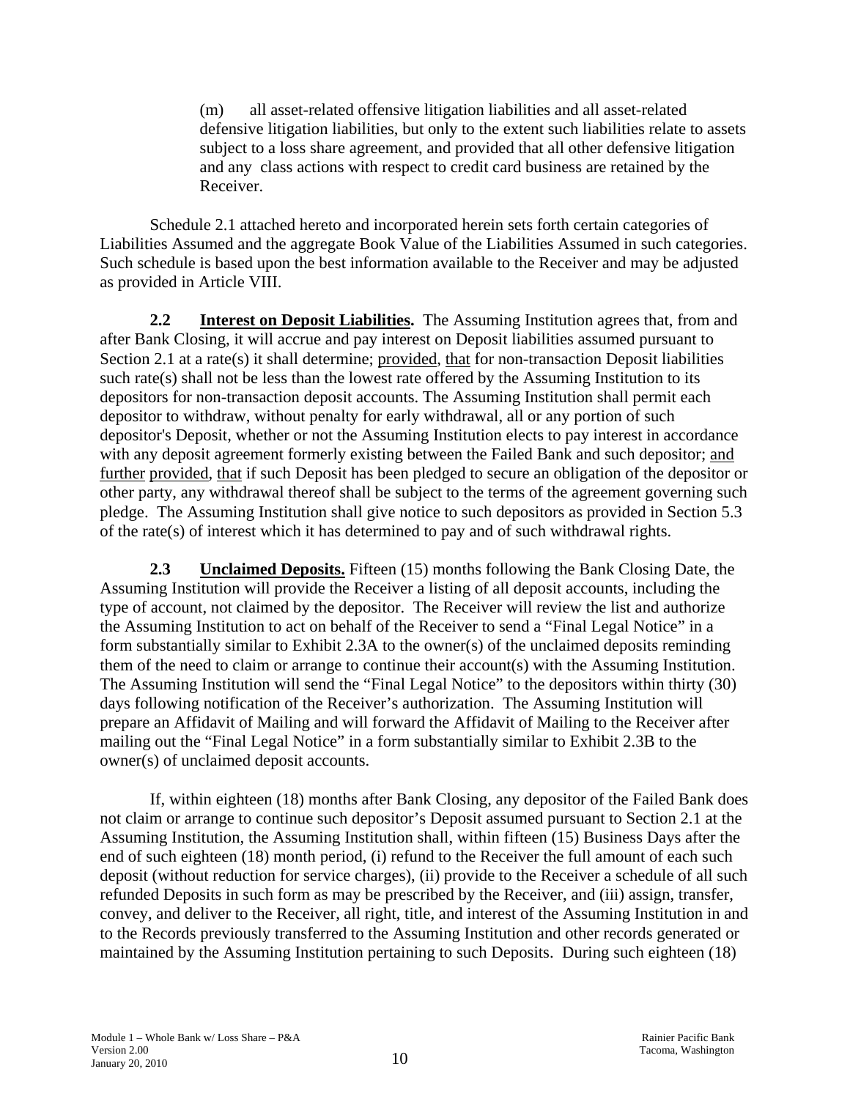(m) all asset-related offensive litigation liabilities and all asset-related defensive litigation liabilities, but only to the extent such liabilities relate to assets subject to a loss share agreement, and provided that all other defensive litigation and any class actions with respect to credit card business are retained by the Receiver.

Schedule 2.1 attached hereto and incorporated herein sets forth certain categories of Liabilities Assumed and the aggregate Book Value of the Liabilities Assumed in such categories. Such schedule is based upon the best information available to the Receiver and may be adjusted as provided in Article VIII.

<span id="page-13-0"></span>**2.2** Interest on Deposit Liabilities. The Assuming Institution agrees that, from and after Bank Closing, it will accrue and pay interest on Deposit liabilities assumed pursuant to Section 2.1 at a rate(s) it shall determine; provided, that for non-transaction Deposit liabilities such rate(s) shall not be less than the lowest rate offered by the Assuming Institution to its depositors for non-transaction deposit accounts. The Assuming Institution shall permit each depositor to withdraw, without penalty for early withdrawal, all or any portion of such depositor's Deposit, whether or not the Assuming Institution elects to pay interest in accordance with any deposit agreement formerly existing between the Failed Bank and such depositor; and further provided, that if such Deposit has been pledged to secure an obligation of the depositor or other party, any withdrawal thereof shall be subject to the terms of the agreement governing such pledge. The Assuming Institution shall give notice to such depositors as provided in Section 5.3 of the rate(s) of interest which it has determined to pay and of such withdrawal rights.

<span id="page-13-1"></span>**2.3 Unclaimed Deposits.** Fifteen (15) months following the Bank Closing Date, the Assuming Institution will provide the Receiver a listing of all deposit accounts, including the type of account, not claimed by the depositor. The Receiver will review the list and authorize the Assuming Institution to act on behalf of the Receiver to send a "Final Legal Notice" in a form substantially similar to Exhibit 2.3A to the owner(s) of the unclaimed deposits reminding them of the need to claim or arrange to continue their account(s) with the Assuming Institution. The Assuming Institution will send the "Final Legal Notice" to the depositors within thirty (30) days following notification of the Receiver's authorization. The Assuming Institution will prepare an Affidavit of Mailing and will forward the Affidavit of Mailing to the Receiver after mailing out the "Final Legal Notice" in a form substantially similar to Exhibit 2.3B to the owner(s) of unclaimed deposit accounts.

If, within eighteen (18) months after Bank Closing, any depositor of the Failed Bank does not claim or arrange to continue such depositor's Deposit assumed pursuant to Section 2.1 at the Assuming Institution, the Assuming Institution shall, within fifteen (15) Business Days after the end of such eighteen (18) month period, (i) refund to the Receiver the full amount of each such deposit (without reduction for service charges), (ii) provide to the Receiver a schedule of all such refunded Deposits in such form as may be prescribed by the Receiver, and (iii) assign, transfer, convey, and deliver to the Receiver, all right, title, and interest of the Assuming Institution in and to the Records previously transferred to the Assuming Institution and other records generated or maintained by the Assuming Institution pertaining to such Deposits. During such eighteen (18)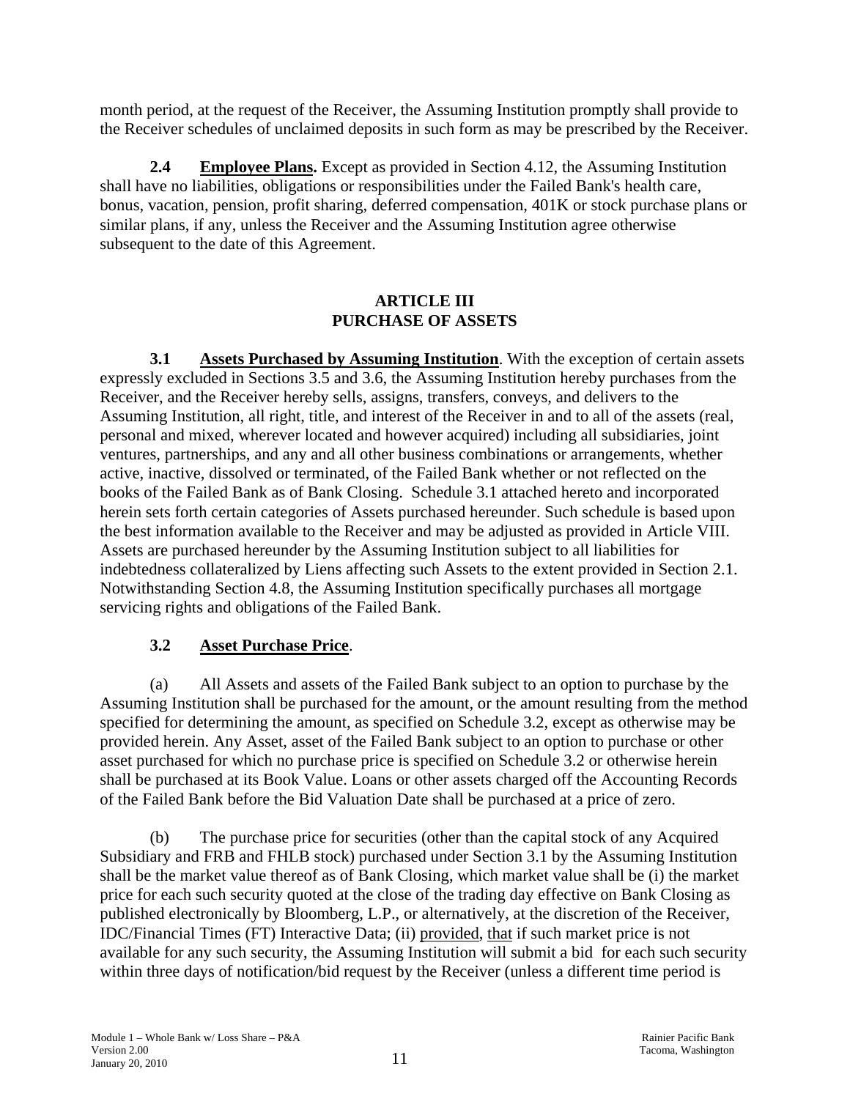month period, at the request of the Receiver, the Assuming Institution promptly shall provide to the Receiver schedules of unclaimed deposits in such form as may be prescribed by the Receiver.

<span id="page-14-0"></span>**2.4 Employee Plans.** Except as provided in Section 4.12, the Assuming Institution shall have no liabilities, obligations or responsibilities under the Failed Bank's health care, bonus, vacation, pension, profit sharing, deferred compensation, 401K or stock purchase plans or similar plans, if any, unless the Receiver and the Assuming Institution agree otherwise subsequent to the date of this Agreement.

## **ARTICLE III PURCHASE OF ASSETS**

<span id="page-14-2"></span><span id="page-14-1"></span>**3.1** Assets Purchased by Assuming Institution. With the exception of certain assets expressly excluded in Sections 3.5 and 3.6, the Assuming Institution hereby purchases from the Receiver, and the Receiver hereby sells, assigns, transfers, conveys, and delivers to the Assuming Institution, all right, title, and interest of the Receiver in and to all of the assets (real, personal and mixed, wherever located and however acquired) including all subsidiaries, joint ventures, partnerships, and any and all other business combinations or arrangements, whether active, inactive, dissolved or terminated, of the Failed Bank whether or not reflected on the books of the Failed Bank as of Bank Closing. Schedule 3.1 attached hereto and incorporated herein sets forth certain categories of Assets purchased hereunder. Such schedule is based upon the best information available to the Receiver and may be adjusted as provided in Article VIII. Assets are purchased hereunder by the Assuming Institution subject to all liabilities for indebtedness collateralized by Liens affecting such Assets to the extent provided in Section 2.1. Notwithstanding Section 4.8, the Assuming Institution specifically purchases all mortgage servicing rights and obligations of the Failed Bank.

# **3.2 Asset Purchase Price**.

<span id="page-14-3"></span>(a) All Assets and assets of the Failed Bank subject to an option to purchase by the Assuming Institution shall be purchased for the amount, or the amount resulting from the method specified for determining the amount, as specified on Schedule 3.2, except as otherwise may be provided herein. Any Asset, asset of the Failed Bank subject to an option to purchase or other asset purchased for which no purchase price is specified on Schedule 3.2 or otherwise herein shall be purchased at its Book Value. Loans or other assets charged off the Accounting Records of the Failed Bank before the Bid Valuation Date shall be purchased at a price of zero.

(b) The purchase price for securities (other than the capital stock of any Acquired Subsidiary and FRB and FHLB stock) purchased under Section 3.1 by the Assuming Institution shall be the market value thereof as of Bank Closing, which market value shall be (i) the market price for each such security quoted at the close of the trading day effective on Bank Closing as published electronically by Bloomberg, L.P., or alternatively, at the discretion of the Receiver, IDC/Financial Times (FT) Interactive Data; (ii) provided, that if such market price is not available for any such security, the Assuming Institution will submit a bid for each such security within three days of notification/bid request by the Receiver (unless a different time period is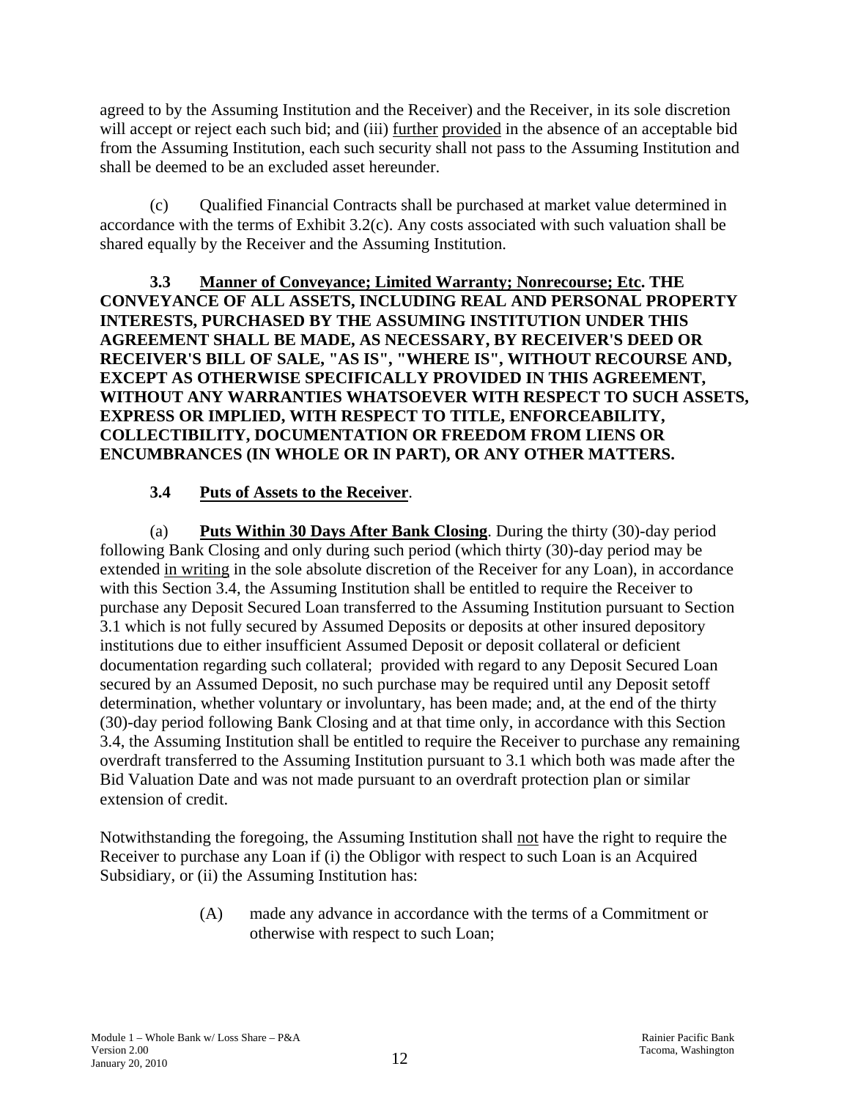agreed to by the Assuming Institution and the Receiver) and the Receiver, in its sole discretion will accept or reject each such bid; and (iii) further provided in the absence of an acceptable bid from the Assuming Institution, each such security shall not pass to the Assuming Institution and shall be deemed to be an excluded asset hereunder.

(c) Qualified Financial Contracts shall be purchased at market value determined in accordance with the terms of Exhibit 3.2(c). Any costs associated with such valuation shall be shared equally by the Receiver and the Assuming Institution.

<span id="page-15-0"></span>**3.3 Manner of Conveyance; Limited Warranty; Nonrecourse; Etc. THE CONVEYANCE OF ALL ASSETS, INCLUDING REAL AND PERSONAL PROPERTY INTERESTS, PURCHASED BY THE ASSUMING INSTITUTION UNDER THIS AGREEMENT SHALL BE MADE, AS NECESSARY, BY RECEIVER'S DEED OR RECEIVER'S BILL OF SALE, "AS IS", "WHERE IS", WITHOUT RECOURSE AND, EXCEPT AS OTHERWISE SPECIFICALLY PROVIDED IN THIS AGREEMENT, WITHOUT ANY WARRANTIES WHATSOEVER WITH RESPECT TO SUCH ASSETS, EXPRESS OR IMPLIED, WITH RESPECT TO TITLE, ENFORCEABILITY, COLLECTIBILITY, DOCUMENTATION OR FREEDOM FROM LIENS OR ENCUMBRANCES (IN WHOLE OR IN PART), OR ANY OTHER MATTERS.** 

### **3.4 Puts of Assets to the Receiver**.

<span id="page-15-1"></span>(a) **Puts Within 30 Days After Bank Closing**. During the thirty (30)-day period following Bank Closing and only during such period (which thirty (30)-day period may be extended in writing in the sole absolute discretion of the Receiver for any Loan), in accordance with this Section 3.4, the Assuming Institution shall be entitled to require the Receiver to purchase any Deposit Secured Loan transferred to the Assuming Institution pursuant to Section 3.1 which is not fully secured by Assumed Deposits or deposits at other insured depository institutions due to either insufficient Assumed Deposit or deposit collateral or deficient documentation regarding such collateral; provided with regard to any Deposit Secured Loan secured by an Assumed Deposit, no such purchase may be required until any Deposit setoff determination, whether voluntary or involuntary, has been made; and, at the end of the thirty (30)-day period following Bank Closing and at that time only, in accordance with this Section 3.4, the Assuming Institution shall be entitled to require the Receiver to purchase any remaining overdraft transferred to the Assuming Institution pursuant to 3.1 which both was made after the Bid Valuation Date and was not made pursuant to an overdraft protection plan or similar extension of credit.

Subsidiary, or (ii) the Assuming Institution has: Notwithstanding the foregoing, the Assuming Institution shall not have the right to require the Receiver to purchase any Loan if (i) the Obligor with respect to such Loan is an Acquired

> (A) made any advance in accordance with the terms of a Commitment or otherwise with respect to such Loan;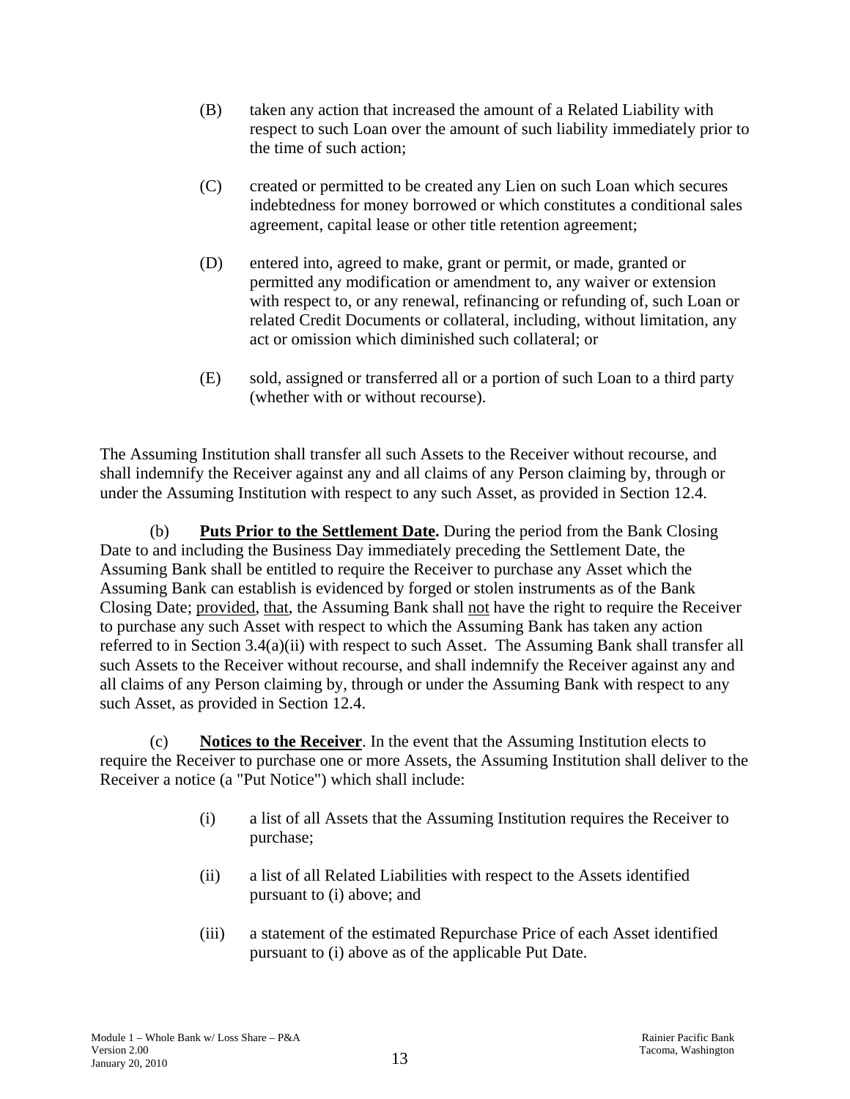- (B) taken any action that increased the amount of a Related Liability with respect to such Loan over the amount of such liability immediately prior to the time of such action;
- (C) created or permitted to be created any Lien on such Loan which secures indebtedness for money borrowed or which constitutes a conditional sales agreement, capital lease or other title retention agreement;
- (D) entered into, agreed to make, grant or permit, or made, granted or permitted any modification or amendment to, any waiver or extension with respect to, or any renewal, refinancing or refunding of, such Loan or related Credit Documents or collateral, including, without limitation, any act or omission which diminished such collateral; or
- (E) sold, assigned or transferred all or a portion of such Loan to a third party (whether with or without recourse).

The Assuming Institution shall transfer all such Assets to the Receiver without recourse, and shall indemnify the Receiver against any and all claims of any Person claiming by, through or under the Assuming Institution with respect to any such Asset, as provided in Section 12.4.

(b) **Puts Prior to the Settlement Date.** During the period from the Bank Closing Date to and including the Business Day immediately preceding the Settlement Date, the Assuming Bank shall be entitled to require the Receiver to purchase any Asset which the Assuming Bank can establish is evidenced by forged or stolen instruments as of the Bank Closing Date; provided, that, the Assuming Bank shall not have the right to require the Receiver to purchase any such Asset with respect to which the Assuming Bank has taken any action referred to in Section 3.4(a)(ii) with respect to such Asset. The Assuming Bank shall transfer all such Assets to the Receiver without recourse, and shall indemnify the Receiver against any and all claims of any Person claiming by, through or under the Assuming Bank with respect to any such Asset, as provided in Section 12.4.

(c) **Notices to the Receiver**. In the event that the Assuming Institution elects to require the Receiver to purchase one or more Assets, the Assuming Institution shall deliver to the Receiver a notice (a "Put Notice") which shall include:

- (i) a list of all Assets that the Assuming Institution requires the Receiver to purchase;
- (ii) a list of all Related Liabilities with respect to the Assets identified pursuant to (i) above; and
- (iii) a statement of the estimated Repurchase Price of each Asset identified pursuant to (i) above as of the applicable Put Date.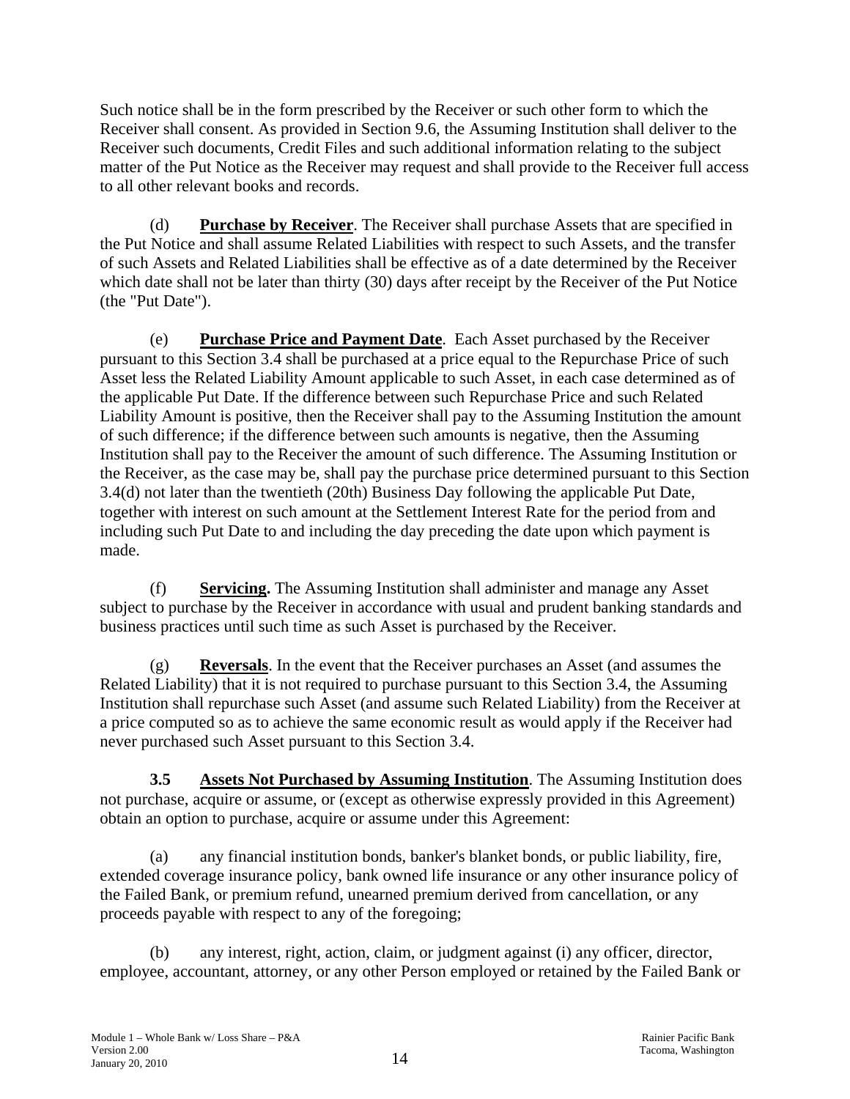Such notice shall be in the form prescribed by the Receiver or such other form to which the Receiver shall consent. As provided in Section 9.6, the Assuming Institution shall deliver to the Receiver such documents, Credit Files and such additional information relating to the subject matter of the Put Notice as the Receiver may request and shall provide to the Receiver full access to all other relevant books and records.

(d) **Purchase by Receiver**. The Receiver shall purchase Assets that are specified in the Put Notice and shall assume Related Liabilities with respect to such Assets, and the transfer of such Assets and Related Liabilities shall be effective as of a date determined by the Receiver which date shall not be later than thirty (30) days after receipt by the Receiver of the Put Notice (the "Put Date").

(e) **Purchase Price and Payment Date**. Each Asset purchased by the Receiver pursuant to this Section 3.4 shall be purchased at a price equal to the Repurchase Price of such Asset less the Related Liability Amount applicable to such Asset, in each case determined as of the applicable Put Date. If the difference between such Repurchase Price and such Related Liability Amount is positive, then the Receiver shall pay to the Assuming Institution the amount of such difference; if the difference between such amounts is negative, then the Assuming Institution shall pay to the Receiver the amount of such difference. The Assuming Institution or the Receiver, as the case may be, shall pay the purchase price determined pursuant to this Section 3.4(d) not later than the twentieth (20th) Business Day following the applicable Put Date, together with interest on such amount at the Settlement Interest Rate for the period from and including such Put Date to and including the day preceding the date upon which payment is made.

(f) **Servicing.** The Assuming Institution shall administer and manage any Asset subject to purchase by the Receiver in accordance with usual and prudent banking standards and business practices until such time as such Asset is purchased by the Receiver.

(g) **Reversals**. In the event that the Receiver purchases an Asset (and assumes the Related Liability) that it is not required to purchase pursuant to this Section 3.4, the Assuming Institution shall repurchase such Asset (and assume such Related Liability) from the Receiver at a price computed so as to achieve the same economic result as would apply if the Receiver had never purchased such Asset pursuant to this Section 3.4.

<span id="page-17-0"></span>**3.5 Assets Not Purchased by Assuming Institution**. The Assuming Institution does not purchase, acquire or assume, or (except as otherwise expressly provided in this Agreement) obtain an option to purchase, acquire or assume under this Agreement:

(a) any financial institution bonds, banker's blanket bonds, or public liability, fire, extended coverage insurance policy, bank owned life insurance or any other insurance policy of the Failed Bank, or premium refund, unearned premium derived from cancellation, or any proceeds payable with respect to any of the foregoing;

(b) any interest, right, action, claim, or judgment against (i) any officer, director, employee, accountant, attorney, or any other Person employed or retained by the Failed Bank or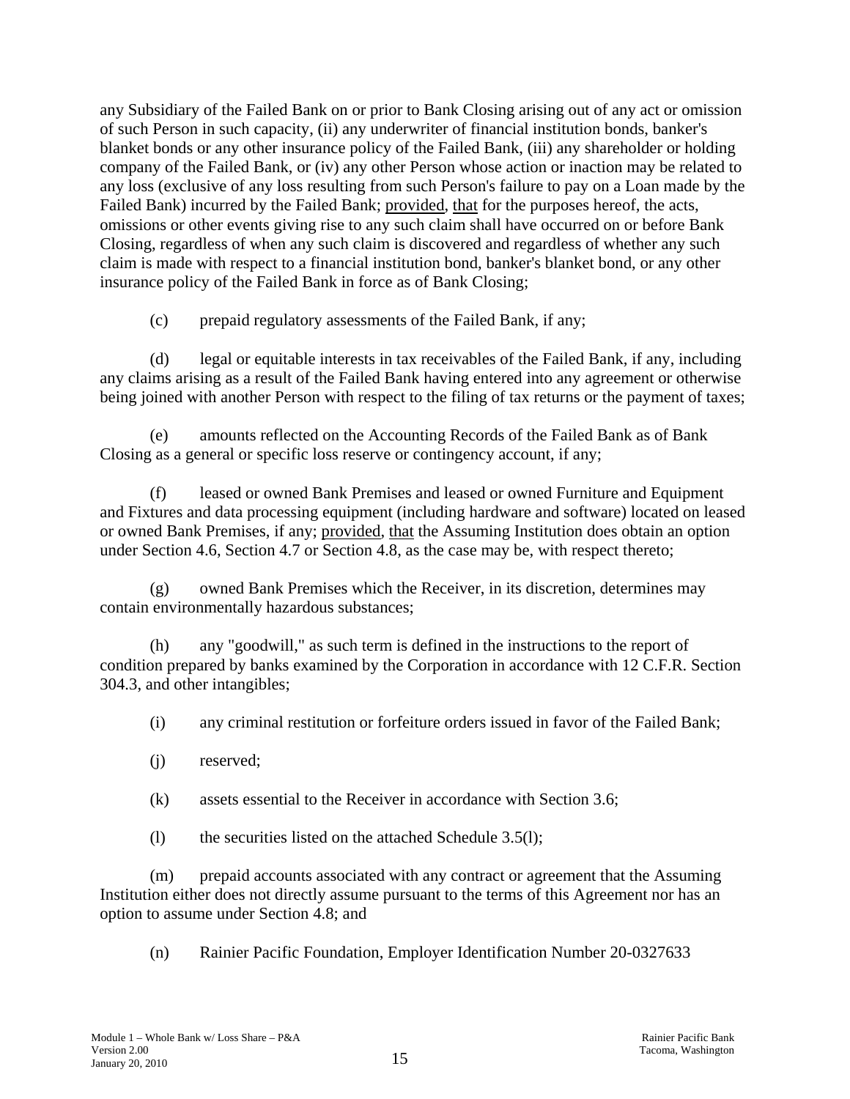any Subsidiary of the Failed Bank on or prior to Bank Closing arising out of any act or omission of such Person in such capacity, (ii) any underwriter of financial institution bonds, banker's blanket bonds or any other insurance policy of the Failed Bank, (iii) any shareholder or holding company of the Failed Bank, or (iv) any other Person whose action or inaction may be related to any loss (exclusive of any loss resulting from such Person's failure to pay on a Loan made by the Failed Bank) incurred by the Failed Bank; provided, that for the purposes hereof, the acts, omissions or other events giving rise to any such claim shall have occurred on or before Bank Closing, regardless of when any such claim is discovered and regardless of whether any such claim is made with respect to a financial institution bond, banker's blanket bond, or any other insurance policy of the Failed Bank in force as of Bank Closing;

(c) prepaid regulatory assessments of the Failed Bank, if any;

(d) legal or equitable interests in tax receivables of the Failed Bank, if any, including any claims arising as a result of the Failed Bank having entered into any agreement or otherwise being joined with another Person with respect to the filing of tax returns or the payment of taxes;

(e) amounts reflected on the Accounting Records of the Failed Bank as of Bank Closing as a general or specific loss reserve or contingency account, if any;

(f) leased or owned Bank Premises and leased or owned Furniture and Equipment and Fixtures and data processing equipment (including hardware and software) located on leased or owned Bank Premises, if any; provided, that the Assuming Institution does obtain an option under Section 4.6, Section 4.7 or Section 4.8, as the case may be, with respect thereto;

(g) owned Bank Premises which the Receiver, in its discretion, determines may contain environmentally hazardous substances;

(h) any "goodwill," as such term is defined in the instructions to the report of condition prepared by banks examined by the Corporation in accordance with 12 C.F.R. Section 304.3, and other intangibles;

(i) any criminal restitution or forfeiture orders issued in favor of the Failed Bank;

(j) reserved;

(k) assets essential to the Receiver in accordance with Section 3.6;

(1) the securities listed on the attached Schedule  $3.5(1)$ ;

(m) prepaid accounts associated with any contract or agreement that the Assuming Institution either does not directly assume pursuant to the terms of this Agreement nor has an option to assume under Section 4.8; and

(n) Rainier Pacific Foundation, Employer Identification Number 20-0327633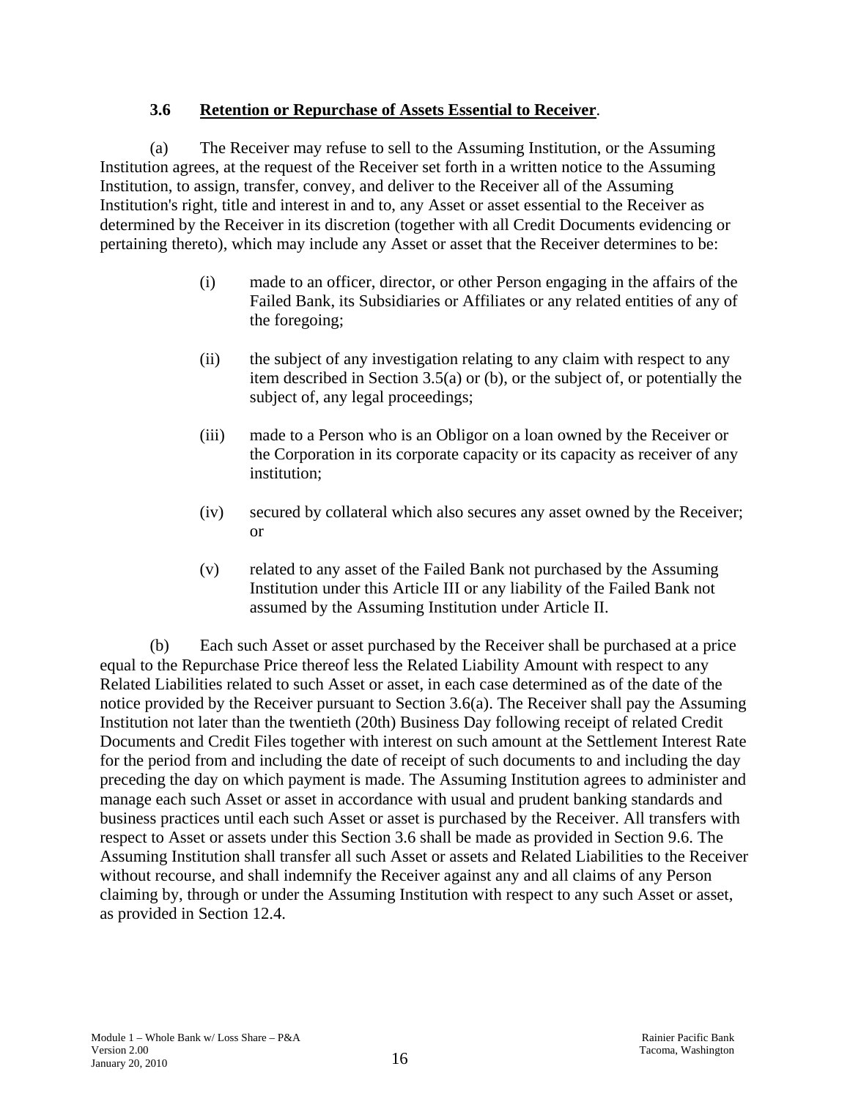### **3.6 Retention or Repurchase of Assets Essential to Receiver**.

<span id="page-19-0"></span>(a) The Receiver may refuse to sell to the Assuming Institution, or the Assuming Institution agrees, at the request of the Receiver set forth in a written notice to the Assuming Institution, to assign, transfer, convey, and deliver to the Receiver all of the Assuming Institution's right, title and interest in and to, any Asset or asset essential to the Receiver as determined by the Receiver in its discretion (together with all Credit Documents evidencing or pertaining thereto), which may include any Asset or asset that the Receiver determines to be:

- (i) made to an officer, director, or other Person engaging in the affairs of the Failed Bank, its Subsidiaries or Affiliates or any related entities of any of the foregoing;
- (ii) the subject of any investigation relating to any claim with respect to any item described in Section 3.5(a) or (b), or the subject of, or potentially the subject of, any legal proceedings;
- (iii) made to a Person who is an Obligor on a loan owned by the Receiver or the Corporation in its corporate capacity or its capacity as receiver of any institution;
- (iv) secured by collateral which also secures any asset owned by the Receiver; or
- (v) related to any asset of the Failed Bank not purchased by the Assuming Institution under this Article III or any liability of the Failed Bank not assumed by the Assuming Institution under Article II.

(b) Each such Asset or asset purchased by the Receiver shall be purchased at a price equal to the Repurchase Price thereof less the Related Liability Amount with respect to any Related Liabilities related to such Asset or asset, in each case determined as of the date of the notice provided by the Receiver pursuant to Section 3.6(a). The Receiver shall pay the Assuming Institution not later than the twentieth (20th) Business Day following receipt of related Credit Documents and Credit Files together with interest on such amount at the Settlement Interest Rate for the period from and including the date of receipt of such documents to and including the day preceding the day on which payment is made. The Assuming Institution agrees to administer and manage each such Asset or asset in accordance with usual and prudent banking standards and business practices until each such Asset or asset is purchased by the Receiver. All transfers with respect to Asset or assets under this Section 3.6 shall be made as provided in Section 9.6. The Assuming Institution shall transfer all such Asset or assets and Related Liabilities to the Receiver without recourse, and shall indemnify the Receiver against any and all claims of any Person claiming by, through or under the Assuming Institution with respect to any such Asset or asset, as provided in Section 12.4.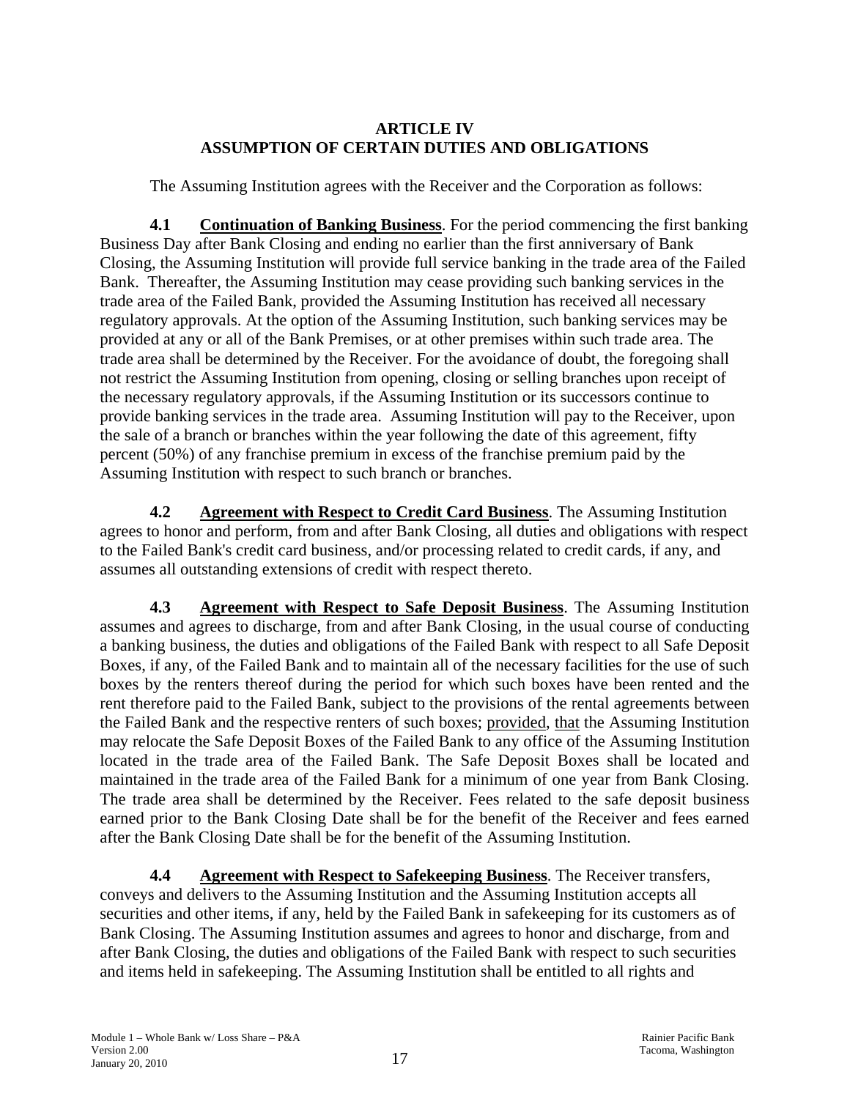### **ARTICLE IV ASSUMPTION OF CERTAIN DUTIES AND OBLIGATIONS**

The Assuming Institution agrees with the Receiver and the Corporation as follows:

<span id="page-20-1"></span><span id="page-20-0"></span>**4.1 Continuation of Banking Business**. For the period commencing the first banking Business Day after Bank Closing and ending no earlier than the first anniversary of Bank Closing, the Assuming Institution will provide full service banking in the trade area of the Failed Bank. Thereafter, the Assuming Institution may cease providing such banking services in the trade area of the Failed Bank, provided the Assuming Institution has received all necessary regulatory approvals. At the option of the Assuming Institution, such banking services may be provided at any or all of the Bank Premises, or at other premises within such trade area. The trade area shall be determined by the Receiver. For the avoidance of doubt, the foregoing shall not restrict the Assuming Institution from opening, closing or selling branches upon receipt of the necessary regulatory approvals, if the Assuming Institution or its successors continue to provide banking services in the trade area. Assuming Institution will pay to the Receiver, upon the sale of a branch or branches within the year following the date of this agreement, fifty percent (50%) of any franchise premium in excess of the franchise premium paid by the Assuming Institution with respect to such branch or branches.

**4.2 Agreement with Respect to Credit Card Business**. The Assuming Institution agrees to honor and perform, from and after Bank Closing, all duties and obligations with respect to the Failed Bank's credit card business, and/or processing related to credit cards, if any, and assumes all outstanding extensions of credit with respect thereto.

**4.3 Agreement with Respect to Safe Deposit Business**. The Assuming Institution assumes and agrees to discharge, from and after Bank Closing, in the usual course of conducting a banking business, the duties and obligations of the Failed Bank with respect to all Safe Deposit Boxes, if any, of the Failed Bank and to maintain all of the necessary facilities for the use of such boxes by the renters thereof during the period for which such boxes have been rented and the rent therefore paid to the Failed Bank, subject to the provisions of the rental agreements between the Failed Bank and the respective renters of such boxes; provided, that the Assuming Institution may relocate the Safe Deposit Boxes of the Failed Bank to any office of the Assuming Institution located in the trade area of the Failed Bank. The Safe Deposit Boxes shall be located and maintained in the trade area of the Failed Bank for a minimum of one year from Bank Closing. The trade area shall be determined by the Receiver. Fees related to the safe deposit business earned prior to the Bank Closing Date shall be for the benefit of the Receiver and fees earned after the Bank Closing Date shall be for the benefit of the Assuming Institution.

**4.4 Agreement with Respect to Safekeeping Business**. The Receiver transfers, conveys and delivers to the Assuming Institution and the Assuming Institution accepts all securities and other items, if any, held by the Failed Bank in safekeeping for its customers as of Bank Closing. The Assuming Institution assumes and agrees to honor and discharge, from and after Bank Closing, the duties and obligations of the Failed Bank with respect to such securities and items held in safekeeping. The Assuming Institution shall be entitled to all rights and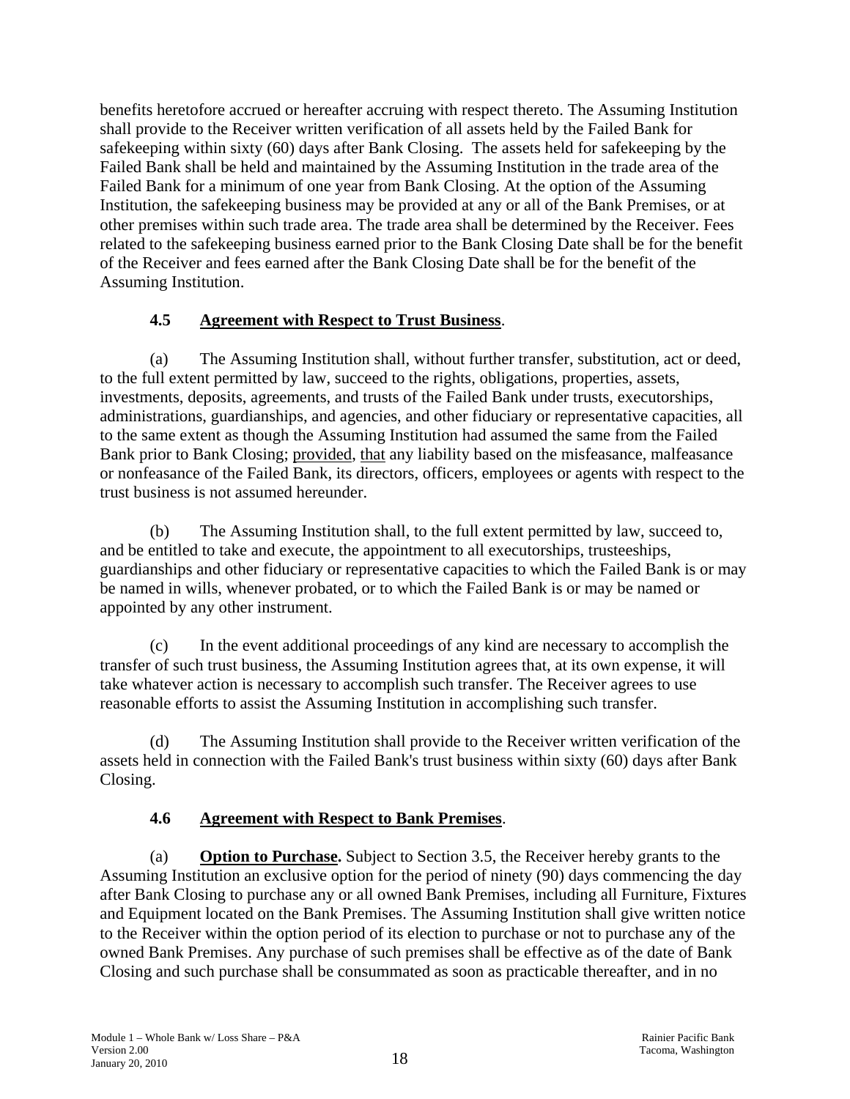benefits heretofore accrued or hereafter accruing with respect thereto. The Assuming Institution shall provide to the Receiver written verification of all assets held by the Failed Bank for safekeeping within sixty (60) days after Bank Closing. The assets held for safekeeping by the Failed Bank shall be held and maintained by the Assuming Institution in the trade area of the Failed Bank for a minimum of one year from Bank Closing. At the option of the Assuming Institution, the safekeeping business may be provided at any or all of the Bank Premises, or at other premises within such trade area. The trade area shall be determined by the Receiver. Fees related to the safekeeping business earned prior to the Bank Closing Date shall be for the benefit of the Receiver and fees earned after the Bank Closing Date shall be for the benefit of the Assuming Institution.

# **4.5 Agreement with Respect to Trust Business**.

<span id="page-21-0"></span>(a) The Assuming Institution shall, without further transfer, substitution, act or deed, to the full extent permitted by law, succeed to the rights, obligations, properties, assets, investments, deposits, agreements, and trusts of the Failed Bank under trusts, executorships, administrations, guardianships, and agencies, and other fiduciary or representative capacities, all to the same extent as though the Assuming Institution had assumed the same from the Failed Bank prior to Bank Closing; provided, that any liability based on the misfeasance, malfeasance or nonfeasance of the Failed Bank, its directors, officers, employees or agents with respect to the trust business is not assumed hereunder.

(b) The Assuming Institution shall, to the full extent permitted by law, succeed to, and be entitled to take and execute, the appointment to all executorships, trusteeships, guardianships and other fiduciary or representative capacities to which the Failed Bank is or may be named in wills, whenever probated, or to which the Failed Bank is or may be named or appointed by any other instrument.

(c) In the event additional proceedings of any kind are necessary to accomplish the transfer of such trust business, the Assuming Institution agrees that, at its own expense, it will take whatever action is necessary to accomplish such transfer. The Receiver agrees to use reasonable efforts to assist the Assuming Institution in accomplishing such transfer.

(d) The Assuming Institution shall provide to the Receiver written verification of the assets held in connection with the Failed Bank's trust business within sixty (60) days after Bank Closing.

# **4.6 Agreement with Respect to Bank Premises**.

<span id="page-21-1"></span>(a) **Option to Purchase.** Subject to Section 3.5, the Receiver hereby grants to the Assuming Institution an exclusive option for the period of ninety (90) days commencing the day after Bank Closing to purchase any or all owned Bank Premises, including all Furniture, Fixtures and Equipment located on the Bank Premises. The Assuming Institution shall give written notice to the Receiver within the option period of its election to purchase or not to purchase any of the owned Bank Premises. Any purchase of such premises shall be effective as of the date of Bank Closing and such purchase shall be consummated as soon as practicable thereafter, and in no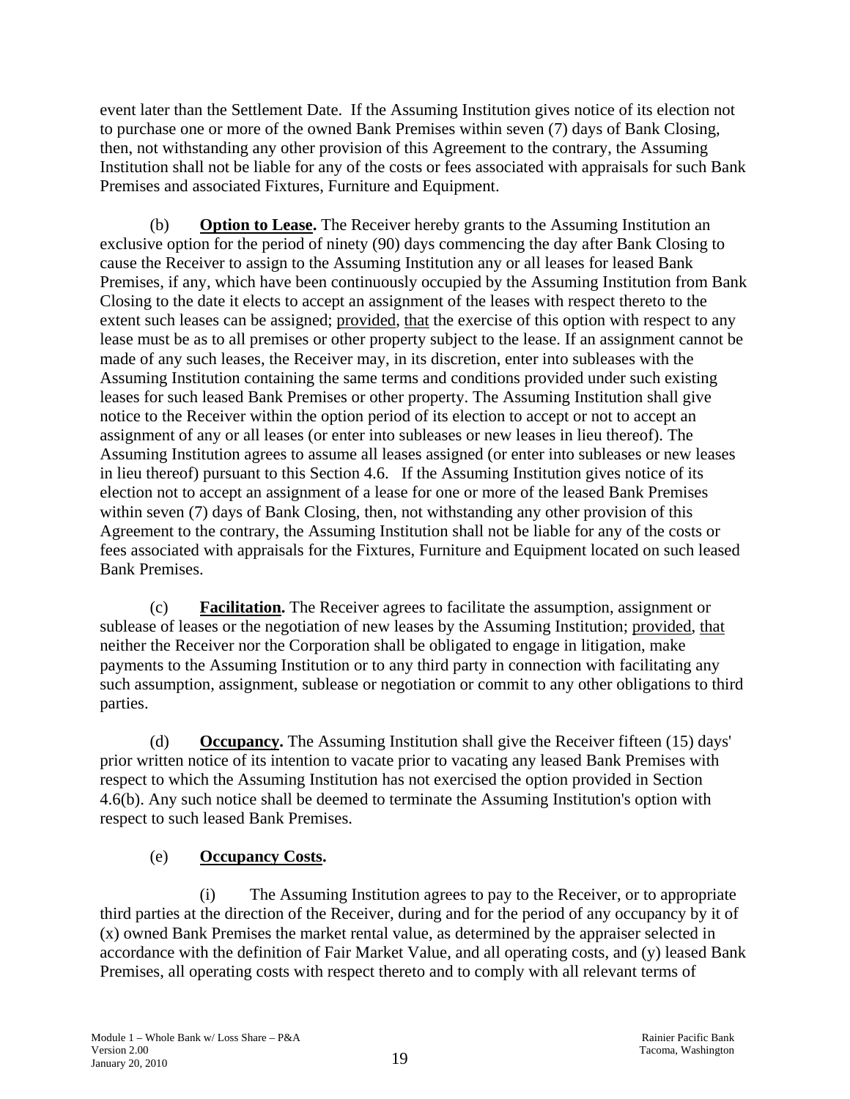event later than the Settlement Date. If the Assuming Institution gives notice of its election not to purchase one or more of the owned Bank Premises within seven (7) days of Bank Closing, then, not withstanding any other provision of this Agreement to the contrary, the Assuming Institution shall not be liable for any of the costs or fees associated with appraisals for such Bank Premises and associated Fixtures, Furniture and Equipment.

(b) **Option to Lease.** The Receiver hereby grants to the Assuming Institution an exclusive option for the period of ninety (90) days commencing the day after Bank Closing to cause the Receiver to assign to the Assuming Institution any or all leases for leased Bank Premises, if any, which have been continuously occupied by the Assuming Institution from Bank Closing to the date it elects to accept an assignment of the leases with respect thereto to the extent such leases can be assigned; provided, that the exercise of this option with respect to any lease must be as to all premises or other property subject to the lease. If an assignment cannot be made of any such leases, the Receiver may, in its discretion, enter into subleases with the Assuming Institution containing the same terms and conditions provided under such existing leases for such leased Bank Premises or other property. The Assuming Institution shall give notice to the Receiver within the option period of its election to accept or not to accept an assignment of any or all leases (or enter into subleases or new leases in lieu thereof). The Assuming Institution agrees to assume all leases assigned (or enter into subleases or new leases in lieu thereof) pursuant to this Section 4.6. If the Assuming Institution gives notice of its election not to accept an assignment of a lease for one or more of the leased Bank Premises within seven (7) days of Bank Closing, then, not withstanding any other provision of this Agreement to the contrary, the Assuming Institution shall not be liable for any of the costs or fees associated with appraisals for the Fixtures, Furniture and Equipment located on such leased Bank Premises.

(c) **Facilitation.** The Receiver agrees to facilitate the assumption, assignment or sublease of leases or the negotiation of new leases by the Assuming Institution; provided, that neither the Receiver nor the Corporation shall be obligated to engage in litigation, make payments to the Assuming Institution or to any third party in connection with facilitating any such assumption, assignment, sublease or negotiation or commit to any other obligations to third parties.

(d) **Occupancy.** The Assuming Institution shall give the Receiver fifteen (15) days' prior written notice of its intention to vacate prior to vacating any leased Bank Premises with respect to which the Assuming Institution has not exercised the option provided in Section 4.6(b). Any such notice shall be deemed to terminate the Assuming Institution's option with respect to such leased Bank Premises.

# (e) **Occupancy Costs.**

(i) The Assuming Institution agrees to pay to the Receiver, or to appropriate third parties at the direction of the Receiver, during and for the period of any occupancy by it of (x) owned Bank Premises the market rental value, as determined by the appraiser selected in accordance with the definition of Fair Market Value, and all operating costs, and (y) leased Bank Premises, all operating costs with respect thereto and to comply with all relevant terms of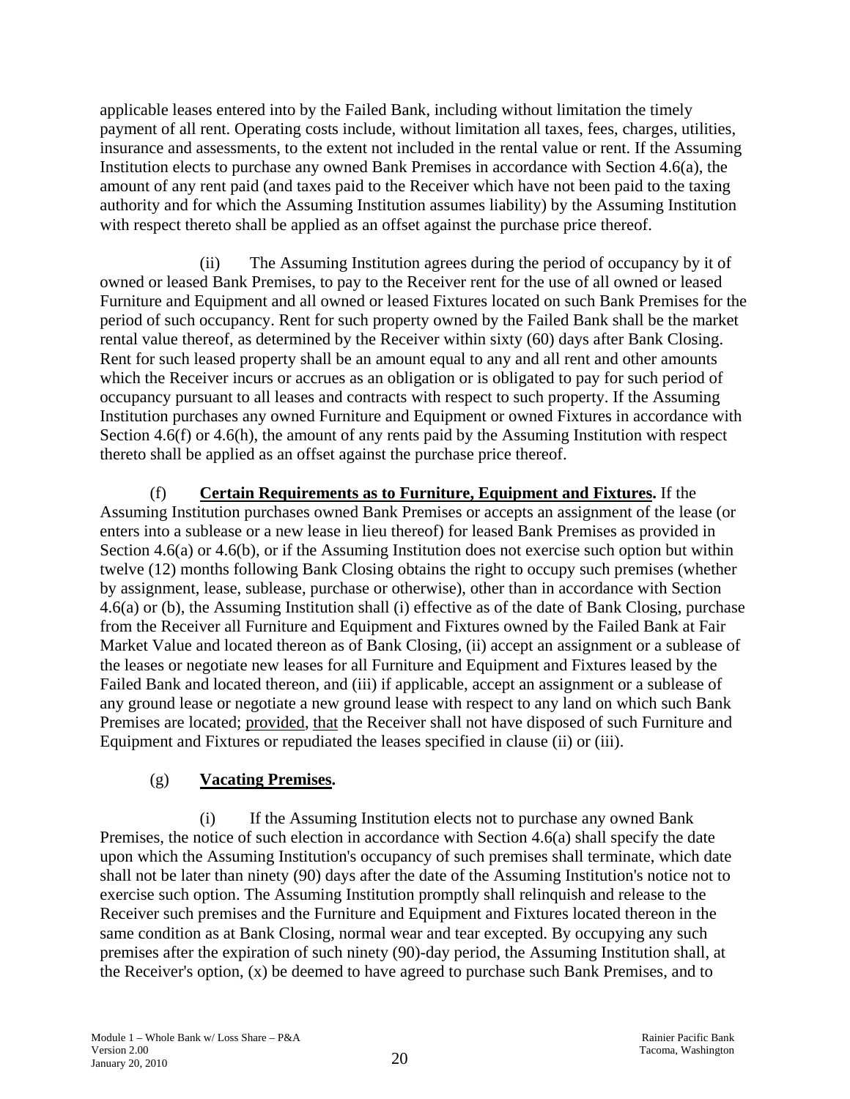applicable leases entered into by the Failed Bank, including without limitation the timely payment of all rent. Operating costs include, without limitation all taxes, fees, charges, utilities, insurance and assessments, to the extent not included in the rental value or rent. If the Assuming Institution elects to purchase any owned Bank Premises in accordance with Section 4.6(a), the amount of any rent paid (and taxes paid to the Receiver which have not been paid to the taxing authority and for which the Assuming Institution assumes liability) by the Assuming Institution with respect thereto shall be applied as an offset against the purchase price thereof.

(ii) The Assuming Institution agrees during the period of occupancy by it of owned or leased Bank Premises, to pay to the Receiver rent for the use of all owned or leased Furniture and Equipment and all owned or leased Fixtures located on such Bank Premises for the period of such occupancy. Rent for such property owned by the Failed Bank shall be the market rental value thereof, as determined by the Receiver within sixty (60) days after Bank Closing. Rent for such leased property shall be an amount equal to any and all rent and other amounts which the Receiver incurs or accrues as an obligation or is obligated to pay for such period of occupancy pursuant to all leases and contracts with respect to such property. If the Assuming Institution purchases any owned Furniture and Equipment or owned Fixtures in accordance with Section 4.6(f) or 4.6(h), the amount of any rents paid by the Assuming Institution with respect thereto shall be applied as an offset against the purchase price thereof.

(f) **Certain Requirements as to Furniture, Equipment and Fixtures.** If the Assuming Institution purchases owned Bank Premises or accepts an assignment of the lease (or enters into a sublease or a new lease in lieu thereof) for leased Bank Premises as provided in Section 4.6(a) or 4.6(b), or if the Assuming Institution does not exercise such option but within twelve (12) months following Bank Closing obtains the right to occupy such premises (whether by assignment, lease, sublease, purchase or otherwise), other than in accordance with Section 4.6(a) or (b), the Assuming Institution shall (i) effective as of the date of Bank Closing, purchase from the Receiver all Furniture and Equipment and Fixtures owned by the Failed Bank at Fair Market Value and located thereon as of Bank Closing, (ii) accept an assignment or a sublease of the leases or negotiate new leases for all Furniture and Equipment and Fixtures leased by the Failed Bank and located thereon, and (iii) if applicable, accept an assignment or a sublease of any ground lease or negotiate a new ground lease with respect to any land on which such Bank Premises are located; provided, that the Receiver shall not have disposed of such Furniture and Equipment and Fixtures or repudiated the leases specified in clause (ii) or (iii).

## (g) **Vacating Premises.**

(i) If the Assuming Institution elects not to purchase any owned Bank Premises, the notice of such election in accordance with Section 4.6(a) shall specify the date upon which the Assuming Institution's occupancy of such premises shall terminate, which date shall not be later than ninety (90) days after the date of the Assuming Institution's notice not to exercise such option. The Assuming Institution promptly shall relinquish and release to the Receiver such premises and the Furniture and Equipment and Fixtures located thereon in the same condition as at Bank Closing, normal wear and tear excepted. By occupying any such premises after the expiration of such ninety (90)-day period, the Assuming Institution shall, at the Receiver's option, (x) be deemed to have agreed to purchase such Bank Premises, and to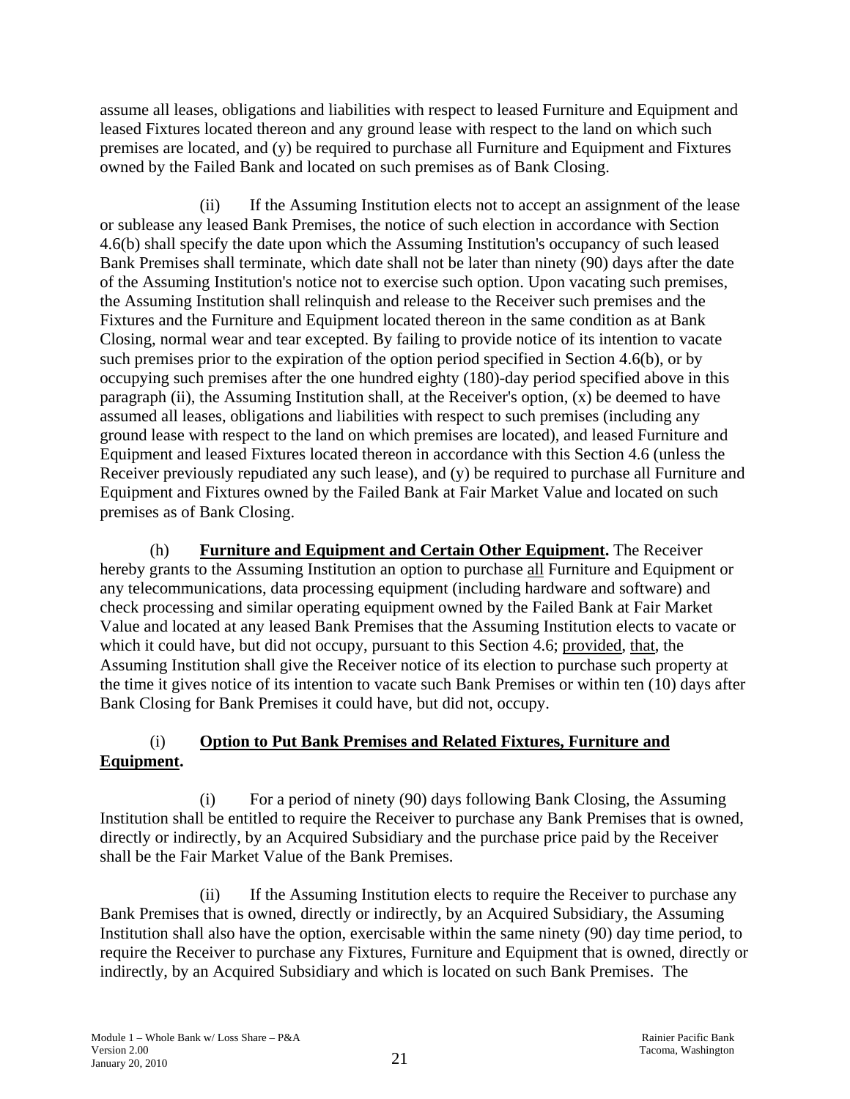assume all leases, obligations and liabilities with respect to leased Furniture and Equipment and leased Fixtures located thereon and any ground lease with respect to the land on which such premises are located, and (y) be required to purchase all Furniture and Equipment and Fixtures owned by the Failed Bank and located on such premises as of Bank Closing.

(ii) If the Assuming Institution elects not to accept an assignment of the lease or sublease any leased Bank Premises, the notice of such election in accordance with Section 4.6(b) shall specify the date upon which the Assuming Institution's occupancy of such leased Bank Premises shall terminate, which date shall not be later than ninety (90) days after the date of the Assuming Institution's notice not to exercise such option. Upon vacating such premises, the Assuming Institution shall relinquish and release to the Receiver such premises and the Fixtures and the Furniture and Equipment located thereon in the same condition as at Bank Closing, normal wear and tear excepted. By failing to provide notice of its intention to vacate such premises prior to the expiration of the option period specified in Section 4.6(b), or by occupying such premises after the one hundred eighty (180)-day period specified above in this paragraph (ii), the Assuming Institution shall, at the Receiver's option, (x) be deemed to have assumed all leases, obligations and liabilities with respect to such premises (including any ground lease with respect to the land on which premises are located), and leased Furniture and Equipment and leased Fixtures located thereon in accordance with this Section 4.6 (unless the Receiver previously repudiated any such lease), and (y) be required to purchase all Furniture and Equipment and Fixtures owned by the Failed Bank at Fair Market Value and located on such premises as of Bank Closing.

(h) **Furniture and Equipment and Certain Other Equipment.** The Receiver hereby grants to the Assuming Institution an option to purchase all Furniture and Equipment or any telecommunications, data processing equipment (including hardware and software) and check processing and similar operating equipment owned by the Failed Bank at Fair Market Value and located at any leased Bank Premises that the Assuming Institution elects to vacate or which it could have, but did not occupy, pursuant to this Section 4.6; provided, that, the Assuming Institution shall give the Receiver notice of its election to purchase such property at the time it gives notice of its intention to vacate such Bank Premises or within ten (10) days after Bank Closing for Bank Premises it could have, but did not, occupy.

## (i) **Option to Put Bank Premises and Related Fixtures, Furniture and Equipment.**

(i) For a period of ninety (90) days following Bank Closing, the Assuming Institution shall be entitled to require the Receiver to purchase any Bank Premises that is owned, directly or indirectly, by an Acquired Subsidiary and the purchase price paid by the Receiver shall be the Fair Market Value of the Bank Premises.

(ii) If the Assuming Institution elects to require the Receiver to purchase any Bank Premises that is owned, directly or indirectly, by an Acquired Subsidiary, the Assuming Institution shall also have the option, exercisable within the same ninety (90) day time period, to require the Receiver to purchase any Fixtures, Furniture and Equipment that is owned, directly or indirectly, by an Acquired Subsidiary and which is located on such Bank Premises. The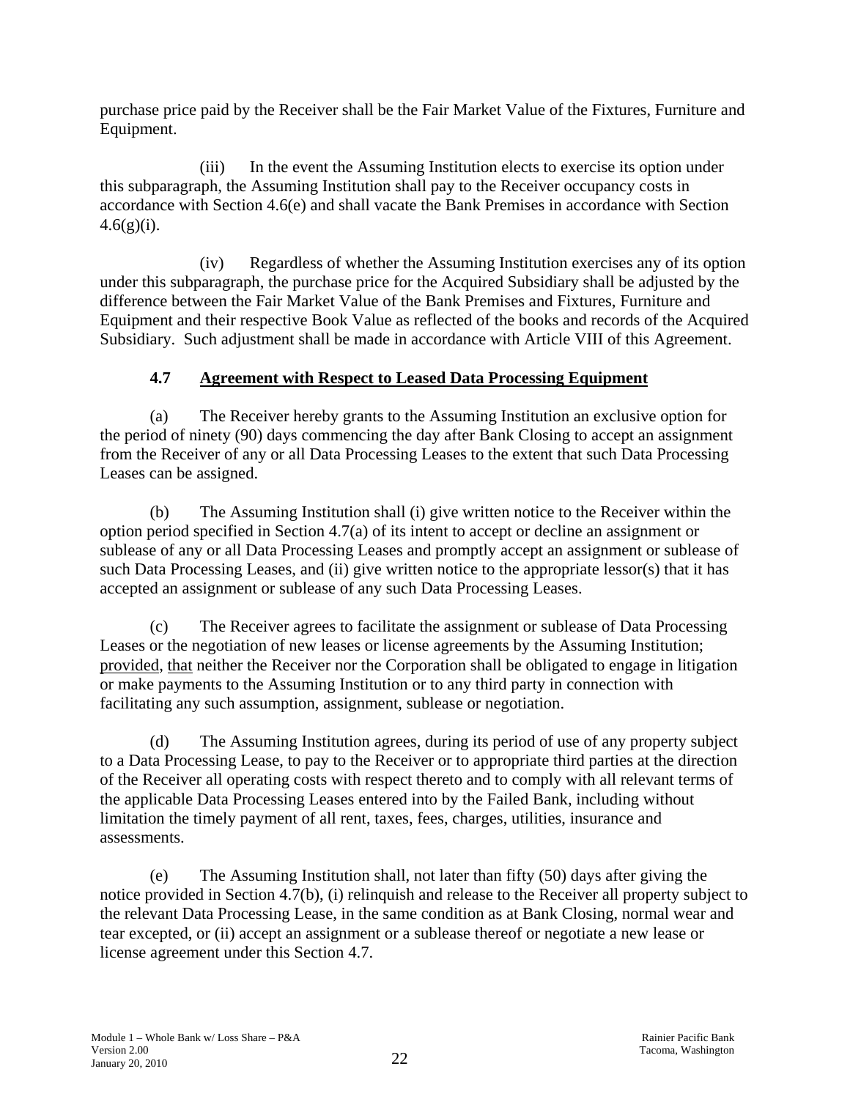purchase price paid by the Receiver shall be the Fair Market Value of the Fixtures, Furniture and Equipment.

(iii) In the event the Assuming Institution elects to exercise its option under this subparagraph, the Assuming Institution shall pay to the Receiver occupancy costs in accordance with Section 4.6(e) and shall vacate the Bank Premises in accordance with Section  $4.6(g)(i)$ .

(iv) Regardless of whether the Assuming Institution exercises any of its option under this subparagraph, the purchase price for the Acquired Subsidiary shall be adjusted by the difference between the Fair Market Value of the Bank Premises and Fixtures, Furniture and Equipment and their respective Book Value as reflected of the books and records of the Acquired Subsidiary. Such adjustment shall be made in accordance with Article VIII of this Agreement.

# **4.7 Agreement with Respect to Leased Data Processing Equipment**

<span id="page-25-0"></span>(a) The Receiver hereby grants to the Assuming Institution an exclusive option for the period of ninety (90) days commencing the day after Bank Closing to accept an assignment from the Receiver of any or all Data Processing Leases to the extent that such Data Processing Leases can be assigned.

(b) The Assuming Institution shall (i) give written notice to the Receiver within the option period specified in Section 4.7(a) of its intent to accept or decline an assignment or sublease of any or all Data Processing Leases and promptly accept an assignment or sublease of such Data Processing Leases, and (ii) give written notice to the appropriate lessor(s) that it has accepted an assignment or sublease of any such Data Processing Leases.

(c) The Receiver agrees to facilitate the assignment or sublease of Data Processing Leases or the negotiation of new leases or license agreements by the Assuming Institution; provided, that neither the Receiver nor the Corporation shall be obligated to engage in litigation or make payments to the Assuming Institution or to any third party in connection with facilitating any such assumption, assignment, sublease or negotiation.

(d) The Assuming Institution agrees, during its period of use of any property subject to a Data Processing Lease, to pay to the Receiver or to appropriate third parties at the direction of the Receiver all operating costs with respect thereto and to comply with all relevant terms of the applicable Data Processing Leases entered into by the Failed Bank, including without limitation the timely payment of all rent, taxes, fees, charges, utilities, insurance and assessments.

(e) The Assuming Institution shall, not later than fifty (50) days after giving the notice provided in Section 4.7(b), (i) relinquish and release to the Receiver all property subject to the relevant Data Processing Lease, in the same condition as at Bank Closing, normal wear and tear excepted, or (ii) accept an assignment or a sublease thereof or negotiate a new lease or license agreement under this Section 4.7.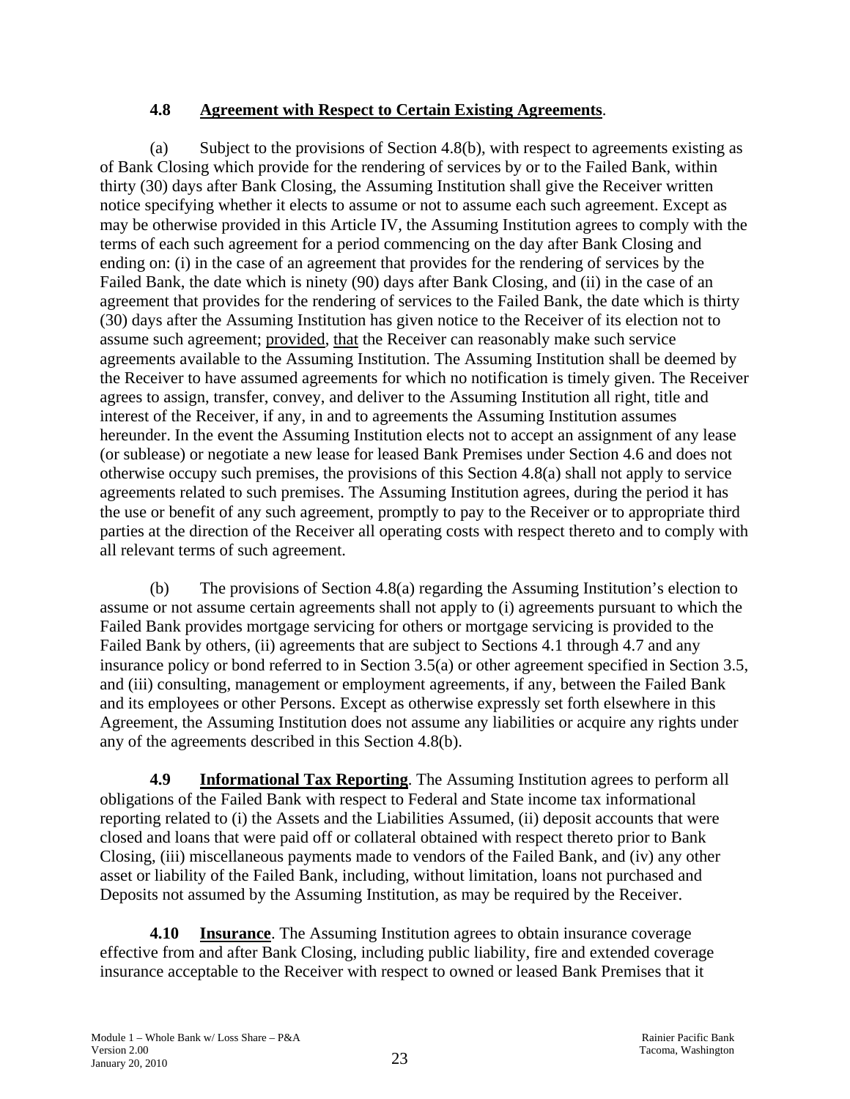## **4.8 Agreement with Respect to Certain Existing Agreements**.

(a) Subject to the provisions of Section 4.8(b), with respect to agreements existing as of Bank Closing which provide for the rendering of services by or to the Failed Bank, within thirty (30) days after Bank Closing, the Assuming Institution shall give the Receiver written notice specifying whether it elects to assume or not to assume each such agreement. Except as may be otherwise provided in this Article IV, the Assuming Institution agrees to comply with the terms of each such agreement for a period commencing on the day after Bank Closing and ending on: (i) in the case of an agreement that provides for the rendering of services by the Failed Bank, the date which is ninety (90) days after Bank Closing, and (ii) in the case of an agreement that provides for the rendering of services to the Failed Bank, the date which is thirty (30) days after the Assuming Institution has given notice to the Receiver of its election not to assume such agreement; provided, that the Receiver can reasonably make such service agreements available to the Assuming Institution. The Assuming Institution shall be deemed by the Receiver to have assumed agreements for which no notification is timely given. The Receiver agrees to assign, transfer, convey, and deliver to the Assuming Institution all right, title and interest of the Receiver, if any, in and to agreements the Assuming Institution assumes hereunder. In the event the Assuming Institution elects not to accept an assignment of any lease (or sublease) or negotiate a new lease for leased Bank Premises under Section 4.6 and does not otherwise occupy such premises, the provisions of this Section 4.8(a) shall not apply to service agreements related to such premises. The Assuming Institution agrees, during the period it has the use or benefit of any such agreement, promptly to pay to the Receiver or to appropriate third parties at the direction of the Receiver all operating costs with respect thereto and to comply with all relevant terms of such agreement.

(b) The provisions of Section 4.8(a) regarding the Assuming Institution's election to assume or not assume certain agreements shall not apply to (i) agreements pursuant to which the Failed Bank provides mortgage servicing for others or mortgage servicing is provided to the Failed Bank by others, (ii) agreements that are subject to Sections 4.1 through 4.7 and any insurance policy or bond referred to in Section 3.5(a) or other agreement specified in Section 3.5, and (iii) consulting, management or employment agreements, if any, between the Failed Bank and its employees or other Persons. Except as otherwise expressly set forth elsewhere in this Agreement, the Assuming Institution does not assume any liabilities or acquire any rights under any of the agreements described in this Section 4.8(b).

<span id="page-26-1"></span>**4.9 Informational Tax Reporting**. The Assuming Institution agrees to perform all obligations of the Failed Bank with respect to Federal and State income tax informational reporting related to (i) the Assets and the Liabilities Assumed, (ii) deposit accounts that were closed and loans that were paid off or collateral obtained with respect thereto prior to Bank Closing, (iii) miscellaneous payments made to vendors of the Failed Bank, and (iv) any other asset or liability of the Failed Bank, including, without limitation, loans not purchased and Deposits not assumed by the Assuming Institution, as may be required by the Receiver.

<span id="page-26-2"></span><span id="page-26-0"></span>**4.10 Insurance**. The Assuming Institution agrees to obtain insurance coverage effective from and after Bank Closing, including public liability, fire and extended coverage insurance acceptable to the Receiver with respect to owned or leased Bank Premises that it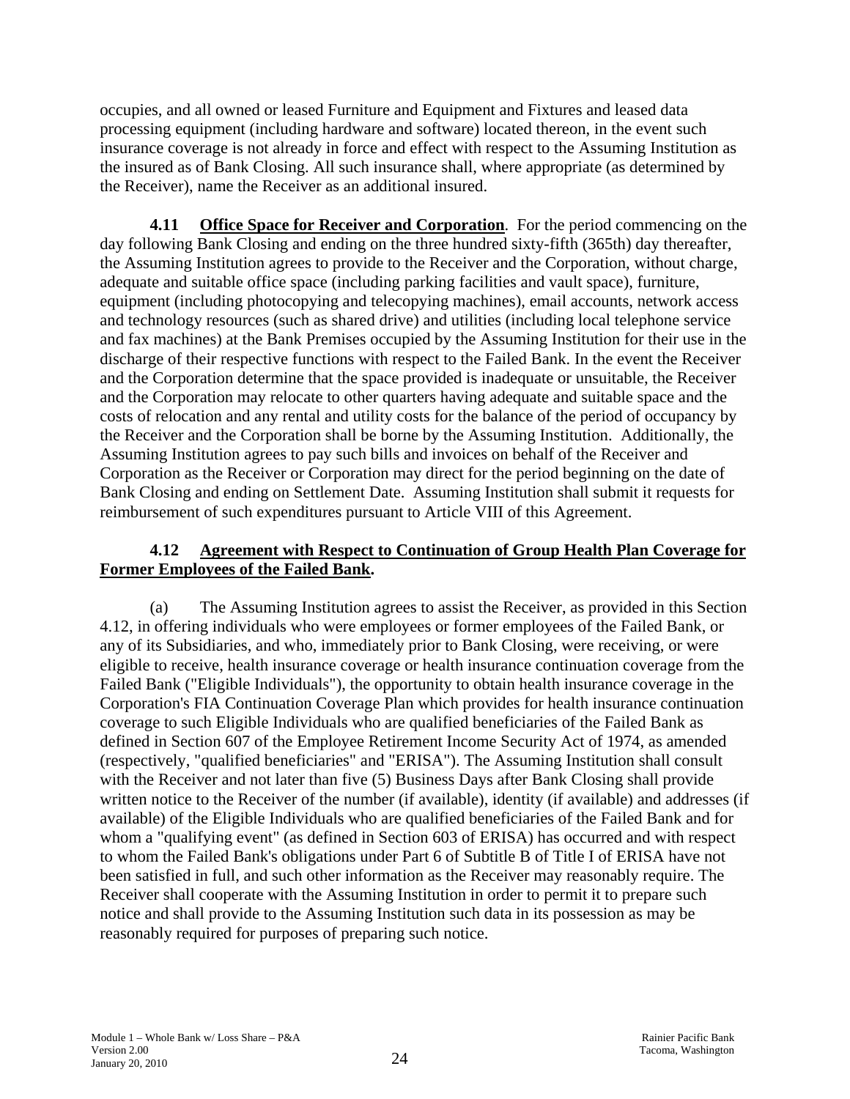occupies, and all owned or leased Furniture and Equipment and Fixtures and leased data processing equipment (including hardware and software) located thereon, in the event such insurance coverage is not already in force and effect with respect to the Assuming Institution as the insured as of Bank Closing. All such insurance shall, where appropriate (as determined by the Receiver), name the Receiver as an additional insured.

<span id="page-27-0"></span>**4.11** Office Space for Receiver and Corporation. For the period commencing on the day following Bank Closing and ending on the three hundred sixty-fifth (365th) day thereafter, the Assuming Institution agrees to provide to the Receiver and the Corporation, without charge, adequate and suitable office space (including parking facilities and vault space), furniture, equipment (including photocopying and telecopying machines), email accounts, network access and technology resources (such as shared drive) and utilities (including local telephone service and fax machines) at the Bank Premises occupied by the Assuming Institution for their use in the discharge of their respective functions with respect to the Failed Bank. In the event the Receiver and the Corporation determine that the space provided is inadequate or unsuitable, the Receiver and the Corporation may relocate to other quarters having adequate and suitable space and the costs of relocation and any rental and utility costs for the balance of the period of occupancy by the Receiver and the Corporation shall be borne by the Assuming Institution. Additionally, the Assuming Institution agrees to pay such bills and invoices on behalf of the Receiver and Corporation as the Receiver or Corporation may direct for the period beginning on the date of Bank Closing and ending on Settlement Date. Assuming Institution shall submit it requests for reimbursement of such expenditures pursuant to Article VIII of this Agreement.

#### <span id="page-27-1"></span>**4.12 Agreement with Respect to Continuation of Group Health Plan Coverage for Former Employees of the Failed Bank.**

(a) The Assuming Institution agrees to assist the Receiver, as provided in this Section 4.12, in offering individuals who were employees or former employees of the Failed Bank, or any of its Subsidiaries, and who, immediately prior to Bank Closing, were receiving, or were eligible to receive, health insurance coverage or health insurance continuation coverage from the Failed Bank ("Eligible Individuals"), the opportunity to obtain health insurance coverage in the Corporation's FIA Continuation Coverage Plan which provides for health insurance continuation coverage to such Eligible Individuals who are qualified beneficiaries of the Failed Bank as defined in Section 607 of the Employee Retirement Income Security Act of 1974, as amended (respectively, "qualified beneficiaries" and "ERISA"). The Assuming Institution shall consult with the Receiver and not later than five (5) Business Days after Bank Closing shall provide written notice to the Receiver of the number (if available), identity (if available) and addresses (if available) of the Eligible Individuals who are qualified beneficiaries of the Failed Bank and for whom a "qualifying event" (as defined in Section 603 of ERISA) has occurred and with respect to whom the Failed Bank's obligations under Part 6 of Subtitle B of Title I of ERISA have not been satisfied in full, and such other information as the Receiver may reasonably require. The Receiver shall cooperate with the Assuming Institution in order to permit it to prepare such notice and shall provide to the Assuming Institution such data in its possession as may be reasonably required for purposes of preparing such notice.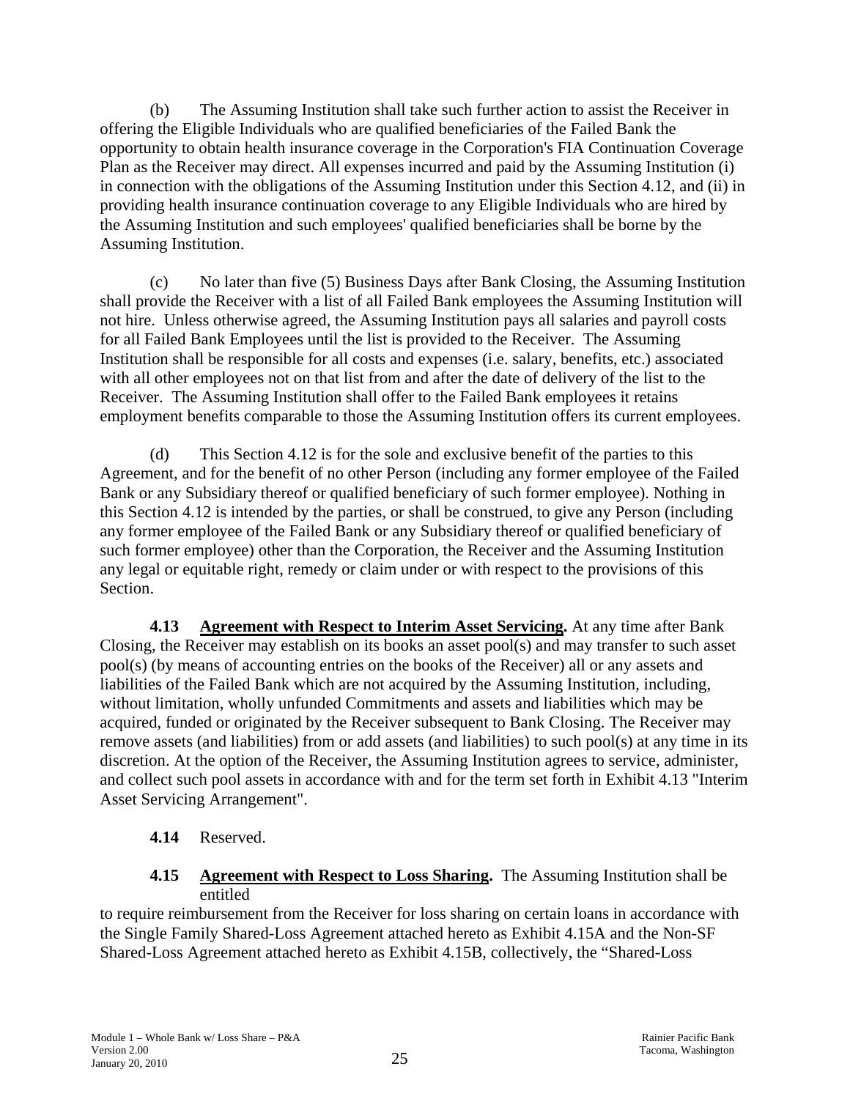(b) The Assuming Institution shall take such further action to assist the Receiver in offering the Eligible Individuals who are qualified beneficiaries of the Failed Bank the opportunity to obtain health insurance coverage in the Corporation's FIA Continuation Coverage Plan as the Receiver may direct. All expenses incurred and paid by the Assuming Institution (i) in connection with the obligations of the Assuming Institution under this Section 4.12, and (ii) in providing health insurance continuation coverage to any Eligible Individuals who are hired by the Assuming Institution and such employees' qualified beneficiaries shall be borne by the Assuming Institution.

(c) No later than five (5) Business Days after Bank Closing, the Assuming Institution shall provide the Receiver with a list of all Failed Bank employees the Assuming Institution will not hire. Unless otherwise agreed, the Assuming Institution pays all salaries and payroll costs for all Failed Bank Employees until the list is provided to the Receiver. The Assuming Institution shall be responsible for all costs and expenses (i.e. salary, benefits, etc.) associated with all other employees not on that list from and after the date of delivery of the list to the Receiver. The Assuming Institution shall offer to the Failed Bank employees it retains employment benefits comparable to those the Assuming Institution offers its current employees.

(d) This Section 4.12 is for the sole and exclusive benefit of the parties to this Agreement, and for the benefit of no other Person (including any former employee of the Failed Bank or any Subsidiary thereof or qualified beneficiary of such former employee). Nothing in this Section 4.12 is intended by the parties, or shall be construed, to give any Person (including any former employee of the Failed Bank or any Subsidiary thereof or qualified beneficiary of such former employee) other than the Corporation, the Receiver and the Assuming Institution any legal or equitable right, remedy or claim under or with respect to the provisions of this Section.

<span id="page-28-0"></span>**4.13 Agreement with Respect to Interim Asset Servicing.** At any time after Bank Closing, the Receiver may establish on its books an asset pool(s) and may transfer to such asset pool(s) (by means of accounting entries on the books of the Receiver) all or any assets and liabilities of the Failed Bank which are not acquired by the Assuming Institution, including, without limitation, wholly unfunded Commitments and assets and liabilities which may be acquired, funded or originated by the Receiver subsequent to Bank Closing. The Receiver may remove assets (and liabilities) from or add assets (and liabilities) to such pool(s) at any time in its discretion. At the option of the Receiver, the Assuming Institution agrees to service, administer, and collect such pool assets in accordance with and for the term set forth in Exhibit 4.13 "Interim Asset Servicing Arrangement".

- **4.14** Reserved.
- **4.15 Agreement with Respect to Loss Sharing.** The Assuming Institution shall be entitled

to require reimbursement from the Receiver for loss sharing on certain loans in accordance with the Single Family Shared-Loss Agreement attached hereto as Exhibit 4.15A and the Non-SF Shared-Loss Agreement attached hereto as Exhibit 4.15B, collectively, the "Shared-Loss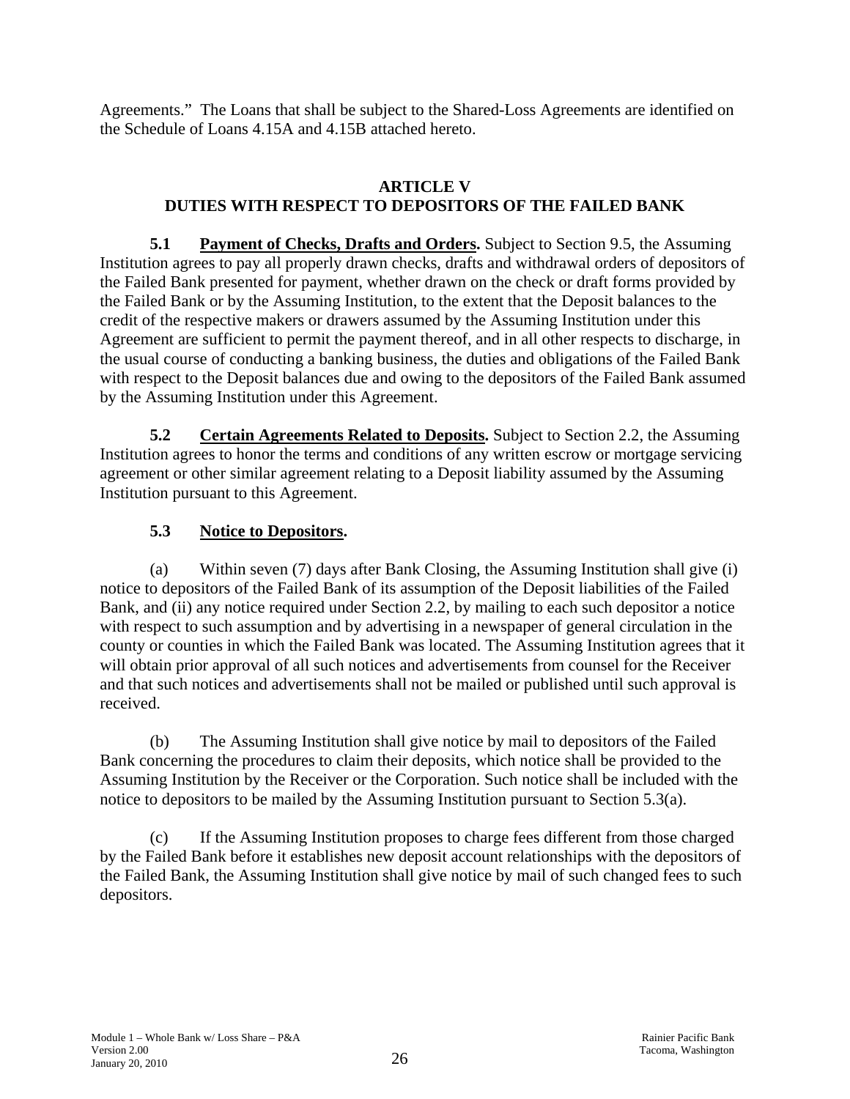Agreements." The Loans that shall be subject to the Shared-Loss Agreements are identified on the Schedule of Loans 4.15A and 4.15B attached hereto.

## **ARTICLE V DUTIES WITH RESPECT TO DEPOSITORS OF THE FAILED BANK**

<span id="page-29-1"></span><span id="page-29-0"></span>**5.1** Payment of Checks, Drafts and Orders. Subject to Section 9.5, the Assuming Institution agrees to pay all properly drawn checks, drafts and withdrawal orders of depositors of the Failed Bank presented for payment, whether drawn on the check or draft forms provided by the Failed Bank or by the Assuming Institution, to the extent that the Deposit balances to the credit of the respective makers or drawers assumed by the Assuming Institution under this Agreement are sufficient to permit the payment thereof, and in all other respects to discharge, in the usual course of conducting a banking business, the duties and obligations of the Failed Bank with respect to the Deposit balances due and owing to the depositors of the Failed Bank assumed by the Assuming Institution under this Agreement.

<span id="page-29-2"></span>**5.2 Certain Agreements Related to Deposits.** Subject to Section 2.2, the Assuming Institution agrees to honor the terms and conditions of any written escrow or mortgage servicing agreement or other similar agreement relating to a Deposit liability assumed by the Assuming Institution pursuant to this Agreement.

# **5.3 Notice to Depositors.**

<span id="page-29-3"></span>(a) Within seven (7) days after Bank Closing, the Assuming Institution shall give (i) notice to depositors of the Failed Bank of its assumption of the Deposit liabilities of the Failed Bank, and (ii) any notice required under Section 2.2, by mailing to each such depositor a notice with respect to such assumption and by advertising in a newspaper of general circulation in the county or counties in which the Failed Bank was located. The Assuming Institution agrees that it will obtain prior approval of all such notices and advertisements from counsel for the Receiver and that such notices and advertisements shall not be mailed or published until such approval is received.

(b) The Assuming Institution shall give notice by mail to depositors of the Failed Bank concerning the procedures to claim their deposits, which notice shall be provided to the Assuming Institution by the Receiver or the Corporation. Such notice shall be included with the notice to depositors to be mailed by the Assuming Institution pursuant to Section 5.3(a).

(c) If the Assuming Institution proposes to charge fees different from those charged by the Failed Bank before it establishes new deposit account relationships with the depositors of the Failed Bank, the Assuming Institution shall give notice by mail of such changed fees to such depositors.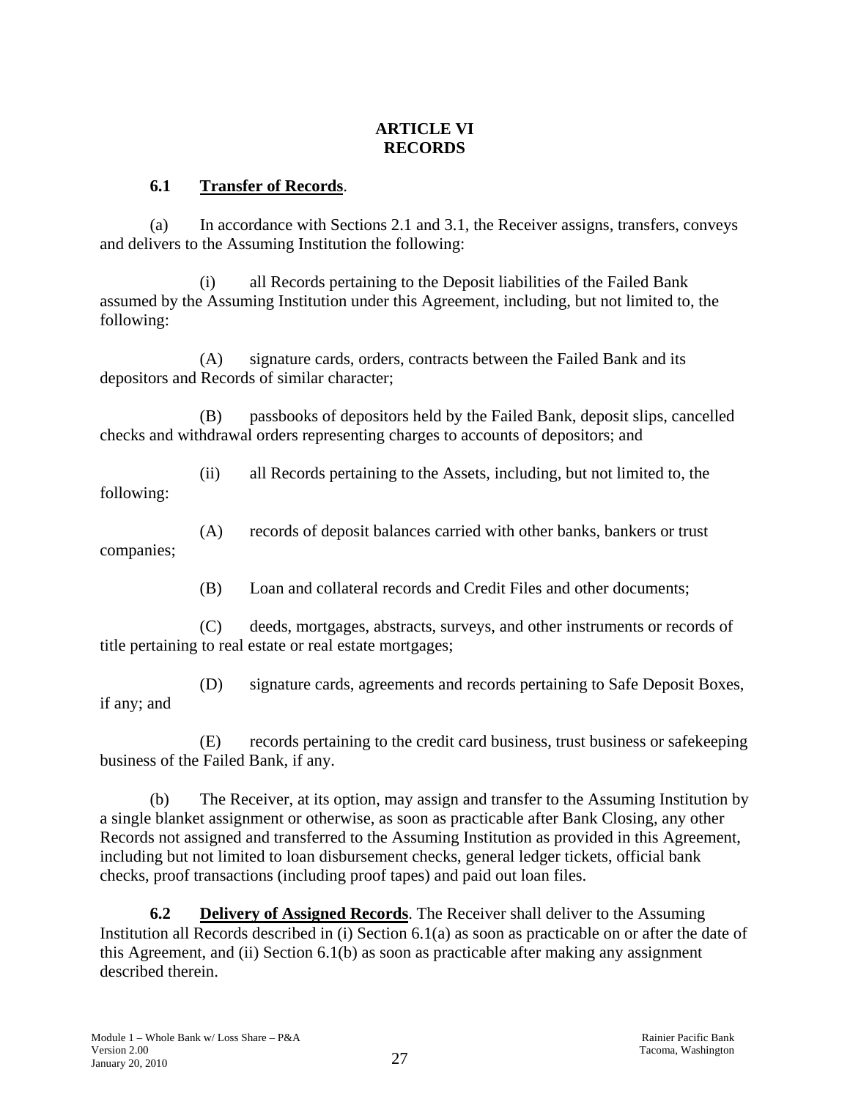## **ARTICLE VI RECORDS**

### **6.1 Transfer of Records**.

<span id="page-30-1"></span><span id="page-30-0"></span>(a) In accordance with Sections 2.1 and 3.1, the Receiver assigns, transfers, conveys and delivers to the Assuming Institution the following:

(i) all Records pertaining to the Deposit liabilities of the Failed Bank assumed by the Assuming Institution under this Agreement, including, but not limited to, the following:

(A) signature cards, orders, contracts between the Failed Bank and its depositors and Records of similar character;

(B) passbooks of depositors held by the Failed Bank, deposit slips, cancelled checks and withdrawal orders representing charges to accounts of depositors; and

following: (ii) all Records pertaining to the Assets, including, but not limited to, the

companies; (A) records of deposit balances carried with other banks, bankers or trust

(B) Loan and collateral records and Credit Files and other documents;

(C) deeds, mortgages, abstracts, surveys, and other instruments or records of title pertaining to real estate or real estate mortgages;

(D) signature cards, agreements and records pertaining to Safe Deposit Boxes, if any; and

(E) records pertaining to the credit card business, trust business or safekeeping business of the Failed Bank, if any.

(b) The Receiver, at its option, may assign and transfer to the Assuming Institution by a single blanket assignment or otherwise, as soon as practicable after Bank Closing, any other Records not assigned and transferred to the Assuming Institution as provided in this Agreement, including but not limited to loan disbursement checks, general ledger tickets, official bank checks, proof transactions (including proof tapes) and paid out loan files.

<span id="page-30-2"></span>**6.2 Delivery of Assigned Records**. The Receiver shall deliver to the Assuming Institution all Records described in (i) Section 6.1(a) as soon as practicable on or after the date of this Agreement, and (ii) Section 6.1(b) as soon as practicable after making any assignment described therein.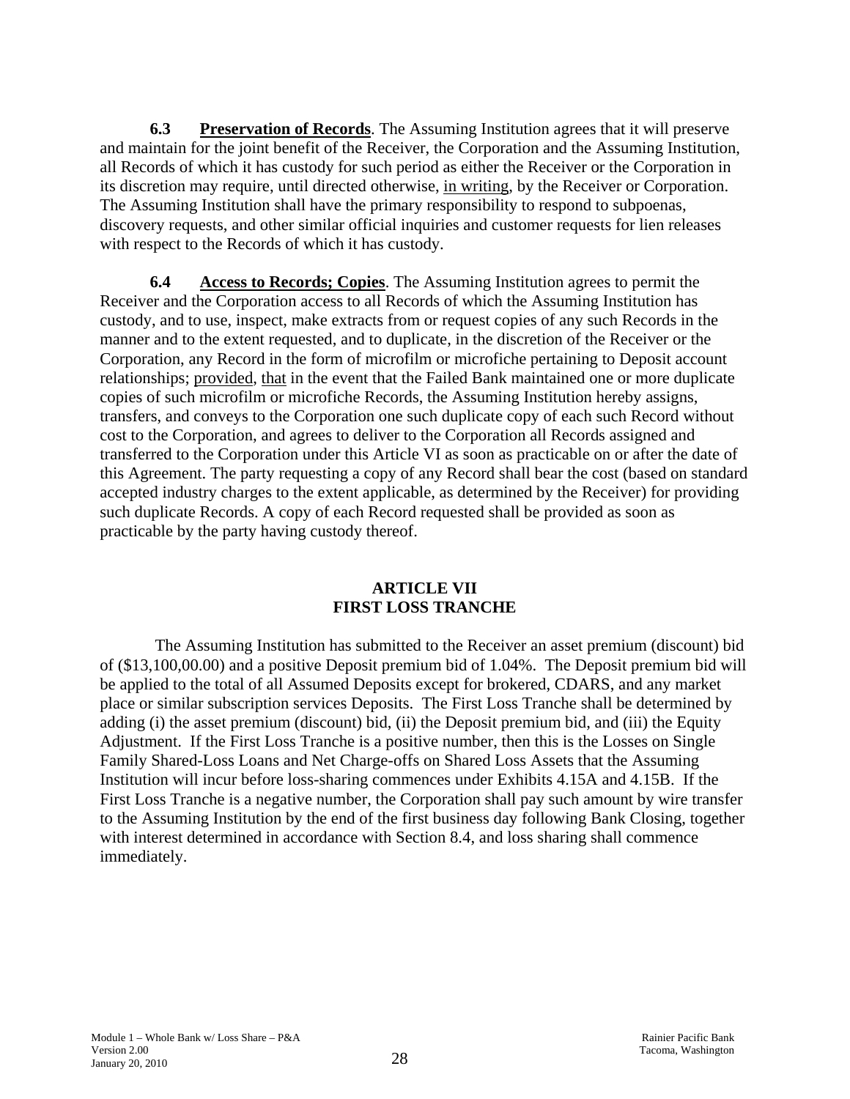<span id="page-31-0"></span>**6.3** Preservation of Records. The Assuming Institution agrees that it will preserve and maintain for the joint benefit of the Receiver, the Corporation and the Assuming Institution, all Records of which it has custody for such period as either the Receiver or the Corporation in its discretion may require, until directed otherwise, in writing, by the Receiver or Corporation. The Assuming Institution shall have the primary responsibility to respond to subpoenas, discovery requests, and other similar official inquiries and customer requests for lien releases with respect to the Records of which it has custody.

**6.4 Access to Records; Copies**. The Assuming Institution agrees to permit the Receiver and the Corporation access to all Records of which the Assuming Institution has custody, and to use, inspect, make extracts from or request copies of any such Records in the manner and to the extent requested, and to duplicate, in the discretion of the Receiver or the Corporation, any Record in the form of microfilm or microfiche pertaining to Deposit account relationships; provided, that in the event that the Failed Bank maintained one or more duplicate copies of such microfilm or microfiche Records, the Assuming Institution hereby assigns, transfers, and conveys to the Corporation one such duplicate copy of each such Record without cost to the Corporation, and agrees to deliver to the Corporation all Records assigned and transferred to the Corporation under this Article VI as soon as practicable on or after the date of this Agreement. The party requesting a copy of any Record shall bear the cost (based on standard accepted industry charges to the extent applicable, as determined by the Receiver) for providing such duplicate Records. A copy of each Record requested shall be provided as soon as practicable by the party having custody thereof.

#### **ARTICLE VII FIRST LOSS TRANCHE**

 The Assuming Institution has submitted to the Receiver an asset premium (discount) bid of (\$13,100,00.00) and a positive Deposit premium bid of 1.04%. The Deposit premium bid will be applied to the total of all Assumed Deposits except for brokered, CDARS, and any market place or similar subscription services Deposits. The First Loss Tranche shall be determined by adding (i) the asset premium (discount) bid, (ii) the Deposit premium bid, and (iii) the Equity Adjustment. If the First Loss Tranche is a positive number, then this is the Losses on Single Family Shared-Loss Loans and Net Charge-offs on Shared Loss Assets that the Assuming Institution will incur before loss-sharing commences under Exhibits 4.15A and 4.15B. If the First Loss Tranche is a negative number, the Corporation shall pay such amount by wire transfer to the Assuming Institution by the end of the first business day following Bank Closing, together with interest determined in accordance with Section 8.4, and loss sharing shall commence immediately.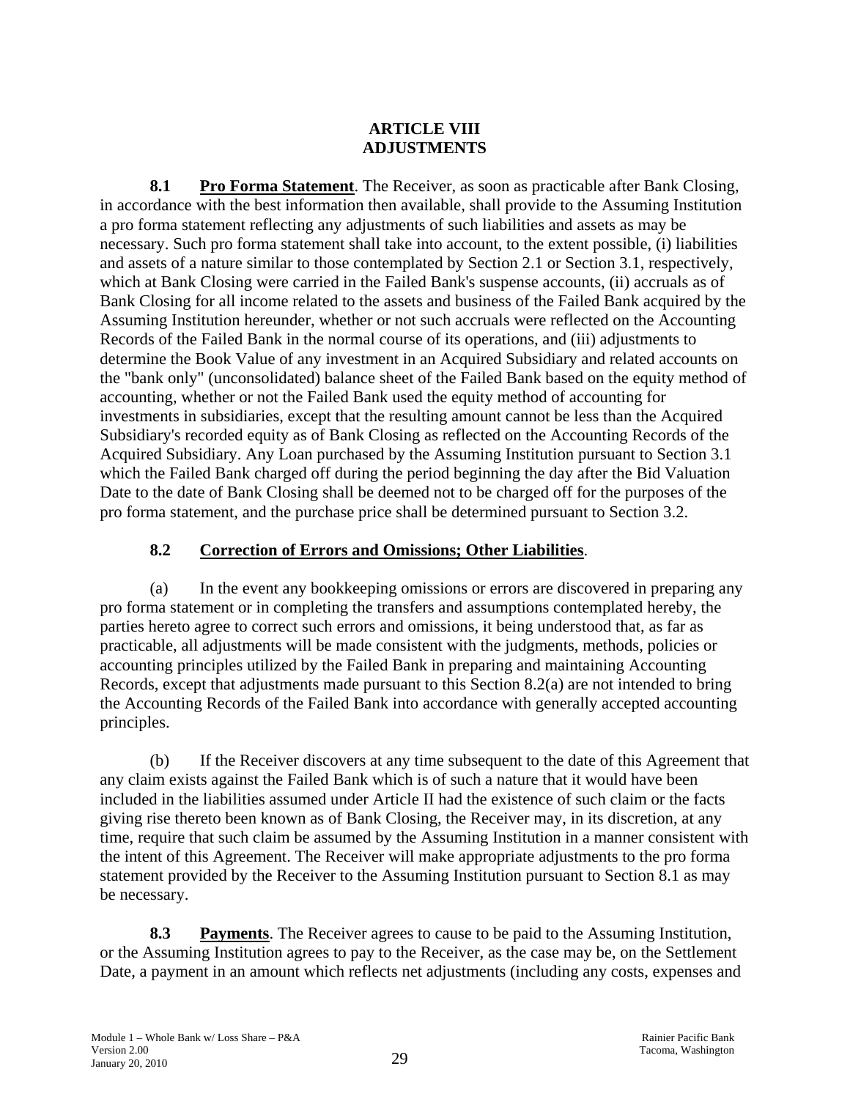## **ARTICLE VIII ADJUSTMENTS**

<span id="page-32-1"></span><span id="page-32-0"></span>**8.1 Pro Forma Statement**. The Receiver, as soon as practicable after Bank Closing, in accordance with the best information then available, shall provide to the Assuming Institution a pro forma statement reflecting any adjustments of such liabilities and assets as may be necessary. Such pro forma statement shall take into account, to the extent possible, (i) liabilities and assets of a nature similar to those contemplated by Section 2.1 or Section 3.1, respectively, which at Bank Closing were carried in the Failed Bank's suspense accounts, (ii) accruals as of Bank Closing for all income related to the assets and business of the Failed Bank acquired by the Assuming Institution hereunder, whether or not such accruals were reflected on the Accounting Records of the Failed Bank in the normal course of its operations, and (iii) adjustments to determine the Book Value of any investment in an Acquired Subsidiary and related accounts on the "bank only" (unconsolidated) balance sheet of the Failed Bank based on the equity method of accounting, whether or not the Failed Bank used the equity method of accounting for investments in subsidiaries, except that the resulting amount cannot be less than the Acquired Subsidiary's recorded equity as of Bank Closing as reflected on the Accounting Records of the Acquired Subsidiary. Any Loan purchased by the Assuming Institution pursuant to Section 3.1 which the Failed Bank charged off during the period beginning the day after the Bid Valuation Date to the date of Bank Closing shall be deemed not to be charged off for the purposes of the pro forma statement, and the purchase price shall be determined pursuant to Section 3.2.

## **8.2 Correction of Errors and Omissions; Other Liabilities**.

(a) In the event any bookkeeping omissions or errors are discovered in preparing any pro forma statement or in completing the transfers and assumptions contemplated hereby, the parties hereto agree to correct such errors and omissions, it being understood that, as far as practicable, all adjustments will be made consistent with the judgments, methods, policies or accounting principles utilized by the Failed Bank in preparing and maintaining Accounting Records, except that adjustments made pursuant to this Section 8.2(a) are not intended to bring the Accounting Records of the Failed Bank into accordance with generally accepted accounting principles.

(b) If the Receiver discovers at any time subsequent to the date of this Agreement that any claim exists against the Failed Bank which is of such a nature that it would have been included in the liabilities assumed under Article II had the existence of such claim or the facts giving rise thereto been known as of Bank Closing, the Receiver may, in its discretion, at any time, require that such claim be assumed by the Assuming Institution in a manner consistent with the intent of this Agreement. The Receiver will make appropriate adjustments to the pro forma statement provided by the Receiver to the Assuming Institution pursuant to Section 8.1 as may be necessary.

<span id="page-32-2"></span>**8.3 Payments**. The Receiver agrees to cause to be paid to the Assuming Institution, or the Assuming Institution agrees to pay to the Receiver, as the case may be, on the Settlement Date, a payment in an amount which reflects net adjustments (including any costs, expenses and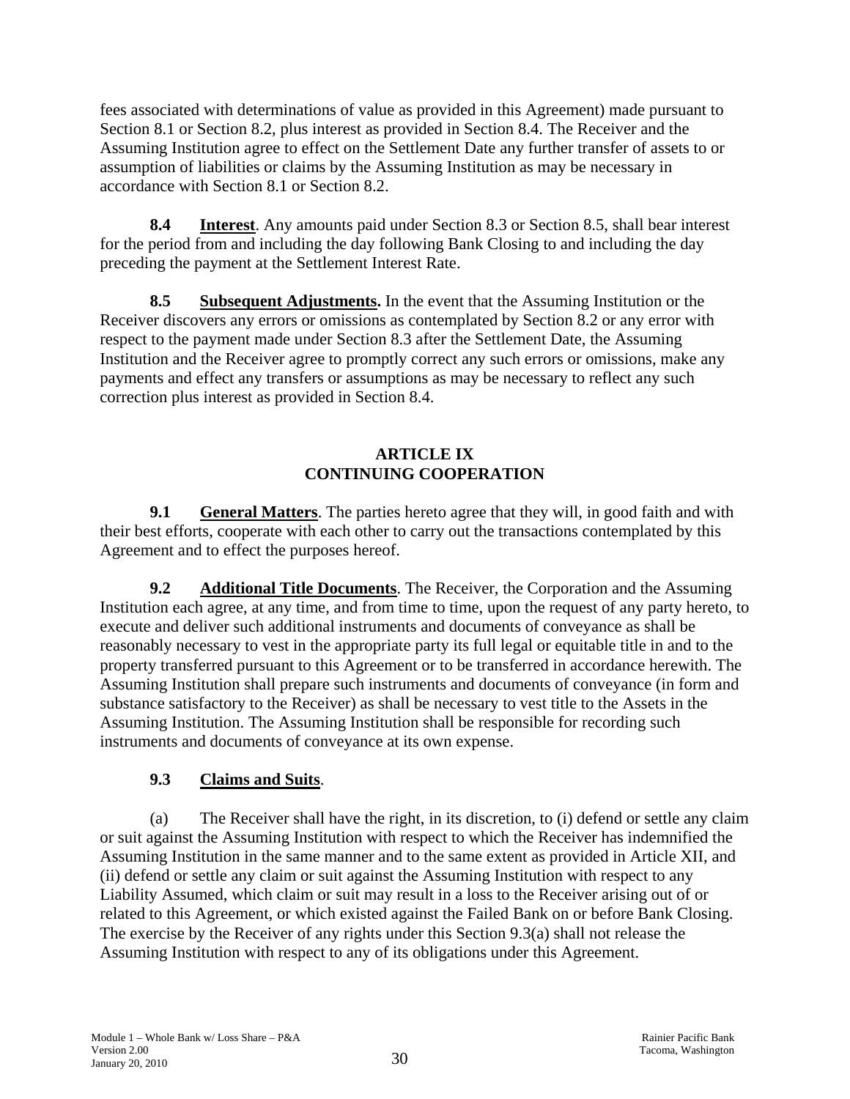fees associated with determinations of value as provided in this Agreement) made pursuant to Section 8.1 or Section 8.2, plus interest as provided in Section 8.4. The Receiver and the Assuming Institution agree to effect on the Settlement Date any further transfer of assets to or assumption of liabilities or claims by the Assuming Institution as may be necessary in accordance with Section 8.1 or Section 8.2.

<span id="page-33-0"></span>**8.4 Interest**. Any amounts paid under Section 8.3 or Section 8.5, shall bear interest for the period from and including the day following Bank Closing to and including the day preceding the payment at the Settlement Interest Rate.

<span id="page-33-1"></span>**8.5** Subsequent Adjustments. In the event that the Assuming Institution or the Receiver discovers any errors or omissions as contemplated by Section 8.2 or any error with respect to the payment made under Section 8.3 after the Settlement Date, the Assuming Institution and the Receiver agree to promptly correct any such errors or omissions, make any payments and effect any transfers or assumptions as may be necessary to reflect any such correction plus interest as provided in Section 8.4.

## **ARTICLE IX CONTINUING COOPERATION**

<span id="page-33-3"></span><span id="page-33-2"></span>**9.1** General Matters. The parties hereto agree that they will, in good faith and with their best efforts, cooperate with each other to carry out the transactions contemplated by this Agreement and to effect the purposes hereof.

<span id="page-33-4"></span>**9.2 Additional Title Documents**. The Receiver, the Corporation and the Assuming Institution each agree, at any time, and from time to time, upon the request of any party hereto, to execute and deliver such additional instruments and documents of conveyance as shall be reasonably necessary to vest in the appropriate party its full legal or equitable title in and to the property transferred pursuant to this Agreement or to be transferred in accordance herewith. The Assuming Institution shall prepare such instruments and documents of conveyance (in form and substance satisfactory to the Receiver) as shall be necessary to vest title to the Assets in the Assuming Institution. The Assuming Institution shall be responsible for recording such instruments and documents of conveyance at its own expense.

# **9.3 Claims and Suits**.

<span id="page-33-5"></span>(a) The Receiver shall have the right, in its discretion, to (i) defend or settle any claim or suit against the Assuming Institution with respect to which the Receiver has indemnified the Assuming Institution in the same manner and to the same extent as provided in Article XII, and (ii) defend or settle any claim or suit against the Assuming Institution with respect to any Liability Assumed, which claim or suit may result in a loss to the Receiver arising out of or related to this Agreement, or which existed against the Failed Bank on or before Bank Closing. The exercise by the Receiver of any rights under this Section 9.3(a) shall not release the Assuming Institution with respect to any of its obligations under this Agreement.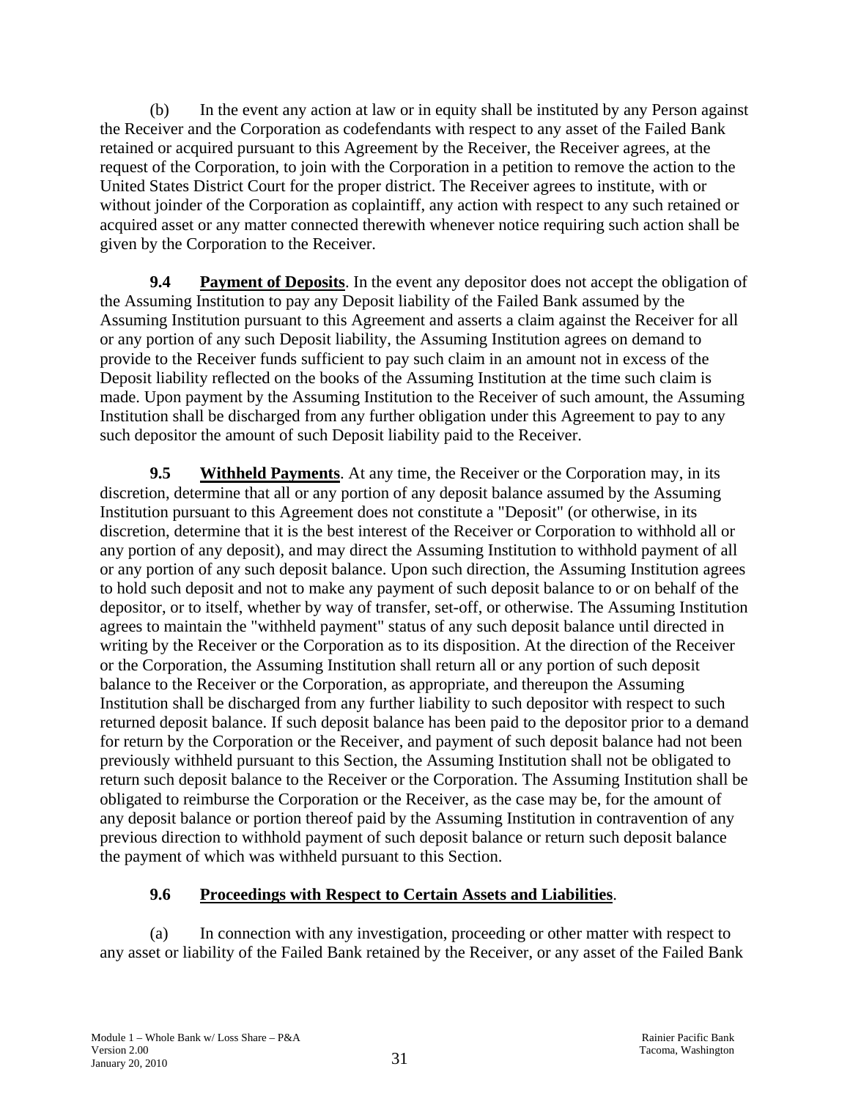(b) In the event any action at law or in equity shall be instituted by any Person against the Receiver and the Corporation as codefendants with respect to any asset of the Failed Bank retained or acquired pursuant to this Agreement by the Receiver, the Receiver agrees, at the request of the Corporation, to join with the Corporation in a petition to remove the action to the United States District Court for the proper district. The Receiver agrees to institute, with or without joinder of the Corporation as coplaintiff, any action with respect to any such retained or acquired asset or any matter connected therewith whenever notice requiring such action shall be given by the Corporation to the Receiver.

<span id="page-34-0"></span>**9.4 Payment of Deposits**. In the event any depositor does not accept the obligation of the Assuming Institution to pay any Deposit liability of the Failed Bank assumed by the Assuming Institution pursuant to this Agreement and asserts a claim against the Receiver for all or any portion of any such Deposit liability, the Assuming Institution agrees on demand to provide to the Receiver funds sufficient to pay such claim in an amount not in excess of the Deposit liability reflected on the books of the Assuming Institution at the time such claim is made. Upon payment by the Assuming Institution to the Receiver of such amount, the Assuming Institution shall be discharged from any further obligation under this Agreement to pay to any such depositor the amount of such Deposit liability paid to the Receiver.

<span id="page-34-1"></span>**9.5 Withheld Payments**. At any time, the Receiver or the Corporation may, in its discretion, determine that all or any portion of any deposit balance assumed by the Assuming Institution pursuant to this Agreement does not constitute a "Deposit" (or otherwise, in its discretion, determine that it is the best interest of the Receiver or Corporation to withhold all or any portion of any deposit), and may direct the Assuming Institution to withhold payment of all or any portion of any such deposit balance. Upon such direction, the Assuming Institution agrees to hold such deposit and not to make any payment of such deposit balance to or on behalf of the depositor, or to itself, whether by way of transfer, set-off, or otherwise. The Assuming Institution agrees to maintain the "withheld payment" status of any such deposit balance until directed in writing by the Receiver or the Corporation as to its disposition. At the direction of the Receiver or the Corporation, the Assuming Institution shall return all or any portion of such deposit balance to the Receiver or the Corporation, as appropriate, and thereupon the Assuming Institution shall be discharged from any further liability to such depositor with respect to such returned deposit balance. If such deposit balance has been paid to the depositor prior to a demand for return by the Corporation or the Receiver, and payment of such deposit balance had not been previously withheld pursuant to this Section, the Assuming Institution shall not be obligated to return such deposit balance to the Receiver or the Corporation. The Assuming Institution shall be obligated to reimburse the Corporation or the Receiver, as the case may be, for the amount of any deposit balance or portion thereof paid by the Assuming Institution in contravention of any previous direction to withhold payment of such deposit balance or return such deposit balance the payment of which was withheld pursuant to this Section.

## **9.6 Proceedings with Respect to Certain Assets and Liabilities**.

<span id="page-34-2"></span>(a) In connection with any investigation, proceeding or other matter with respect to any asset or liability of the Failed Bank retained by the Receiver, or any asset of the Failed Bank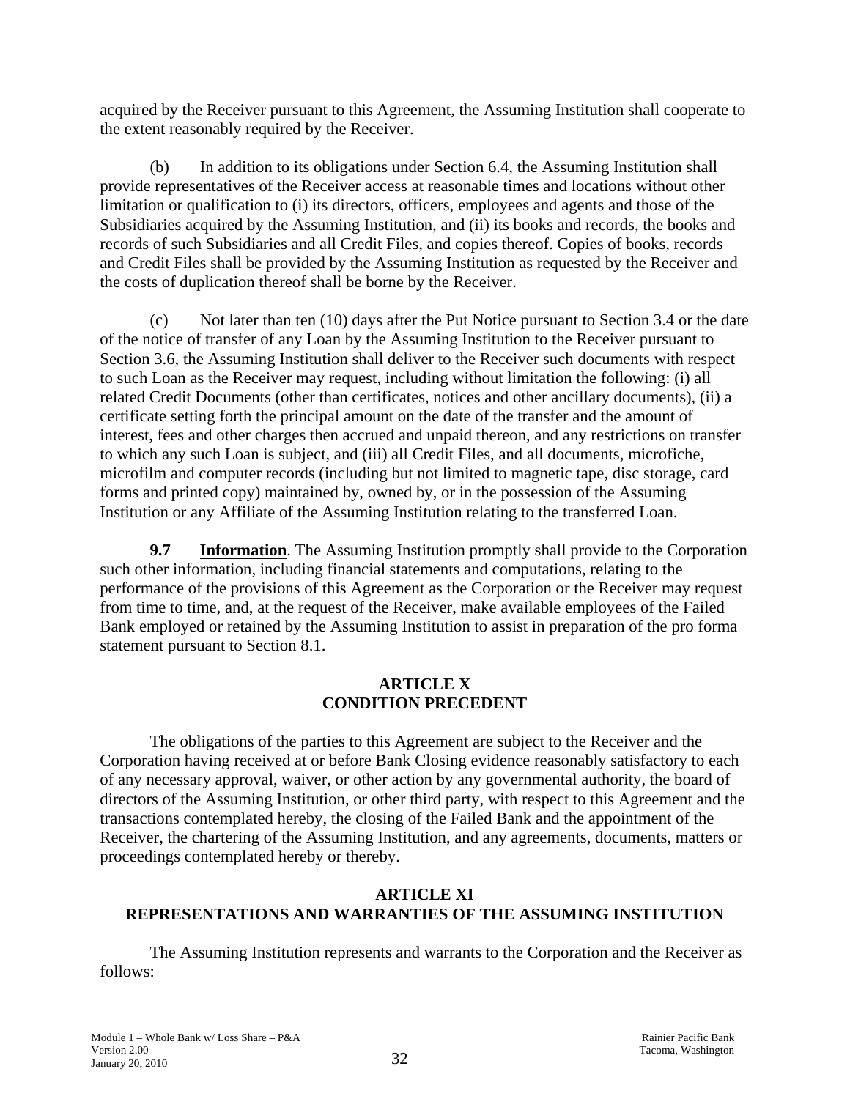acquired by the Receiver pursuant to this Agreement, the Assuming Institution shall cooperate to the extent reasonably required by the Receiver.

(b) In addition to its obligations under Section 6.4, the Assuming Institution shall provide representatives of the Receiver access at reasonable times and locations without other limitation or qualification to (i) its directors, officers, employees and agents and those of the Subsidiaries acquired by the Assuming Institution, and (ii) its books and records, the books and records of such Subsidiaries and all Credit Files, and copies thereof. Copies of books, records and Credit Files shall be provided by the Assuming Institution as requested by the Receiver and the costs of duplication thereof shall be borne by the Receiver.

(c) Not later than ten (10) days after the Put Notice pursuant to Section 3.4 or the date of the notice of transfer of any Loan by the Assuming Institution to the Receiver pursuant to Section 3.6, the Assuming Institution shall deliver to the Receiver such documents with respect to such Loan as the Receiver may request, including without limitation the following: (i) all related Credit Documents (other than certificates, notices and other ancillary documents), (ii) a certificate setting forth the principal amount on the date of the transfer and the amount of interest, fees and other charges then accrued and unpaid thereon, and any restrictions on transfer to which any such Loan is subject, and (iii) all Credit Files, and all documents, microfiche, microfilm and computer records (including but not limited to magnetic tape, disc storage, card forms and printed copy) maintained by, owned by, or in the possession of the Assuming Institution or any Affiliate of the Assuming Institution relating to the transferred Loan.

<span id="page-35-0"></span>**9.7** Information. The Assuming Institution promptly shall provide to the Corporation such other information, including financial statements and computations, relating to the performance of the provisions of this Agreement as the Corporation or the Receiver may request from time to time, and, at the request of the Receiver, make available employees of the Failed Bank employed or retained by the Assuming Institution to assist in preparation of the pro forma statement pursuant to Section 8.1.

#### **ARTICLE X CONDITION PRECEDENT**

<span id="page-35-1"></span>The obligations of the parties to this Agreement are subject to the Receiver and the Corporation having received at or before Bank Closing evidence reasonably satisfactory to each of any necessary approval, waiver, or other action by any governmental authority, the board of directors of the Assuming Institution, or other third party, with respect to this Agreement and the transactions contemplated hereby, the closing of the Failed Bank and the appointment of the Receiver, the chartering of the Assuming Institution, and any agreements, documents, matters or proceedings contemplated hereby or thereby.

### **ARTICLE XI REPRESENTATIONS AND WARRANTIES OF THE ASSUMING INSTITUTION**

<span id="page-35-2"></span>The Assuming Institution represents and warrants to the Corporation and the Receiver as follows: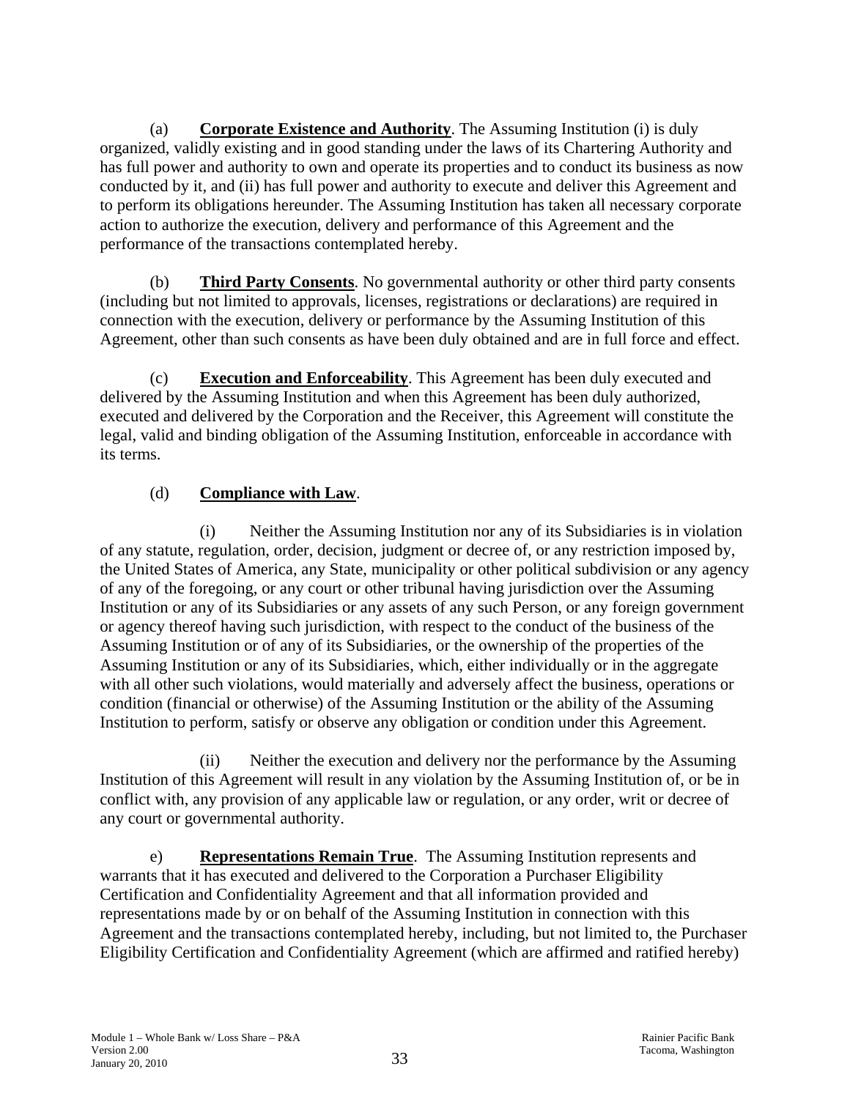(a) **Corporate Existence and Authority**. The Assuming Institution (i) is duly organized, validly existing and in good standing under the laws of its Chartering Authority and has full power and authority to own and operate its properties and to conduct its business as now conducted by it, and (ii) has full power and authority to execute and deliver this Agreement and to perform its obligations hereunder. The Assuming Institution has taken all necessary corporate action to authorize the execution, delivery and performance of this Agreement and the performance of the transactions contemplated hereby.

(b) **Third Party Consents**. No governmental authority or other third party consents (including but not limited to approvals, licenses, registrations or declarations) are required in connection with the execution, delivery or performance by the Assuming Institution of this Agreement, other than such consents as have been duly obtained and are in full force and effect.

(c) **Execution and Enforceability**. This Agreement has been duly executed and delivered by the Assuming Institution and when this Agreement has been duly authorized, executed and delivered by the Corporation and the Receiver, this Agreement will constitute the legal, valid and binding obligation of the Assuming Institution, enforceable in accordance with its terms.

## (d) **Compliance with Law**.

(i) Neither the Assuming Institution nor any of its Subsidiaries is in violation of any statute, regulation, order, decision, judgment or decree of, or any restriction imposed by, the United States of America, any State, municipality or other political subdivision or any agency of any of the foregoing, or any court or other tribunal having jurisdiction over the Assuming Institution or any of its Subsidiaries or any assets of any such Person, or any foreign government or agency thereof having such jurisdiction, with respect to the conduct of the business of the Assuming Institution or of any of its Subsidiaries, or the ownership of the properties of the Assuming Institution or any of its Subsidiaries, which, either individually or in the aggregate with all other such violations, would materially and adversely affect the business, operations or condition (financial or otherwise) of the Assuming Institution or the ability of the Assuming Institution to perform, satisfy or observe any obligation or condition under this Agreement.

(ii) Neither the execution and delivery nor the performance by the Assuming Institution of this Agreement will result in any violation by the Assuming Institution of, or be in conflict with, any provision of any applicable law or regulation, or any order, writ or decree of any court or governmental authority.

e) **Representations Remain True**. The Assuming Institution represents and warrants that it has executed and delivered to the Corporation a Purchaser Eligibility Certification and Confidentiality Agreement and that all information provided and representations made by or on behalf of the Assuming Institution in connection with this Agreement and the transactions contemplated hereby, including, but not limited to, the Purchaser Eligibility Certification and Confidentiality Agreement (which are affirmed and ratified hereby)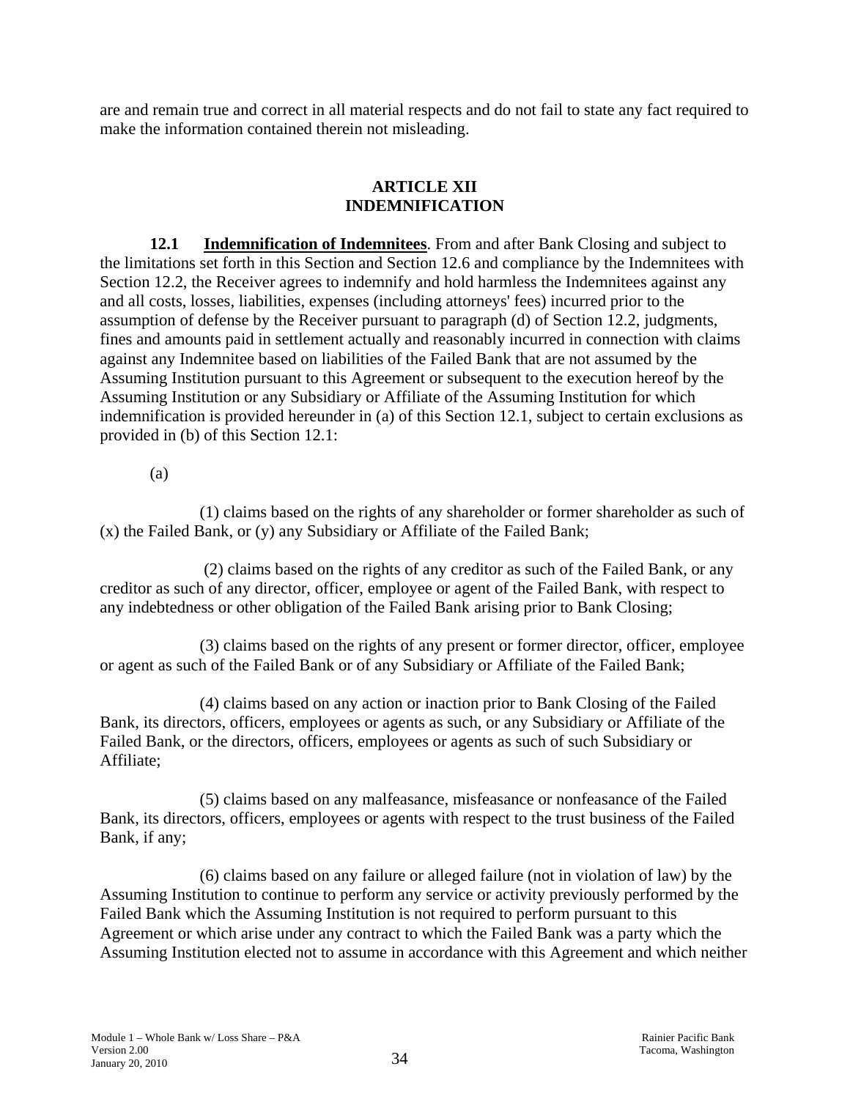are and remain true and correct in all material respects and do not fail to state any fact required to make the information contained therein not misleading.

## **ARTICLE XII INDEMNIFICATION**

**12.1 Indemnification of Indemnitees**. From and after Bank Closing and subject to the limitations set forth in this Section and Section 12.6 and compliance by the Indemnitees with Section 12.2, the Receiver agrees to indemnify and hold harmless the Indemnitees against any and all costs, losses, liabilities, expenses (including attorneys' fees) incurred prior to the assumption of defense by the Receiver pursuant to paragraph (d) of Section 12.2, judgments, fines and amounts paid in settlement actually and reasonably incurred in connection with claims against any Indemnitee based on liabilities of the Failed Bank that are not assumed by the Assuming Institution pursuant to this Agreement or subsequent to the execution hereof by the Assuming Institution or any Subsidiary or Affiliate of the Assuming Institution for which indemnification is provided hereunder in (a) of this Section 12.1, subject to certain exclusions as provided in (b) of this Section 12.1:

## (a)

(1) claims based on the rights of any shareholder or former shareholder as such of (x) the Failed Bank, or (y) any Subsidiary or Affiliate of the Failed Bank;

(2) claims based on the rights of any creditor as such of the Failed Bank, or any creditor as such of any director, officer, employee or agent of the Failed Bank, with respect to any indebtedness or other obligation of the Failed Bank arising prior to Bank Closing;

(3) claims based on the rights of any present or former director, officer, employee or agent as such of the Failed Bank or of any Subsidiary or Affiliate of the Failed Bank;

(4) claims based on any action or inaction prior to Bank Closing of the Failed Bank, its directors, officers, employees or agents as such, or any Subsidiary or Affiliate of the Failed Bank, or the directors, officers, employees or agents as such of such Subsidiary or Affiliate;

(5) claims based on any malfeasance, misfeasance or nonfeasance of the Failed Bank, its directors, officers, employees or agents with respect to the trust business of the Failed Bank, if any;

(6) claims based on any failure or alleged failure (not in violation of law) by the Assuming Institution to continue to perform any service or activity previously performed by the Failed Bank which the Assuming Institution is not required to perform pursuant to this Agreement or which arise under any contract to which the Failed Bank was a party which the Assuming Institution elected not to assume in accordance with this Agreement and which neither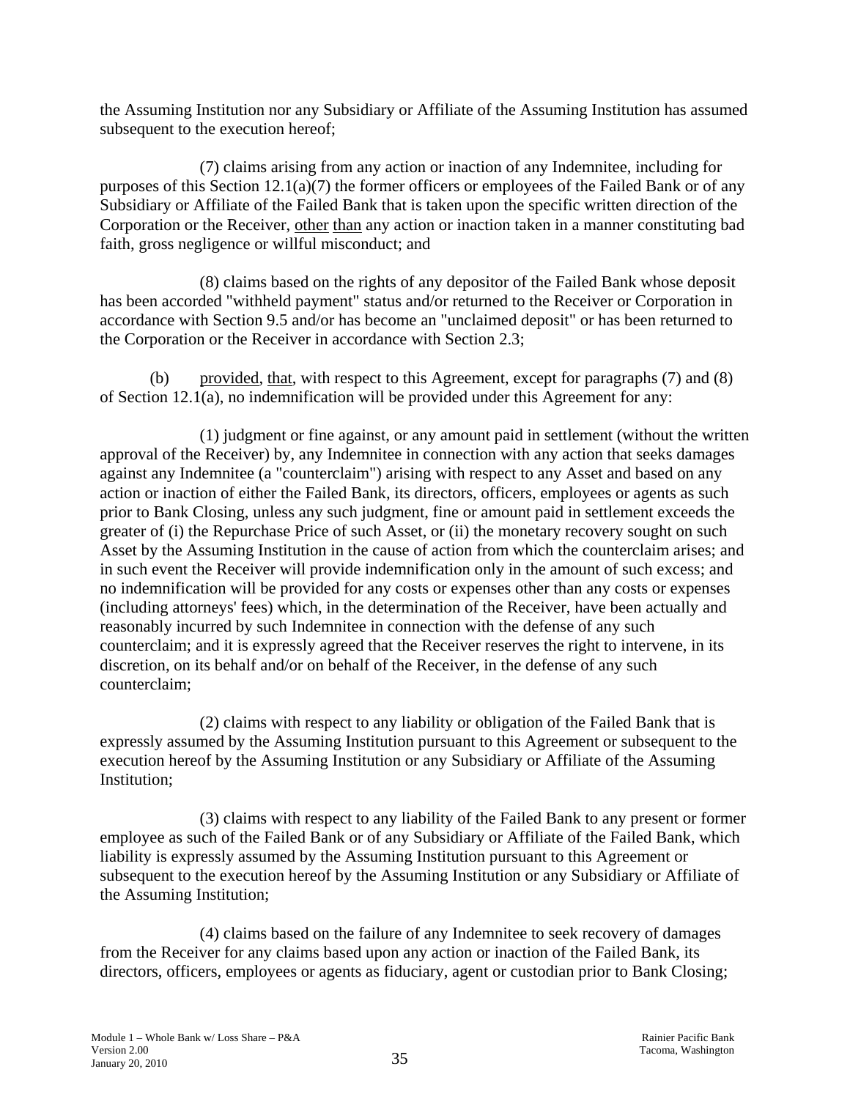the Assuming Institution nor any Subsidiary or Affiliate of the Assuming Institution has assumed subsequent to the execution hereof;

(7) claims arising from any action or inaction of any Indemnitee, including for purposes of this Section 12.1(a)(7) the former officers or employees of the Failed Bank or of any Subsidiary or Affiliate of the Failed Bank that is taken upon the specific written direction of the Corporation or the Receiver, other than any action or inaction taken in a manner constituting bad faith, gross negligence or willful misconduct; and

(8) claims based on the rights of any depositor of the Failed Bank whose deposit has been accorded "withheld payment" status and/or returned to the Receiver or Corporation in accordance with Section 9.5 and/or has become an "unclaimed deposit" or has been returned to the Corporation or the Receiver in accordance with Section 2.3;

(b) provided, that, with respect to this Agreement, except for paragraphs (7) and (8) of Section 12.1(a), no indemnification will be provided under this Agreement for any:

(1) judgment or fine against, or any amount paid in settlement (without the written approval of the Receiver) by, any Indemnitee in connection with any action that seeks damages against any Indemnitee (a "counterclaim") arising with respect to any Asset and based on any action or inaction of either the Failed Bank, its directors, officers, employees or agents as such prior to Bank Closing, unless any such judgment, fine or amount paid in settlement exceeds the greater of (i) the Repurchase Price of such Asset, or (ii) the monetary recovery sought on such Asset by the Assuming Institution in the cause of action from which the counterclaim arises; and in such event the Receiver will provide indemnification only in the amount of such excess; and no indemnification will be provided for any costs or expenses other than any costs or expenses (including attorneys' fees) which, in the determination of the Receiver, have been actually and reasonably incurred by such Indemnitee in connection with the defense of any such counterclaim; and it is expressly agreed that the Receiver reserves the right to intervene, in its discretion, on its behalf and/or on behalf of the Receiver, in the defense of any such counterclaim;

(2) claims with respect to any liability or obligation of the Failed Bank that is expressly assumed by the Assuming Institution pursuant to this Agreement or subsequent to the execution hereof by the Assuming Institution or any Subsidiary or Affiliate of the Assuming Institution;

(3) claims with respect to any liability of the Failed Bank to any present or former employee as such of the Failed Bank or of any Subsidiary or Affiliate of the Failed Bank, which liability is expressly assumed by the Assuming Institution pursuant to this Agreement or subsequent to the execution hereof by the Assuming Institution or any Subsidiary or Affiliate of the Assuming Institution;

(4) claims based on the failure of any Indemnitee to seek recovery of damages from the Receiver for any claims based upon any action or inaction of the Failed Bank, its directors, officers, employees or agents as fiduciary, agent or custodian prior to Bank Closing;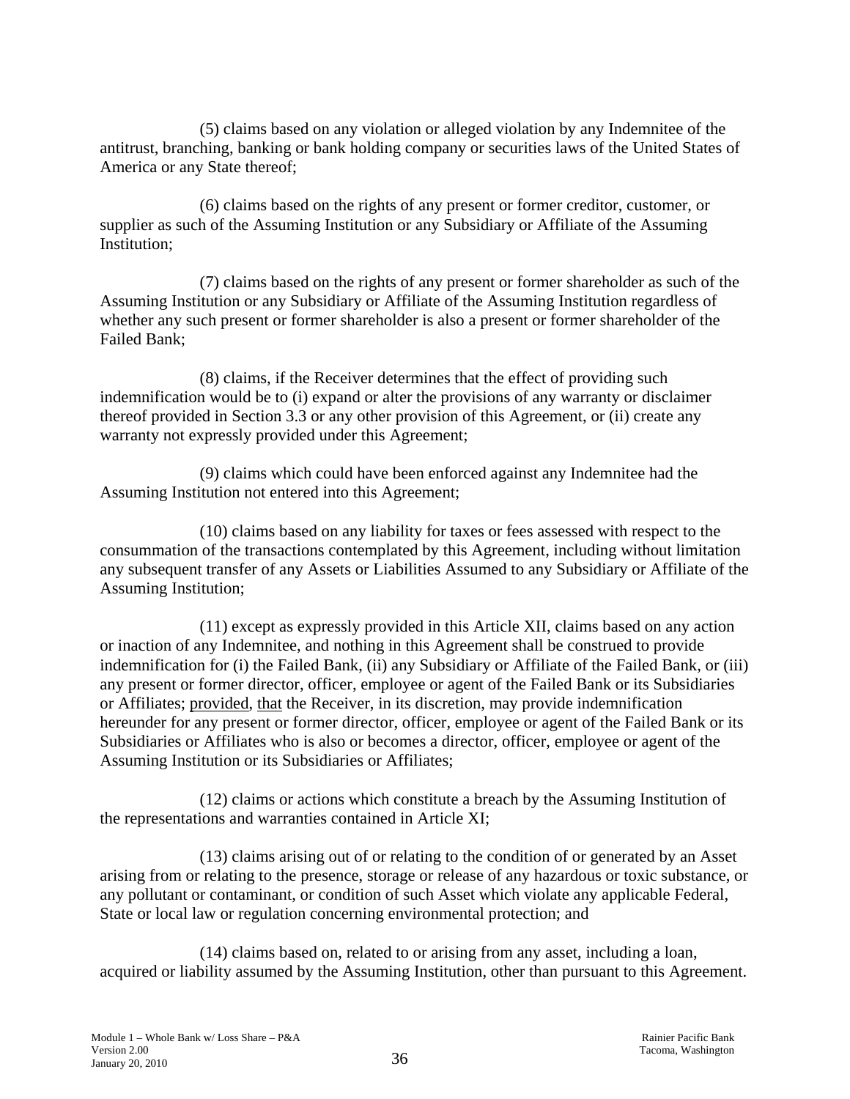(5) claims based on any violation or alleged violation by any Indemnitee of the antitrust, branching, banking or bank holding company or securities laws of the United States of America or any State thereof;

(6) claims based on the rights of any present or former creditor, customer, or supplier as such of the Assuming Institution or any Subsidiary or Affiliate of the Assuming Institution;

(7) claims based on the rights of any present or former shareholder as such of the Assuming Institution or any Subsidiary or Affiliate of the Assuming Institution regardless of whether any such present or former shareholder is also a present or former shareholder of the Failed Bank;

(8) claims, if the Receiver determines that the effect of providing such indemnification would be to (i) expand or alter the provisions of any warranty or disclaimer thereof provided in Section 3.3 or any other provision of this Agreement, or (ii) create any warranty not expressly provided under this Agreement;

(9) claims which could have been enforced against any Indemnitee had the Assuming Institution not entered into this Agreement;

(10) claims based on any liability for taxes or fees assessed with respect to the consummation of the transactions contemplated by this Agreement, including without limitation any subsequent transfer of any Assets or Liabilities Assumed to any Subsidiary or Affiliate of the Assuming Institution;

(11) except as expressly provided in this Article XII, claims based on any action or inaction of any Indemnitee, and nothing in this Agreement shall be construed to provide indemnification for (i) the Failed Bank, (ii) any Subsidiary or Affiliate of the Failed Bank, or (iii) any present or former director, officer, employee or agent of the Failed Bank or its Subsidiaries or Affiliates; provided, that the Receiver, in its discretion, may provide indemnification hereunder for any present or former director, officer, employee or agent of the Failed Bank or its Subsidiaries or Affiliates who is also or becomes a director, officer, employee or agent of the Assuming Institution or its Subsidiaries or Affiliates;

(12) claims or actions which constitute a breach by the Assuming Institution of the representations and warranties contained in Article XI;

(13) claims arising out of or relating to the condition of or generated by an Asset arising from or relating to the presence, storage or release of any hazardous or toxic substance, or any pollutant or contaminant, or condition of such Asset which violate any applicable Federal, State or local law or regulation concerning environmental protection; and

(14) claims based on, related to or arising from any asset, including a loan, acquired or liability assumed by the Assuming Institution, other than pursuant to this Agreement.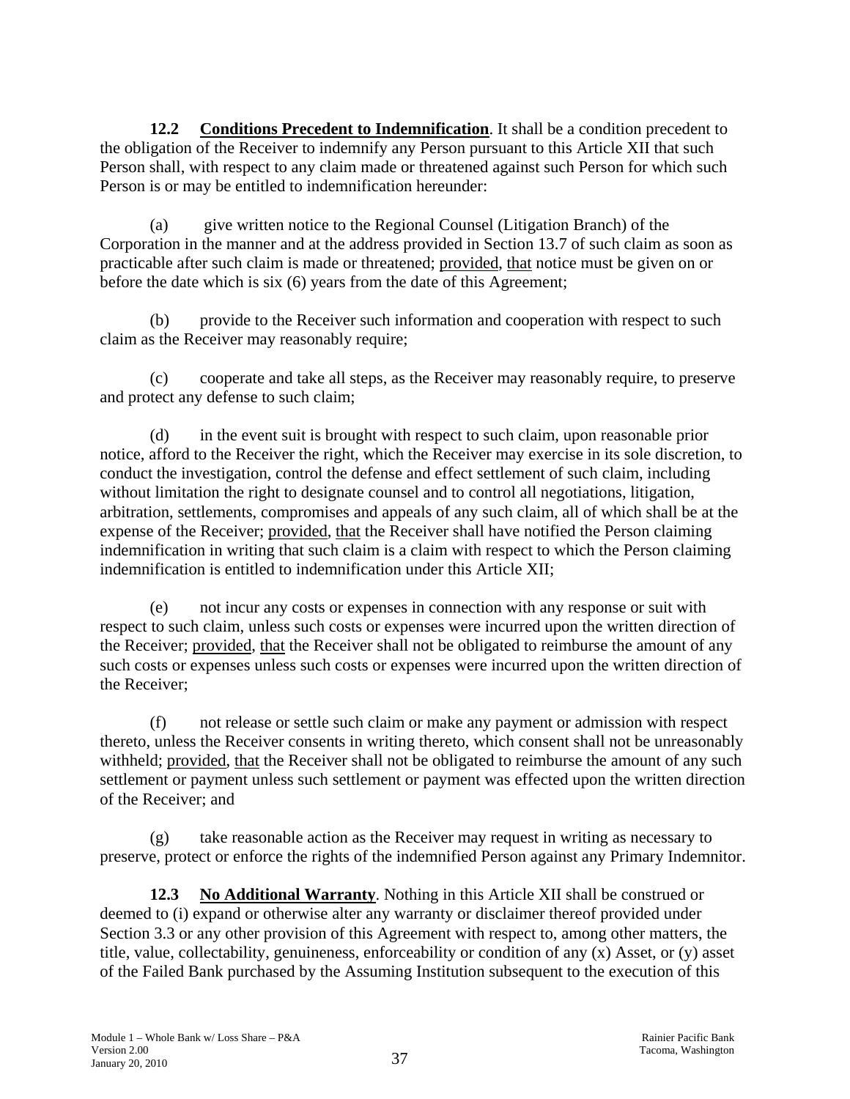**12.2** Conditions Precedent to Indemnification. It shall be a condition precedent to the obligation of the Receiver to indemnify any Person pursuant to this Article XII that such Person shall, with respect to any claim made or threatened against such Person for which such Person is or may be entitled to indemnification hereunder:

(a) give written notice to the Regional Counsel (Litigation Branch) of the Corporation in the manner and at the address provided in Section 13.7 of such claim as soon as practicable after such claim is made or threatened; provided, that notice must be given on or before the date which is six (6) years from the date of this Agreement;

(b) provide to the Receiver such information and cooperation with respect to such claim as the Receiver may reasonably require;

(c) cooperate and take all steps, as the Receiver may reasonably require, to preserve and protect any defense to such claim;

(d) in the event suit is brought with respect to such claim, upon reasonable prior notice, afford to the Receiver the right, which the Receiver may exercise in its sole discretion, to conduct the investigation, control the defense and effect settlement of such claim, including without limitation the right to designate counsel and to control all negotiations, litigation, arbitration, settlements, compromises and appeals of any such claim, all of which shall be at the expense of the Receiver; provided, that the Receiver shall have notified the Person claiming indemnification in writing that such claim is a claim with respect to which the Person claiming indemnification is entitled to indemnification under this Article XII;

(e) not incur any costs or expenses in connection with any response or suit with respect to such claim, unless such costs or expenses were incurred upon the written direction of the Receiver; provided, that the Receiver shall not be obligated to reimburse the amount of any such costs or expenses unless such costs or expenses were incurred upon the written direction of the Receiver;

(f) not release or settle such claim or make any payment or admission with respect thereto, unless the Receiver consents in writing thereto, which consent shall not be unreasonably withheld; provided, that the Receiver shall not be obligated to reimburse the amount of any such settlement or payment unless such settlement or payment was effected upon the written direction of the Receiver; and

(g) take reasonable action as the Receiver may request in writing as necessary to preserve, protect or enforce the rights of the indemnified Person against any Primary Indemnitor.

**12.3 No Additional Warranty**. Nothing in this Article XII shall be construed or deemed to (i) expand or otherwise alter any warranty or disclaimer thereof provided under Section 3.3 or any other provision of this Agreement with respect to, among other matters, the title, value, collectability, genuineness, enforceability or condition of any (x) Asset, or (y) asset of the Failed Bank purchased by the Assuming Institution subsequent to the execution of this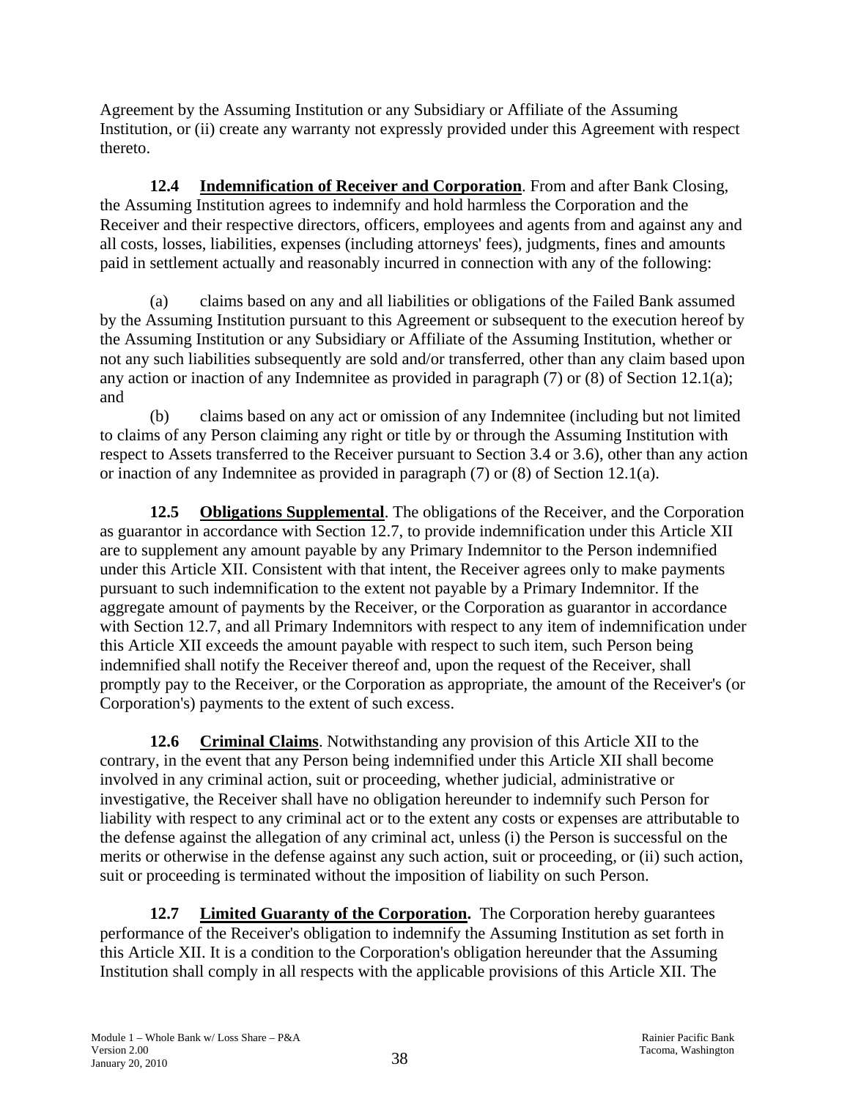Agreement by the Assuming Institution or any Subsidiary or Affiliate of the Assuming Institution, or (ii) create any warranty not expressly provided under this Agreement with respect thereto.

**12.4 Indemnification of Receiver and Corporation**. From and after Bank Closing, the Assuming Institution agrees to indemnify and hold harmless the Corporation and the Receiver and their respective directors, officers, employees and agents from and against any and all costs, losses, liabilities, expenses (including attorneys' fees), judgments, fines and amounts paid in settlement actually and reasonably incurred in connection with any of the following:

(a) claims based on any and all liabilities or obligations of the Failed Bank assumed by the Assuming Institution pursuant to this Agreement or subsequent to the execution hereof by the Assuming Institution or any Subsidiary or Affiliate of the Assuming Institution, whether or not any such liabilities subsequently are sold and/or transferred, other than any claim based upon any action or inaction of any Indemnitee as provided in paragraph (7) or (8) of Section 12.1(a); and

(b) claims based on any act or omission of any Indemnitee (including but not limited to claims of any Person claiming any right or title by or through the Assuming Institution with respect to Assets transferred to the Receiver pursuant to Section 3.4 or 3.6), other than any action or inaction of any Indemnitee as provided in paragraph (7) or (8) of Section 12.1(a).

**12.5 Obligations Supplemental**. The obligations of the Receiver, and the Corporation as guarantor in accordance with Section 12.7, to provide indemnification under this Article XII are to supplement any amount payable by any Primary Indemnitor to the Person indemnified under this Article XII. Consistent with that intent, the Receiver agrees only to make payments pursuant to such indemnification to the extent not payable by a Primary Indemnitor. If the aggregate amount of payments by the Receiver, or the Corporation as guarantor in accordance with Section 12.7, and all Primary Indemnitors with respect to any item of indemnification under this Article XII exceeds the amount payable with respect to such item, such Person being indemnified shall notify the Receiver thereof and, upon the request of the Receiver, shall promptly pay to the Receiver, or the Corporation as appropriate, the amount of the Receiver's (or Corporation's) payments to the extent of such excess.

**12.6 Criminal Claims**. Notwithstanding any provision of this Article XII to the contrary, in the event that any Person being indemnified under this Article XII shall become involved in any criminal action, suit or proceeding, whether judicial, administrative or investigative, the Receiver shall have no obligation hereunder to indemnify such Person for liability with respect to any criminal act or to the extent any costs or expenses are attributable to the defense against the allegation of any criminal act, unless (i) the Person is successful on the merits or otherwise in the defense against any such action, suit or proceeding, or (ii) such action, suit or proceeding is terminated without the imposition of liability on such Person.

**12.7** Limited Guaranty of the Corporation. The Corporation hereby guarantees performance of the Receiver's obligation to indemnify the Assuming Institution as set forth in this Article XII. It is a condition to the Corporation's obligation hereunder that the Assuming Institution shall comply in all respects with the applicable provisions of this Article XII. The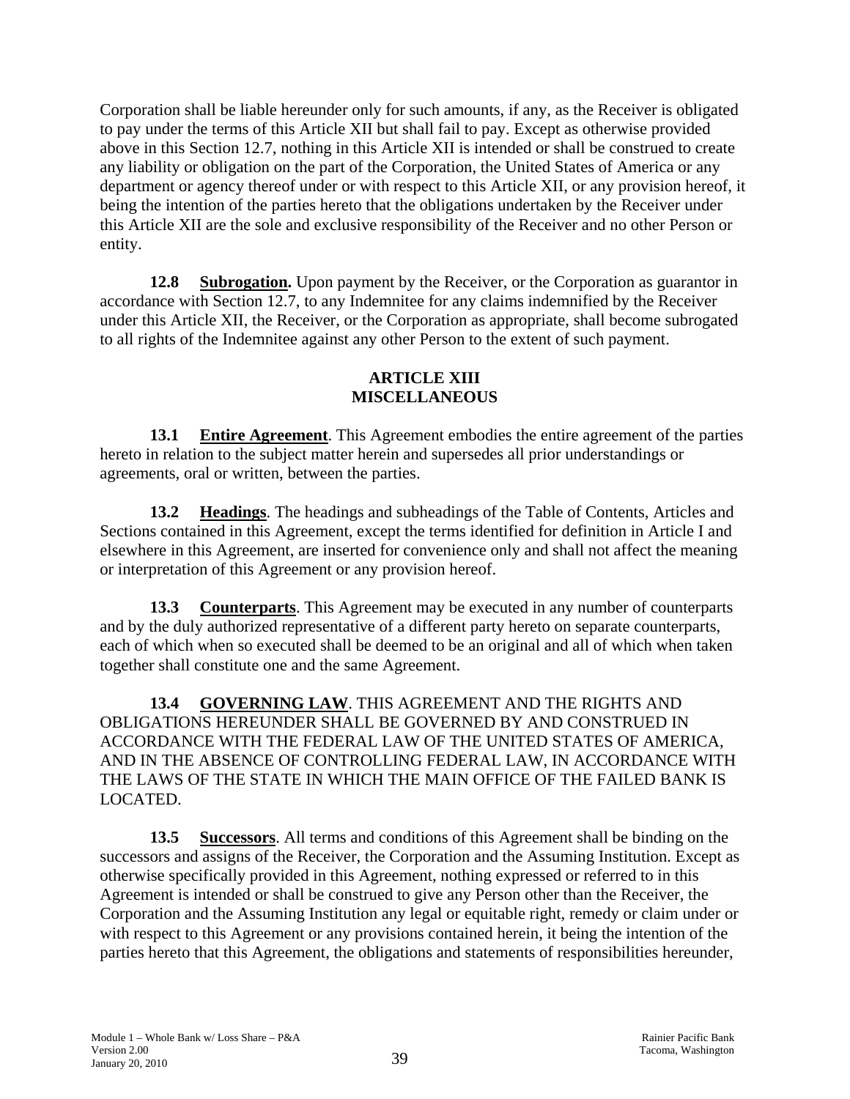Corporation shall be liable hereunder only for such amounts, if any, as the Receiver is obligated to pay under the terms of this Article XII but shall fail to pay. Except as otherwise provided above in this Section 12.7, nothing in this Article XII is intended or shall be construed to create any liability or obligation on the part of the Corporation, the United States of America or any department or agency thereof under or with respect to this Article XII, or any provision hereof, it being the intention of the parties hereto that the obligations undertaken by the Receiver under this Article XII are the sole and exclusive responsibility of the Receiver and no other Person or entity.

**12.8 Subrogation.** Upon payment by the Receiver, or the Corporation as guarantor in accordance with Section 12.7, to any Indemnitee for any claims indemnified by the Receiver under this Article XII, the Receiver, or the Corporation as appropriate, shall become subrogated to all rights of the Indemnitee against any other Person to the extent of such payment.

## **ARTICLE XIII MISCELLANEOUS**

**13.1 Entire Agreement**. This Agreement embodies the entire agreement of the parties hereto in relation to the subject matter herein and supersedes all prior understandings or agreements, oral or written, between the parties.

**13.2 Headings**. The headings and subheadings of the Table of Contents, Articles and Sections contained in this Agreement, except the terms identified for definition in Article I and elsewhere in this Agreement, are inserted for convenience only and shall not affect the meaning or interpretation of this Agreement or any provision hereof.

**13.3 Counterparts**. This Agreement may be executed in any number of counterparts and by the duly authorized representative of a different party hereto on separate counterparts, each of which when so executed shall be deemed to be an original and all of which when taken together shall constitute one and the same Agreement.

**13.4 GOVERNING LAW**. THIS AGREEMENT AND THE RIGHTS AND OBLIGATIONS HEREUNDER SHALL BE GOVERNED BY AND CONSTRUED IN ACCORDANCE WITH THE FEDERAL LAW OF THE UNITED STATES OF AMERICA, AND IN THE ABSENCE OF CONTROLLING FEDERAL LAW, IN ACCORDANCE WITH THE LAWS OF THE STATE IN WHICH THE MAIN OFFICE OF THE FAILED BANK IS LOCATED.

 **13.5 Successors**. All terms and conditions of this Agreement shall be binding on the successors and assigns of the Receiver, the Corporation and the Assuming Institution. Except as otherwise specifically provided in this Agreement, nothing expressed or referred to in this Agreement is intended or shall be construed to give any Person other than the Receiver, the Corporation and the Assuming Institution any legal or equitable right, remedy or claim under or with respect to this Agreement or any provisions contained herein, it being the intention of the parties hereto that this Agreement, the obligations and statements of responsibilities hereunder,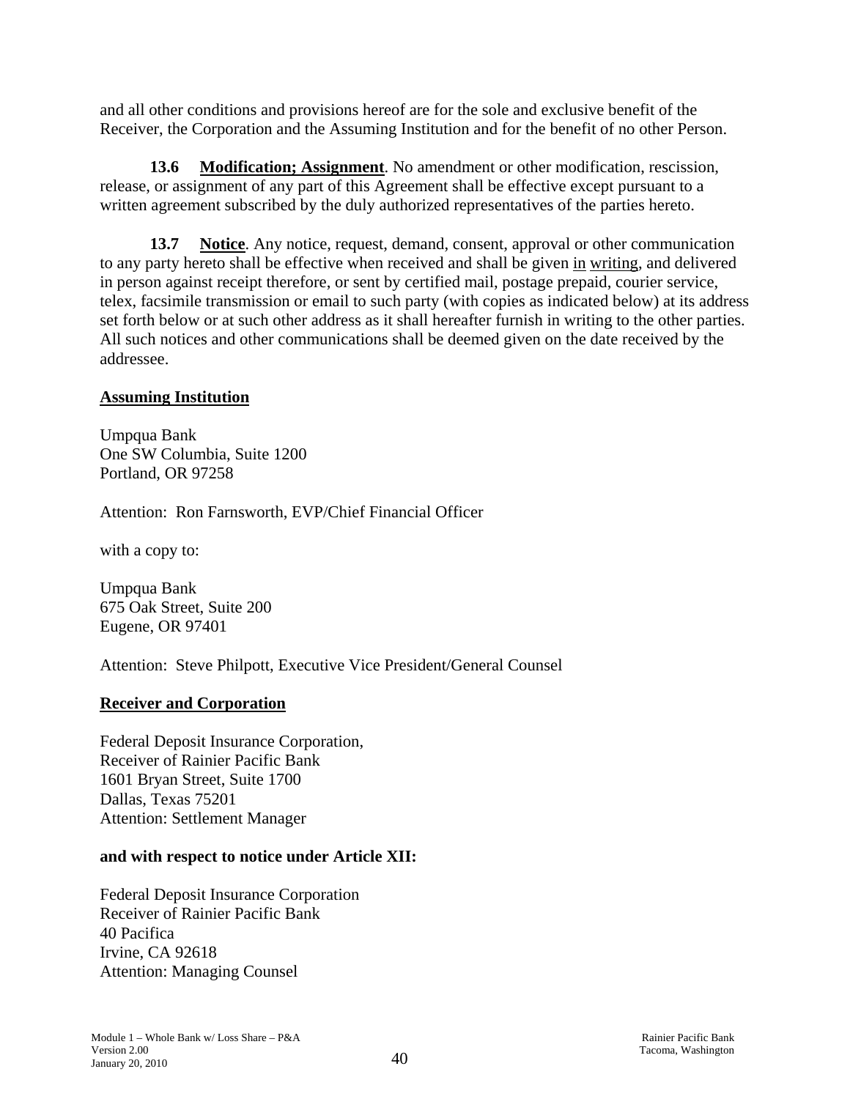and all other conditions and provisions hereof are for the sole and exclusive benefit of the Receiver, the Corporation and the Assuming Institution and for the benefit of no other Person.

**13.6 Modification; Assignment**. No amendment or other modification, rescission, release, or assignment of any part of this Agreement shall be effective except pursuant to a written agreement subscribed by the duly authorized representatives of the parties hereto.

**13.7** Notice. Any notice, request, demand, consent, approval or other communication to any party hereto shall be effective when received and shall be given in writing, and delivered in person against receipt therefore, or sent by certified mail, postage prepaid, courier service, telex, facsimile transmission or email to such party (with copies as indicated below) at its address set forth below or at such other address as it shall hereafter furnish in writing to the other parties. All such notices and other communications shall be deemed given on the date received by the addressee.

## **Assuming Institution**

Umpqua Bank One SW Columbia, Suite 1200 Portland, OR 97258

Attention: Ron Farnsworth, EVP/Chief Financial Officer

with a copy to:

Umpqua Bank 675 Oak Street, Suite 200 Eugene, OR 97401

Attention: Steve Philpott, Executive Vice President/General Counsel

## **Receiver and Corporation**

Federal Deposit Insurance Corporation, Receiver of Rainier Pacific Bank 1601 Bryan Street, Suite 1700 Dallas, Texas 75201 Attention: Settlement Manager

## **and with respect to notice under Article XII:**

Federal Deposit Insurance Corporation Receiver of Rainier Pacific Bank 40 Pacifica Irvine, CA 92618 Attention: Managing Counsel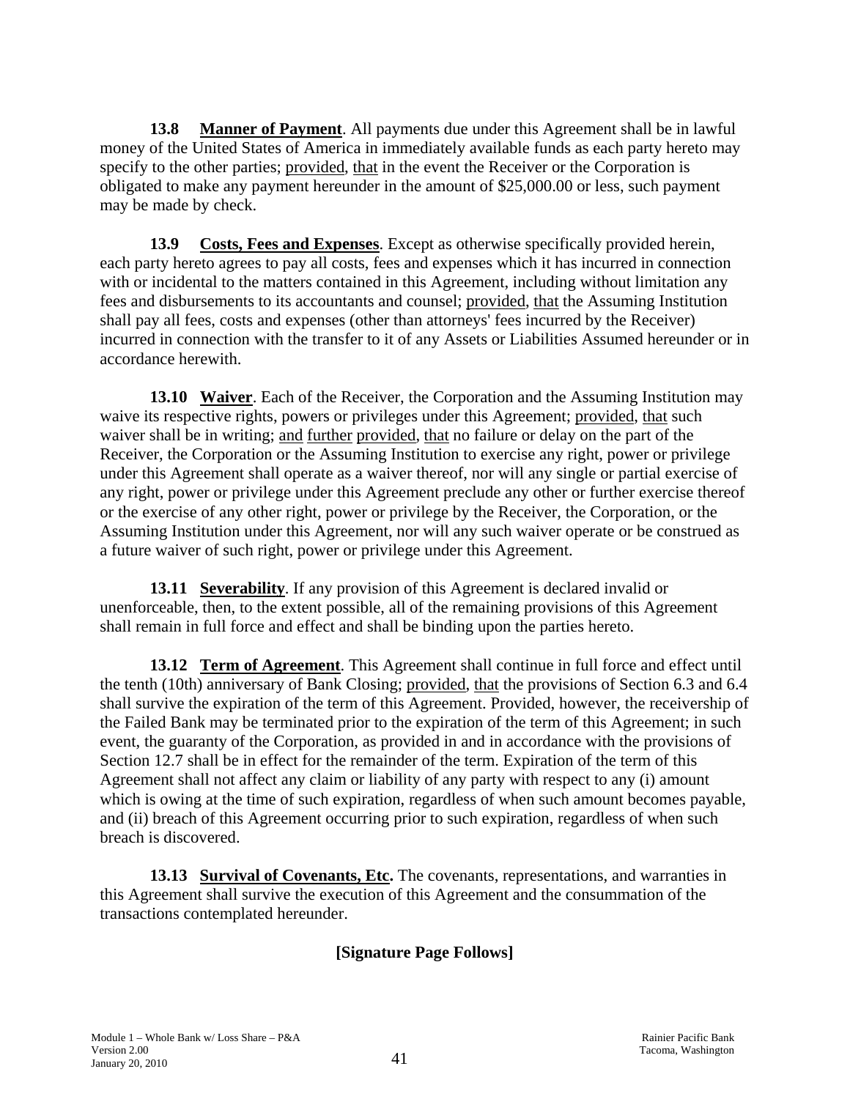**13.8 Manner of Payment**. All payments due under this Agreement shall be in lawful money of the United States of America in immediately available funds as each party hereto may specify to the other parties; provided, that in the event the Receiver or the Corporation is obligated to make any payment hereunder in the amount of \$25,000.00 or less, such payment may be made by check.

**13.9 Costs, Fees and Expenses**. Except as otherwise specifically provided herein, each party hereto agrees to pay all costs, fees and expenses which it has incurred in connection with or incidental to the matters contained in this Agreement, including without limitation any fees and disbursements to its accountants and counsel; provided, that the Assuming Institution shall pay all fees, costs and expenses (other than attorneys' fees incurred by the Receiver) incurred in connection with the transfer to it of any Assets or Liabilities Assumed hereunder or in accordance herewith.

**13.10 Waiver**. Each of the Receiver, the Corporation and the Assuming Institution may waive its respective rights, powers or privileges under this Agreement; provided, that such waiver shall be in writing; and further provided, that no failure or delay on the part of the Receiver, the Corporation or the Assuming Institution to exercise any right, power or privilege under this Agreement shall operate as a waiver thereof, nor will any single or partial exercise of any right, power or privilege under this Agreement preclude any other or further exercise thereof or the exercise of any other right, power or privilege by the Receiver, the Corporation, or the Assuming Institution under this Agreement, nor will any such waiver operate or be construed as a future waiver of such right, power or privilege under this Agreement.

**13.11 Severability**. If any provision of this Agreement is declared invalid or unenforceable, then, to the extent possible, all of the remaining provisions of this Agreement shall remain in full force and effect and shall be binding upon the parties hereto.

**13.12 Term of Agreement**. This Agreement shall continue in full force and effect until the tenth (10th) anniversary of Bank Closing; provided, that the provisions of Section 6.3 and 6.4 shall survive the expiration of the term of this Agreement. Provided, however, the receivership of the Failed Bank may be terminated prior to the expiration of the term of this Agreement; in such event, the guaranty of the Corporation, as provided in and in accordance with the provisions of Section 12.7 shall be in effect for the remainder of the term. Expiration of the term of this Agreement shall not affect any claim or liability of any party with respect to any (i) amount which is owing at the time of such expiration, regardless of when such amount becomes payable, and (ii) breach of this Agreement occurring prior to such expiration, regardless of when such breach is discovered.

**13.13 Survival of Covenants, Etc.** The covenants, representations, and warranties in this Agreement shall survive the execution of this Agreement and the consummation of the transactions contemplated hereunder.

## **[Signature Page Follows]**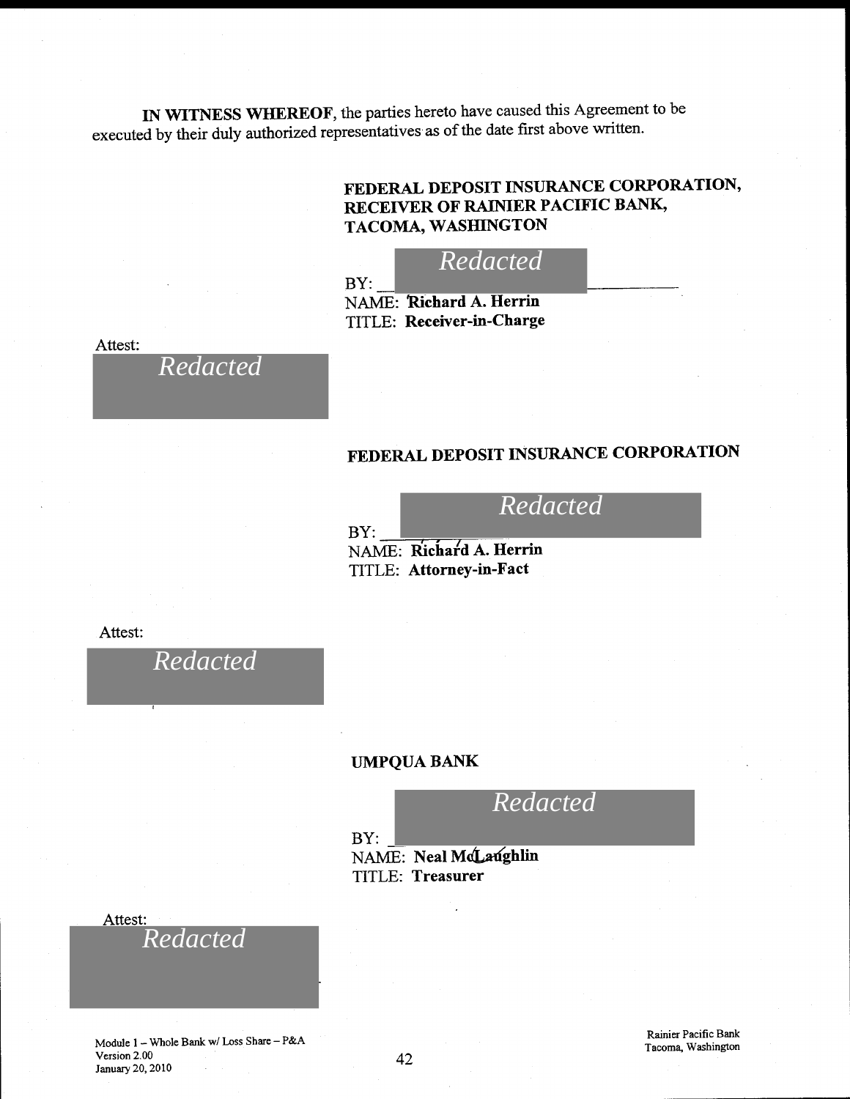**IN WITNESS WHEREOF,** the parties hereto have caused this Agreement to be executed by their duly authorized representatives as of the date first above written.

## **FEDERAL DEPOSIT INSURANCE CORPORATION, RECEIVER OF RAINIER PACIFIC BANK, TACOMA, WASHINGTON**

*Redacted*  $BY:$ NAME: Richard A. Herrin

TITLE: **Receiver-in-Charge** 

# **FEDERAL DEPOSIT INSURANCE CORPORATION**

*Redacted*

BY: Redacted<br> **Redacted**<br> **NAME: Richard A. Herrin** TITLE: **Attorney-in-Fact** 

Attest:

Attest:

*Redacted*

*Redacted*

#### UMPQUA BANK

*Redacted*



NAME: Neal McLaughlin TITLE: **Treasurer** 

*Redacted*

Module 1 - Whole Bank *wi* Loss Share - P&A Version 2.00 January 20, 2010

Rainier Pacific Bank Tacoma, Washington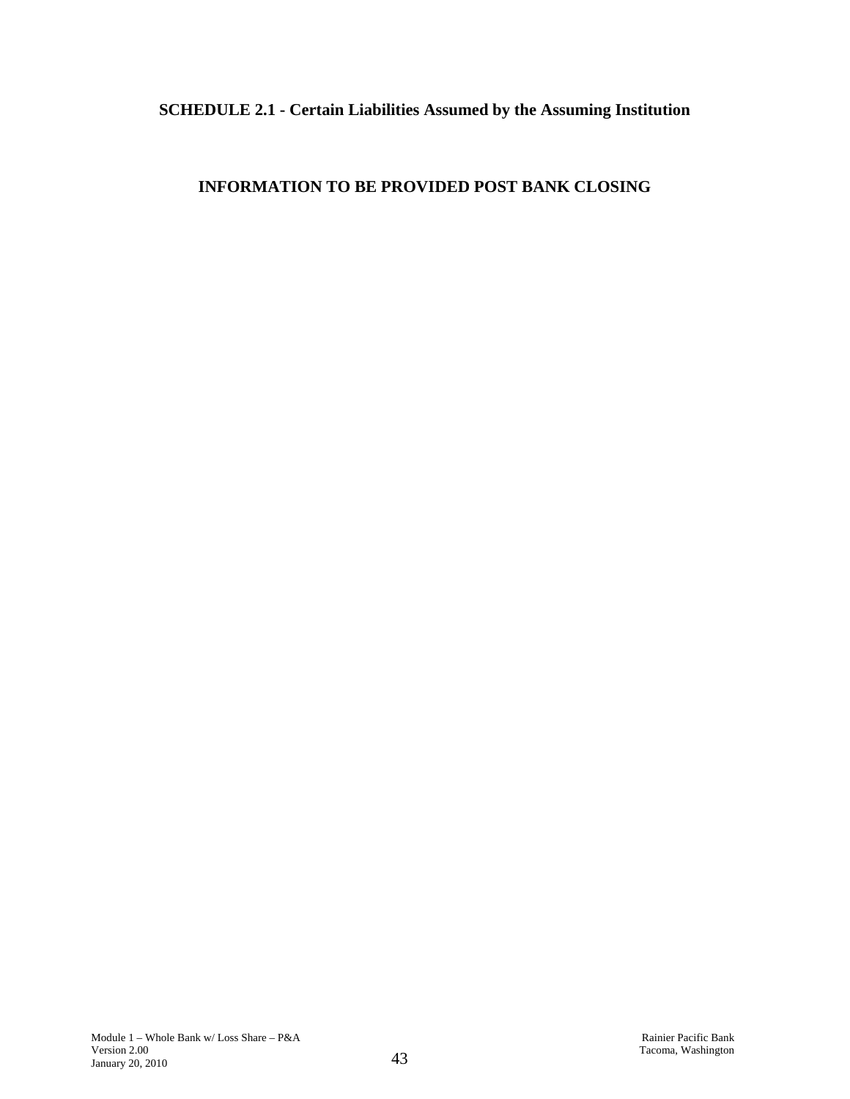# **SCHEDULE 2.1 - Certain Liabilities Assumed by the Assuming Institution**

## **INFORMATION TO BE PROVIDED POST BANK CLOSING**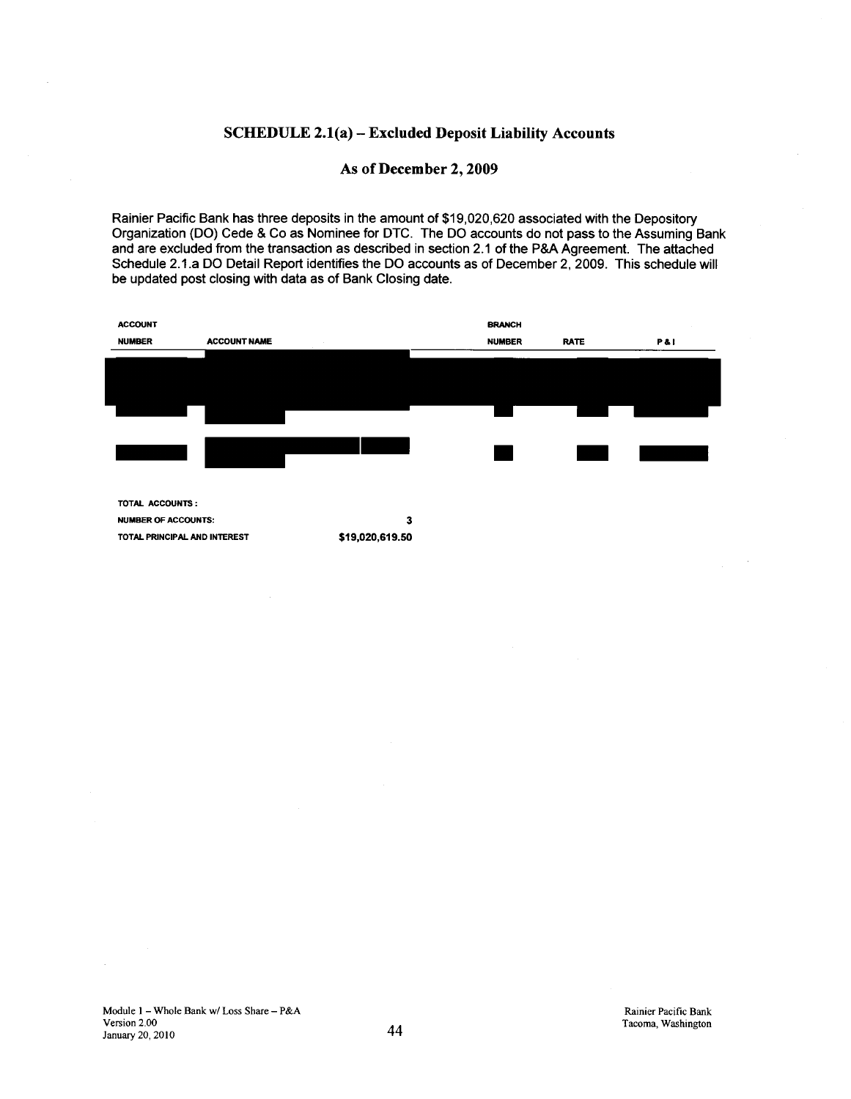#### SCHEDULE 2.1(a) - Excluded Deposit Liability Accounts

#### As of Decem ber 2, 2009

Rainier Pacific Bank has three deposits in the amount of \$19,020,620 associated with the Depository Organization (DO) Cede & Co as Nominee for DTC. The DO accounts do not pass to the Assuming Bank and are excluded from the transaction as described in section 2.1 of the P&A Agreement. The attached Schedule 2.1.a DO Detail Report identifies the DO accounts as of December 2, 2009. This schedule will be updated post closing with data as of Bank Closing date.

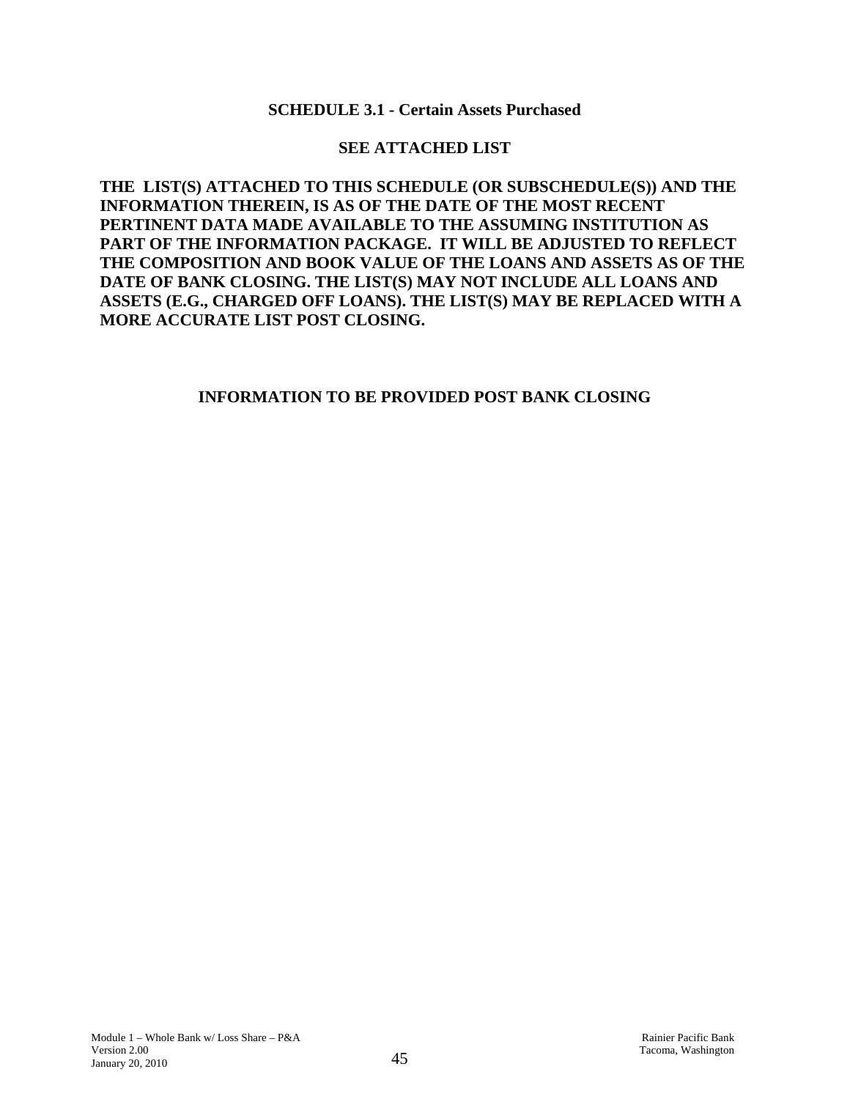#### **SCHEDULE 3.1 - Certain Assets Purchased**

#### **SEE ATTACHED LIST**

THE LIST(S) ATTACHED TO THIS SCHEDULE (OR SUBSCHEDULE(S)) AND THE **INFORMATION THEREIN, IS AS OF THE DATE OF THE MOST RECENT PERTINENT DATA MADE AVAILABLE TO THE ASSUMING INSTITUTION AS PART OF THE INFORMATION PACKAGE. IT WILL BE ADJUSTED TO REFLECT THE COMPOSITION AND BOOK VALUE OF THE LOANS AND ASSETS AS OF THE DATE OF BANK CLOSING. THE LIST(S) MAY NOT INCLUDE ALL LOANS AND ASSETS (E.G., CHARGED OFF LOANS). THE LIST(S) MAY BE REPLACED WITH A MORE ACCURATE LIST POST CLOSING.** 

## **INFORMATION TO BE PROVIDED POST BANK CLOSING**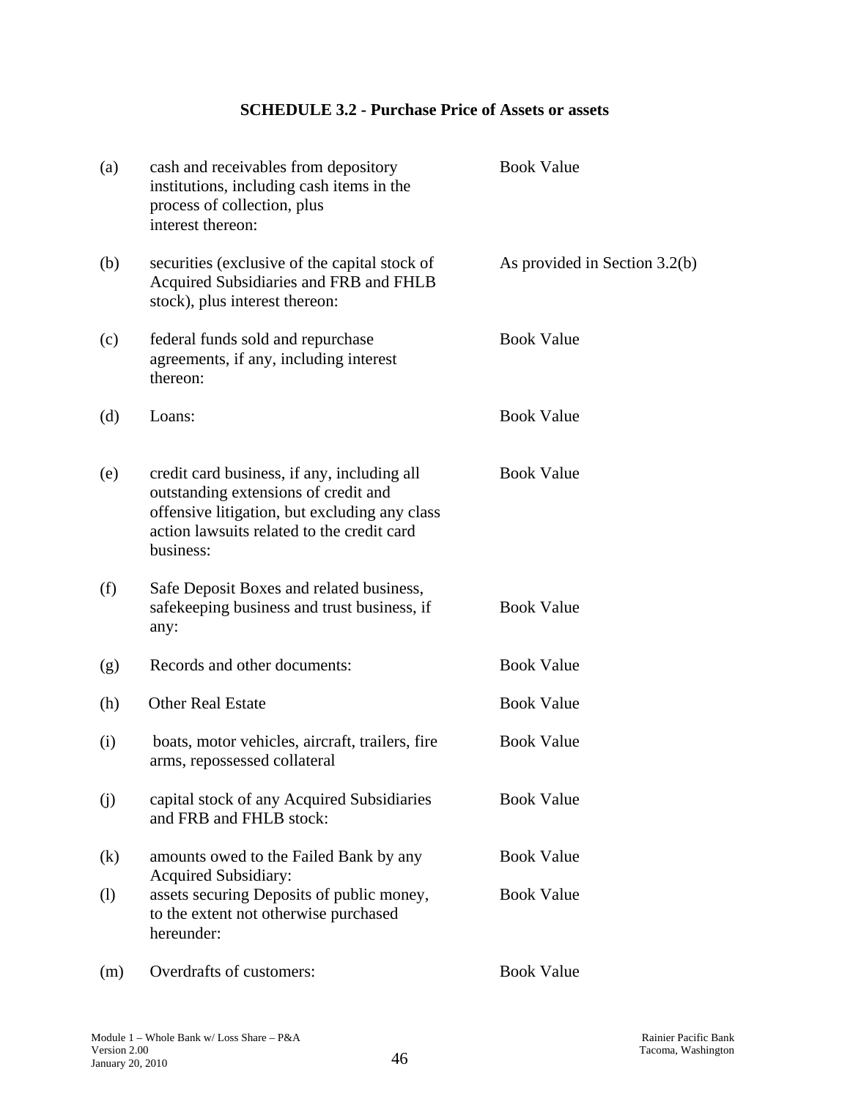## **SCHEDULE 3.2 - Purchase Price of Assets or assets**

| (a) | cash and receivables from depository<br>institutions, including cash items in the<br>process of collection, plus<br>interest thereon:                                                           | <b>Book Value</b>               |
|-----|-------------------------------------------------------------------------------------------------------------------------------------------------------------------------------------------------|---------------------------------|
| (b) | securities (exclusive of the capital stock of<br>Acquired Subsidiaries and FRB and FHLB<br>stock), plus interest thereon:                                                                       | As provided in Section $3.2(b)$ |
| (c) | federal funds sold and repurchase<br>agreements, if any, including interest<br>thereon:                                                                                                         | <b>Book Value</b>               |
| (d) | Loans:                                                                                                                                                                                          | <b>Book Value</b>               |
| (e) | credit card business, if any, including all<br>outstanding extensions of credit and<br>offensive litigation, but excluding any class<br>action lawsuits related to the credit card<br>business: | <b>Book Value</b>               |
| (f) | Safe Deposit Boxes and related business,<br>safekeeping business and trust business, if<br>any:                                                                                                 | <b>Book Value</b>               |
| (g) | Records and other documents:                                                                                                                                                                    | <b>Book Value</b>               |
| (h) | <b>Other Real Estate</b>                                                                                                                                                                        | <b>Book Value</b>               |
| (i) | boats, motor vehicles, aircraft, trailers, fire<br>arms, repossessed collateral                                                                                                                 | <b>Book Value</b>               |
| (j) | capital stock of any Acquired Subsidiaries<br>and FRB and FHLB stock:                                                                                                                           | <b>Book Value</b>               |
| (k) | amounts owed to the Failed Bank by any                                                                                                                                                          | <b>Book Value</b>               |
| (1) | <b>Acquired Subsidiary:</b><br>assets securing Deposits of public money,<br>to the extent not otherwise purchased<br>hereunder:                                                                 | <b>Book Value</b>               |
| (m) | Overdrafts of customers:                                                                                                                                                                        | <b>Book Value</b>               |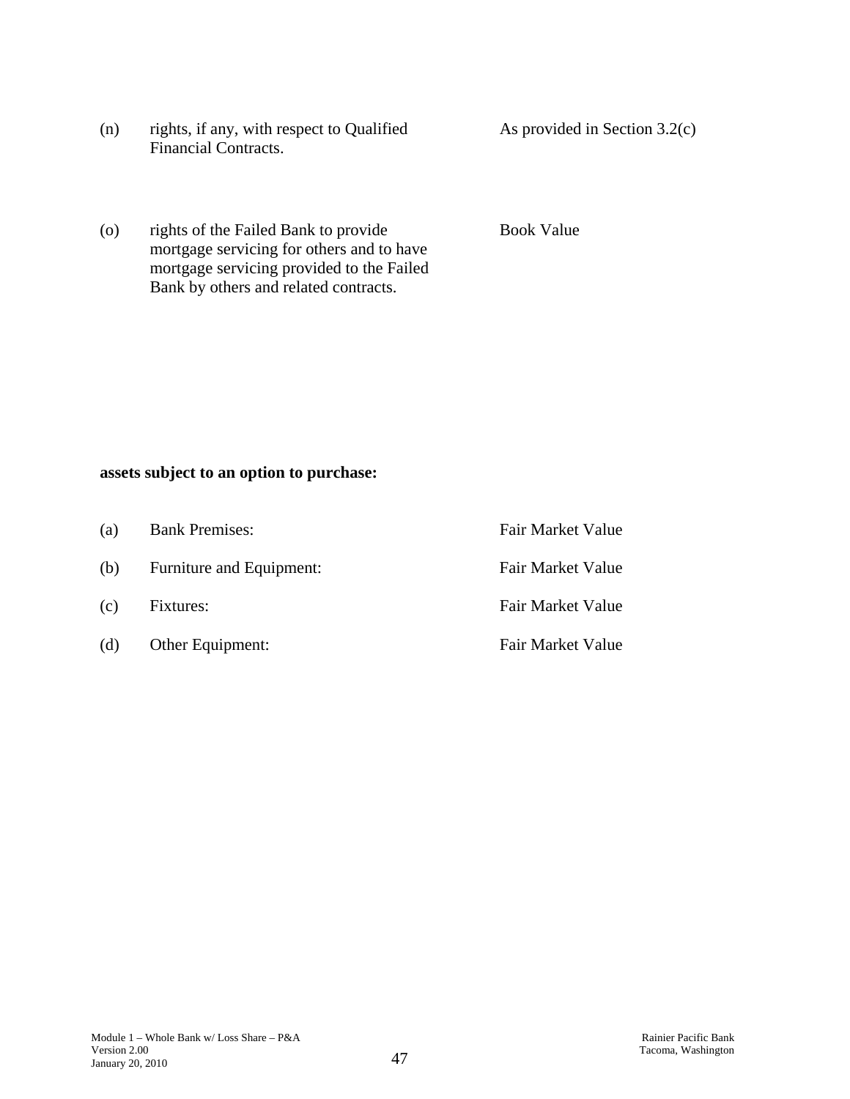(n) rights, if any, with respect to Qualified  $\qquad \qquad$  As provided in Section 3.2(c) Financial Contracts.

(o) rights of the Failed Bank to provide Book Value mortgage servicing for others and to have mortgage servicing provided to the Failed Bank by others and related contracts.

## **assets subject to an option to purchase:**

| (a) | <b>Bank Premises:</b>    | Fair Market Value |
|-----|--------------------------|-------------------|
| (b) | Furniture and Equipment: | Fair Market Value |
| (c) | Fixtures:                | Fair Market Value |
| (d) | Other Equipment:         | Fair Market Value |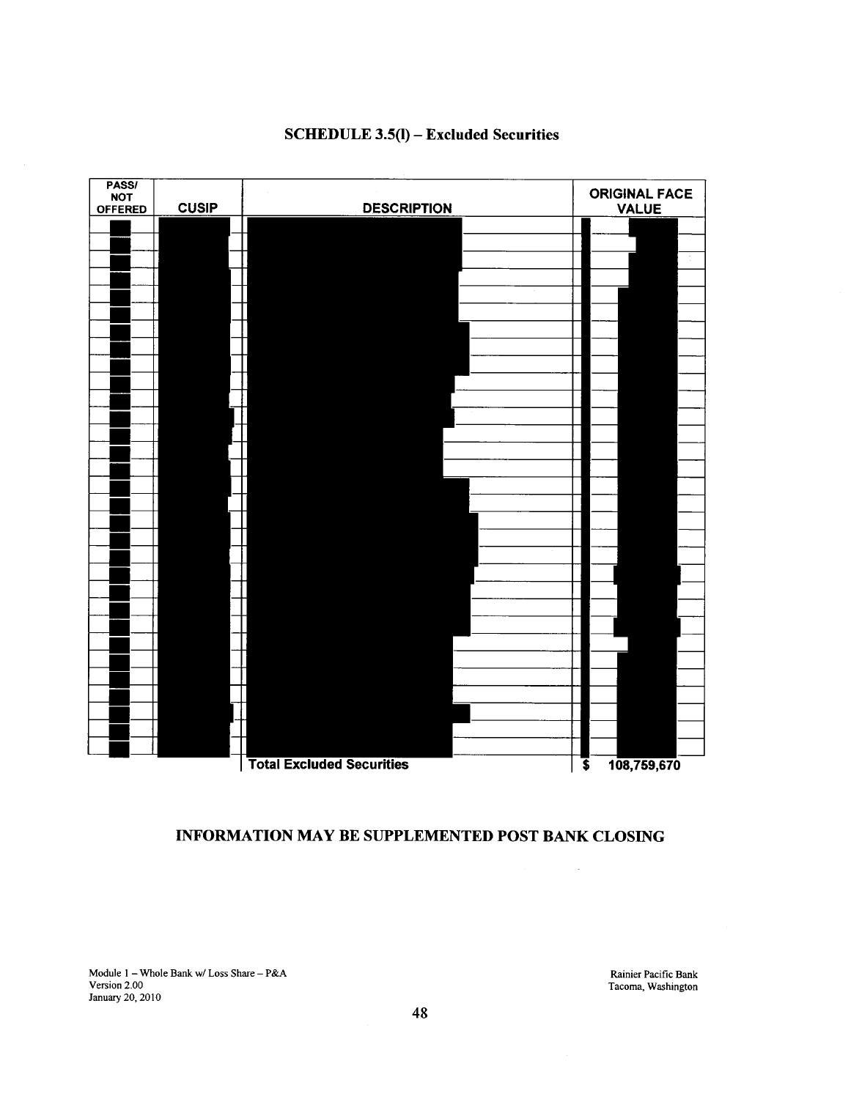

#### SCHEDULE 3.5(1) - Excluded Securities

#### INFORMATION MAY BE SUPPLEMENTED POST BANK CLOSING

Module 1 - Whole Bank w/ Loss Share - P&A Rainier Pacific Bank Version 2.00 Tacoma, Washington January 20, 2010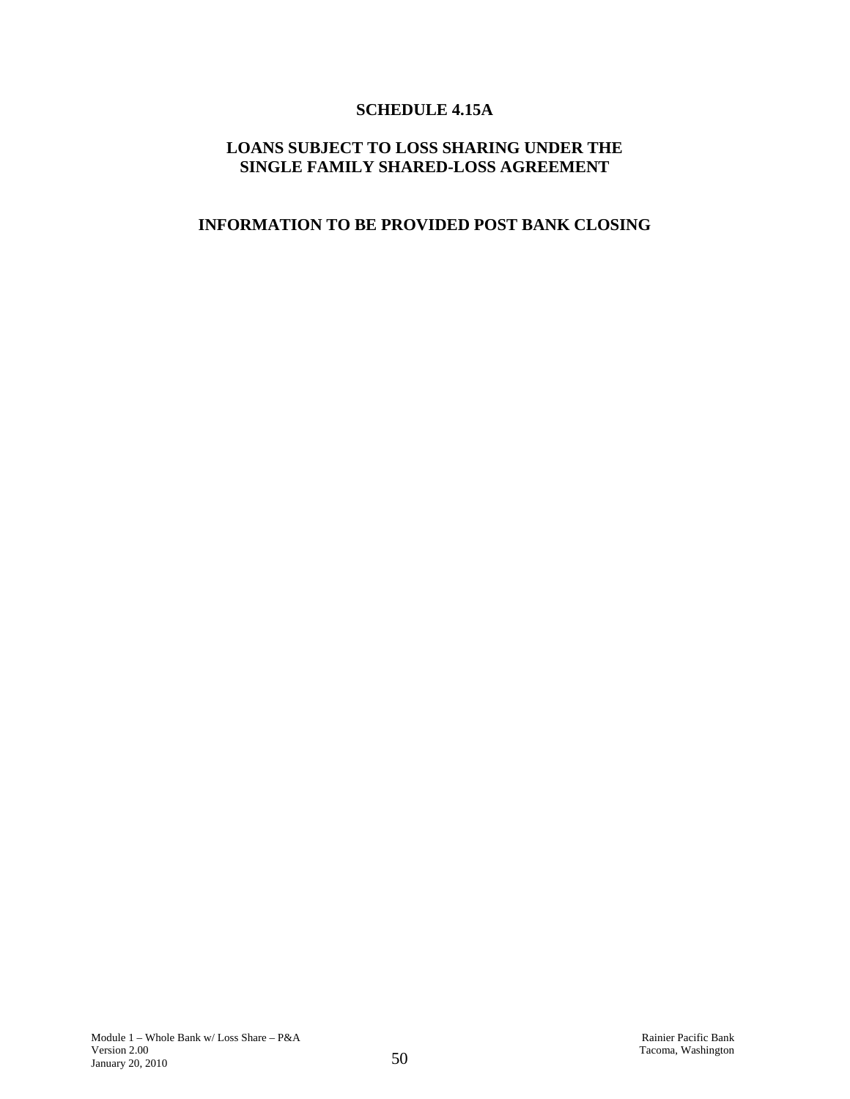## **SCHEDULE 4.15A**

#### **LOANS SUBJECT TO LOSS SHARING UNDER THE SINGLE FAMILY SHARED-LOSS AGREEMENT**

## **INFORMATION TO BE PROVIDED POST BANK CLOSING**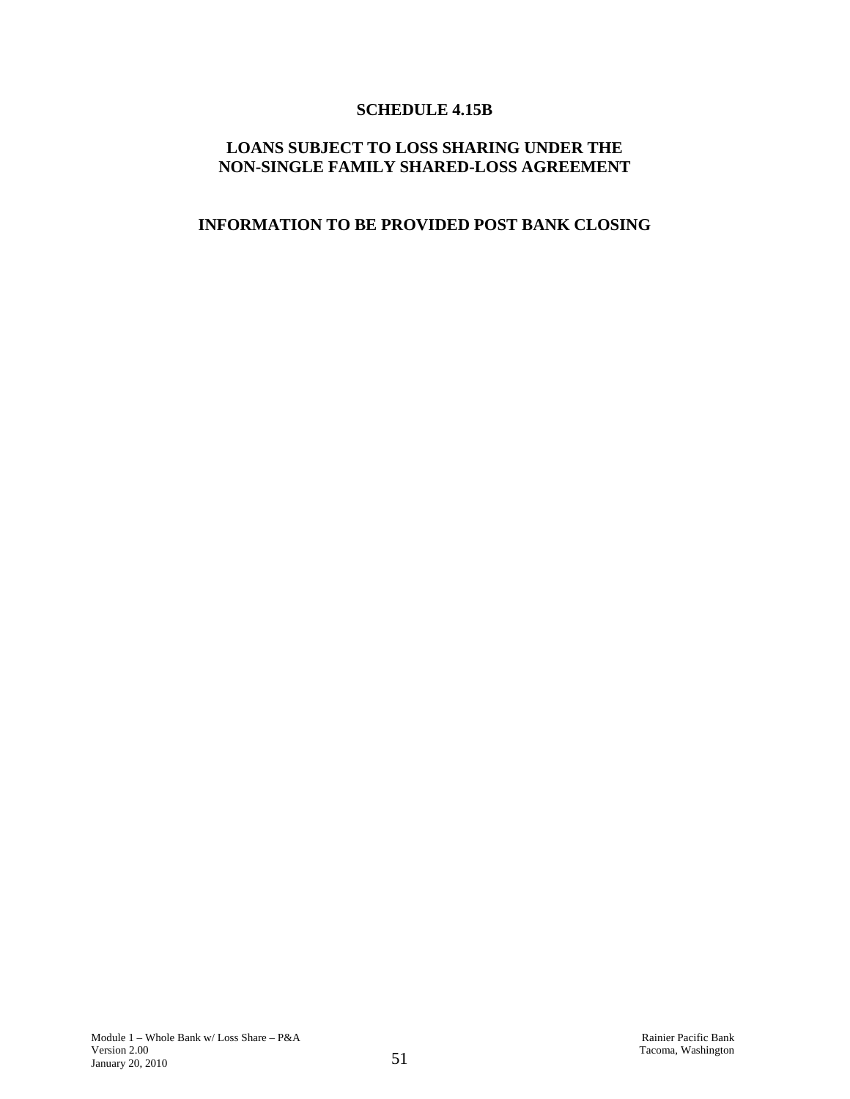## **SCHEDULE 4.15B**

#### **LOANS SUBJECT TO LOSS SHARING UNDER THE NON-SINGLE FAMILY SHARED-LOSS AGREEMENT**

## **INFORMATION TO BE PROVIDED POST BANK CLOSING**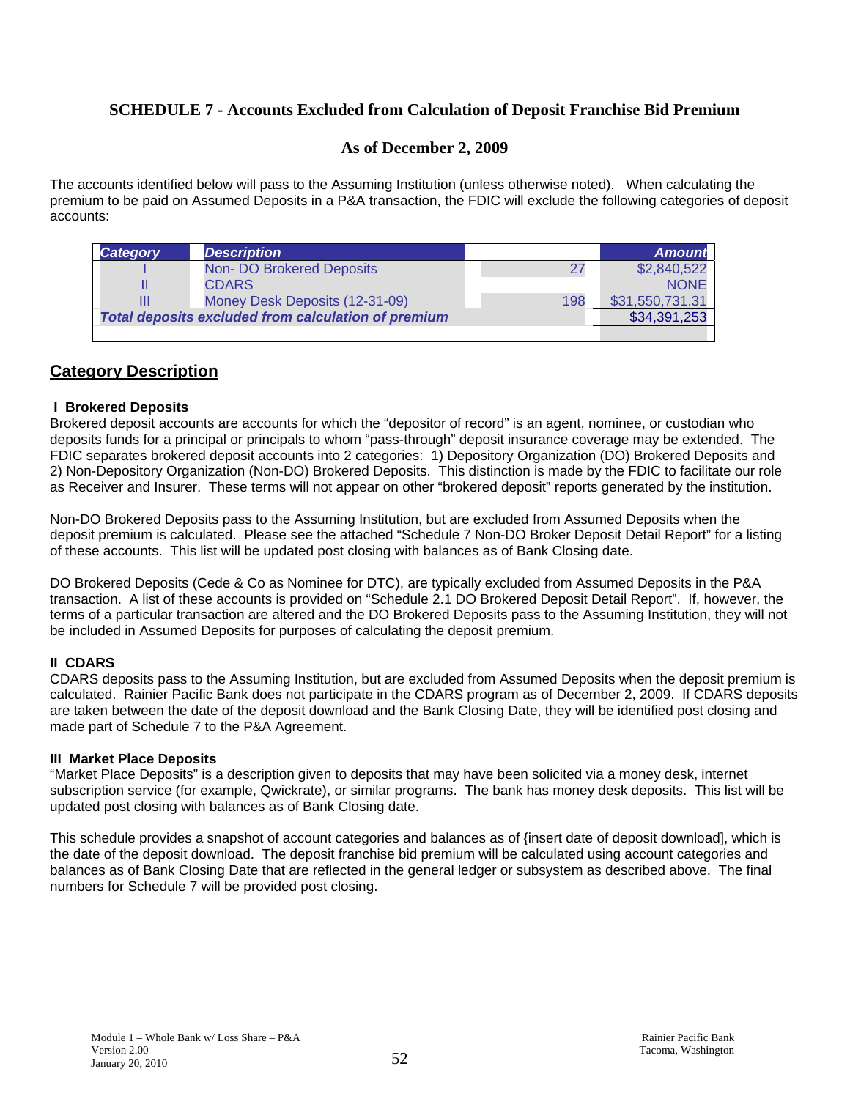## **SCHEDULE 7 - Accounts Excluded from Calculation of Deposit Franchise Bid Premium**

#### **As of December 2, 2009**

The accounts identified below will pass to the Assuming Institution (unless otherwise noted). When calculating the premium to be paid on Assumed Deposits in a P&A transaction, the FDIC will exclude the following categories of deposit accounts:

| <b>Category</b>                                            | <b>Description</b>              |     | <b>Amount</b>   |
|------------------------------------------------------------|---------------------------------|-----|-----------------|
|                                                            | <b>Non-DO Brokered Deposits</b> | 27  | \$2,840,522     |
|                                                            | <b>CDARS</b>                    |     | <b>NONE</b>     |
|                                                            | Money Desk Deposits (12-31-09)  | 198 | \$31,550,731.31 |
| <b>Total deposits excluded from calculation of premium</b> | \$34,391,253                    |     |                 |
|                                                            |                                 |     |                 |

## **Category Description**

#### **I Brokered Deposits**

Brokered deposit accounts are accounts for which the "depositor of record" is an agent, nominee, or custodian who deposits funds for a principal or principals to whom "pass-through" deposit insurance coverage may be extended. The FDIC separates brokered deposit accounts into 2 categories: 1) Depository Organization (DO) Brokered Deposits and 2) Non-Depository Organization (Non-DO) Brokered Deposits. This distinction is made by the FDIC to facilitate our role as Receiver and Insurer. These terms will not appear on other "brokered deposit" reports generated by the institution.

 of these accounts. This list will be updated post closing with balances as of Bank Closing date. Non-DO Brokered Deposits pass to the Assuming Institution, but are excluded from Assumed Deposits when the deposit premium is calculated. Please see the attached "Schedule 7 Non-DO Broker Deposit Detail Report" for a listing

DO Brokered Deposits (Cede & Co as Nominee for DTC), are typically excluded from Assumed Deposits in the P&A transaction. A list of these accounts is provided on "Schedule 2.1 DO Brokered Deposit Detail Report". If, however, the terms of a particular transaction are altered and the DO Brokered Deposits pass to the Assuming Institution, they will not be included in Assumed Deposits for purposes of calculating the deposit premium.

#### **II CDARS**

CDARS deposits pass to the Assuming Institution, but are excluded from Assumed Deposits when the deposit premium is calculated. Rainier Pacific Bank does not participate in the CDARS program as of December 2, 2009. If CDARS deposits are taken between the date of the deposit download and the Bank Closing Date, they will be identified post closing and made part of Schedule 7 to the P&A Agreement.

#### **III Market Place Deposits**

"Market Place Deposits" is a description given to deposits that may have been solicited via a money desk, internet subscription service (for example, Qwickrate), or similar programs. The bank has money desk deposits. This list will be updated post closing with balances as of Bank Closing date.

This schedule provides a snapshot of account categories and balances as of {insert date of deposit download], which is the date of the deposit download. The deposit franchise bid premium will be calculated using account categories and balances as of Bank Closing Date that are reflected in the general ledger or subsystem as described above. The final numbers for Schedule 7 will be provided post closing.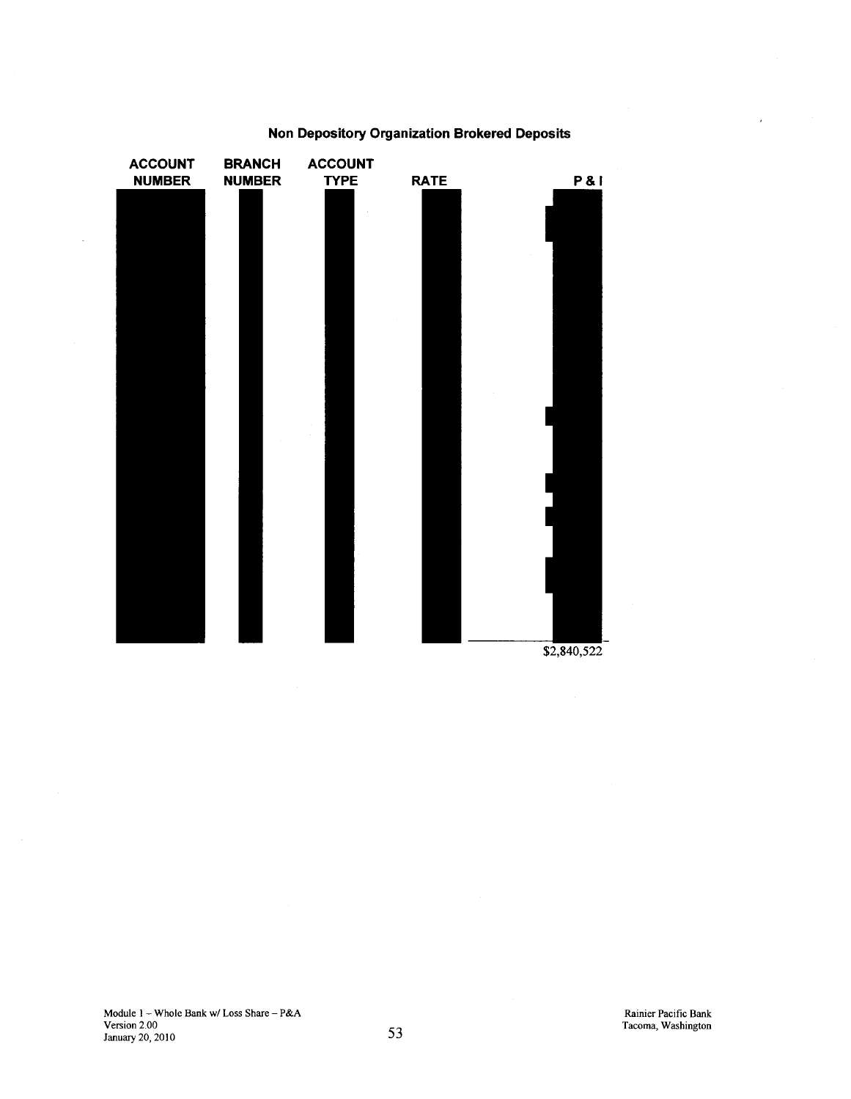

#### Non Depository Organization Brokered Deposits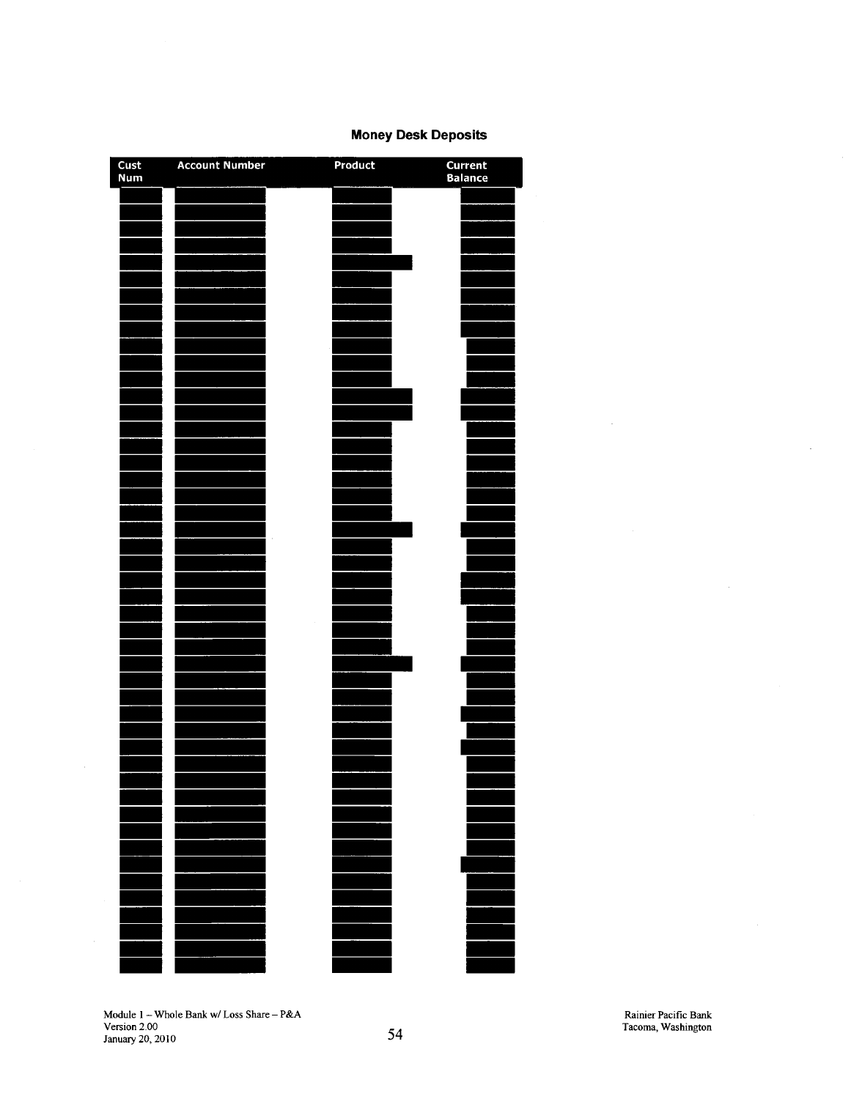#### Money Desk Deposits

| Cust       | <b>Account Number</b> | Product | <b>Current</b> |
|------------|-----------------------|---------|----------------|
| <b>Num</b> |                       |         | <b>Balance</b> |
|            |                       |         |                |
|            |                       |         |                |
|            |                       |         |                |
|            |                       |         |                |
|            |                       |         |                |
|            |                       |         |                |
|            |                       |         |                |
|            |                       |         |                |
|            |                       |         |                |
|            |                       |         |                |
|            |                       |         |                |
|            |                       |         |                |
|            |                       |         |                |
|            |                       |         |                |
|            |                       |         |                |
|            |                       |         |                |
|            |                       |         |                |
|            |                       |         |                |
|            |                       |         |                |
|            |                       |         |                |
|            |                       |         |                |
|            |                       |         |                |
|            |                       |         |                |
|            |                       |         |                |
|            |                       |         |                |
|            |                       |         |                |
|            |                       |         |                |
|            |                       |         |                |
|            |                       |         |                |
|            |                       |         |                |
|            |                       |         |                |
|            |                       |         |                |
|            |                       |         |                |
|            |                       |         |                |
|            |                       |         |                |
|            |                       |         |                |
|            |                       |         |                |
|            |                       |         |                |
|            |                       |         |                |
|            |                       |         |                |
|            |                       |         |                |
|            |                       |         |                |
|            |                       |         |                |
|            |                       |         |                |
|            |                       |         |                |
|            |                       |         |                |
|            |                       |         |                |
|            |                       |         |                |
|            |                       |         |                |
|            |                       |         |                |
|            |                       |         |                |
|            |                       |         |                |
|            |                       |         |                |

Module 1 – Whole Bank w/ Loss Share – P&A Rainier Pacific Bank Rainier Pacific Bank Version 2.00 Tacoma, Washington January 20, 2010 54

 $\bar{\alpha}$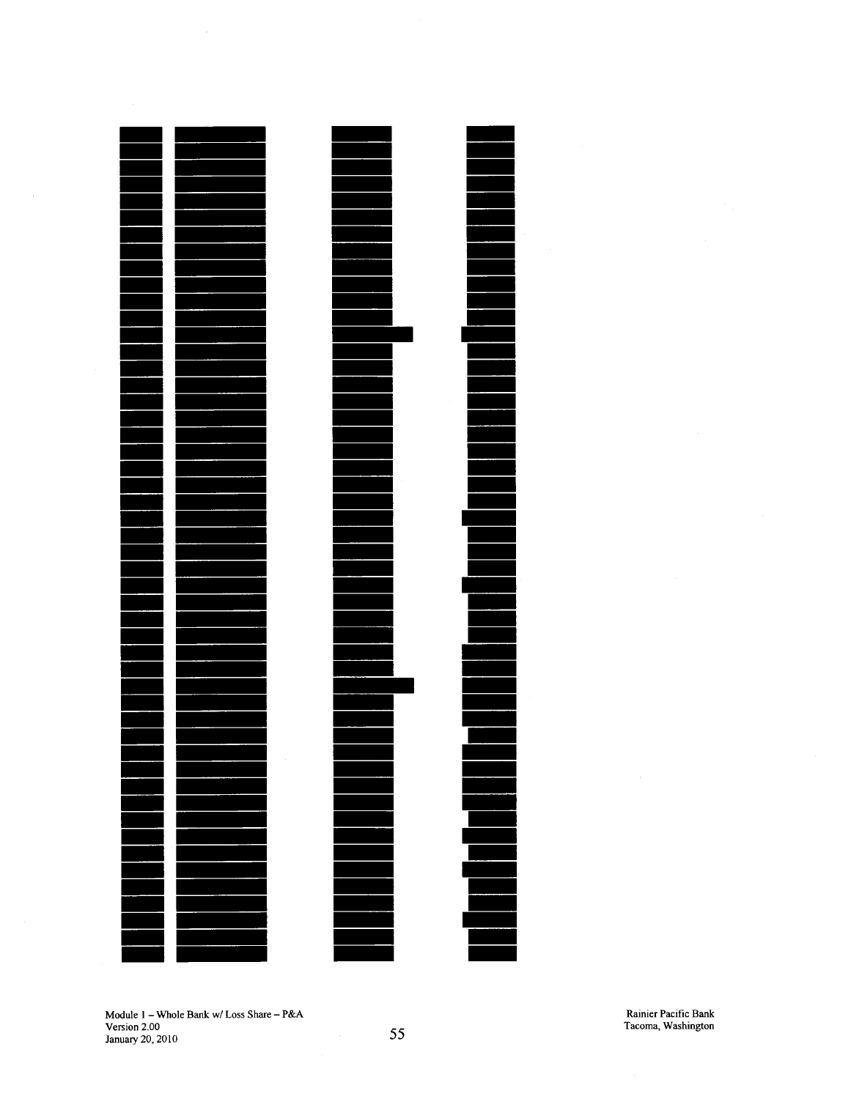Module 1 – Whole Bank w/ Loss Share – P&A Rainier Pacific Bank Version 2.00 Tacoma, Washington 2.00 Tacoma, Washington 55 January 20, 2010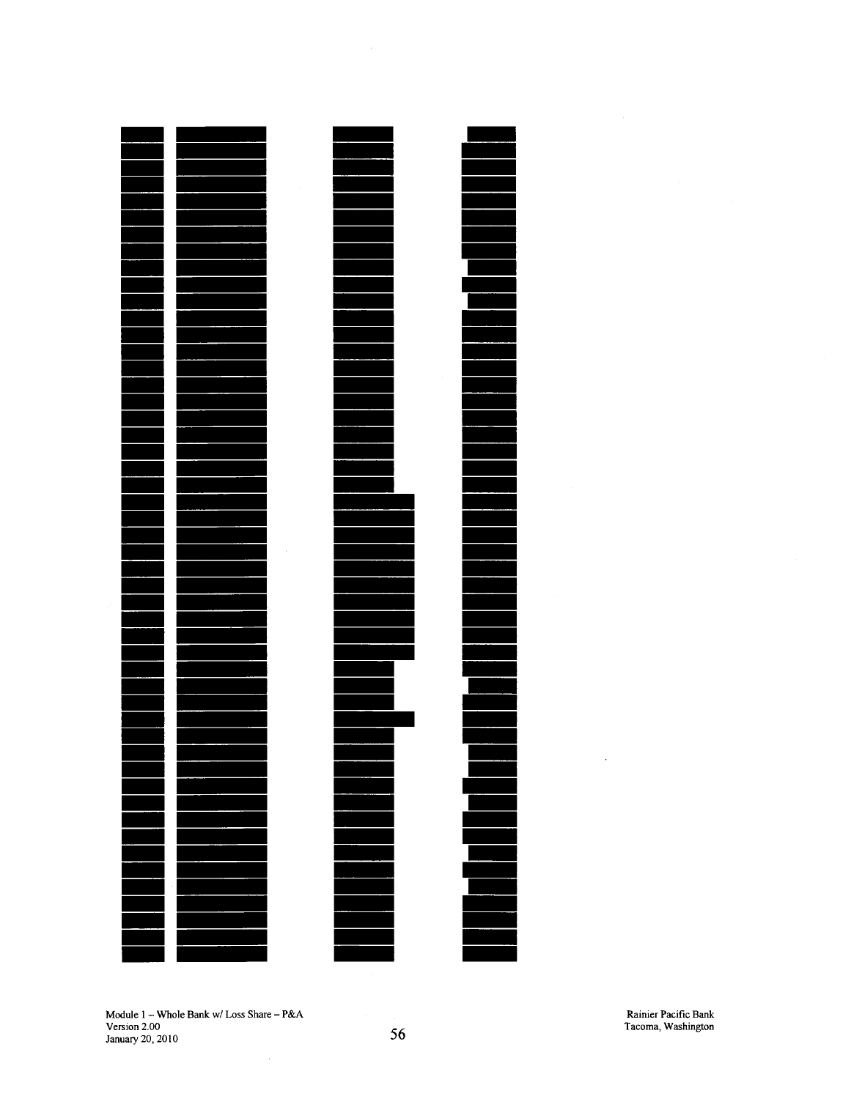

 $\hat{\mathcal{A}}$ 

Module 1 - Whole Bank w/ Loss Share - P&A Rainier Pacific Bank Rainier Pacific Bank Version 2.00 Tacoma, Washington January 20, 2010 56

 $\sim$ 

i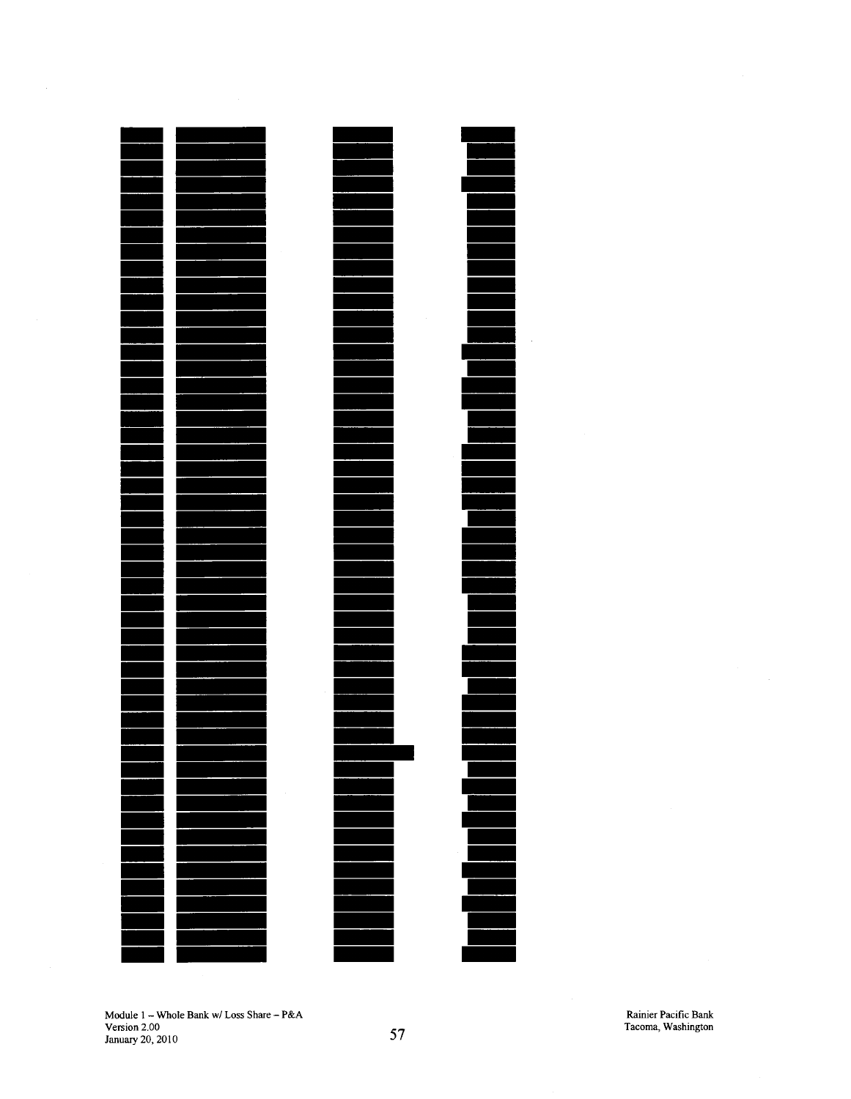

Module 1 - Whole Bank w/ Loss Share - P&A Rainier Pacific Bank Version 2.00 Tacoma, Washington Contract the Contract of the Contract of Tacoma, Washington Tacoma, Washington  $J_{\text{January 20, 2010}} \sim 57$ 

 $\bar{z}$ 

 $\hat{\beta}$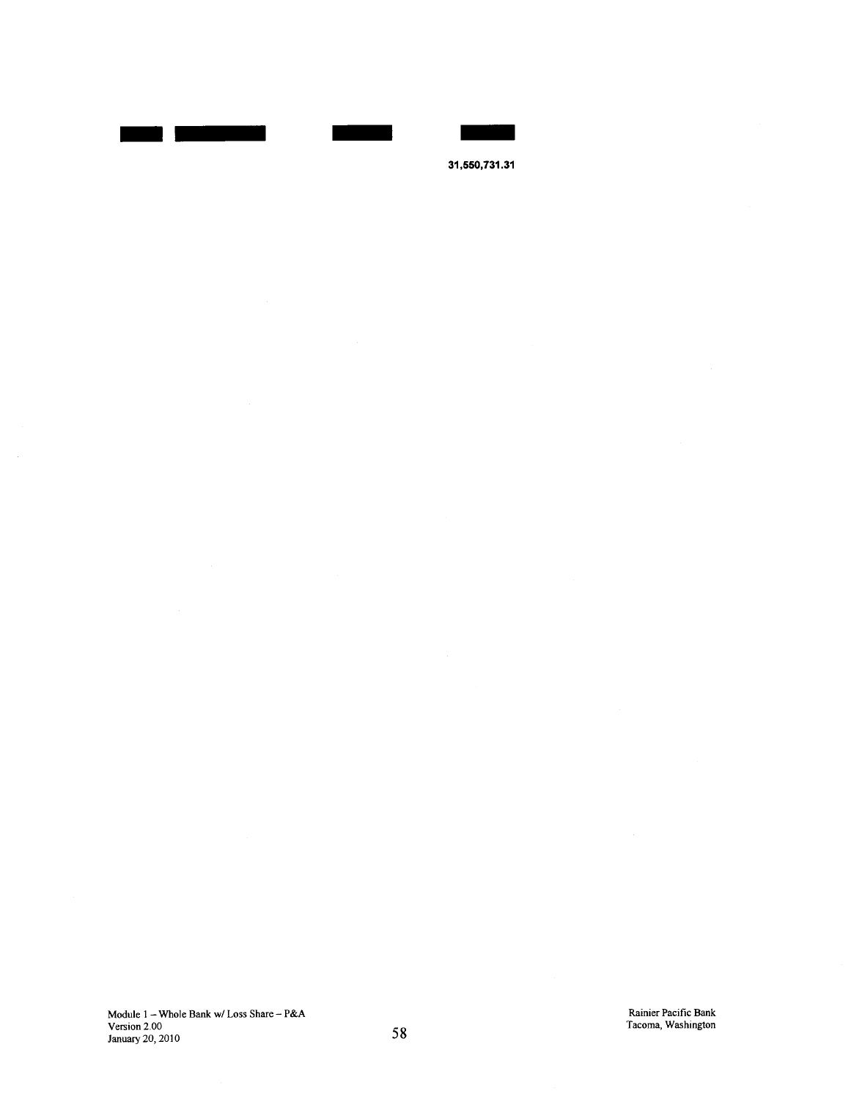| Module 1 – Whole Bank w/ Loss Share – P&A | Rainier Pacific Bank |                    |
|-------------------------------------------|----------------------|--------------------|
| Version 2.00                              |                      | Tacoma, Washington |
| January 20, 2010                          |                      |                    |

-

31,550,731.31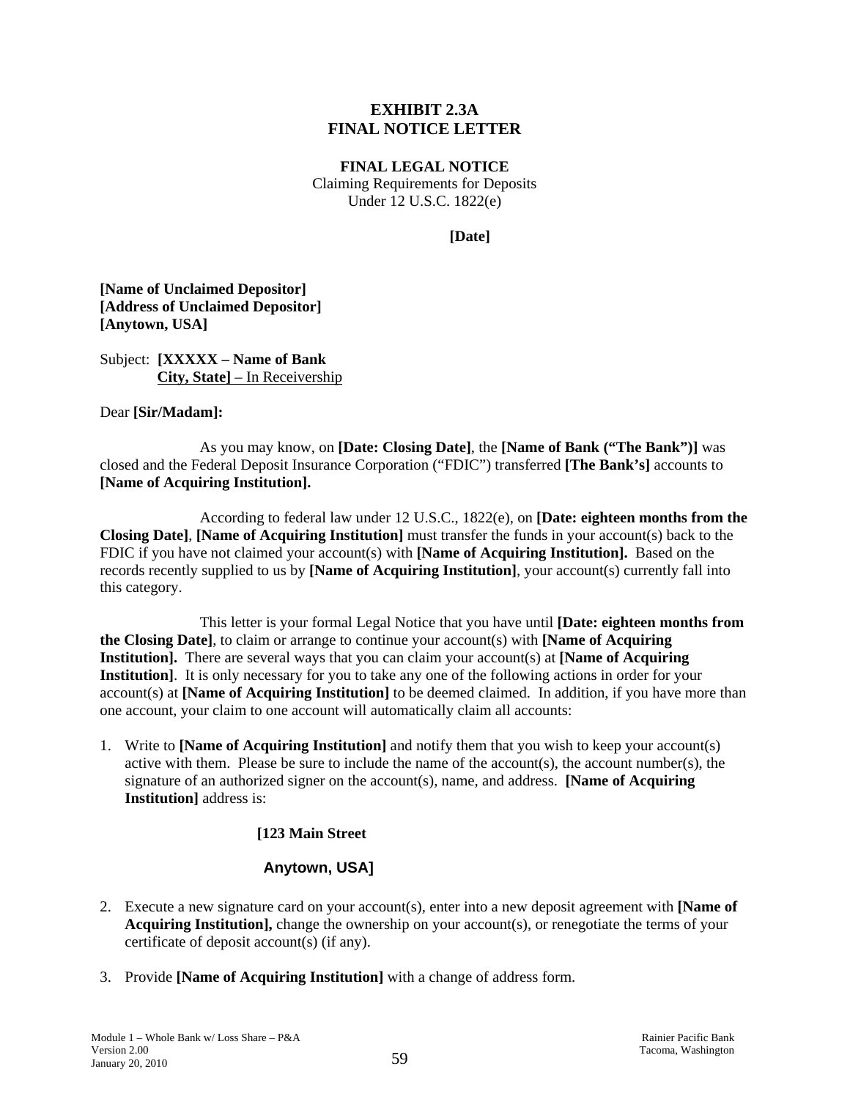#### **EXHIBIT 2.3A FINAL NOTICE LETTER**

#### **FINAL LEGAL NOTICE**

Claiming Requirements for Deposits Under 12 U.S.C. 1822(e)

**[Date]** 

**[Name of Unclaimed Depositor] [Address of Unclaimed Depositor] [Anytown, USA]** 

Subject: **[XXXXX – Name of Bank City, State]** – In Receivership

Dear **[Sir/Madam]:** 

As you may know, on **[Date: Closing Date]**, the **[Name of Bank ("The Bank")]** was closed and the Federal Deposit Insurance Corporation ("FDIC") transferred **[The Bank's]** accounts to **[Name of Acquiring Institution].** 

According to federal law under 12 U.S.C., 1822(e), on **[Date: eighteen months from the Closing Date]**, **[Name of Acquiring Institution]** must transfer the funds in your account(s) back to the FDIC if you have not claimed your account(s) with **[Name of Acquiring Institution].** Based on the records recently supplied to us by **[Name of Acquiring Institution]**, your account(s) currently fall into this category.

This letter is your formal Legal Notice that you have until **[Date: eighteen months from the Closing Date]**, to claim or arrange to continue your account(s) with **[Name of Acquiring Institution].** There are several ways that you can claim your account(s) at **[Name of Acquiring Institution]**. It is only necessary for you to take any one of the following actions in order for your account(s) at **[Name of Acquiring Institution]** to be deemed claimed. In addition, if you have more than one account, your claim to one account will automatically claim all accounts:

1. Write to **[Name of Acquiring Institution**] and notify them that you wish to keep your account(s) active with them. Please be sure to include the name of the account(s), the account number(s), the signature of an authorized signer on the account(s), name, and address. **[Name of Acquiring Institution]** address is:

#### **[123 Main Street**

## **Anytown, USA]**

- 2. Execute a new signature card on your account(s), enter into a new deposit agreement with **[Name of Acquiring Institution],** change the ownership on your account(s), or renegotiate the terms of your certificate of deposit account(s) (if any).
- 3. Provide **[Name of Acquiring Institution]** with a change of address form.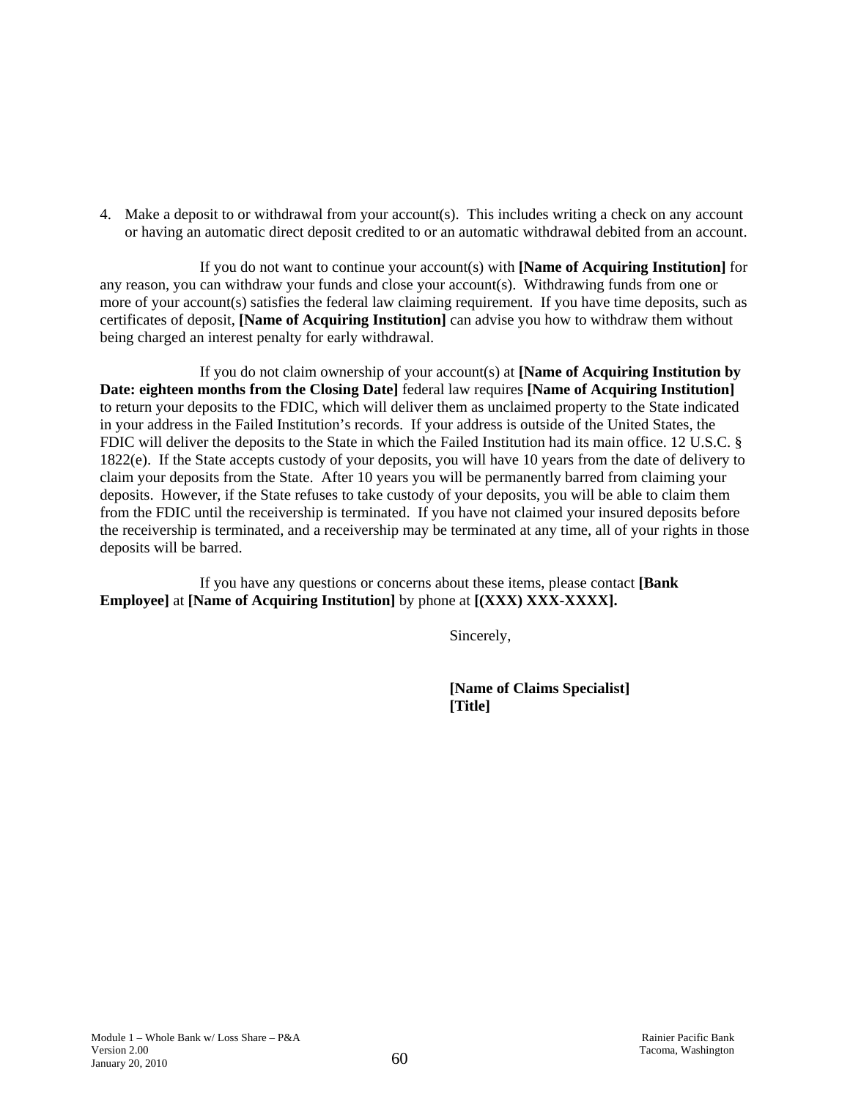4. Make a deposit to or withdrawal from your account(s). This includes writing a check on any account or having an automatic direct deposit credited to or an automatic withdrawal debited from an account.

If you do not want to continue your account(s) with **[Name of Acquiring Institution]** for any reason, you can withdraw your funds and close your account(s). Withdrawing funds from one or more of your account(s) satisfies the federal law claiming requirement. If you have time deposits, such as certificates of deposit, **[Name of Acquiring Institution]** can advise you how to withdraw them without being charged an interest penalty for early withdrawal.

If you do not claim ownership of your account(s) at **[Name of Acquiring Institution by Date: eighteen months from the Closing Date]** federal law requires **[Name of Acquiring Institution]**  to return your deposits to the FDIC, which will deliver them as unclaimed property to the State indicated in your address in the Failed Institution's records. If your address is outside of the United States, the FDIC will deliver the deposits to the State in which the Failed Institution had its main office. 12 U.S.C. § 1822(e). If the State accepts custody of your deposits, you will have 10 years from the date of delivery to claim your deposits from the State. After 10 years you will be permanently barred from claiming your deposits. However, if the State refuses to take custody of your deposits, you will be able to claim them from the FDIC until the receivership is terminated. If you have not claimed your insured deposits before the receivership is terminated, and a receivership may be terminated at any time, all of your rights in those deposits will be barred.

If you have any questions or concerns about these items, please contact **[Bank Employee]** at **[Name of Acquiring Institution]** by phone at **[(XXX) XXX-XXXX].** 

Sincerely,

**[Name of Claims Specialist] [Title]**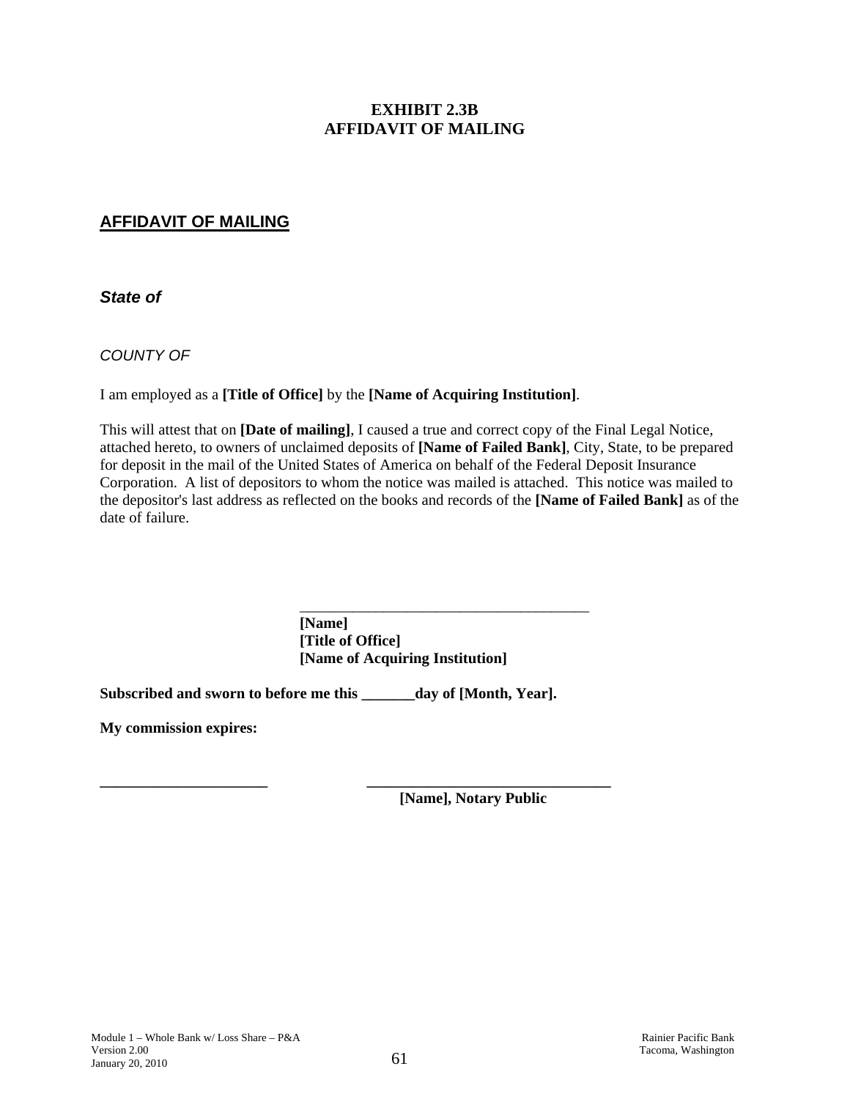## **EXHIBIT 2.3B AFFIDAVIT OF MAILING**

## **AFFIDAVIT OF MAILING**

*State of* 

*COUNTY OF* 

I am employed as a **[Title of Office]** by the **[Name of Acquiring Institution]**.

This will attest that on **[Date of mailing]**, I caused a true and correct copy of the Final Legal Notice, attached hereto, to owners of unclaimed deposits of **[Name of Failed Bank]**, City, State, to be prepared for deposit in the mail of the United States of America on behalf of the Federal Deposit Insurance Corporation. A list of depositors to whom the notice was mailed is attached. This notice was mailed to the depositor's last address as reflected on the books and records of the **[Name of Failed Bank]** as of the date of failure.

 $\overline{\phantom{a}}$  , and the contract of the contract of the contract of the contract of the contract of the contract of the contract of the contract of the contract of the contract of the contract of the contract of the contrac **[Name] [Title of Office] [Name of Acquiring Institution]** 

**Subscribed and sworn to before me this \_\_\_\_\_\_\_day of [Month, Year].** 

**My commission expires:** 

**\_\_\_\_\_\_\_\_\_\_\_\_\_\_\_\_\_\_\_\_\_\_ \_\_\_\_\_\_\_\_\_\_\_\_\_\_\_\_\_\_\_\_\_\_\_\_\_\_\_\_\_\_\_\_ [Name], Notary Public**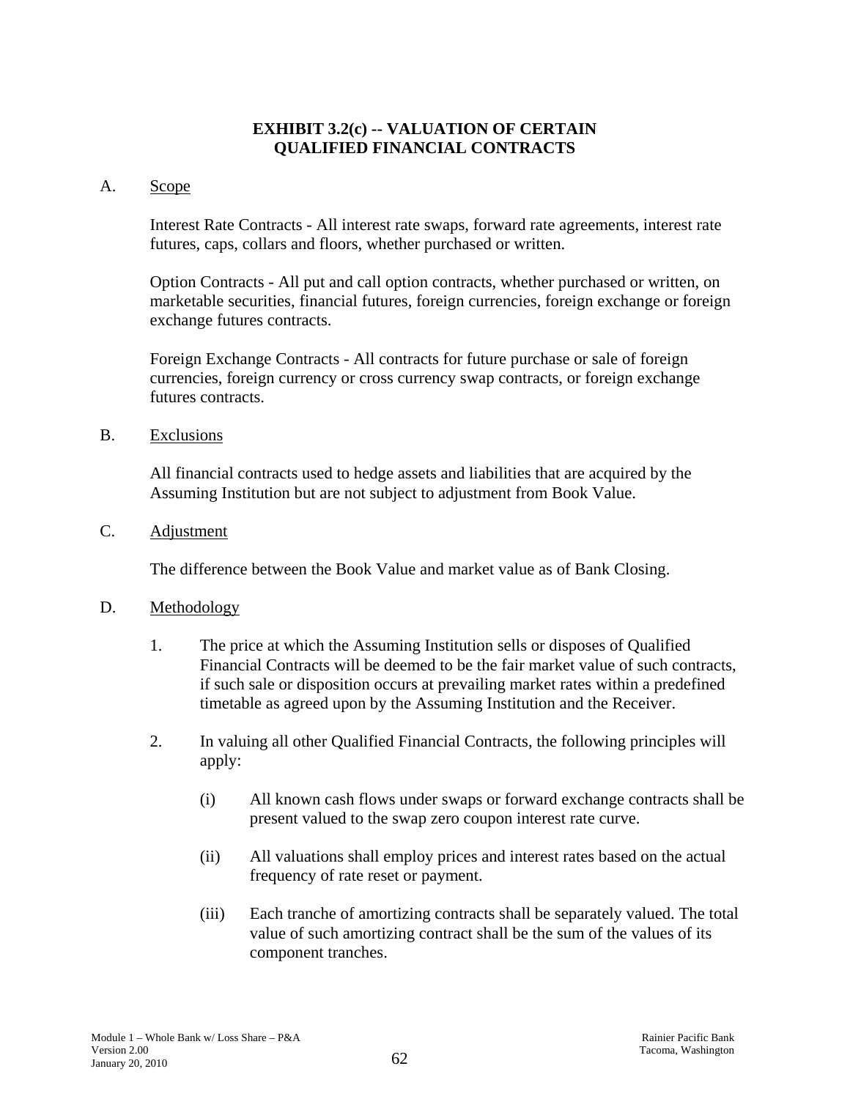## **EXHIBIT 3.2(c) -- VALUATION OF CERTAIN QUALIFIED FINANCIAL CONTRACTS**

#### A. Scope

Interest Rate Contracts - All interest rate swaps, forward rate agreements, interest rate futures, caps, collars and floors, whether purchased or written.

Option Contracts - All put and call option contracts, whether purchased or written, on marketable securities, financial futures, foreign currencies, foreign exchange or foreign exchange futures contracts.

Foreign Exchange Contracts - All contracts for future purchase or sale of foreign currencies, foreign currency or cross currency swap contracts, or foreign exchange futures contracts.

#### B. Exclusions

All financial contracts used to hedge assets and liabilities that are acquired by the Assuming Institution but are not subject to adjustment from Book Value.

#### C. Adjustment

The difference between the Book Value and market value as of Bank Closing.

#### D. Methodology

- 1. The price at which the Assuming Institution sells or disposes of Qualified Financial Contracts will be deemed to be the fair market value of such contracts, if such sale or disposition occurs at prevailing market rates within a predefined timetable as agreed upon by the Assuming Institution and the Receiver.
- 2. In valuing all other Qualified Financial Contracts, the following principles will apply:
	- (i) All known cash flows under swaps or forward exchange contracts shall be present valued to the swap zero coupon interest rate curve.
	- (ii) All valuations shall employ prices and interest rates based on the actual frequency of rate reset or payment.
	- (iii) Each tranche of amortizing contracts shall be separately valued. The total value of such amortizing contract shall be the sum of the values of its component tranches.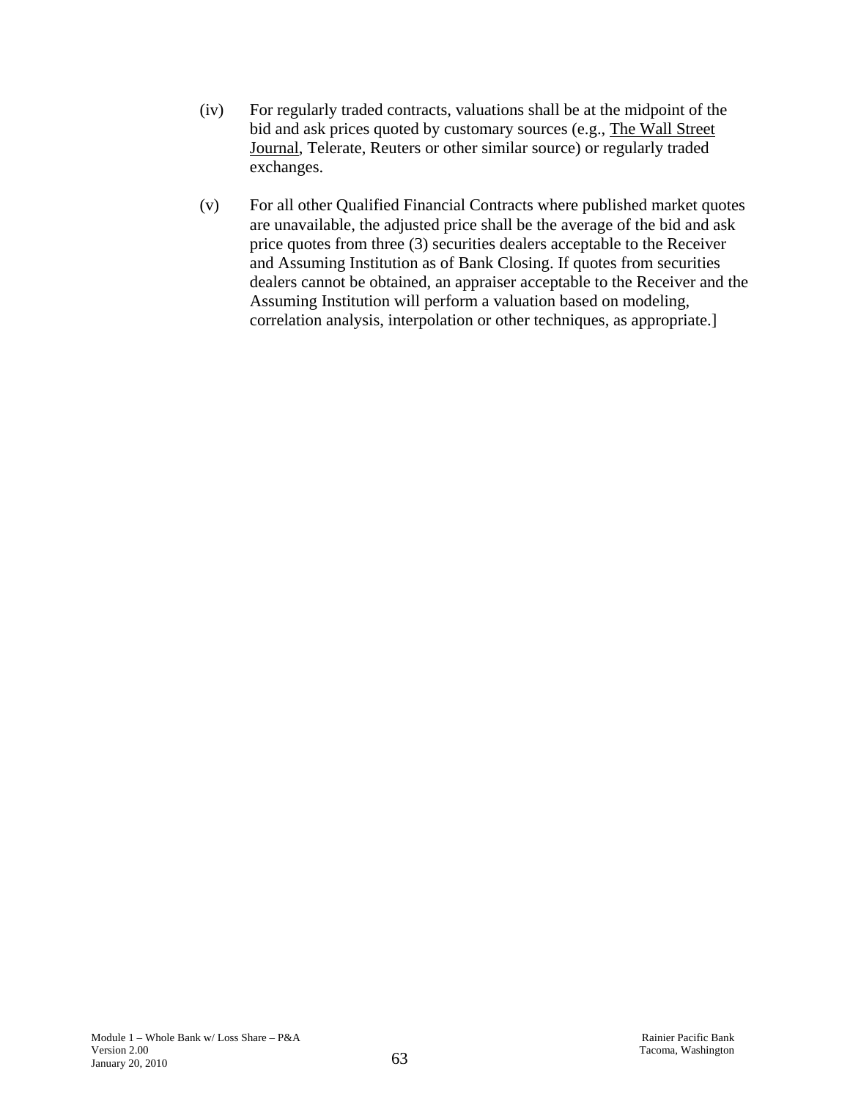- (iv) For regularly traded contracts, valuations shall be at the midpoint of the bid and ask prices quoted by customary sources (e.g., The Wall Street Journal, Telerate, Reuters or other similar source) or regularly traded exchanges.
- (v) For all other Qualified Financial Contracts where published market quotes are unavailable, the adjusted price shall be the average of the bid and ask price quotes from three (3) securities dealers acceptable to the Receiver and Assuming Institution as of Bank Closing. If quotes from securities dealers cannot be obtained, an appraiser acceptable to the Receiver and the Assuming Institution will perform a valuation based on modeling, correlation analysis, interpolation or other techniques, as appropriate.]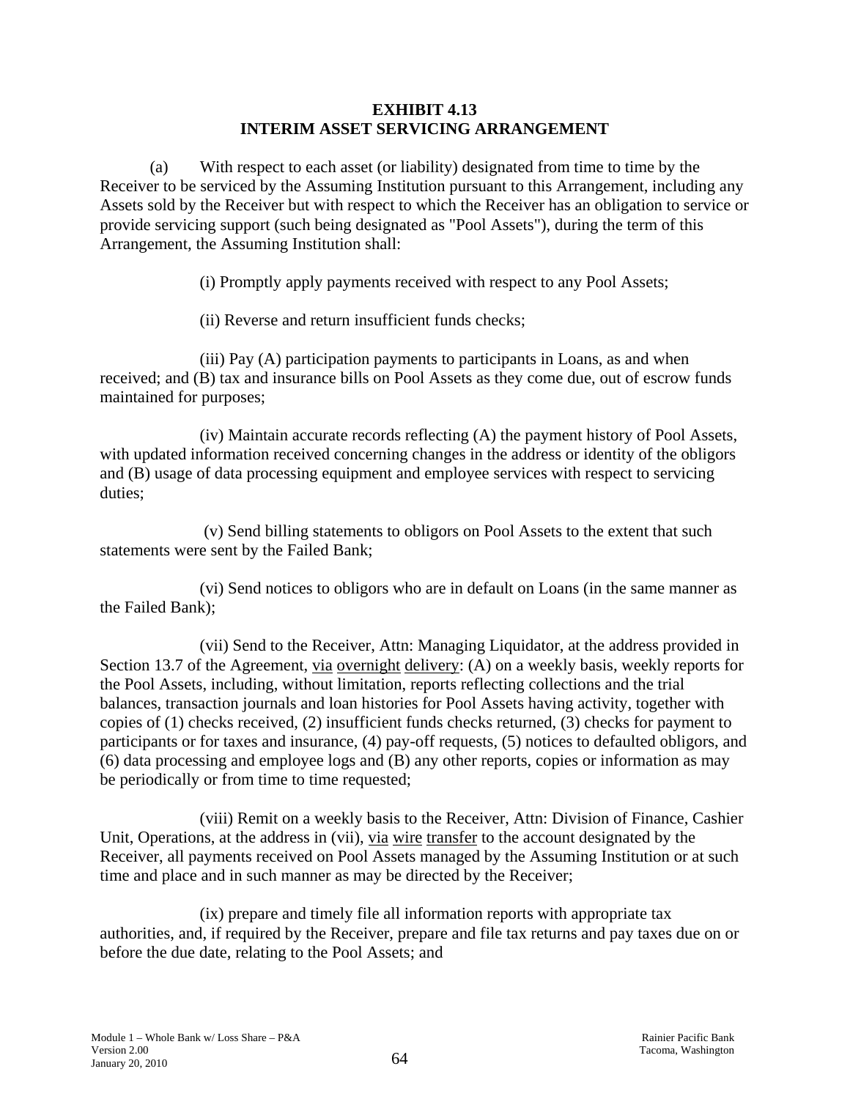#### **EXHIBIT 4.13 INTERIM ASSET SERVICING ARRANGEMENT**

(a) With respect to each asset (or liability) designated from time to time by the Receiver to be serviced by the Assuming Institution pursuant to this Arrangement, including any Assets sold by the Receiver but with respect to which the Receiver has an obligation to service or provide servicing support (such being designated as "Pool Assets"), during the term of this Arrangement, the Assuming Institution shall:

(i) Promptly apply payments received with respect to any Pool Assets;

(ii) Reverse and return insufficient funds checks;

(iii) Pay (A) participation payments to participants in Loans, as and when received; and (B) tax and insurance bills on Pool Assets as they come due, out of escrow funds maintained for purposes;

(iv) Maintain accurate records reflecting (A) the payment history of Pool Assets, with updated information received concerning changes in the address or identity of the obligors and (B) usage of data processing equipment and employee services with respect to servicing duties;

 (v) Send billing statements to obligors on Pool Assets to the extent that such statements were sent by the Failed Bank;

(vi) Send notices to obligors who are in default on Loans (in the same manner as the Failed Bank);

(vii) Send to the Receiver, Attn: Managing Liquidator, at the address provided in Section 13.7 of the Agreement, via overnight delivery: (A) on a weekly basis, weekly reports for the Pool Assets, including, without limitation, reports reflecting collections and the trial balances, transaction journals and loan histories for Pool Assets having activity, together with copies of (1) checks received, (2) insufficient funds checks returned, (3) checks for payment to participants or for taxes and insurance, (4) pay-off requests, (5) notices to defaulted obligors, and (6) data processing and employee logs and (B) any other reports, copies or information as may be periodically or from time to time requested;

(viii) Remit on a weekly basis to the Receiver, Attn: Division of Finance, Cashier Unit, Operations, at the address in (vii), via wire transfer to the account designated by the Receiver, all payments received on Pool Assets managed by the Assuming Institution or at such time and place and in such manner as may be directed by the Receiver;

(ix) prepare and timely file all information reports with appropriate tax authorities, and, if required by the Receiver, prepare and file tax returns and pay taxes due on or before the due date, relating to the Pool Assets; and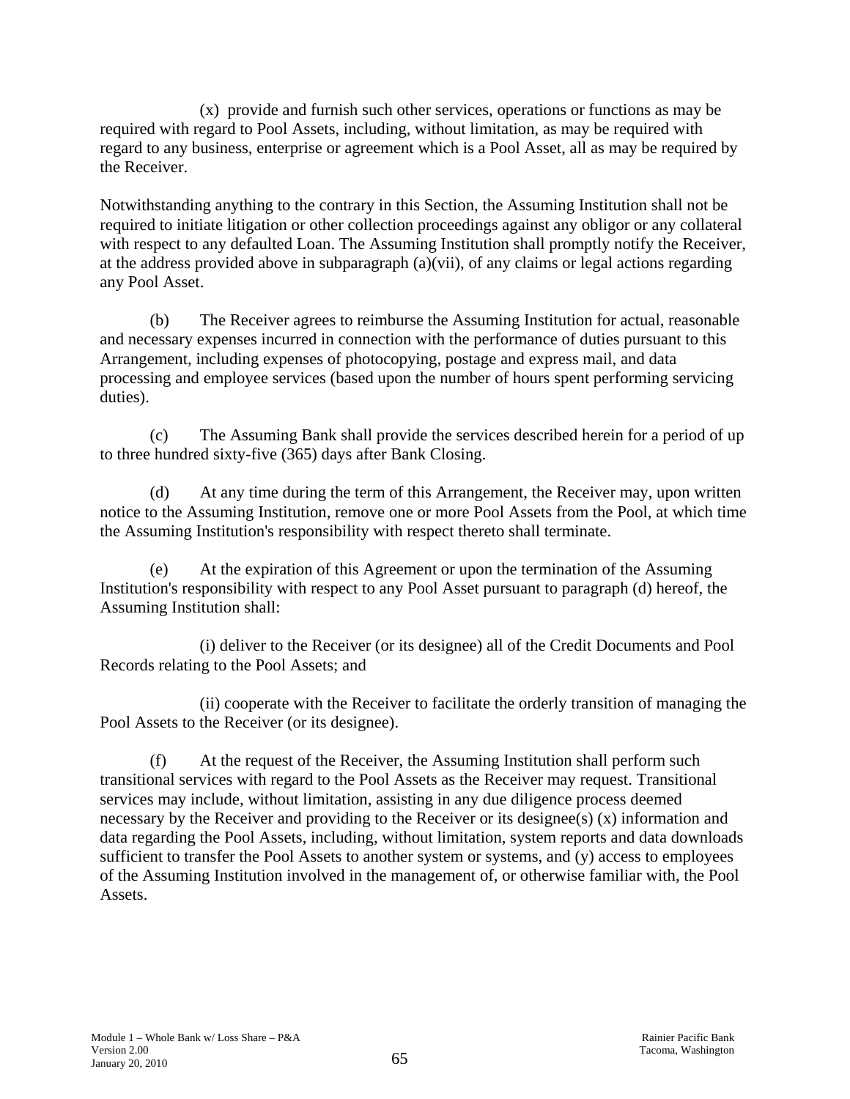(x) provide and furnish such other services, operations or functions as may be required with regard to Pool Assets, including, without limitation, as may be required with regard to any business, enterprise or agreement which is a Pool Asset, all as may be required by the Receiver.

Notwithstanding anything to the contrary in this Section, the Assuming Institution shall not be required to initiate litigation or other collection proceedings against any obligor or any collateral with respect to any defaulted Loan. The Assuming Institution shall promptly notify the Receiver, at the address provided above in subparagraph (a)(vii), of any claims or legal actions regarding any Pool Asset.

(b) The Receiver agrees to reimburse the Assuming Institution for actual, reasonable and necessary expenses incurred in connection with the performance of duties pursuant to this Arrangement, including expenses of photocopying, postage and express mail, and data processing and employee services (based upon the number of hours spent performing servicing duties).

(c) The Assuming Bank shall provide the services described herein for a period of up to three hundred sixty-five (365) days after Bank Closing.

(d) At any time during the term of this Arrangement, the Receiver may, upon written notice to the Assuming Institution, remove one or more Pool Assets from the Pool, at which time the Assuming Institution's responsibility with respect thereto shall terminate.

(e) At the expiration of this Agreement or upon the termination of the Assuming Institution's responsibility with respect to any Pool Asset pursuant to paragraph (d) hereof, the Assuming Institution shall:

(i) deliver to the Receiver (or its designee) all of the Credit Documents and Pool Records relating to the Pool Assets; and

(ii) cooperate with the Receiver to facilitate the orderly transition of managing the Pool Assets to the Receiver (or its designee).

(f) At the request of the Receiver, the Assuming Institution shall perform such transitional services with regard to the Pool Assets as the Receiver may request. Transitional services may include, without limitation, assisting in any due diligence process deemed necessary by the Receiver and providing to the Receiver or its designee(s) (x) information and data regarding the Pool Assets, including, without limitation, system reports and data downloads sufficient to transfer the Pool Assets to another system or systems, and (y) access to employees of the Assuming Institution involved in the management of, or otherwise familiar with, the Pool Assets.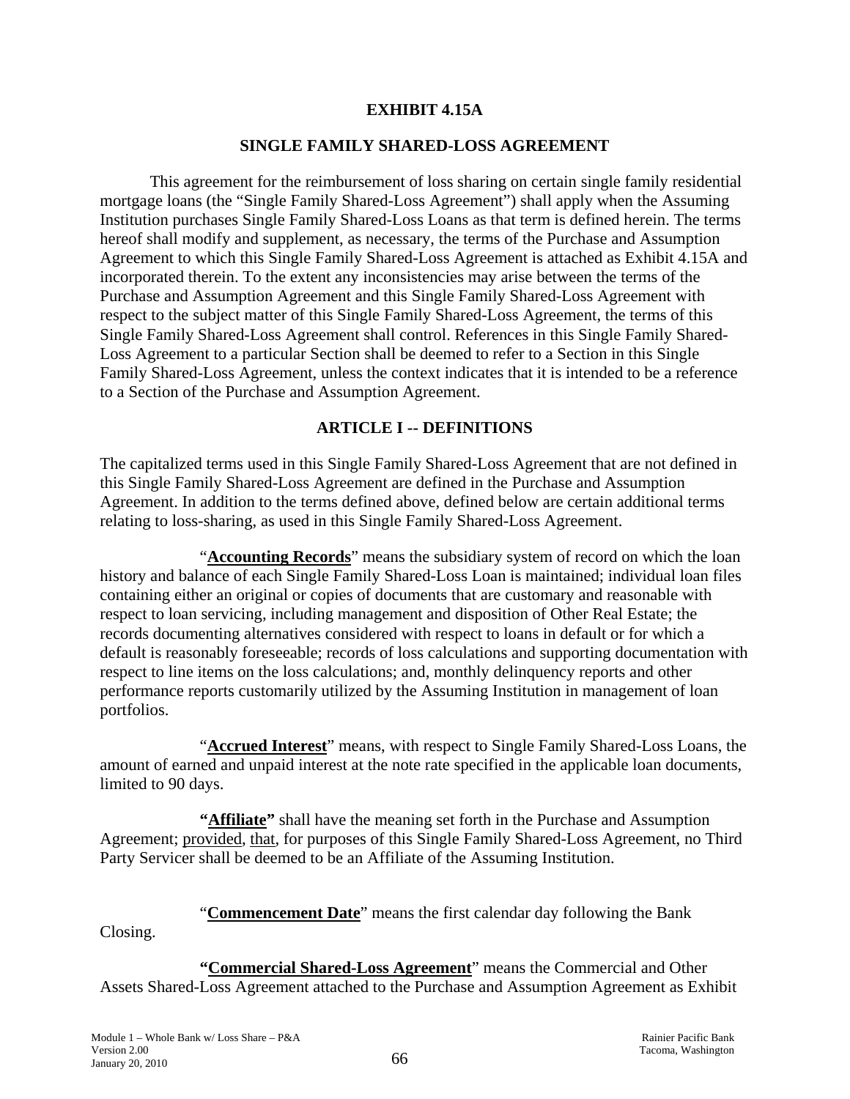#### **EXHIBIT 4.15A**

#### **SINGLE FAMILY SHARED-LOSS AGREEMENT**

This agreement for the reimbursement of loss sharing on certain single family residential mortgage loans (the "Single Family Shared-Loss Agreement") shall apply when the Assuming Institution purchases Single Family Shared-Loss Loans as that term is defined herein. The terms hereof shall modify and supplement, as necessary, the terms of the Purchase and Assumption Agreement to which this Single Family Shared-Loss Agreement is attached as Exhibit 4.15A and incorporated therein. To the extent any inconsistencies may arise between the terms of the Purchase and Assumption Agreement and this Single Family Shared-Loss Agreement with respect to the subject matter of this Single Family Shared-Loss Agreement, the terms of this Single Family Shared-Loss Agreement shall control. References in this Single Family Shared-Loss Agreement to a particular Section shall be deemed to refer to a Section in this Single Family Shared-Loss Agreement, unless the context indicates that it is intended to be a reference to a Section of the Purchase and Assumption Agreement.

#### **ARTICLE I -- DEFINITIONS**

The capitalized terms used in this Single Family Shared-Loss Agreement that are not defined in this Single Family Shared-Loss Agreement are defined in the Purchase and Assumption Agreement. In addition to the terms defined above, defined below are certain additional terms relating to loss-sharing, as used in this Single Family Shared-Loss Agreement.

"**Accounting Records**" means the subsidiary system of record on which the loan history and balance of each Single Family Shared-Loss Loan is maintained; individual loan files containing either an original or copies of documents that are customary and reasonable with respect to loan servicing, including management and disposition of Other Real Estate; the records documenting alternatives considered with respect to loans in default or for which a default is reasonably foreseeable; records of loss calculations and supporting documentation with respect to line items on the loss calculations; and, monthly delinquency reports and other performance reports customarily utilized by the Assuming Institution in management of loan portfolios.

"**Accrued Interest**" means, with respect to Single Family Shared-Loss Loans, the amount of earned and unpaid interest at the note rate specified in the applicable loan documents, limited to 90 days.

**"Affiliate"** shall have the meaning set forth in the Purchase and Assumption Agreement; provided, that, for purposes of this Single Family Shared-Loss Agreement, no Third Party Servicer shall be deemed to be an Affiliate of the Assuming Institution.

"**Commencement Date**" means the first calendar day following the Bank

Closing.

**"Commercial Shared-Loss Agreement**" means the Commercial and Other Assets Shared-Loss Agreement attached to the Purchase and Assumption Agreement as Exhibit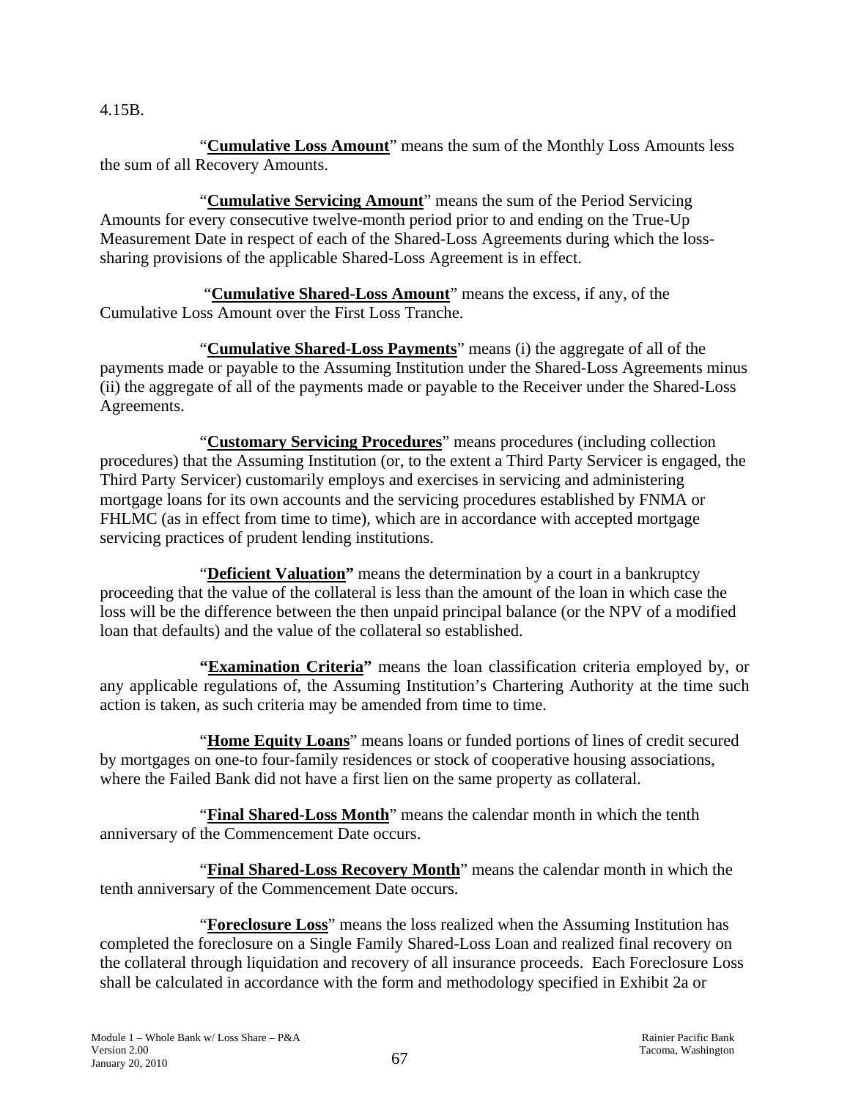4.15B.

"**Cumulative Loss Amount**" means the sum of the Monthly Loss Amounts less the sum of all Recovery Amounts.

"**Cumulative Servicing Amount**" means the sum of the Period Servicing Amounts for every consecutive twelve-month period prior to and ending on the True-Up Measurement Date in respect of each of the Shared-Loss Agreements during which the losssharing provisions of the applicable Shared-Loss Agreement is in effect.

"**Cumulative Shared-Loss Amount**" means the excess, if any, of the Cumulative Loss Amount over the First Loss Tranche.

"**Cumulative Shared-Loss Payments**" means (i) the aggregate of all of the payments made or payable to the Assuming Institution under the Shared-Loss Agreements minus (ii) the aggregate of all of the payments made or payable to the Receiver under the Shared-Loss Agreements.

"**Customary Servicing Procedures**" means procedures (including collection procedures) that the Assuming Institution (or, to the extent a Third Party Servicer is engaged, the Third Party Servicer) customarily employs and exercises in servicing and administering mortgage loans for its own accounts and the servicing procedures established by FNMA or FHLMC (as in effect from time to time), which are in accordance with accepted mortgage servicing practices of prudent lending institutions.

"**Deficient Valuation"** means the determination by a court in a bankruptcy proceeding that the value of the collateral is less than the amount of the loan in which case the loss will be the difference between the then unpaid principal balance (or the NPV of a modified loan that defaults) and the value of the collateral so established.

**"Examination Criteria"** means the loan classification criteria employed by, or any applicable regulations of, the Assuming Institution's Chartering Authority at the time such action is taken, as such criteria may be amended from time to time.

"**Home Equity Loans**" means loans or funded portions of lines of credit secured by mortgages on one-to four-family residences or stock of cooperative housing associations, where the Failed Bank did not have a first lien on the same property as collateral.

"**Final Shared-Loss Month**" means the calendar month in which the tenth anniversary of the Commencement Date occurs.

"**Final Shared-Loss Recovery Month**" means the calendar month in which the tenth anniversary of the Commencement Date occurs.

"**Foreclosure Loss**" means the loss realized when the Assuming Institution has completed the foreclosure on a Single Family Shared-Loss Loan and realized final recovery on the collateral through liquidation and recovery of all insurance proceeds. Each Foreclosure Loss shall be calculated in accordance with the form and methodology specified in Exhibit 2a or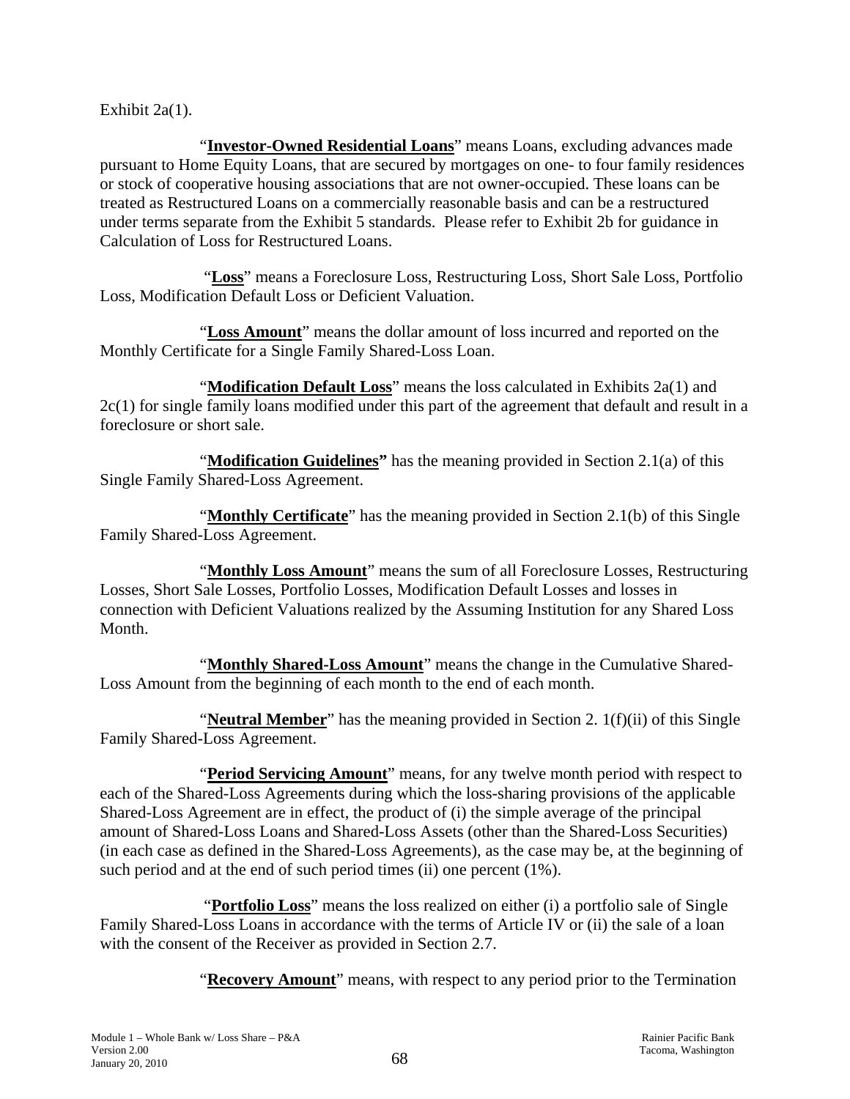Exhibit 2a(1).

"**Investor-Owned Residential Loans**" means Loans, excluding advances made pursuant to Home Equity Loans, that are secured by mortgages on one- to four family residences or stock of cooperative housing associations that are not owner-occupied. These loans can be treated as Restructured Loans on a commercially reasonable basis and can be a restructured under terms separate from the Exhibit 5 standards. Please refer to Exhibit 2b for guidance in Calculation of Loss for Restructured Loans.

"**Loss**" means a Foreclosure Loss, Restructuring Loss, Short Sale Loss, Portfolio Loss, Modification Default Loss or Deficient Valuation.

"**Loss Amount**" means the dollar amount of loss incurred and reported on the Monthly Certificate for a Single Family Shared-Loss Loan.

"**Modification Default Loss**" means the loss calculated in Exhibits 2a(1) and 2c(1) for single family loans modified under this part of the agreement that default and result in a foreclosure or short sale.

"**Modification Guidelines"** has the meaning provided in Section 2.1(a) of this Single Family Shared-Loss Agreement.

"**Monthly Certificate**" has the meaning provided in Section 2.1(b) of this Single Family Shared-Loss Agreement.

"**Monthly Loss Amount**" means the sum of all Foreclosure Losses, Restructuring Losses, Short Sale Losses, Portfolio Losses, Modification Default Losses and losses in connection with Deficient Valuations realized by the Assuming Institution for any Shared Loss Month.

"**Monthly Shared-Loss Amount**" means the change in the Cumulative Shared-Loss Amount from the beginning of each month to the end of each month.

"**Neutral Member**" has the meaning provided in Section 2. 1(f)(ii) of this Single Family Shared-Loss Agreement.

"**Period Servicing Amount**" means, for any twelve month period with respect to each of the Shared-Loss Agreements during which the loss-sharing provisions of the applicable Shared-Loss Agreement are in effect, the product of (i) the simple average of the principal amount of Shared-Loss Loans and Shared-Loss Assets (other than the Shared-Loss Securities) (in each case as defined in the Shared-Loss Agreements), as the case may be, at the beginning of such period and at the end of such period times (ii) one percent (1%).

"**Portfolio Loss**" means the loss realized on either (i) a portfolio sale of Single Family Shared-Loss Loans in accordance with the terms of Article IV or (ii) the sale of a loan with the consent of the Receiver as provided in Section 2.7.

"**Recovery Amount**" means, with respect to any period prior to the Termination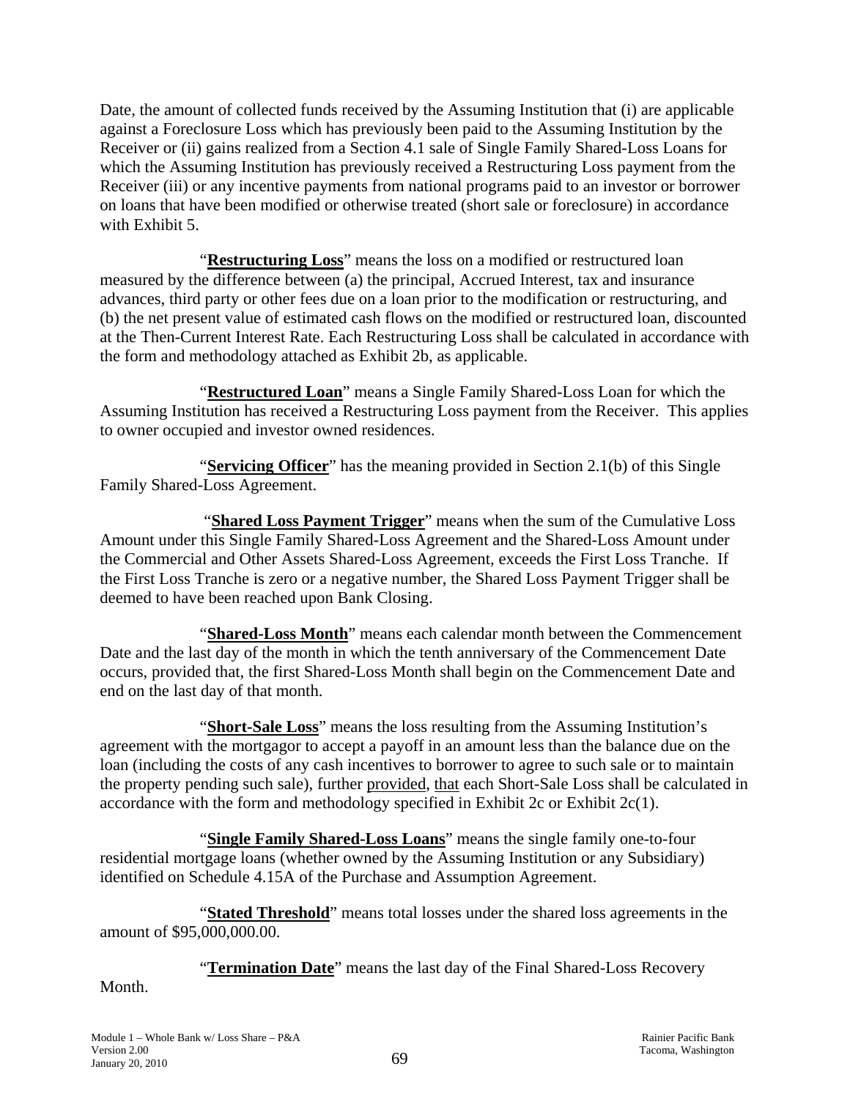Date, the amount of collected funds received by the Assuming Institution that (i) are applicable against a Foreclosure Loss which has previously been paid to the Assuming Institution by the Receiver or (ii) gains realized from a Section 4.1 sale of Single Family Shared-Loss Loans for which the Assuming Institution has previously received a Restructuring Loss payment from the Receiver (iii) or any incentive payments from national programs paid to an investor or borrower on loans that have been modified or otherwise treated (short sale or foreclosure) in accordance with Exhibit 5.

"**Restructuring Loss**" means the loss on a modified or restructured loan measured by the difference between (a) the principal, Accrued Interest, tax and insurance advances, third party or other fees due on a loan prior to the modification or restructuring, and (b) the net present value of estimated cash flows on the modified or restructured loan, discounted at the Then-Current Interest Rate. Each Restructuring Loss shall be calculated in accordance with the form and methodology attached as Exhibit 2b, as applicable.

"**Restructured Loan**" means a Single Family Shared-Loss Loan for which the Assuming Institution has received a Restructuring Loss payment from the Receiver. This applies to owner occupied and investor owned residences.

"**Servicing Officer**" has the meaning provided in Section 2.1(b) of this Single Family Shared-Loss Agreement.

"**Shared Loss Payment Trigger**" means when the sum of the Cumulative Loss Amount under this Single Family Shared-Loss Agreement and the Shared-Loss Amount under the Commercial and Other Assets Shared-Loss Agreement, exceeds the First Loss Tranche. If the First Loss Tranche is zero or a negative number, the Shared Loss Payment Trigger shall be deemed to have been reached upon Bank Closing.

"**Shared-Loss Month**" means each calendar month between the Commencement Date and the last day of the month in which the tenth anniversary of the Commencement Date occurs, provided that, the first Shared-Loss Month shall begin on the Commencement Date and end on the last day of that month.

"**Short-Sale Loss**" means the loss resulting from the Assuming Institution's agreement with the mortgagor to accept a payoff in an amount less than the balance due on the loan (including the costs of any cash incentives to borrower to agree to such sale or to maintain the property pending such sale), further provided, that each Short-Sale Loss shall be calculated in accordance with the form and methodology specified in Exhibit 2c or Exhibit  $2c(1)$ .

"**Single Family Shared-Loss Loans**" means the single family one-to-four residential mortgage loans (whether owned by the Assuming Institution or any Subsidiary) identified on Schedule 4.15A of the Purchase and Assumption Agreement.

"**Stated Threshold**" means total losses under the shared loss agreements in the amount of \$95,000,000.00.

"**Termination Date**" means the last day of the Final Shared-Loss Recovery Month.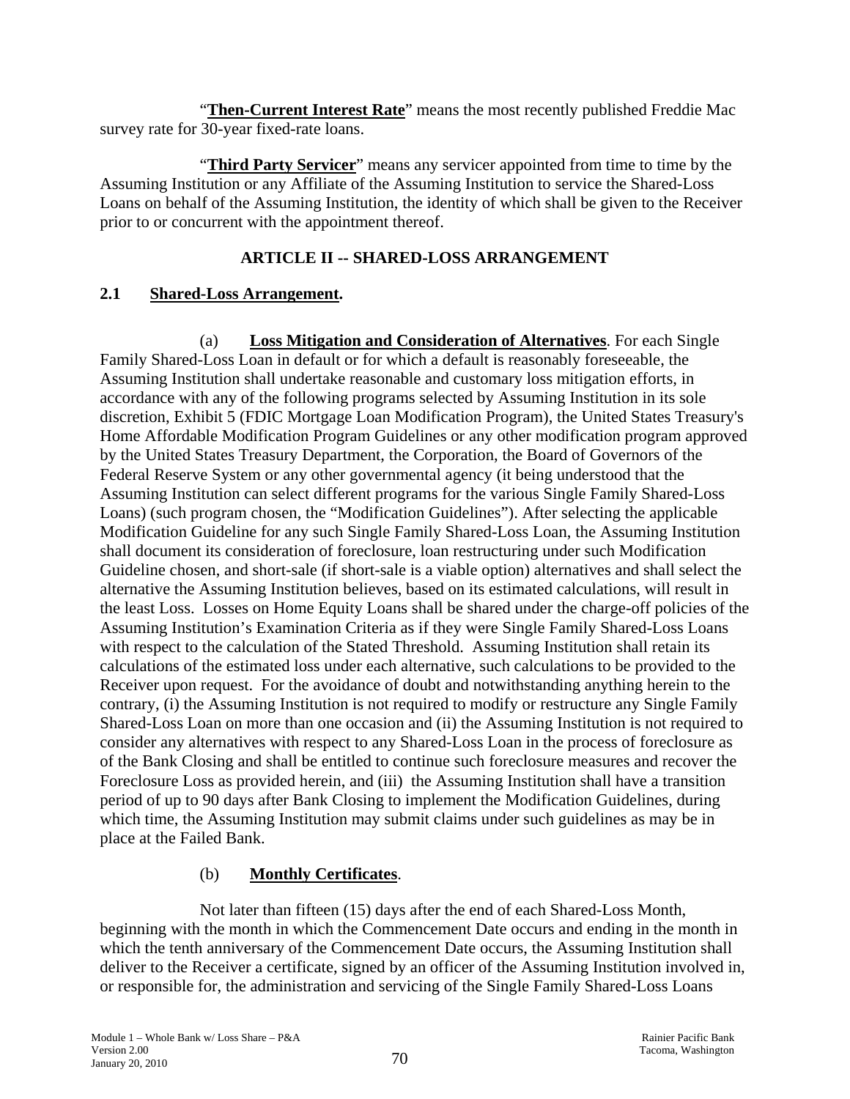"**Then-Current Interest Rate**" means the most recently published Freddie Mac survey rate for 30-year fixed-rate loans.

"**Third Party Servicer**" means any servicer appointed from time to time by the Assuming Institution or any Affiliate of the Assuming Institution to service the Shared-Loss Loans on behalf of the Assuming Institution, the identity of which shall be given to the Receiver prior to or concurrent with the appointment thereof.

# **ARTICLE II -- SHARED-LOSS ARRANGEMENT**

# **2.1 Shared-Loss Arrangement.**

place at the Failed Bank.<br>(b) **Monthly Certificates**. (a) **Loss Mitigation and Consideration of Alternatives**. For each Single Family Shared-Loss Loan in default or for which a default is reasonably foreseeable, the Assuming Institution shall undertake reasonable and customary loss mitigation efforts, in accordance with any of the following programs selected by Assuming Institution in its sole discretion, Exhibit 5 (FDIC Mortgage Loan Modification Program), the United States Treasury's Home Affordable Modification Program Guidelines or any other modification program approved by the United States Treasury Department, the Corporation, the Board of Governors of the Federal Reserve System or any other governmental agency (it being understood that the Assuming Institution can select different programs for the various Single Family Shared-Loss Loans) (such program chosen, the "Modification Guidelines"). After selecting the applicable Modification Guideline for any such Single Family Shared-Loss Loan, the Assuming Institution shall document its consideration of foreclosure, loan restructuring under such Modification Guideline chosen, and short-sale (if short-sale is a viable option) alternatives and shall select the alternative the Assuming Institution believes, based on its estimated calculations, will result in the least Loss. Losses on Home Equity Loans shall be shared under the charge-off policies of the Assuming Institution's Examination Criteria as if they were Single Family Shared-Loss Loans with respect to the calculation of the Stated Threshold. Assuming Institution shall retain its calculations of the estimated loss under each alternative, such calculations to be provided to the Receiver upon request. For the avoidance of doubt and notwithstanding anything herein to the contrary, (i) the Assuming Institution is not required to modify or restructure any Single Family Shared-Loss Loan on more than one occasion and (ii) the Assuming Institution is not required to consider any alternatives with respect to any Shared-Loss Loan in the process of foreclosure as of the Bank Closing and shall be entitled to continue such foreclosure measures and recover the Foreclosure Loss as provided herein, and (iii) the Assuming Institution shall have a transition period of up to 90 days after Bank Closing to implement the Modification Guidelines, during which time, the Assuming Institution may submit claims under such guidelines as may be in

Not later than fifteen (15) days after the end of each Shared-Loss Month, beginning with the month in which the Commencement Date occurs and ending in the month in which the tenth anniversary of the Commencement Date occurs, the Assuming Institution shall deliver to the Receiver a certificate, signed by an officer of the Assuming Institution involved in, or responsible for, the administration and servicing of the Single Family Shared-Loss Loans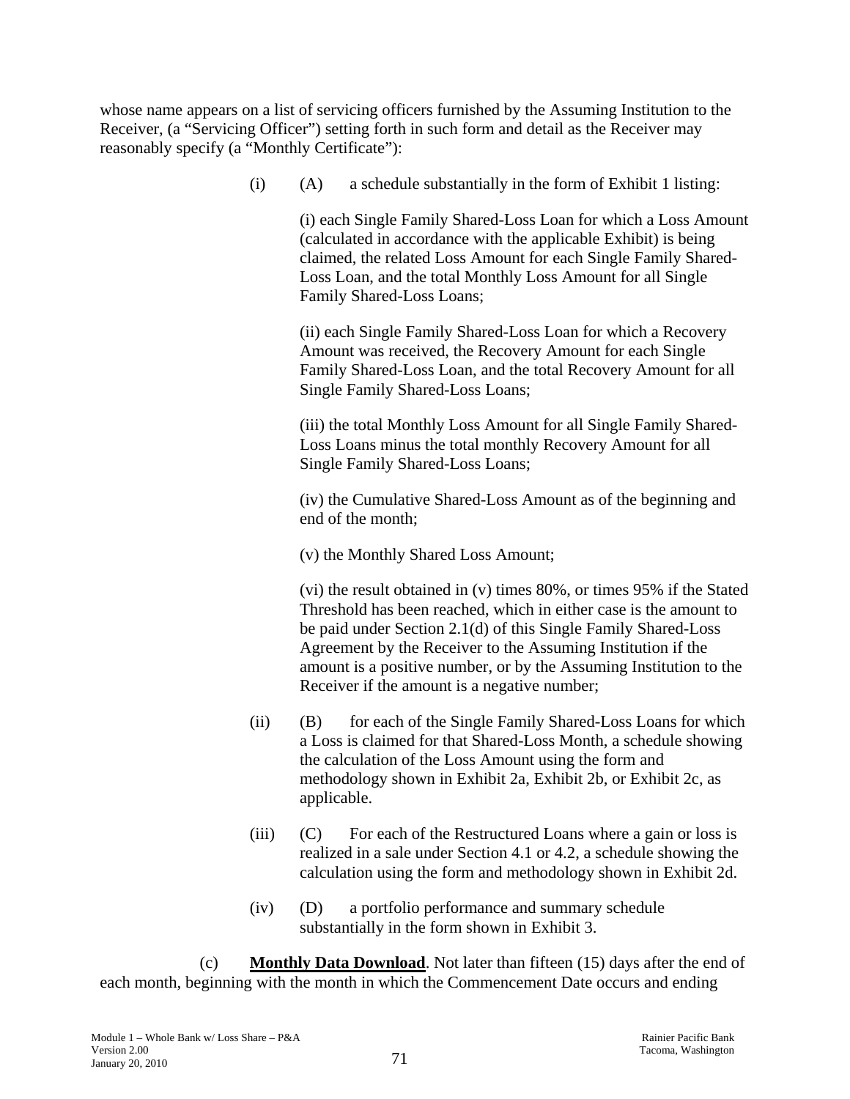whose name appears on a list of servicing officers furnished by the Assuming Institution to the Receiver, (a "Servicing Officer") setting forth in such form and detail as the Receiver may reasonably specify (a "Monthly Certificate"):

 $(i)$  (A) a schedule substantially in the form of Exhibit 1 listing:

(i) each Single Family Shared-Loss Loan for which a Loss Amount (calculated in accordance with the applicable Exhibit) is being claimed, the related Loss Amount for each Single Family Shared-Loss Loan, and the total Monthly Loss Amount for all Single Family Shared-Loss Loans;

(ii) each Single Family Shared-Loss Loan for which a Recovery Amount was received, the Recovery Amount for each Single Family Shared-Loss Loan, and the total Recovery Amount for all Single Family Shared-Loss Loans;

(iii) the total Monthly Loss Amount for all Single Family Shared-Loss Loans minus the total monthly Recovery Amount for all Single Family Shared-Loss Loans;

(iv) the Cumulative Shared-Loss Amount as of the beginning and end of the month;

(v) the Monthly Shared Loss Amount;

(vi) the result obtained in (v) times 80%, or times 95% if the Stated Threshold has been reached, which in either case is the amount to be paid under Section 2.1(d) of this Single Family Shared-Loss Agreement by the Receiver to the Assuming Institution if the amount is a positive number, or by the Assuming Institution to the Receiver if the amount is a negative number;

- (ii) (B) for each of the Single Family Shared-Loss Loans for which a Loss is claimed for that Shared-Loss Month, a schedule showing the calculation of the Loss Amount using the form and methodology shown in Exhibit 2a, Exhibit 2b, or Exhibit 2c, as applicable.
- (iii)  $(C)$  For each of the Restructured Loans where a gain or loss is realized in a sale under Section 4.1 or 4.2, a schedule showing the calculation using the form and methodology shown in Exhibit 2d.
- (iv) (D) a portfolio performance and summary schedule substantially in the form shown in Exhibit 3.

(c) **Monthly Data Download**. Not later than fifteen (15) days after the end of each month, beginning with the month in which the Commencement Date occurs and ending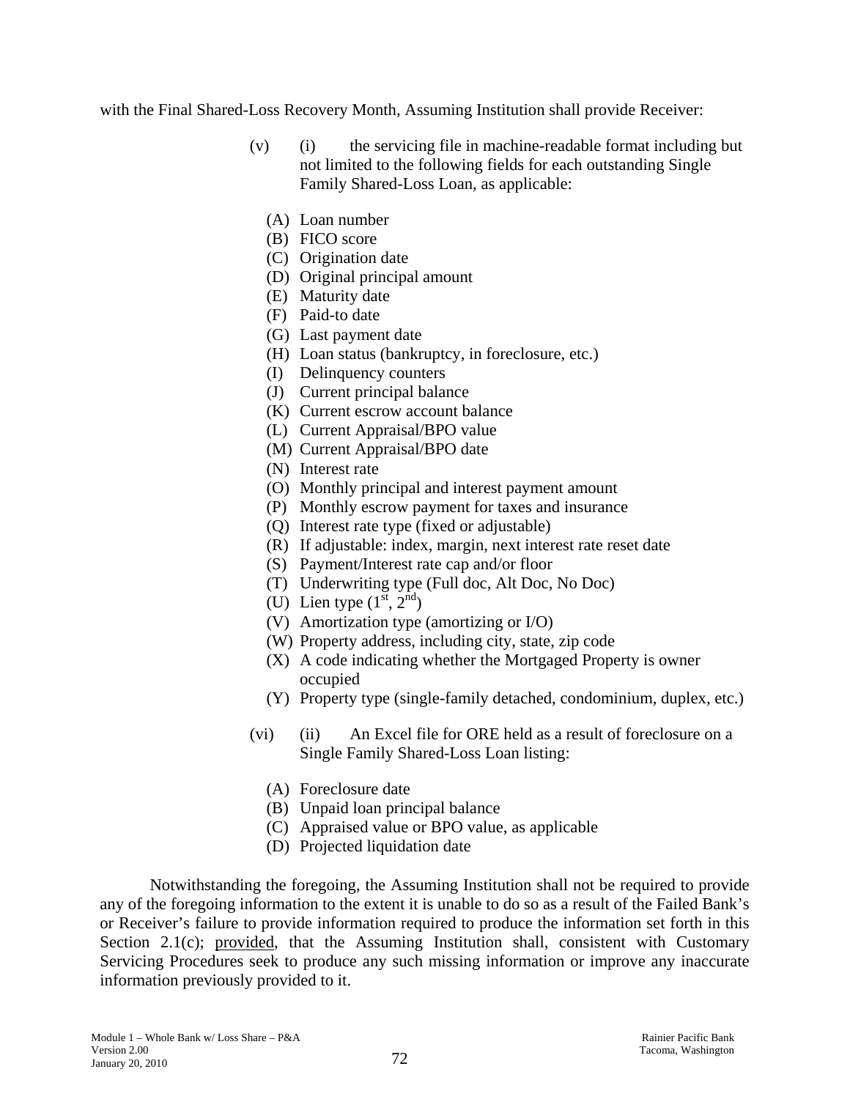with the Final Shared-Loss Recovery Month, Assuming Institution shall provide Receiver:

- $(v)$  (i) the servicing file in machine-readable format including but not limited to the following fields for each outstanding Single Family Shared-Loss Loan, as applicable:
	- (A) Loan number
	- (B) FICO score
	- (C) Origination date
	- (D) Original principal amount
	- (E) Maturity date
	- (F) Paid-to date
	- (G) Last payment date
	- (H) Loan status (bankruptcy, in foreclosure, etc.)
	- (I) Delinquency counters
	- (J) Current principal balance
	- (K) Current escrow account balance
	- (L) Current Appraisal/BPO value
	- (M) Current Appraisal/BPO date
	- (N) Interest rate
	- (O) Monthly principal and interest payment amount
	- (P) Monthly escrow payment for taxes and insurance
	- (Q) Interest rate type (fixed or adjustable)
	- (R) If adjustable: index, margin, next interest rate reset date
	- (S) Payment/Interest rate cap and/or floor
	- (T) Underwriting type (Full doc, Alt Doc, No Doc)
	- (U) Lien type  $(1<sup>st</sup>, 2<sup>nd</sup>)$
	- (V) Amortization type (amortizing or I/O)
	- (W) Property address, including city, state, zip code
	- (X) A code indicating whether the Mortgaged Property is owner occupied
	- (Y) Property type (single-family detached, condominium, duplex, etc.)
- (vi) (ii) An Excel file for ORE held as a result of foreclosure on a Single Family Shared-Loss Loan listing:
	- (A) Foreclosure date
	- (B) Unpaid loan principal balance
	- (C) Appraised value or BPO value, as applicable
	- (D) Projected liquidation date

Notwithstanding the foregoing, the Assuming Institution shall not be required to provide any of the foregoing information to the extent it is unable to do so as a result of the Failed Bank's or Receiver's failure to provide information required to produce the information set forth in this Section 2.1(c); provided, that the Assuming Institution shall, consistent with Customary Servicing Procedures seek to produce any such missing information or improve any inaccurate information previously provided to it.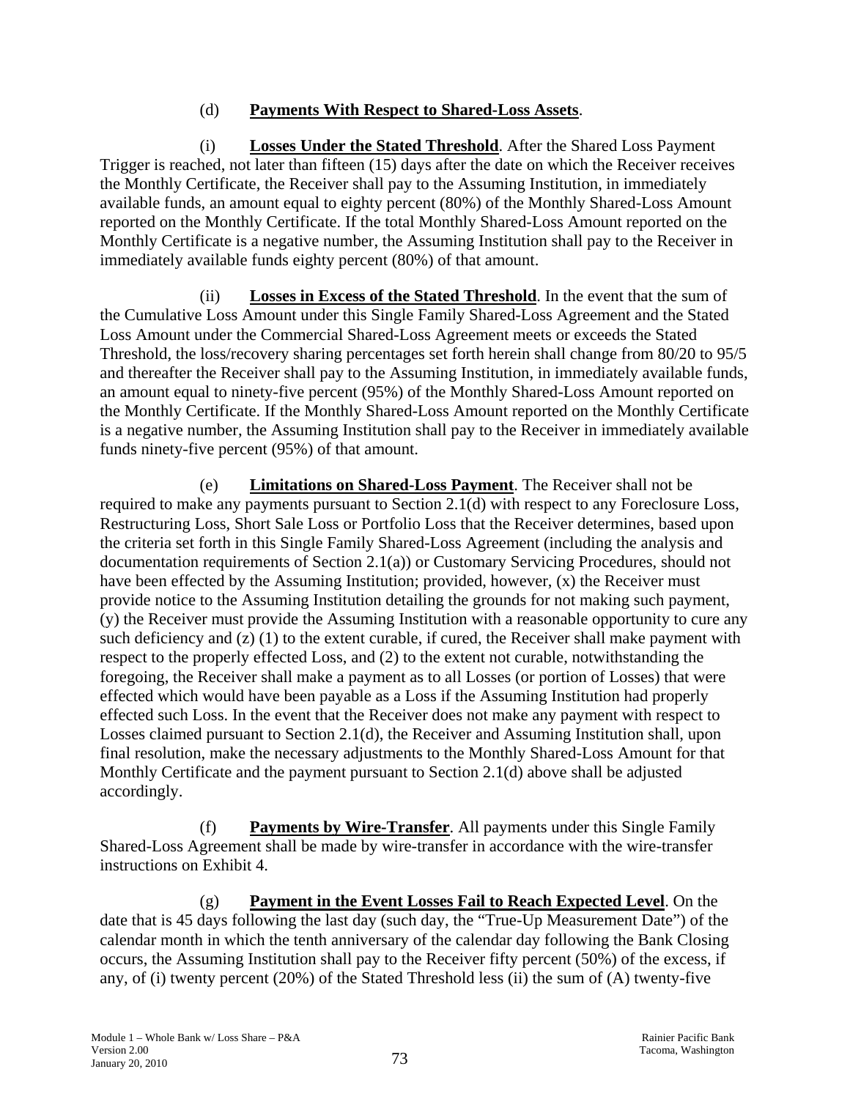# (d) **Payments With Respect to Shared-Loss Assets**.

(i) **Losses Under the Stated Threshold**. After the Shared Loss Payment Trigger is reached, not later than fifteen (15) days after the date on which the Receiver receives the Monthly Certificate, the Receiver shall pay to the Assuming Institution, in immediately available funds, an amount equal to eighty percent (80%) of the Monthly Shared-Loss Amount reported on the Monthly Certificate. If the total Monthly Shared-Loss Amount reported on the Monthly Certificate is a negative number, the Assuming Institution shall pay to the Receiver in immediately available funds eighty percent (80%) of that amount.

(ii) **Losses in Excess of the Stated Threshold**. In the event that the sum of the Cumulative Loss Amount under this Single Family Shared-Loss Agreement and the Stated Loss Amount under the Commercial Shared-Loss Agreement meets or exceeds the Stated Threshold, the loss/recovery sharing percentages set forth herein shall change from 80/20 to 95/5 and thereafter the Receiver shall pay to the Assuming Institution, in immediately available funds, an amount equal to ninety-five percent (95%) of the Monthly Shared-Loss Amount reported on the Monthly Certificate. If the Monthly Shared-Loss Amount reported on the Monthly Certificate is a negative number, the Assuming Institution shall pay to the Receiver in immediately available funds ninety-five percent (95%) of that amount.

(e) **Limitations on Shared-Loss Payment**. The Receiver shall not be required to make any payments pursuant to Section 2.1(d) with respect to any Foreclosure Loss, Restructuring Loss, Short Sale Loss or Portfolio Loss that the Receiver determines, based upon the criteria set forth in this Single Family Shared-Loss Agreement (including the analysis and documentation requirements of Section 2.1(a)) or Customary Servicing Procedures, should not have been effected by the Assuming Institution; provided, however, (x) the Receiver must provide notice to the Assuming Institution detailing the grounds for not making such payment, (y) the Receiver must provide the Assuming Institution with a reasonable opportunity to cure any such deficiency and  $(z)$  (1) to the extent curable, if cured, the Receiver shall make payment with respect to the properly effected Loss, and (2) to the extent not curable, notwithstanding the foregoing, the Receiver shall make a payment as to all Losses (or portion of Losses) that were effected which would have been payable as a Loss if the Assuming Institution had properly effected such Loss. In the event that the Receiver does not make any payment with respect to Losses claimed pursuant to Section 2.1(d), the Receiver and Assuming Institution shall, upon final resolution, make the necessary adjustments to the Monthly Shared-Loss Amount for that Monthly Certificate and the payment pursuant to Section 2.1(d) above shall be adjusted accordingly.

(f) **Payments by Wire-Transfer**. All payments under this Single Family Shared-Loss Agreement shall be made by wire-transfer in accordance with the wire-transfer instructions on Exhibit 4.

 (g) **Payment in the Event Losses Fail to Reach Expected Level**. On the date that is 45 days following the last day (such day, the "True-Up Measurement Date") of the calendar month in which the tenth anniversary of the calendar day following the Bank Closing occurs, the Assuming Institution shall pay to the Receiver fifty percent (50%) of the excess, if any, of (i) twenty percent (20%) of the Stated Threshold less (ii) the sum of (A) twenty-five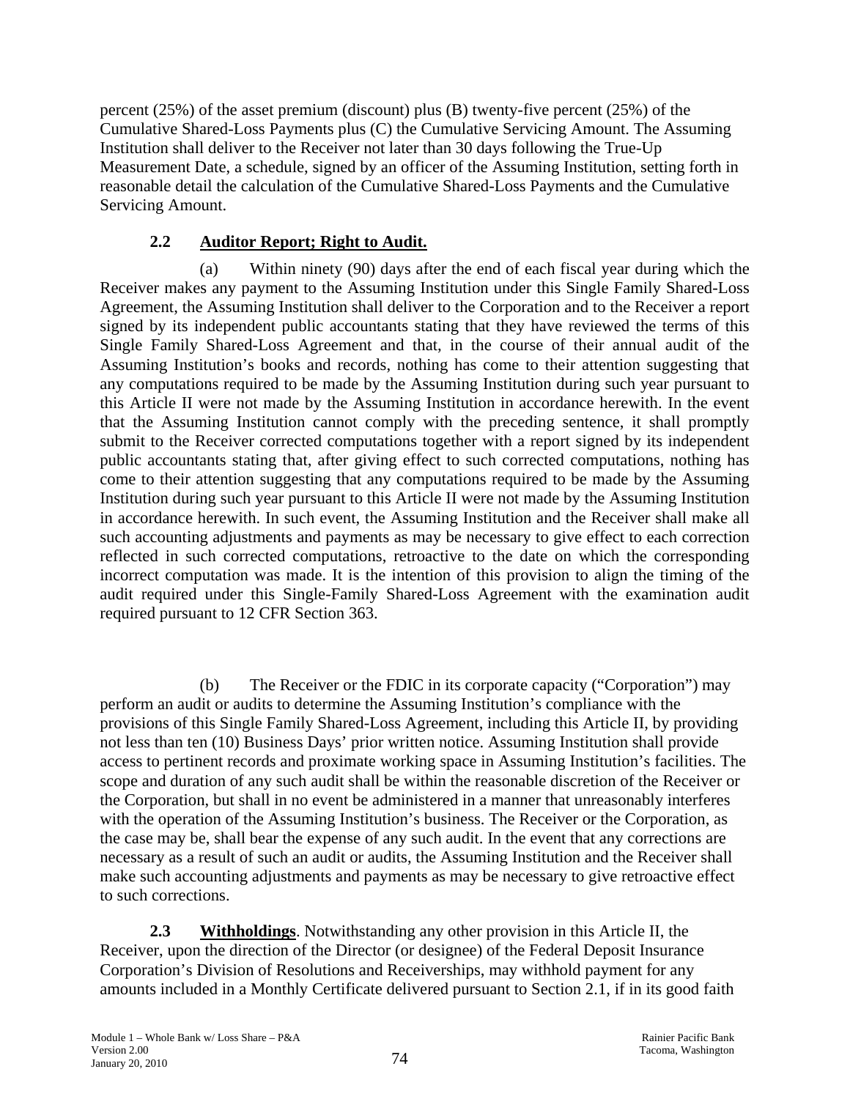percent (25%) of the asset premium (discount) plus (B) twenty-five percent (25%) of the Cumulative Shared-Loss Payments plus (C) the Cumulative Servicing Amount. The Assuming Institution shall deliver to the Receiver not later than 30 days following the True-Up Measurement Date, a schedule, signed by an officer of the Assuming Institution, setting forth in reasonable detail the calculation of the Cumulative Shared-Loss Payments and the Cumulative Servicing Amount.

# **2.2 Auditor Report; Right to Audit.**

(a) Within ninety (90) days after the end of each fiscal year during which the Receiver makes any payment to the Assuming Institution under this Single Family Shared-Loss Agreement, the Assuming Institution shall deliver to the Corporation and to the Receiver a report signed by its independent public accountants stating that they have reviewed the terms of this Single Family Shared-Loss Agreement and that, in the course of their annual audit of the Assuming Institution's books and records, nothing has come to their attention suggesting that any computations required to be made by the Assuming Institution during such year pursuant to this Article II were not made by the Assuming Institution in accordance herewith. In the event that the Assuming Institution cannot comply with the preceding sentence, it shall promptly submit to the Receiver corrected computations together with a report signed by its independent public accountants stating that, after giving effect to such corrected computations, nothing has come to their attention suggesting that any computations required to be made by the Assuming Institution during such year pursuant to this Article II were not made by the Assuming Institution in accordance herewith. In such event, the Assuming Institution and the Receiver shall make all such accounting adjustments and payments as may be necessary to give effect to each correction reflected in such corrected computations, retroactive to the date on which the corresponding incorrect computation was made. It is the intention of this provision to align the timing of the audit required under this Single-Family Shared-Loss Agreement with the examination audit required pursuant to 12 CFR Section 363.

(b) The Receiver or the FDIC in its corporate capacity ("Corporation") may perform an audit or audits to determine the Assuming Institution's compliance with the provisions of this Single Family Shared-Loss Agreement, including this Article II, by providing not less than ten (10) Business Days' prior written notice. Assuming Institution shall provide access to pertinent records and proximate working space in Assuming Institution's facilities. The scope and duration of any such audit shall be within the reasonable discretion of the Receiver or the Corporation, but shall in no event be administered in a manner that unreasonably interferes with the operation of the Assuming Institution's business. The Receiver or the Corporation, as the case may be, shall bear the expense of any such audit. In the event that any corrections are necessary as a result of such an audit or audits, the Assuming Institution and the Receiver shall make such accounting adjustments and payments as may be necessary to give retroactive effect to such corrections.

**2.3 Withholdings**. Notwithstanding any other provision in this Article II, the Receiver, upon the direction of the Director (or designee) of the Federal Deposit Insurance Corporation's Division of Resolutions and Receiverships, may withhold payment for any amounts included in a Monthly Certificate delivered pursuant to Section 2.1, if in its good faith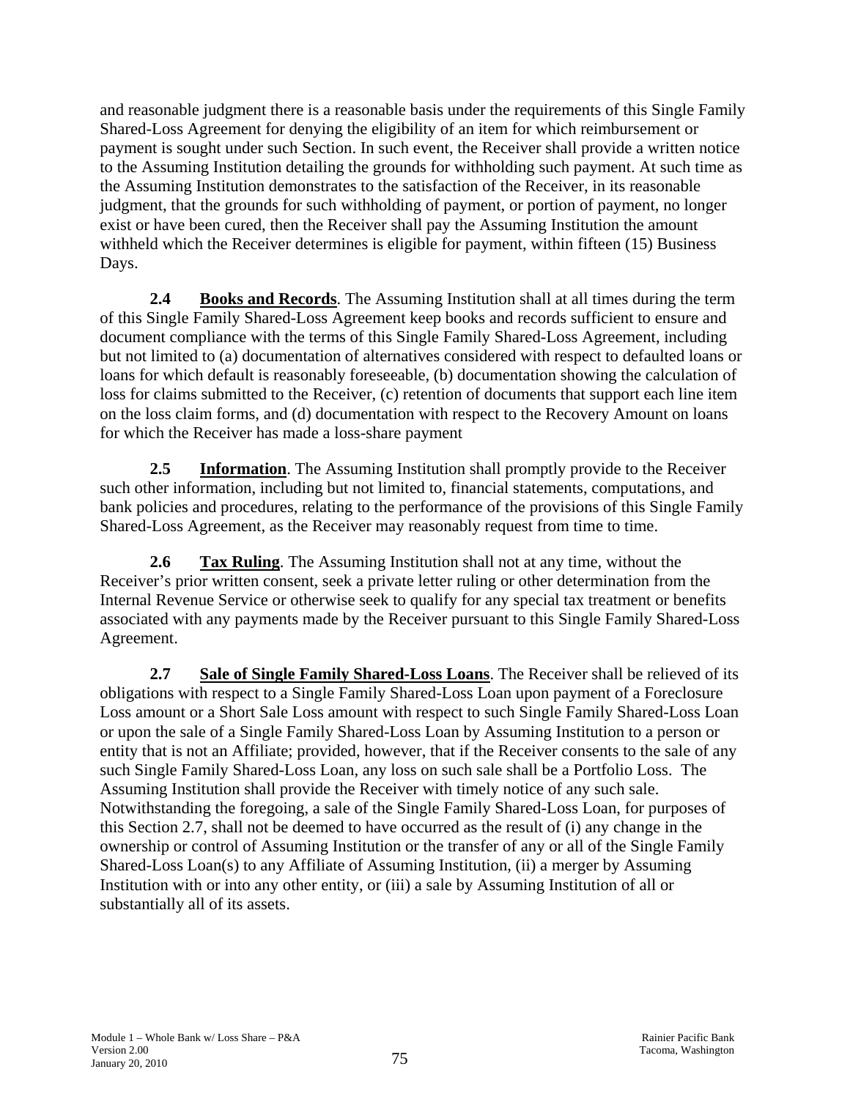and reasonable judgment there is a reasonable basis under the requirements of this Single Family Shared-Loss Agreement for denying the eligibility of an item for which reimbursement or payment is sought under such Section. In such event, the Receiver shall provide a written notice to the Assuming Institution detailing the grounds for withholding such payment. At such time as the Assuming Institution demonstrates to the satisfaction of the Receiver, in its reasonable judgment, that the grounds for such withholding of payment, or portion of payment, no longer exist or have been cured, then the Receiver shall pay the Assuming Institution the amount withheld which the Receiver determines is eligible for payment, within fifteen (15) Business Days.

**2.4 Books and Records**. The Assuming Institution shall at all times during the term of this Single Family Shared-Loss Agreement keep books and records sufficient to ensure and document compliance with the terms of this Single Family Shared-Loss Agreement, including but not limited to (a) documentation of alternatives considered with respect to defaulted loans or loans for which default is reasonably foreseeable, (b) documentation showing the calculation of loss for claims submitted to the Receiver, (c) retention of documents that support each line item on the loss claim forms, and (d) documentation with respect to the Recovery Amount on loans for which the Receiver has made a loss-share payment

**2.5 Information**. The Assuming Institution shall promptly provide to the Receiver such other information, including but not limited to, financial statements, computations, and bank policies and procedures, relating to the performance of the provisions of this Single Family Shared-Loss Agreement, as the Receiver may reasonably request from time to time.

**2.6 Tax Ruling**. The Assuming Institution shall not at any time, without the Receiver's prior written consent, seek a private letter ruling or other determination from the Internal Revenue Service or otherwise seek to qualify for any special tax treatment or benefits associated with any payments made by the Receiver pursuant to this Single Family Shared-Loss Agreement.

**2.7 Sale of Single Family Shared-Loss Loans**. The Receiver shall be relieved of its obligations with respect to a Single Family Shared-Loss Loan upon payment of a Foreclosure Loss amount or a Short Sale Loss amount with respect to such Single Family Shared-Loss Loan or upon the sale of a Single Family Shared-Loss Loan by Assuming Institution to a person or entity that is not an Affiliate; provided, however, that if the Receiver consents to the sale of any such Single Family Shared-Loss Loan, any loss on such sale shall be a Portfolio Loss. The Assuming Institution shall provide the Receiver with timely notice of any such sale. Notwithstanding the foregoing, a sale of the Single Family Shared-Loss Loan, for purposes of this Section 2.7, shall not be deemed to have occurred as the result of (i) any change in the ownership or control of Assuming Institution or the transfer of any or all of the Single Family Shared-Loss Loan(s) to any Affiliate of Assuming Institution, (ii) a merger by Assuming Institution with or into any other entity, or (iii) a sale by Assuming Institution of all or substantially all of its assets.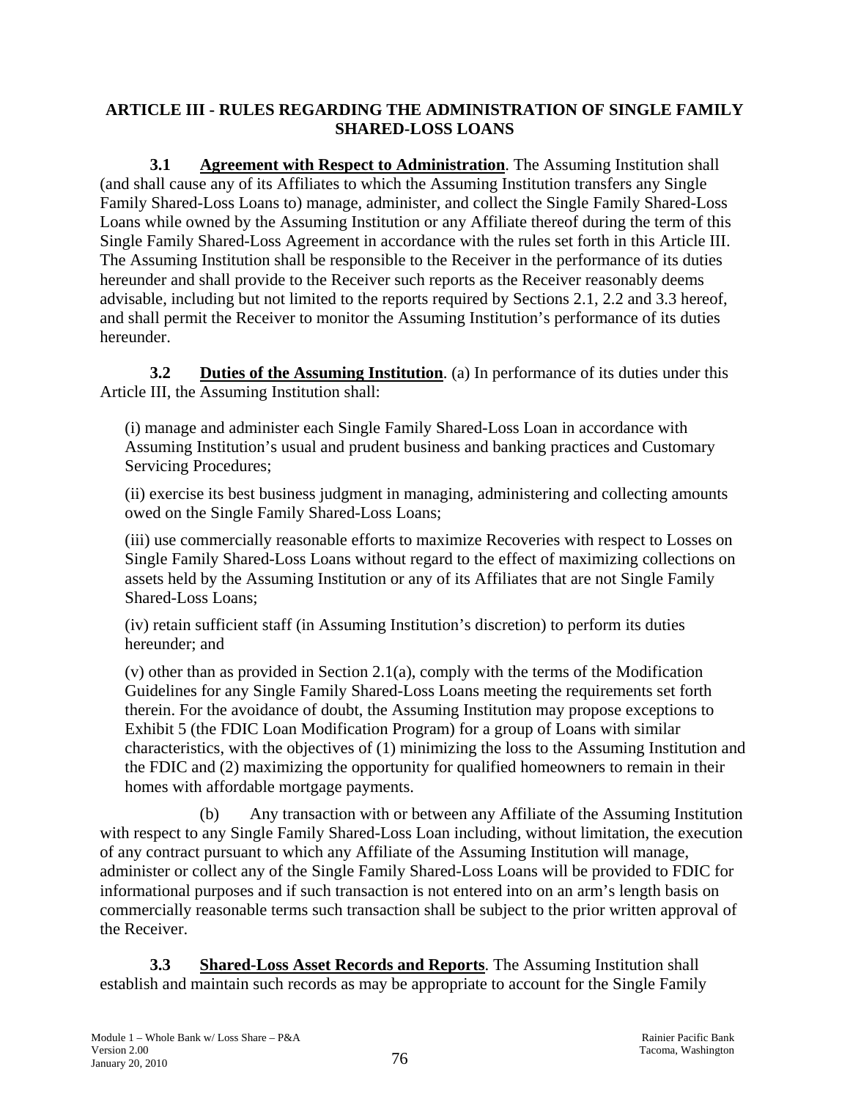# **ARTICLE III - RULES REGARDING THE ADMINISTRATION OF SINGLE FAMILY SHARED-LOSS LOANS**

**3.1 Agreement with Respect to Administration**. The Assuming Institution shall (and shall cause any of its Affiliates to which the Assuming Institution transfers any Single Family Shared-Loss Loans to) manage, administer, and collect the Single Family Shared-Loss Loans while owned by the Assuming Institution or any Affiliate thereof during the term of this Single Family Shared-Loss Agreement in accordance with the rules set forth in this Article III. The Assuming Institution shall be responsible to the Receiver in the performance of its duties hereunder and shall provide to the Receiver such reports as the Receiver reasonably deems advisable, including but not limited to the reports required by Sections 2.1, 2.2 and 3.3 hereof, and shall permit the Receiver to monitor the Assuming Institution's performance of its duties hereunder.

**3.2** Duties of the Assuming Institution. (a) In performance of its duties under this Article III, the Assuming Institution shall:

(i) manage and administer each Single Family Shared-Loss Loan in accordance with Assuming Institution's usual and prudent business and banking practices and Customary Servicing Procedures;

(ii) exercise its best business judgment in managing, administering and collecting amounts owed on the Single Family Shared-Loss Loans;

(iii) use commercially reasonable efforts to maximize Recoveries with respect to Losses on Single Family Shared-Loss Loans without regard to the effect of maximizing collections on assets held by the Assuming Institution or any of its Affiliates that are not Single Family Shared-Loss Loans;

(iv) retain sufficient staff (in Assuming Institution's discretion) to perform its duties hereunder; and

(v) other than as provided in Section 2.1(a), comply with the terms of the Modification Guidelines for any Single Family Shared-Loss Loans meeting the requirements set forth therein. For the avoidance of doubt, the Assuming Institution may propose exceptions to Exhibit 5 (the FDIC Loan Modification Program) for a group of Loans with similar characteristics, with the objectives of (1) minimizing the loss to the Assuming Institution and the FDIC and (2) maximizing the opportunity for qualified homeowners to remain in their homes with affordable mortgage payments.

(b) Any transaction with or between any Affiliate of the Assuming Institution with respect to any Single Family Shared-Loss Loan including, without limitation, the execution of any contract pursuant to which any Affiliate of the Assuming Institution will manage, administer or collect any of the Single Family Shared-Loss Loans will be provided to FDIC for informational purposes and if such transaction is not entered into on an arm's length basis on commercially reasonable terms such transaction shall be subject to the prior written approval of the Receiver.

**3.3 Shared-Loss Asset Records and Reports**. The Assuming Institution shall establish and maintain such records as may be appropriate to account for the Single Family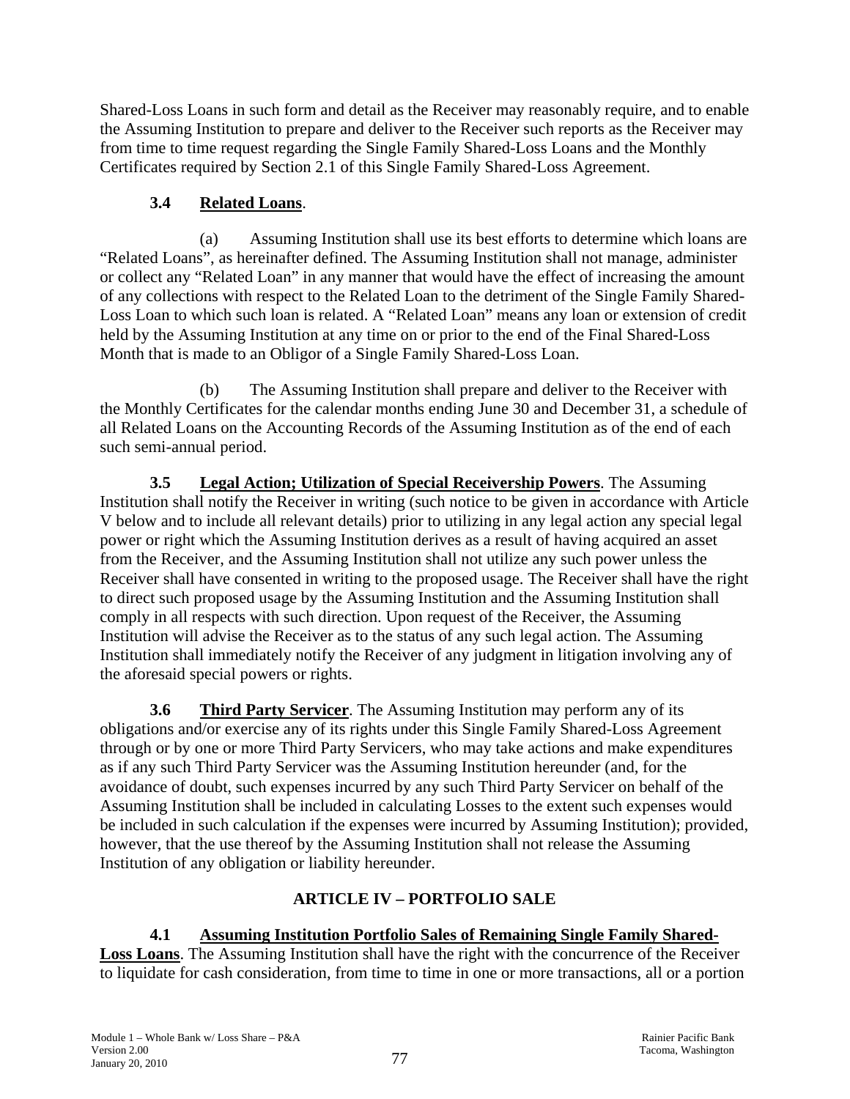Shared-Loss Loans in such form and detail as the Receiver may reasonably require, and to enable the Assuming Institution to prepare and deliver to the Receiver such reports as the Receiver may from time to time request regarding the Single Family Shared-Loss Loans and the Monthly Certificates required by Section 2.1 of this Single Family Shared-Loss Agreement.

# **3.4 Related Loans**.

(a) Assuming Institution shall use its best efforts to determine which loans are "Related Loans", as hereinafter defined. The Assuming Institution shall not manage, administer or collect any "Related Loan" in any manner that would have the effect of increasing the amount of any collections with respect to the Related Loan to the detriment of the Single Family Shared-Loss Loan to which such loan is related. A "Related Loan" means any loan or extension of credit held by the Assuming Institution at any time on or prior to the end of the Final Shared-Loss Month that is made to an Obligor of a Single Family Shared-Loss Loan.

(b) The Assuming Institution shall prepare and deliver to the Receiver with the Monthly Certificates for the calendar months ending June 30 and December 31, a schedule of all Related Loans on the Accounting Records of the Assuming Institution as of the end of each such semi-annual period.

**3.5 Legal Action; Utilization of Special Receivership Powers**. The Assuming Institution shall notify the Receiver in writing (such notice to be given in accordance with Article V below and to include all relevant details) prior to utilizing in any legal action any special legal power or right which the Assuming Institution derives as a result of having acquired an asset from the Receiver, and the Assuming Institution shall not utilize any such power unless the Receiver shall have consented in writing to the proposed usage. The Receiver shall have the right to direct such proposed usage by the Assuming Institution and the Assuming Institution shall comply in all respects with such direction. Upon request of the Receiver, the Assuming Institution will advise the Receiver as to the status of any such legal action. The Assuming Institution shall immediately notify the Receiver of any judgment in litigation involving any of the aforesaid special powers or rights.

**3.6 Third Party Servicer**. The Assuming Institution may perform any of its obligations and/or exercise any of its rights under this Single Family Shared-Loss Agreement through or by one or more Third Party Servicers, who may take actions and make expenditures as if any such Third Party Servicer was the Assuming Institution hereunder (and, for the avoidance of doubt, such expenses incurred by any such Third Party Servicer on behalf of the Assuming Institution shall be included in calculating Losses to the extent such expenses would be included in such calculation if the expenses were incurred by Assuming Institution); provided, however, that the use thereof by the Assuming Institution shall not release the Assuming Institution of any obligation or liability hereunder.

# **ARTICLE IV – PORTFOLIO SALE**

# **4.1 Assuming Institution Portfolio Sales of Remaining Single Family Shared-**

**Loss Loans**. The Assuming Institution shall have the right with the concurrence of the Receiver to liquidate for cash consideration, from time to time in one or more transactions, all or a portion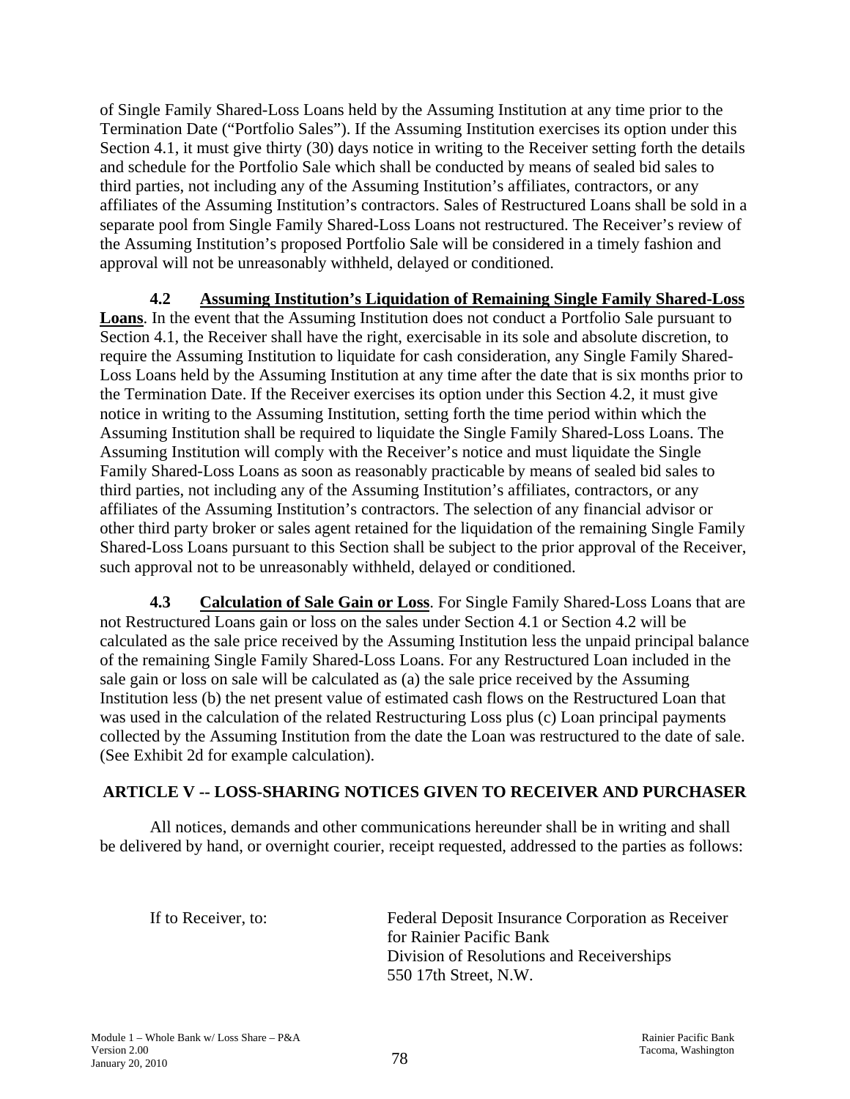of Single Family Shared-Loss Loans held by the Assuming Institution at any time prior to the Termination Date ("Portfolio Sales"). If the Assuming Institution exercises its option under this Section 4.1, it must give thirty (30) days notice in writing to the Receiver setting forth the details and schedule for the Portfolio Sale which shall be conducted by means of sealed bid sales to third parties, not including any of the Assuming Institution's affiliates, contractors, or any affiliates of the Assuming Institution's contractors. Sales of Restructured Loans shall be sold in a separate pool from Single Family Shared-Loss Loans not restructured. The Receiver's review of the Assuming Institution's proposed Portfolio Sale will be considered in a timely fashion and approval will not be unreasonably withheld, delayed or conditioned.

**4.2 Assuming Institution's Liquidation of Remaining Single Family Shared-Loss Loans**. In the event that the Assuming Institution does not conduct a Portfolio Sale pursuant to Section 4.1, the Receiver shall have the right, exercisable in its sole and absolute discretion, to require the Assuming Institution to liquidate for cash consideration, any Single Family Shared-Loss Loans held by the Assuming Institution at any time after the date that is six months prior to the Termination Date. If the Receiver exercises its option under this Section 4.2, it must give notice in writing to the Assuming Institution, setting forth the time period within which the Assuming Institution shall be required to liquidate the Single Family Shared-Loss Loans. The Assuming Institution will comply with the Receiver's notice and must liquidate the Single Family Shared-Loss Loans as soon as reasonably practicable by means of sealed bid sales to third parties, not including any of the Assuming Institution's affiliates, contractors, or any affiliates of the Assuming Institution's contractors. The selection of any financial advisor or other third party broker or sales agent retained for the liquidation of the remaining Single Family Shared-Loss Loans pursuant to this Section shall be subject to the prior approval of the Receiver, such approval not to be unreasonably withheld, delayed or conditioned.

**4.3 Calculation of Sale Gain or Loss**. For Single Family Shared-Loss Loans that are not Restructured Loans gain or loss on the sales under Section 4.1 or Section 4.2 will be calculated as the sale price received by the Assuming Institution less the unpaid principal balance of the remaining Single Family Shared-Loss Loans. For any Restructured Loan included in the sale gain or loss on sale will be calculated as (a) the sale price received by the Assuming Institution less (b) the net present value of estimated cash flows on the Restructured Loan that was used in the calculation of the related Restructuring Loss plus (c) Loan principal payments collected by the Assuming Institution from the date the Loan was restructured to the date of sale. (See Exhibit 2d for example calculation).

# **ARTICLE V -- LOSS-SHARING NOTICES GIVEN TO RECEIVER AND PURCHASER**

All notices, demands and other communications hereunder shall be in writing and shall be delivered by hand, or overnight courier, receipt requested, addressed to the parties as follows:

If to Receiver, to: Federal Deposit Insurance Corporation as Receiver for Rainier Pacific Bank Division of Resolutions and Receiverships 550 17th Street, N.W.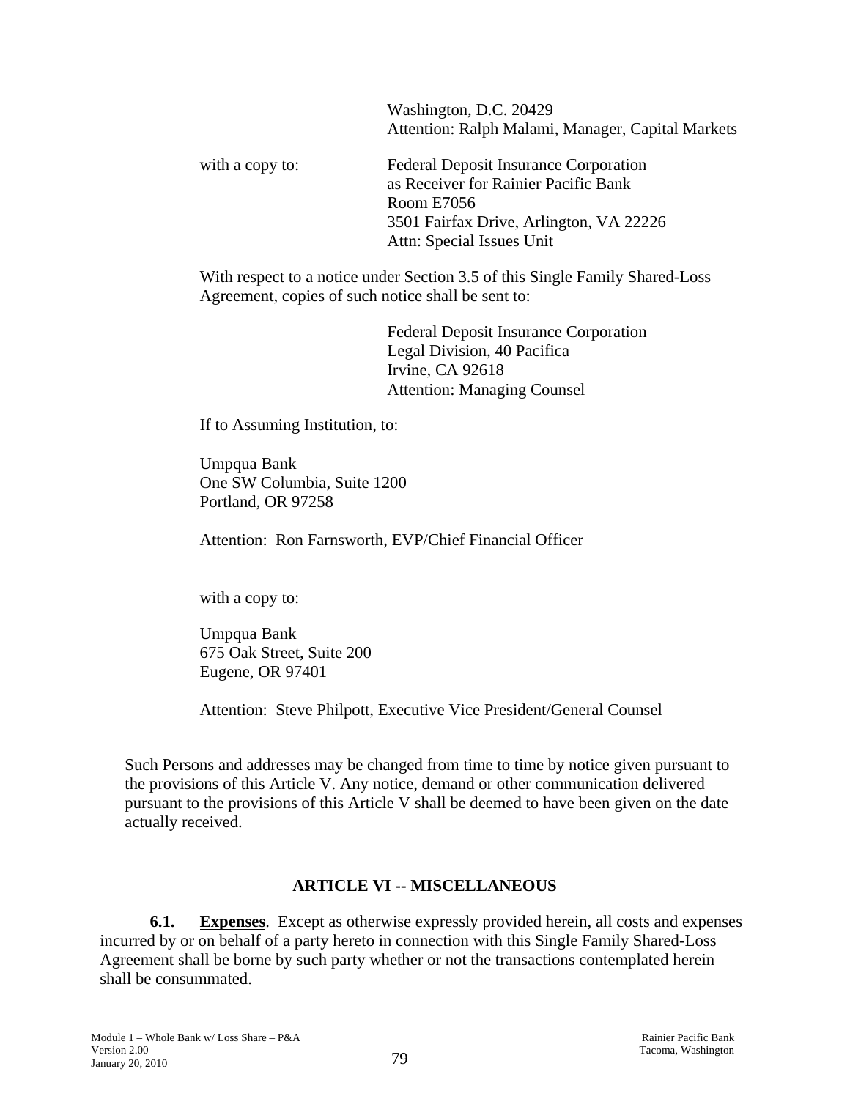Washington, D.C. 20429 Attention: Ralph Malami, Manager, Capital Markets

with a copy to: Federal Deposit Insurance Corporation as Receiver for Rainier Pacific Bank Room E7056 3501 Fairfax Drive, Arlington, VA 22226 Attn: Special Issues Unit

With respect to a notice under Section 3.5 of this Single Family Shared-Loss Agreement, copies of such notice shall be sent to:

> Federal Deposit Insurance Corporation Legal Division, 40 Pacifica Irvine, CA 92618 Attention: Managing Counsel

If to Assuming Institution, to:

 Umpqua Bank One SW Columbia, Suite 1200 Portland, OR 97258

Attention: Ron Farnsworth, EVP/Chief Financial Officer

with a copy to:

 Umpqua Bank 675 Oak Street, Suite 200 Eugene, OR 97401

Attention: Steve Philpott, Executive Vice President/General Counsel

Such Persons and addresses may be changed from time to time by notice given pursuant to the provisions of this Article V. Any notice, demand or other communication delivered pursuant to the provisions of this Article V shall be deemed to have been given on the date actually received.

#### **ARTICLE VI -- MISCELLANEOUS**

**6.1.** Expenses. Except as otherwise expressly provided herein, all costs and expenses incurred by or on behalf of a party hereto in connection with this Single Family Shared-Loss Agreement shall be borne by such party whether or not the transactions contemplated herein shall be consummated.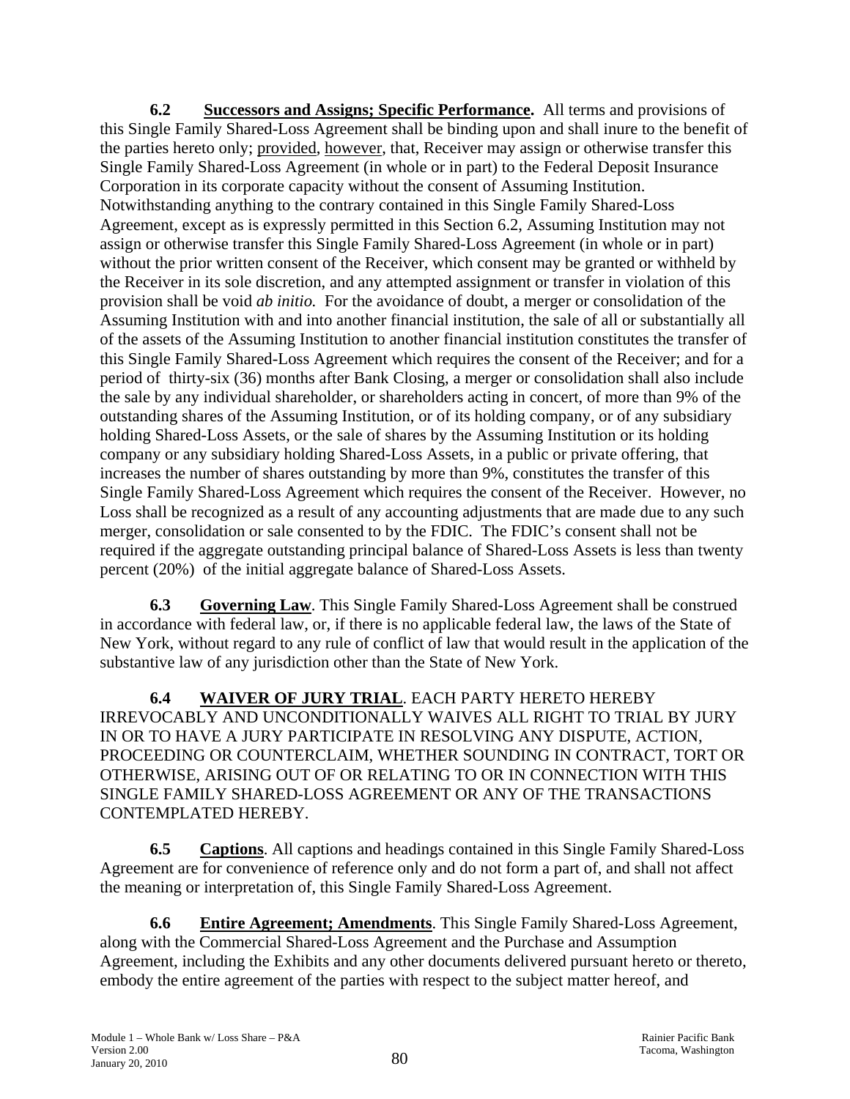**6.2 Successors and Assigns; Specific Performance.** All terms and provisions of this Single Family Shared-Loss Agreement shall be binding upon and shall inure to the benefit of the parties hereto only; provided, however, that, Receiver may assign or otherwise transfer this Single Family Shared-Loss Agreement (in whole or in part) to the Federal Deposit Insurance Corporation in its corporate capacity without the consent of Assuming Institution. Notwithstanding anything to the contrary contained in this Single Family Shared-Loss Agreement, except as is expressly permitted in this Section 6.2, Assuming Institution may not assign or otherwise transfer this Single Family Shared-Loss Agreement (in whole or in part) without the prior written consent of the Receiver, which consent may be granted or withheld by the Receiver in its sole discretion, and any attempted assignment or transfer in violation of this provision shall be void *ab initio.* For the avoidance of doubt, a merger or consolidation of the Assuming Institution with and into another financial institution, the sale of all or substantially all of the assets of the Assuming Institution to another financial institution constitutes the transfer of this Single Family Shared-Loss Agreement which requires the consent of the Receiver; and for a period of thirty-six (36) months after Bank Closing, a merger or consolidation shall also include the sale by any individual shareholder, or shareholders acting in concert, of more than 9% of the outstanding shares of the Assuming Institution, or of its holding company, or of any subsidiary holding Shared-Loss Assets, or the sale of shares by the Assuming Institution or its holding company or any subsidiary holding Shared-Loss Assets, in a public or private offering, that increases the number of shares outstanding by more than 9%, constitutes the transfer of this Single Family Shared-Loss Agreement which requires the consent of the Receiver. However, no Loss shall be recognized as a result of any accounting adjustments that are made due to any such merger, consolidation or sale consented to by the FDIC. The FDIC's consent shall not be required if the aggregate outstanding principal balance of Shared-Loss Assets is less than twenty percent (20%) of the initial aggregate balance of Shared-Loss Assets.

**6.3 Governing Law**. This Single Family Shared-Loss Agreement shall be construed in accordance with federal law, or, if there is no applicable federal law, the laws of the State of New York, without regard to any rule of conflict of law that would result in the application of the substantive law of any jurisdiction other than the State of New York.

**6.4 WAIVER OF JURY TRIAL**. EACH PARTY HERETO HEREBY IRREVOCABLY AND UNCONDITIONALLY WAIVES ALL RIGHT TO TRIAL BY JURY IN OR TO HAVE A JURY PARTICIPATE IN RESOLVING ANY DISPUTE, ACTION, PROCEEDING OR COUNTERCLAIM, WHETHER SOUNDING IN CONTRACT, TORT OR OTHERWISE, ARISING OUT OF OR RELATING TO OR IN CONNECTION WITH THIS SINGLE FAMILY SHARED-LOSS AGREEMENT OR ANY OF THE TRANSACTIONS CONTEMPLATED HEREBY.

**6.5 Captions**. All captions and headings contained in this Single Family Shared-Loss Agreement are for convenience of reference only and do not form a part of, and shall not affect the meaning or interpretation of, this Single Family Shared-Loss Agreement.

**6.6 Entire Agreement; Amendments**. This Single Family Shared-Loss Agreement, along with the Commercial Shared-Loss Agreement and the Purchase and Assumption Agreement, including the Exhibits and any other documents delivered pursuant hereto or thereto, embody the entire agreement of the parties with respect to the subject matter hereof, and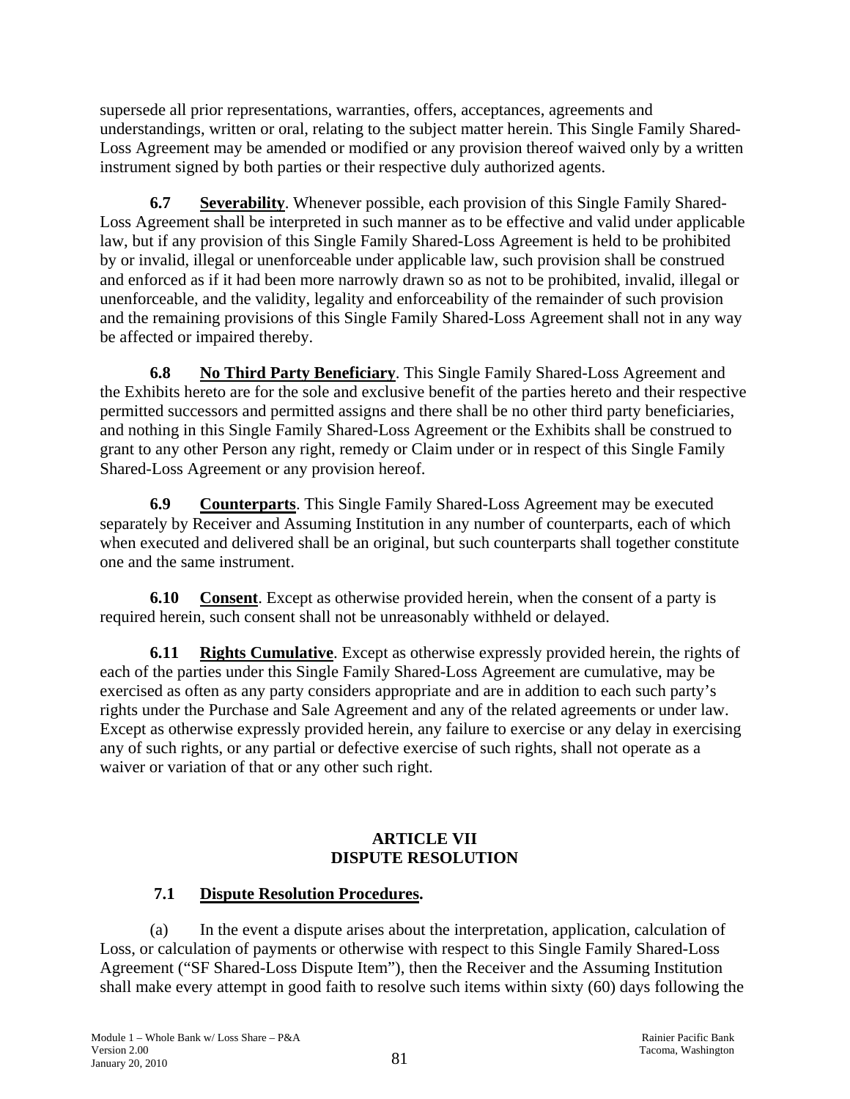supersede all prior representations, warranties, offers, acceptances, agreements and understandings, written or oral, relating to the subject matter herein. This Single Family Shared-Loss Agreement may be amended or modified or any provision thereof waived only by a written instrument signed by both parties or their respective duly authorized agents.

**6.7 Severability**. Whenever possible, each provision of this Single Family Shared-Loss Agreement shall be interpreted in such manner as to be effective and valid under applicable law, but if any provision of this Single Family Shared-Loss Agreement is held to be prohibited by or invalid, illegal or unenforceable under applicable law, such provision shall be construed and enforced as if it had been more narrowly drawn so as not to be prohibited, invalid, illegal or unenforceable, and the validity, legality and enforceability of the remainder of such provision and the remaining provisions of this Single Family Shared-Loss Agreement shall not in any way be affected or impaired thereby.

**6.8 No Third Party Beneficiary.** This Single Family Shared-Loss Agreement and the Exhibits hereto are for the sole and exclusive benefit of the parties hereto and their respective permitted successors and permitted assigns and there shall be no other third party beneficiaries, and nothing in this Single Family Shared-Loss Agreement or the Exhibits shall be construed to grant to any other Person any right, remedy or Claim under or in respect of this Single Family Shared-Loss Agreement or any provision hereof.

**6.9 Counterparts**. This Single Family Shared-Loss Agreement may be executed separately by Receiver and Assuming Institution in any number of counterparts, each of which when executed and delivered shall be an original, but such counterparts shall together constitute one and the same instrument.

**6.10** Consent. Except as otherwise provided herein, when the consent of a party is required herein, such consent shall not be unreasonably withheld or delayed.

**6.11 Rights Cumulative**. Except as otherwise expressly provided herein, the rights of each of the parties under this Single Family Shared-Loss Agreement are cumulative, may be exercised as often as any party considers appropriate and are in addition to each such party's rights under the Purchase and Sale Agreement and any of the related agreements or under law. Except as otherwise expressly provided herein, any failure to exercise or any delay in exercising any of such rights, or any partial or defective exercise of such rights, shall not operate as a waiver or variation of that or any other such right.

# **ARTICLE VII DISPUTE RESOLUTION**

# **7.1 Dispute Resolution Procedures.**

(a) In the event a dispute arises about the interpretation, application, calculation of Loss, or calculation of payments or otherwise with respect to this Single Family Shared-Loss Agreement ("SF Shared-Loss Dispute Item"), then the Receiver and the Assuming Institution shall make every attempt in good faith to resolve such items within sixty (60) days following the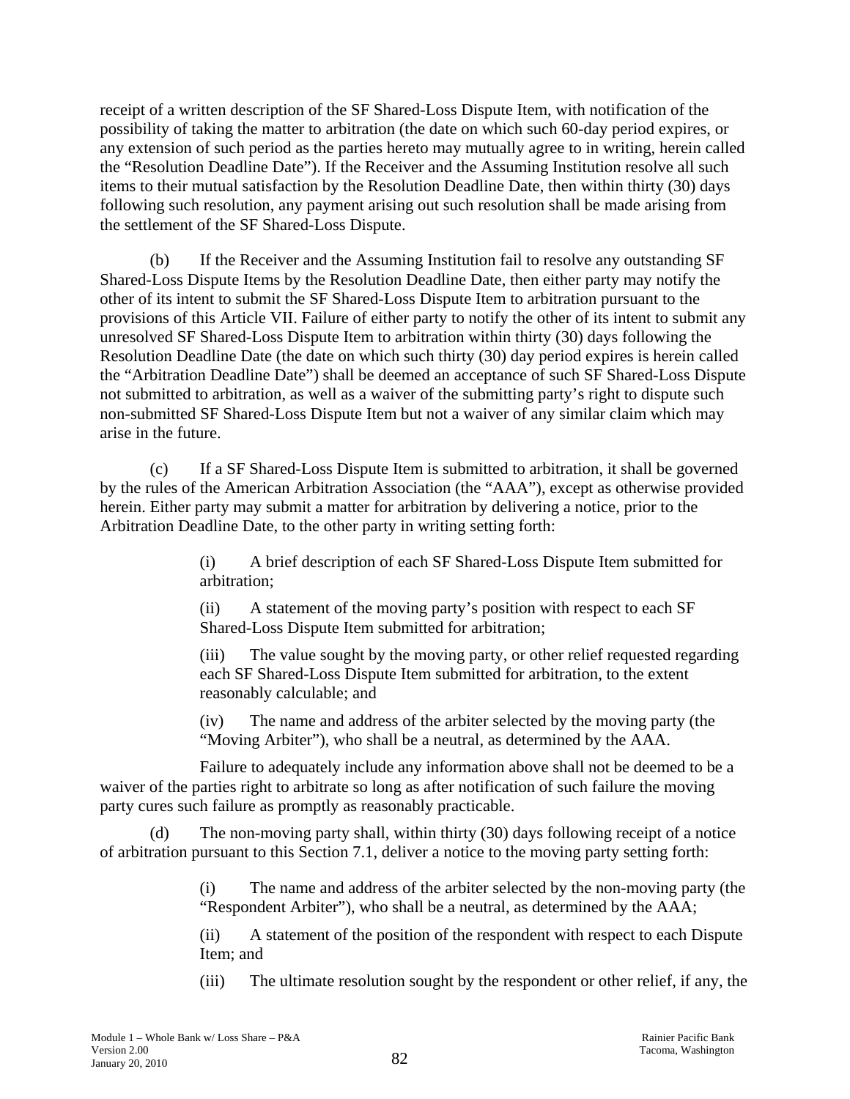receipt of a written description of the SF Shared-Loss Dispute Item, with notification of the possibility of taking the matter to arbitration (the date on which such 60-day period expires, or any extension of such period as the parties hereto may mutually agree to in writing, herein called the "Resolution Deadline Date"). If the Receiver and the Assuming Institution resolve all such items to their mutual satisfaction by the Resolution Deadline Date, then within thirty (30) days following such resolution, any payment arising out such resolution shall be made arising from the settlement of the SF Shared-Loss Dispute.

(b) If the Receiver and the Assuming Institution fail to resolve any outstanding SF Shared-Loss Dispute Items by the Resolution Deadline Date, then either party may notify the other of its intent to submit the SF Shared-Loss Dispute Item to arbitration pursuant to the provisions of this Article VII. Failure of either party to notify the other of its intent to submit any unresolved SF Shared-Loss Dispute Item to arbitration within thirty (30) days following the Resolution Deadline Date (the date on which such thirty (30) day period expires is herein called the "Arbitration Deadline Date") shall be deemed an acceptance of such SF Shared-Loss Dispute not submitted to arbitration, as well as a waiver of the submitting party's right to dispute such non-submitted SF Shared-Loss Dispute Item but not a waiver of any similar claim which may arise in the future.

(c) If a SF Shared-Loss Dispute Item is submitted to arbitration, it shall be governed by the rules of the American Arbitration Association (the "AAA"), except as otherwise provided herein. Either party may submit a matter for arbitration by delivering a notice, prior to the Arbitration Deadline Date, to the other party in writing setting forth:

> (i) A brief description of each SF Shared-Loss Dispute Item submitted for arbitration;

(ii) A statement of the moving party's position with respect to each SF Shared-Loss Dispute Item submitted for arbitration;

(iii) The value sought by the moving party, or other relief requested regarding each SF Shared-Loss Dispute Item submitted for arbitration, to the extent reasonably calculable; and

(iv) The name and address of the arbiter selected by the moving party (the "Moving Arbiter"), who shall be a neutral, as determined by the AAA.

Failure to adequately include any information above shall not be deemed to be a waiver of the parties right to arbitrate so long as after notification of such failure the moving party cures such failure as promptly as reasonably practicable.

(d) The non-moving party shall, within thirty (30) days following receipt of a notice of arbitration pursuant to this Section 7.1, deliver a notice to the moving party setting forth:

> (i) The name and address of the arbiter selected by the non-moving party (the "Respondent Arbiter"), who shall be a neutral, as determined by the AAA;

> (ii) A statement of the position of the respondent with respect to each Dispute Item; and

> (iii) The ultimate resolution sought by the respondent or other relief, if any, the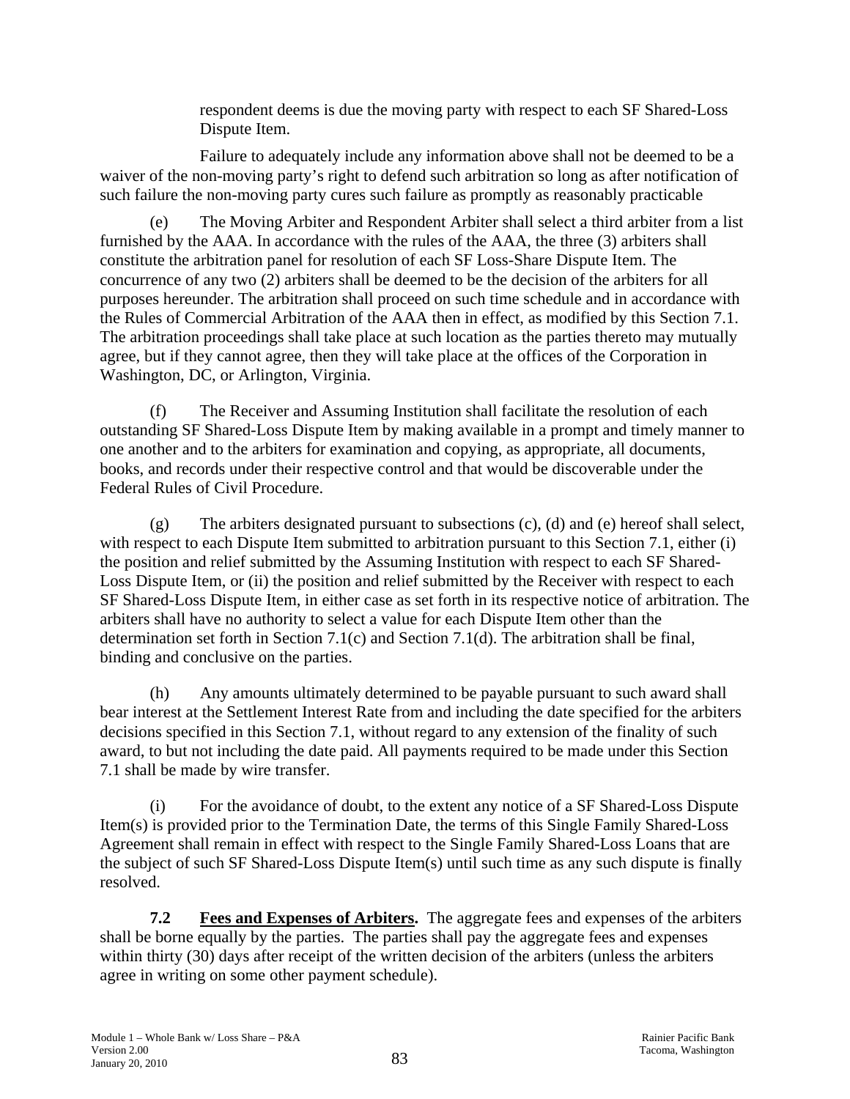respondent deems is due the moving party with respect to each SF Shared-Loss Dispute Item.

Failure to adequately include any information above shall not be deemed to be a waiver of the non-moving party's right to defend such arbitration so long as after notification of such failure the non-moving party cures such failure as promptly as reasonably practicable

(e) The Moving Arbiter and Respondent Arbiter shall select a third arbiter from a list furnished by the AAA. In accordance with the rules of the AAA, the three (3) arbiters shall constitute the arbitration panel for resolution of each SF Loss-Share Dispute Item. The concurrence of any two (2) arbiters shall be deemed to be the decision of the arbiters for all purposes hereunder. The arbitration shall proceed on such time schedule and in accordance with the Rules of Commercial Arbitration of the AAA then in effect, as modified by this Section 7.1. The arbitration proceedings shall take place at such location as the parties thereto may mutually agree, but if they cannot agree, then they will take place at the offices of the Corporation in Washington, DC, or Arlington, Virginia.

(f) The Receiver and Assuming Institution shall facilitate the resolution of each outstanding SF Shared-Loss Dispute Item by making available in a prompt and timely manner to one another and to the arbiters for examination and copying, as appropriate, all documents, books, and records under their respective control and that would be discoverable under the Federal Rules of Civil Procedure.

 $(g)$  The arbiters designated pursuant to subsections  $(c)$ ,  $(d)$  and  $(e)$  hereof shall select, with respect to each Dispute Item submitted to arbitration pursuant to this Section 7.1, either (i) the position and relief submitted by the Assuming Institution with respect to each SF Shared-Loss Dispute Item, or (ii) the position and relief submitted by the Receiver with respect to each SF Shared-Loss Dispute Item, in either case as set forth in its respective notice of arbitration. The arbiters shall have no authority to select a value for each Dispute Item other than the determination set forth in Section 7.1(c) and Section 7.1(d). The arbitration shall be final, binding and conclusive on the parties.

(h) Any amounts ultimately determined to be payable pursuant to such award shall bear interest at the Settlement Interest Rate from and including the date specified for the arbiters decisions specified in this Section 7.1, without regard to any extension of the finality of such award, to but not including the date paid. All payments required to be made under this Section 7.1 shall be made by wire transfer.

(i) For the avoidance of doubt, to the extent any notice of a SF Shared-Loss Dispute Item(s) is provided prior to the Termination Date, the terms of this Single Family Shared-Loss Agreement shall remain in effect with respect to the Single Family Shared-Loss Loans that are the subject of such SF Shared-Loss Dispute Item(s) until such time as any such dispute is finally resolved.

**7.2 Fees and Expenses of Arbiters.** The aggregate fees and expenses of the arbiters shall be borne equally by the parties. The parties shall pay the aggregate fees and expenses within thirty (30) days after receipt of the written decision of the arbiters (unless the arbiters agree in writing on some other payment schedule).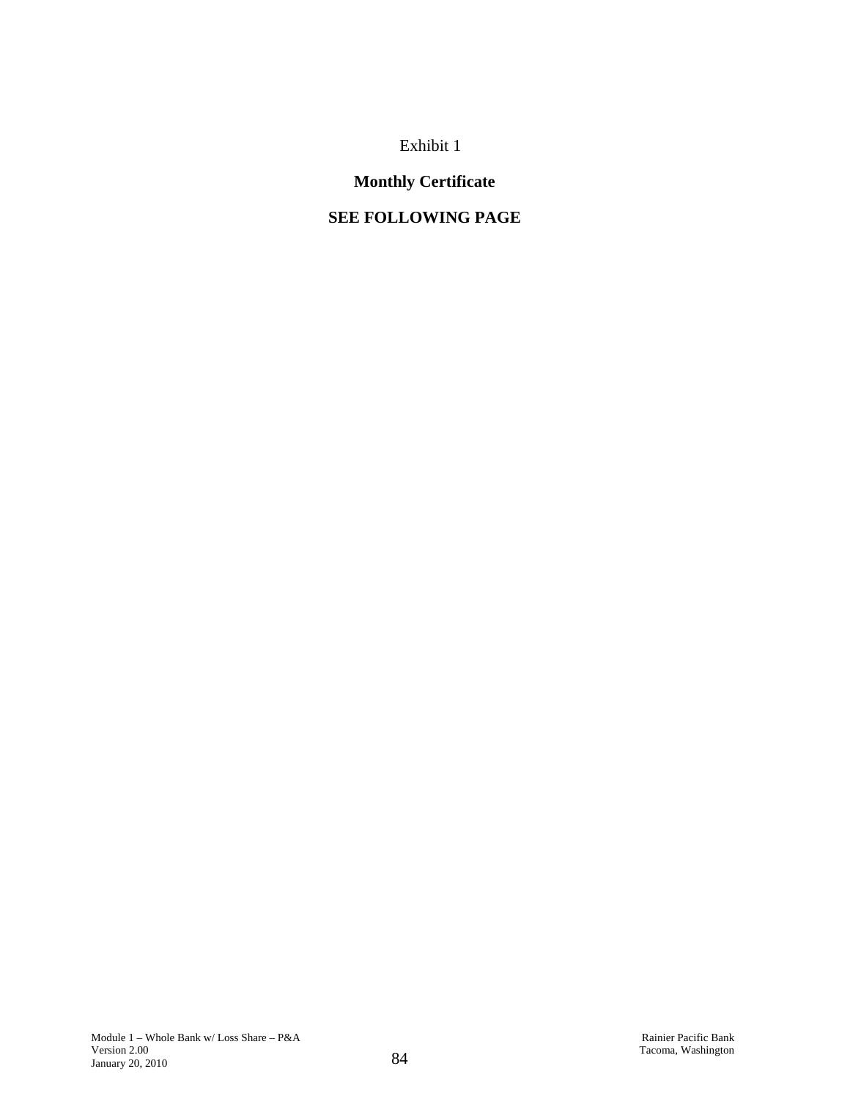Exhibit 1

# **Monthly Certificate**

# **SEE FOLLOWING PAGE**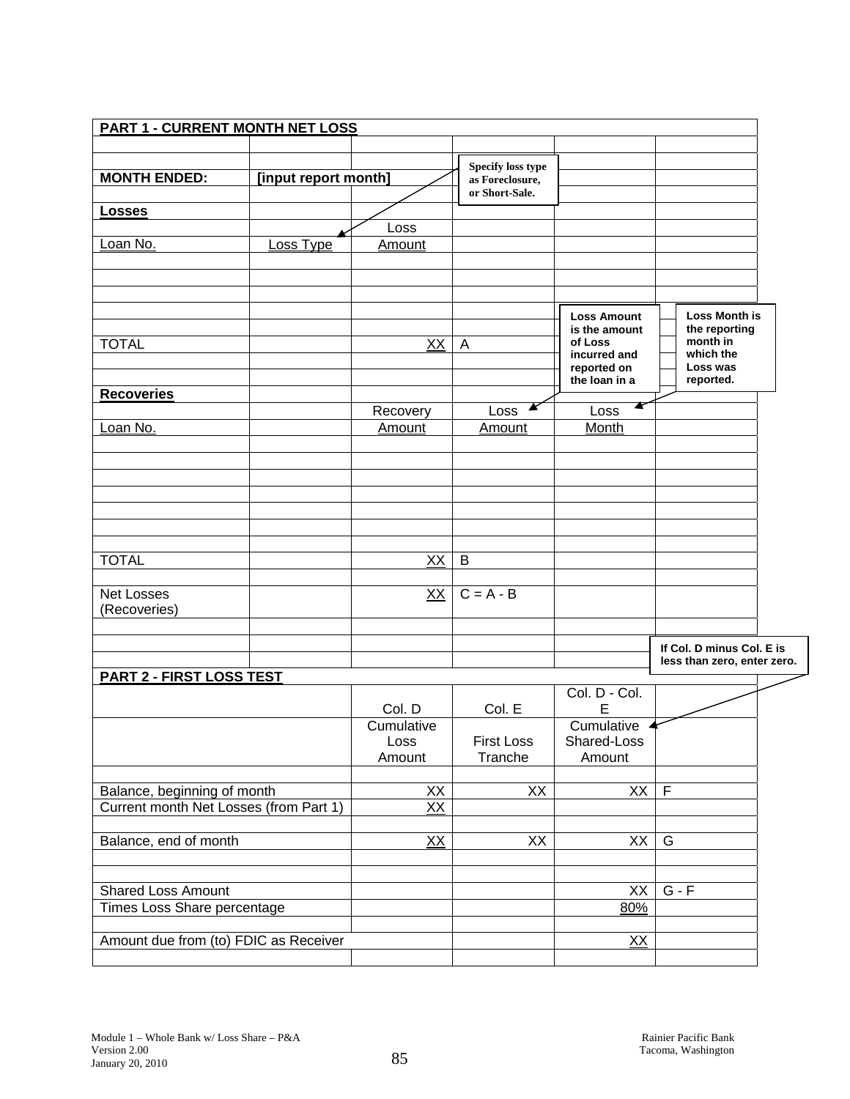| <b>PART 1 - CURRENT MONTH NET LOSS</b> |                      |            |                                   |                         |                             |
|----------------------------------------|----------------------|------------|-----------------------------------|-------------------------|-----------------------------|
|                                        |                      |            |                                   |                         |                             |
|                                        |                      |            | Specify loss type                 |                         |                             |
| <b>MONTH ENDED:</b>                    | [input report month] |            | as Foreclosure,<br>or Short-Sale. |                         |                             |
| <b>Losses</b>                          |                      |            |                                   |                         |                             |
|                                        |                      | Loss       |                                   |                         |                             |
| Loan No.                               | Loss Type            | Amount     |                                   |                         |                             |
|                                        |                      |            |                                   |                         |                             |
|                                        |                      |            |                                   |                         |                             |
|                                        |                      |            |                                   |                         |                             |
|                                        |                      |            |                                   | <b>Loss Amount</b>      | <b>Loss Month is</b>        |
|                                        |                      |            |                                   | is the amount           | the reporting               |
| <b>TOTAL</b>                           |                      | XX         | A                                 | of Loss<br>incurred and | month in<br>which the       |
|                                        |                      |            |                                   | reported on             | Loss was                    |
|                                        |                      |            |                                   | the loan in a           | reported.                   |
| <b>Recoveries</b>                      |                      |            |                                   | ×                       |                             |
|                                        |                      | Recovery   | $Loss \nightharpoonup$            | Loss                    |                             |
| Loan No.                               |                      | Amount     | Amount                            | Month                   |                             |
|                                        |                      |            |                                   |                         |                             |
|                                        |                      |            |                                   |                         |                             |
|                                        |                      |            |                                   |                         |                             |
|                                        |                      |            |                                   |                         |                             |
|                                        |                      |            |                                   |                         |                             |
|                                        |                      |            |                                   |                         |                             |
| <b>TOTAL</b>                           |                      | XX         | $\mathsf B$                       |                         |                             |
|                                        |                      |            |                                   |                         |                             |
| <b>Net Losses</b>                      |                      | XX         | $C = A - B$                       |                         |                             |
| (Recoveries)                           |                      |            |                                   |                         |                             |
|                                        |                      |            |                                   |                         |                             |
|                                        |                      |            |                                   |                         | If Col. D minus Col. E is   |
|                                        |                      |            |                                   |                         | less than zero, enter zero. |
| <b>PART 2 - FIRST LOSS TEST</b>        |                      |            |                                   |                         |                             |
|                                        |                      |            |                                   | Col. D - Col.           |                             |
|                                        |                      | Col. D     | Col. E                            | Е                       |                             |
|                                        |                      | Cumulative |                                   | Cumulative              |                             |
|                                        |                      | Loss       | First Loss                        | Shared-Loss             |                             |
|                                        |                      | Amount     | Tranche                           | Amount                  |                             |
| Balance, beginning of month            |                      | XX         | XX                                | XX                      | $\mathsf F$                 |
| Current month Net Losses (from Part 1) |                      | XX         |                                   |                         |                             |
|                                        |                      |            |                                   |                         |                             |
| Balance, end of month                  |                      | XX         | XX                                | XX                      | G                           |
|                                        |                      |            |                                   |                         |                             |
|                                        |                      |            |                                   |                         |                             |
| Shared Loss Amount                     |                      |            |                                   | XX                      | $G - F$                     |
| Times Loss Share percentage            |                      |            |                                   | 80%                     |                             |
|                                        |                      |            |                                   |                         |                             |
| Amount due from (to) FDIC as Receiver  |                      |            |                                   | <u>XX</u>               |                             |
|                                        |                      |            |                                   |                         |                             |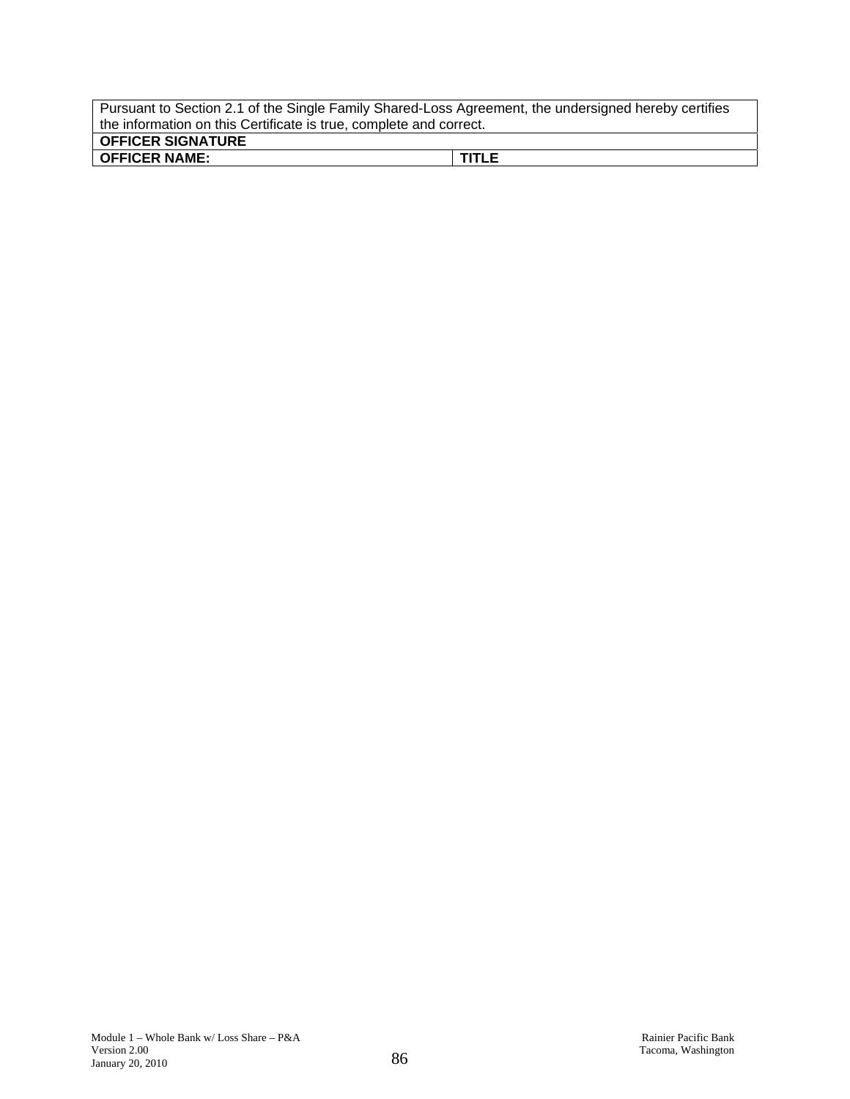| Pursuant to Section 2.1 of the Single Family Shared-Loss Agreement, the undersigned hereby certifies |  |  |  |
|------------------------------------------------------------------------------------------------------|--|--|--|
| the information on this Certificate is true, complete and correct.                                   |  |  |  |
| <b>OFFICER SIGNATURE</b>                                                                             |  |  |  |
| <b>TITLE</b><br><b>OFFICER NAME:</b>                                                                 |  |  |  |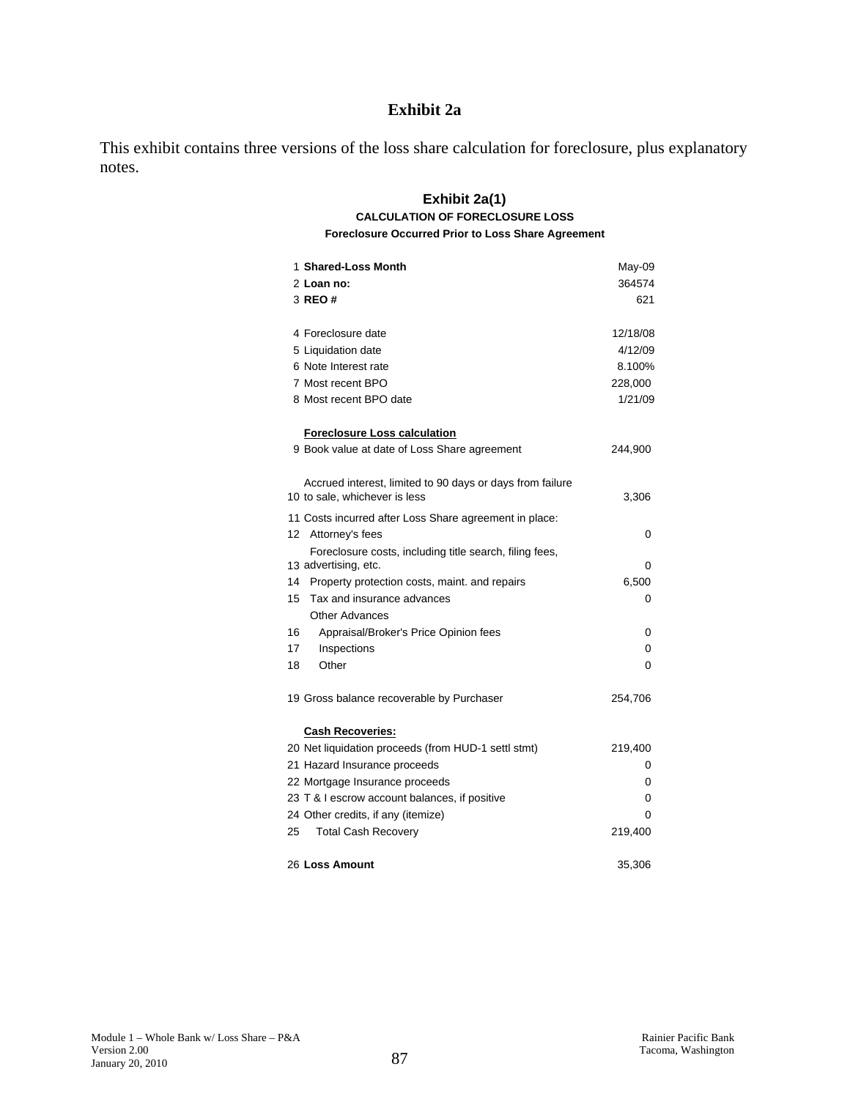### **Exhibit 2a**

This exhibit contains three versions of the loss share calculation for foreclosure, plus explanatory notes.

#### **Exhibit 2a(1) CALCULATION OF FORECLOSURE LOSS Foreclosure Occurred Prior to Loss Share Agreement**

|    | 1 Shared-Loss Month<br>2 Loan no:<br>3 REO #                                               | May-09<br>364574<br>621 |
|----|--------------------------------------------------------------------------------------------|-------------------------|
|    | 4 Foreclosure date                                                                         | 12/18/08                |
|    | 5 Liquidation date                                                                         | 4/12/09                 |
|    | 6 Note Interest rate                                                                       | 8.100%                  |
|    | 7 Most recent BPO                                                                          | 228,000                 |
|    | 8 Most recent BPO date                                                                     | 1/21/09                 |
|    | <b>Foreclosure Loss calculation</b>                                                        |                         |
|    | 9 Book value at date of Loss Share agreement                                               | 244,900                 |
|    | Accrued interest, limited to 90 days or days from failure<br>10 to sale, whichever is less | 3,306                   |
|    | 11 Costs incurred after Loss Share agreement in place:                                     |                         |
| 12 | Attorney's fees                                                                            | 0                       |
|    | Foreclosure costs, including title search, filing fees,                                    |                         |
|    | 13 advertising, etc.                                                                       | 0                       |
| 14 | Property protection costs, maint. and repairs                                              | 6,500                   |
| 15 | Tax and insurance advances                                                                 | 0                       |
|    | <b>Other Advances</b>                                                                      |                         |
| 16 | Appraisal/Broker's Price Opinion fees                                                      | 0                       |
| 17 | Inspections                                                                                | 0                       |
| 18 | Other                                                                                      | 0                       |
|    | 19 Gross balance recoverable by Purchaser                                                  | 254,706                 |
|    | <b>Cash Recoveries:</b>                                                                    |                         |
|    | 20 Net liquidation proceeds (from HUD-1 settl stmt)                                        | 219,400                 |
|    | 21 Hazard Insurance proceeds                                                               | 0                       |
|    | 22 Mortgage Insurance proceeds                                                             | 0                       |
|    | 23 T & I escrow account balances, if positive                                              | 0                       |
|    | 24 Other credits, if any (itemize)                                                         | 0                       |
| 25 | <b>Total Cash Recovery</b>                                                                 | 219,400                 |
|    | <b>26 Loss Amount</b>                                                                      | 35,306                  |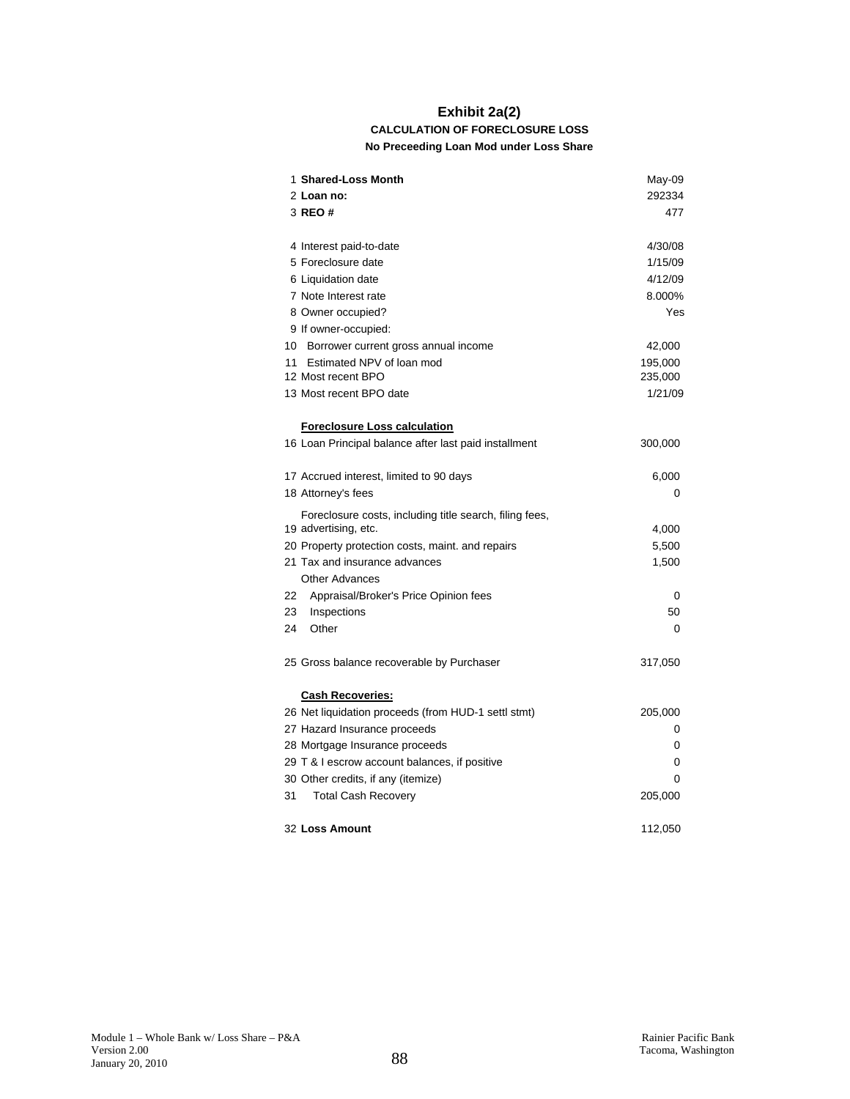#### **Exhibit 2a(2)**

#### **CALCULATION OF FORECLOSURE LOSS**

#### **No Preceeding Loan Mod under Loss Share**

| 1 Shared-Loss Month                                                             | May-09  |
|---------------------------------------------------------------------------------|---------|
| 2 Loan no:                                                                      | 292334  |
| 3 REO #                                                                         | 477     |
| 4 Interest paid-to-date                                                         | 4/30/08 |
| 5 Foreclosure date                                                              | 1/15/09 |
| 6 Liquidation date                                                              | 4/12/09 |
| 7 Note Interest rate                                                            | 8.000%  |
| 8 Owner occupied?                                                               | Yes     |
| 9 If owner-occupied:                                                            |         |
| 10<br>Borrower current gross annual income                                      | 42,000  |
| 11<br>Estimated NPV of loan mod                                                 | 195,000 |
| 12 Most recent BPO                                                              | 235,000 |
| 13 Most recent BPO date                                                         | 1/21/09 |
| <b>Foreclosure Loss calculation</b>                                             |         |
| 16 Loan Principal balance after last paid installment                           | 300,000 |
| 17 Accrued interest, limited to 90 days                                         | 6,000   |
| 18 Attorney's fees                                                              | 0       |
| Foreclosure costs, including title search, filing fees,<br>19 advertising, etc. | 4,000   |
| 20 Property protection costs, maint. and repairs                                | 5,500   |
| 21 Tax and insurance advances                                                   | 1,500   |
| <b>Other Advances</b>                                                           |         |
| 22<br>Appraisal/Broker's Price Opinion fees                                     | 0       |
| 23<br>Inspections                                                               | 50      |
| 24<br>Other                                                                     | 0       |
| 25 Gross balance recoverable by Purchaser                                       | 317,050 |
| <b>Cash Recoveries:</b>                                                         |         |
| 26 Net liquidation proceeds (from HUD-1 settl stmt)                             | 205,000 |
| 27 Hazard Insurance proceeds                                                    | 0       |
| 28 Mortgage Insurance proceeds                                                  | 0       |
| 29 T & I escrow account balances, if positive                                   | 0       |
| 30 Other credits, if any (itemize)                                              | 0       |
| 31<br><b>Total Cash Recovery</b>                                                | 205,000 |
| 32 Loss Amount                                                                  | 112,050 |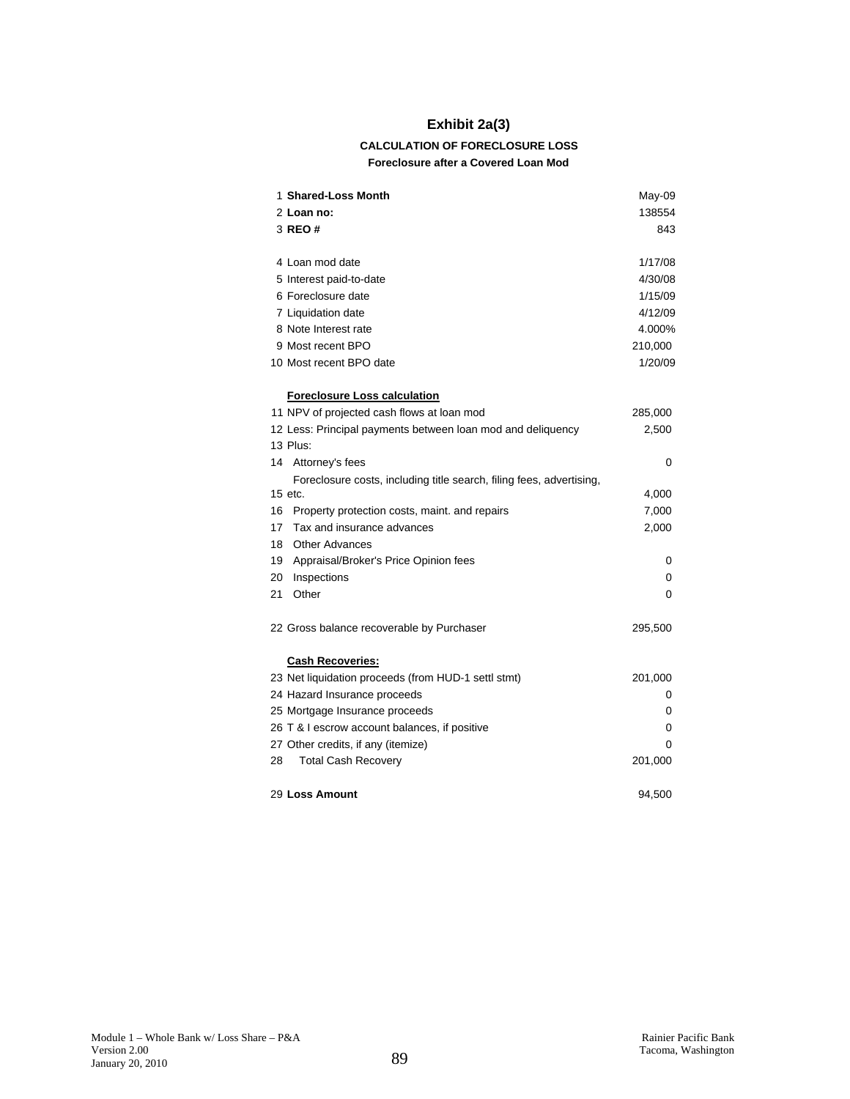# **Exhibit 2a(3)**

#### **CALCULATION OF FORECLOSURE LOSS Foreclosure after a Covered Loan Mod**

|    | 1 Shared-Loss Month                                                  | May-09  |
|----|----------------------------------------------------------------------|---------|
|    | 2 Loan no:                                                           | 138554  |
|    | 3 REO #                                                              | 843     |
|    |                                                                      |         |
|    | 4 Loan mod date                                                      | 1/17/08 |
|    | 5 Interest paid-to-date                                              | 4/30/08 |
|    | 6 Foreclosure date                                                   | 1/15/09 |
|    | 7 Liquidation date                                                   | 4/12/09 |
|    | 8 Note Interest rate                                                 | 4.000%  |
|    | 9 Most recent BPO                                                    | 210,000 |
|    | 10 Most recent BPO date                                              | 1/20/09 |
|    |                                                                      |         |
|    | <b>Foreclosure Loss calculation</b>                                  |         |
|    | 11 NPV of projected cash flows at loan mod                           | 285,000 |
|    | 12 Less: Principal payments between loan mod and deliquency          | 2,500   |
|    | 13 Plus:                                                             |         |
| 14 | Attorney's fees                                                      | 0       |
|    | Foreclosure costs, including title search, filing fees, advertising, |         |
|    | 15 etc.                                                              | 4,000   |
| 16 | Property protection costs, maint. and repairs                        | 7,000   |
| 17 | Tax and insurance advances                                           | 2,000   |
| 18 | <b>Other Advances</b>                                                |         |
| 19 | Appraisal/Broker's Price Opinion fees                                | 0       |
| 20 | Inspections                                                          | 0       |
| 21 | Other                                                                | 0       |
|    |                                                                      |         |
|    | 22 Gross balance recoverable by Purchaser                            | 295,500 |
|    |                                                                      |         |
|    | <b>Cash Recoveries:</b>                                              |         |
|    | 23 Net liquidation proceeds (from HUD-1 settl stmt)                  | 201,000 |
|    | 24 Hazard Insurance proceeds                                         | 0       |
|    | 25 Mortgage Insurance proceeds                                       | 0       |
|    | 26 T & I escrow account balances, if positive                        | 0       |
|    | 27 Other credits, if any (itemize)                                   | 0       |
| 28 | <b>Total Cash Recovery</b>                                           | 201,000 |
|    |                                                                      |         |
|    | 29 Loss Amount                                                       | 94,500  |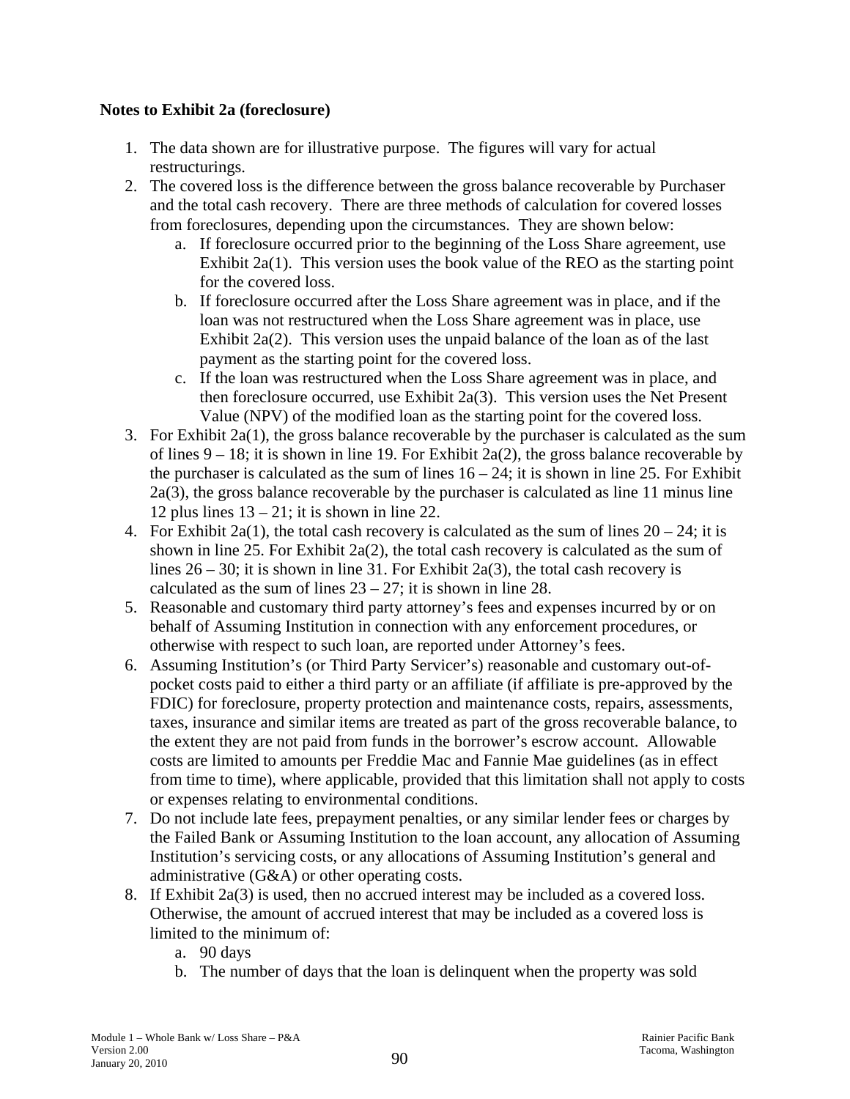## **Notes to Exhibit 2a (foreclosure)**

- 1. The data shown are for illustrative purpose. The figures will vary for actual restructurings.
- 2. The covered loss is the difference between the gross balance recoverable by Purchaser and the total cash recovery. There are three methods of calculation for covered losses from foreclosures, depending upon the circumstances. They are shown below:
	- a. If foreclosure occurred prior to the beginning of the Loss Share agreement, use Exhibit 2a(1). This version uses the book value of the REO as the starting point for the covered loss.
	- b. If foreclosure occurred after the Loss Share agreement was in place, and if the loan was not restructured when the Loss Share agreement was in place, use Exhibit 2a(2). This version uses the unpaid balance of the loan as of the last payment as the starting point for the covered loss.
	- c. If the loan was restructured when the Loss Share agreement was in place, and then foreclosure occurred, use Exhibit 2a(3). This version uses the Net Present Value (NPV) of the modified loan as the starting point for the covered loss.
- 3. For Exhibit  $2a(1)$ , the gross balance recoverable by the purchaser is calculated as the sum of lines  $9 - 18$ ; it is shown in line 19. For Exhibit 2a(2), the gross balance recoverable by the purchaser is calculated as the sum of lines  $16 - 24$ ; it is shown in line 25. For Exhibit 2a(3), the gross balance recoverable by the purchaser is calculated as line 11 minus line 12 plus lines  $13 - 21$ ; it is shown in line 22.
- 4. For Exhibit 2a(1), the total cash recovery is calculated as the sum of lines  $20 24$ ; it is shown in line 25. For Exhibit 2a(2), the total cash recovery is calculated as the sum of lines  $26 - 30$ ; it is shown in line 31. For Exhibit 2a(3), the total cash recovery is calculated as the sum of lines  $23 - 27$ ; it is shown in line 28.
- 5. Reasonable and customary third party attorney's fees and expenses incurred by or on behalf of Assuming Institution in connection with any enforcement procedures, or otherwise with respect to such loan, are reported under Attorney's fees.
- 6. Assuming Institution's (or Third Party Servicer's) reasonable and customary out-ofpocket costs paid to either a third party or an affiliate (if affiliate is pre-approved by the FDIC) for foreclosure, property protection and maintenance costs, repairs, assessments, taxes, insurance and similar items are treated as part of the gross recoverable balance, to the extent they are not paid from funds in the borrower's escrow account. Allowable costs are limited to amounts per Freddie Mac and Fannie Mae guidelines (as in effect from time to time), where applicable, provided that this limitation shall not apply to costs or expenses relating to environmental conditions.
- 7. Do not include late fees, prepayment penalties, or any similar lender fees or charges by the Failed Bank or Assuming Institution to the loan account, any allocation of Assuming Institution's servicing costs, or any allocations of Assuming Institution's general and administrative (G&A) or other operating costs.
- 8. If Exhibit  $2a(3)$  is used, then no accrued interest may be included as a covered loss. Otherwise, the amount of accrued interest that may be included as a covered loss is limited to the minimum of:
	- a. 90 days
	- b. The number of days that the loan is delinguent when the property was sold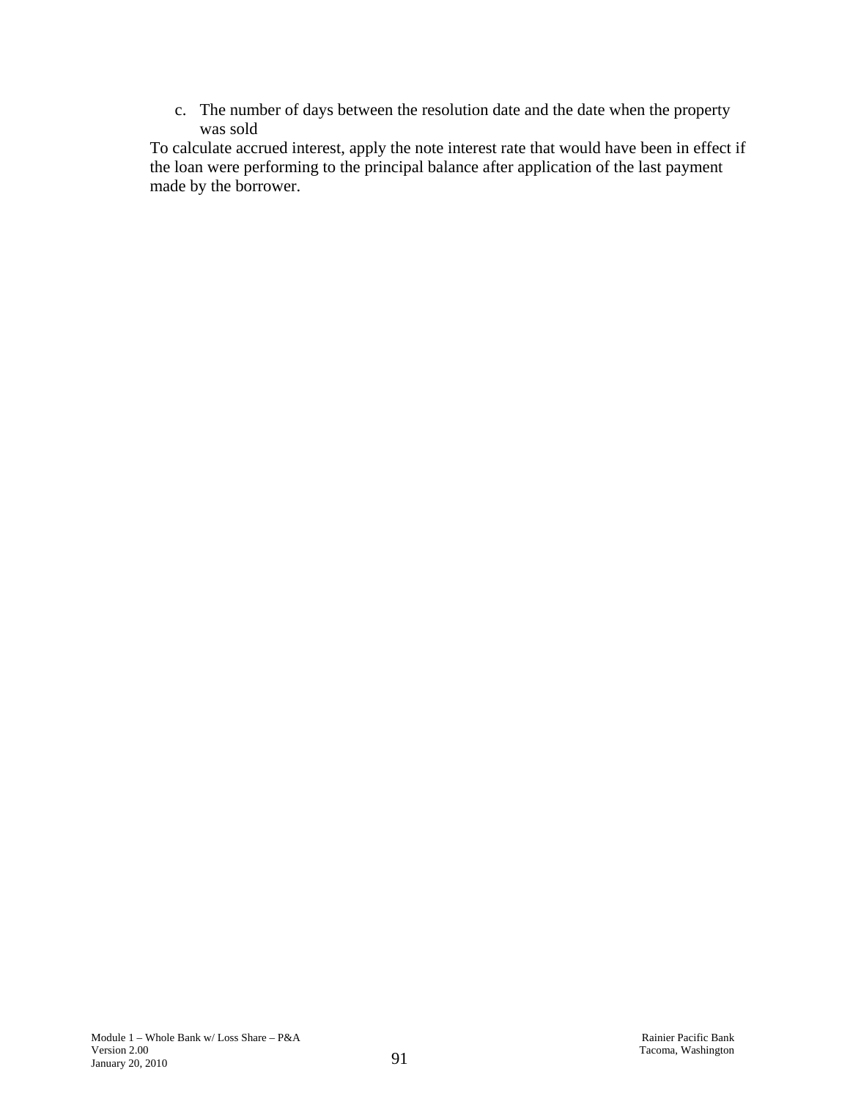c. The number of days between the resolution date and the date when the property was sold

To calculate accrued interest, apply the note interest rate that would have been in effect if the loan were performing to the principal balance after application of the last payment made by the borrower.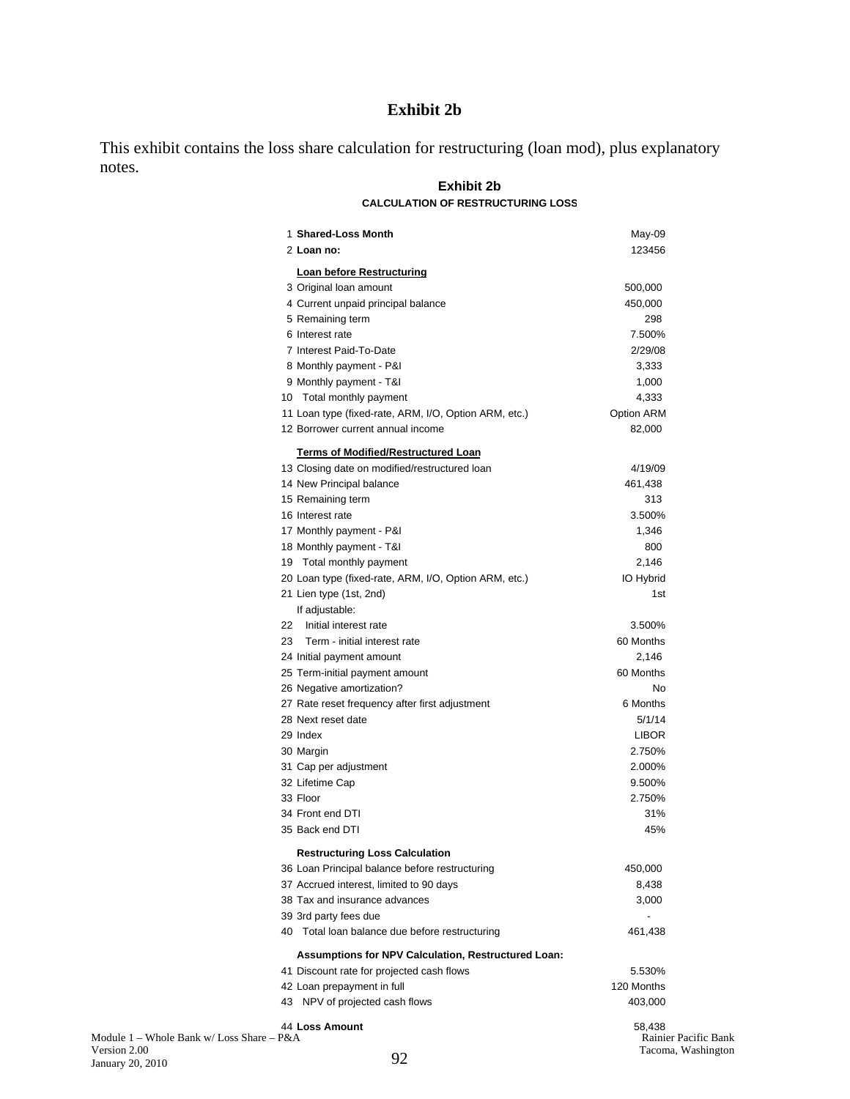# **Exhibit 2b**

This exhibit contains the loss share calculation for restructuring (loan mod), plus explanatory notes.

#### **Exhibit 2b CALCULATION OF RESTRUCTURING LOSS**

|       | 1 Shared-Loss Month                                   | May-09                                     |  |
|-------|-------------------------------------------------------|--------------------------------------------|--|
|       | 2 Loan no:                                            | 123456                                     |  |
|       | <b>Loan before Restructuring</b>                      |                                            |  |
|       | 3 Original loan amount                                | 500,000                                    |  |
|       | 4 Current unpaid principal balance                    | 450,000                                    |  |
|       | 5 Remaining term                                      | 298                                        |  |
|       | 6 Interest rate                                       | 7.500%                                     |  |
|       | 7 Interest Paid-To-Date                               | 2/29/08                                    |  |
|       | 8 Monthly payment - P&I                               | 3,333                                      |  |
|       | 9 Monthly payment - T&I                               | 1,000                                      |  |
|       | 10 Total monthly payment                              | 4,333                                      |  |
|       | 11 Loan type (fixed-rate, ARM, I/O, Option ARM, etc.) | <b>Option ARM</b>                          |  |
|       | 12 Borrower current annual income                     | 82,000                                     |  |
|       |                                                       |                                            |  |
|       | <u>Terms of Modified/Restructured Loan</u>            |                                            |  |
|       | 13 Closing date on modified/restructured loan         | 4/19/09                                    |  |
|       | 14 New Principal balance                              | 461,438                                    |  |
|       | 15 Remaining term                                     | 313                                        |  |
|       | 16 Interest rate                                      | 3.500%                                     |  |
|       | 17 Monthly payment - P&I                              | 1,346                                      |  |
|       | 18 Monthly payment - T&I                              | 800                                        |  |
|       | 19 Total monthly payment                              | 2,146                                      |  |
|       | 20 Loan type (fixed-rate, ARM, I/O, Option ARM, etc.) | IO Hybrid                                  |  |
|       | 21 Lien type (1st, 2nd)                               | 1st                                        |  |
|       | If adjustable:                                        |                                            |  |
| 22    | Initial interest rate                                 | 3.500%                                     |  |
| 23    | Term - initial interest rate                          | 60 Months                                  |  |
|       | 24 Initial payment amount                             | 2,146                                      |  |
|       | 25 Term-initial payment amount                        | 60 Months                                  |  |
|       | 26 Negative amortization?                             | No                                         |  |
|       | 27 Rate reset frequency after first adjustment        | 6 Months                                   |  |
|       | 28 Next reset date                                    | 5/1/14                                     |  |
|       | 29 Index                                              | <b>LIBOR</b>                               |  |
|       | 30 Margin                                             | 2.750%                                     |  |
|       | 31 Cap per adjustment                                 | 2.000%                                     |  |
|       | 32 Lifetime Cap                                       | 9.500%                                     |  |
|       | 33 Floor                                              | 2.750%                                     |  |
|       | 34 Front end DTI                                      | 31%                                        |  |
|       | 35 Back end DTI                                       | 45%                                        |  |
|       | <b>Restructuring Loss Calculation</b>                 |                                            |  |
|       | 36 Loan Principal balance before restructuring        | 450,000                                    |  |
|       | 37 Accrued interest, limited to 90 days               | 8,438                                      |  |
|       | 38 Tax and insurance advances                         | 3,000                                      |  |
|       | 39 3rd party fees due                                 |                                            |  |
|       | 40 Total loan balance due before restructuring        | 461,438                                    |  |
|       |                                                       |                                            |  |
|       | Assumptions for NPV Calculation, Restructured Loan:   |                                            |  |
|       | 41 Discount rate for projected cash flows             | 5.530%                                     |  |
|       | 42 Loan prepayment in full                            | 120 Months                                 |  |
|       | 43 NPV of projected cash flows                        | 403,000                                    |  |
|       | <b>44 Loss Amount</b>                                 | 58,438                                     |  |
| – P&A | ∩∩                                                    | Rainier Pacific Bank<br>Tacoma, Washington |  |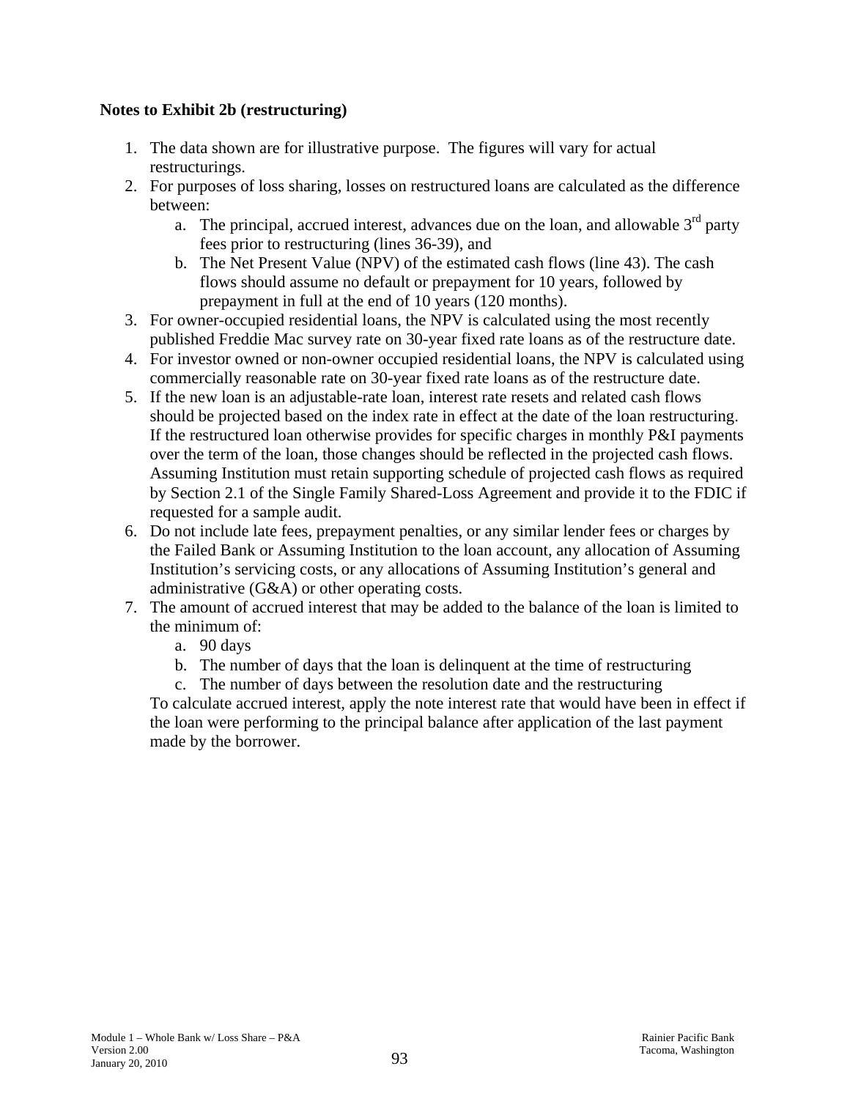## **Notes to Exhibit 2b (restructuring)**

- 1. The data shown are for illustrative purpose. The figures will vary for actual restructurings.
- 2. For purposes of loss sharing, losses on restructured loans are calculated as the difference between:
	- a. The principal, accrued interest, advances due on the loan, and allowable  $3<sup>rd</sup>$  party fees prior to restructuring (lines 36-39), and
	- b. The Net Present Value (NPV) of the estimated cash flows (line 43). The cash flows should assume no default or prepayment for 10 years, followed by prepayment in full at the end of 10 years (120 months).
- 3. For owner-occupied residential loans, the NPV is calculated using the most recently published Freddie Mac survey rate on 30-year fixed rate loans as of the restructure date.
- 4. For investor owned or non-owner occupied residential loans, the NPV is calculated using commercially reasonable rate on 30-year fixed rate loans as of the restructure date.
- 5. If the new loan is an adjustable-rate loan, interest rate resets and related cash flows should be projected based on the index rate in effect at the date of the loan restructuring. If the restructured loan otherwise provides for specific charges in monthly P&I payments over the term of the loan, those changes should be reflected in the projected cash flows. Assuming Institution must retain supporting schedule of projected cash flows as required by Section 2.1 of the Single Family Shared-Loss Agreement and provide it to the FDIC if requested for a sample audit.
- 6. Do not include late fees, prepayment penalties, or any similar lender fees or charges by the Failed Bank or Assuming Institution to the loan account, any allocation of Assuming Institution's servicing costs, or any allocations of Assuming Institution's general and administrative (G&A) or other operating costs.
- 7. The amount of accrued interest that may be added to the balance of the loan is limited to the minimum of:
	- a. 90 days
	- b. The number of days that the loan is delinquent at the time of restructuring

c. The number of days between the resolution date and the restructuring To calculate accrued interest, apply the note interest rate that would have been in effect if the loan were performing to the principal balance after application of the last payment made by the borrower.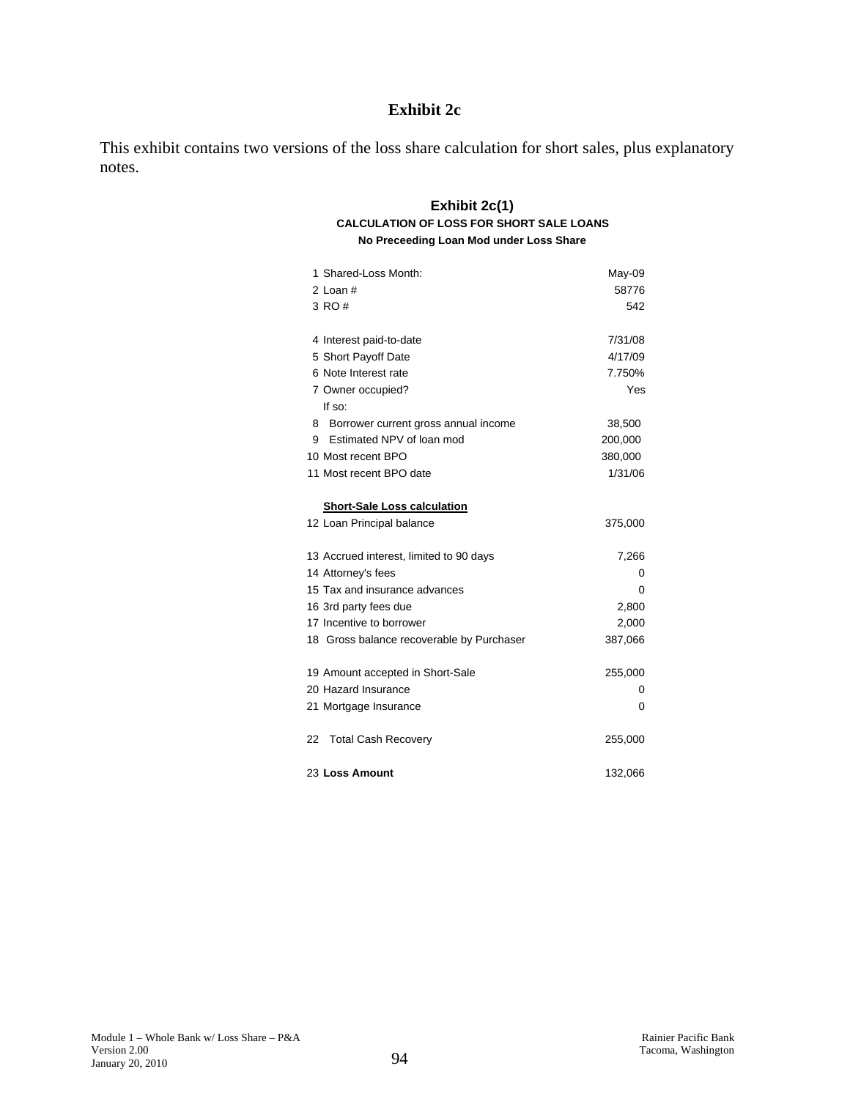## **Exhibit 2c**

This exhibit contains two versions of the loss share calculation for short sales, plus explanatory notes.

#### **Exhibit 2c(1) CALCULATION OF LOSS FOR SHORT SALE LOANS No Preceeding Loan Mod under Loss Share**

| 1 Shared-Loss Month:<br>2 Loan #<br>3 RO #                      | May-09<br>58776<br>542 |
|-----------------------------------------------------------------|------------------------|
| 4 Interest paid-to-date<br>5 Short Payoff Date                  | 7/31/08<br>4/17/09     |
| 6 Note Interest rate                                            | 7.750%                 |
| 7 Owner occupied?                                               | Yes                    |
| If so:                                                          |                        |
| Borrower current gross annual income<br>8                       | 38,500                 |
| Estimated NPV of loan mod<br>9                                  | 200,000                |
| 10 Most recent BPO                                              | 380,000                |
| 11 Most recent BPO date                                         | 1/31/06                |
| <b>Short-Sale Loss calculation</b><br>12 Loan Principal balance | 375,000                |
| 13 Accrued interest, limited to 90 days                         | 7,266                  |
| 14 Attorney's fees                                              | 0                      |
| 15 Tax and insurance advances                                   | 0                      |
| 16 3rd party fees due                                           | 2,800                  |
| 17 Incentive to borrower                                        | 2,000                  |
| 18 Gross balance recoverable by Purchaser                       | 387,066                |
|                                                                 |                        |
| 19 Amount accepted in Short-Sale                                | 255,000                |
| 20 Hazard Insurance                                             | 0                      |
| 21 Mortgage Insurance                                           | 0                      |
| 22 Total Cash Recovery                                          | 255,000                |
| 23 Loss Amount                                                  | 132,066                |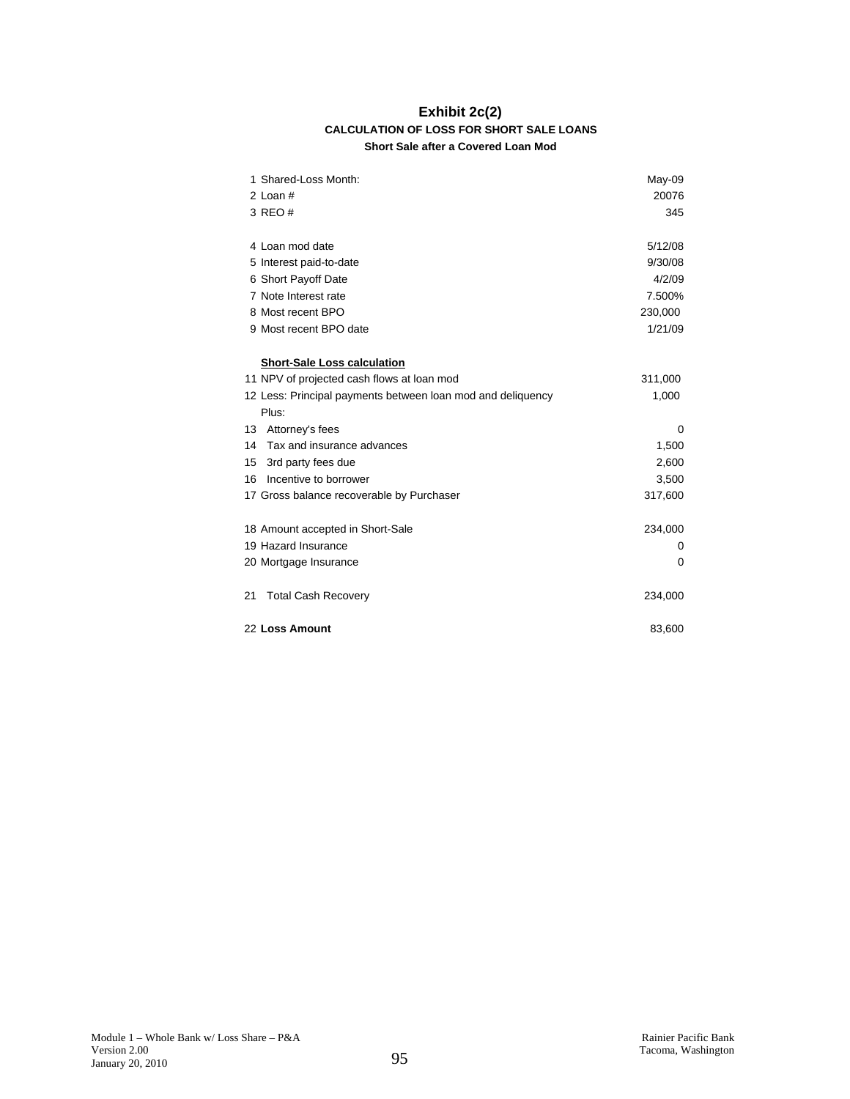#### **Exhibit 2c(2) CALCULATION OF LOSS FOR SHORT SALE LOANS Short Sale after a Covered Loan Mod**

| 1 Shared-Loss Month:                                        | May-09  |
|-------------------------------------------------------------|---------|
| 2 Loan $#$                                                  | 20076   |
| 3 REO #                                                     | 345     |
|                                                             |         |
| 4 Loan mod date                                             | 5/12/08 |
| 5 Interest paid-to-date                                     | 9/30/08 |
| 6 Short Payoff Date                                         | 4/2/09  |
| 7 Note Interest rate                                        | 7.500%  |
| 8 Most recent BPO                                           | 230,000 |
| 9 Most recent BPO date                                      | 1/21/09 |
|                                                             |         |
| <b>Short-Sale Loss calculation</b>                          |         |
| 11 NPV of projected cash flows at loan mod                  | 311,000 |
| 12 Less: Principal payments between loan mod and deliquency | 1,000   |
| Plus:                                                       |         |
| 13<br>Attorney's fees                                       | 0       |
| Tax and insurance advances<br>14                            | 1,500   |
| 15<br>3rd party fees due                                    | 2,600   |
| Incentive to borrower<br>16                                 | 3,500   |
| 17 Gross balance recoverable by Purchaser                   | 317,600 |
|                                                             |         |
| 18 Amount accepted in Short-Sale                            | 234,000 |
| 19 Hazard Insurance                                         | 0       |
| 20 Mortgage Insurance                                       | 0       |
|                                                             |         |
| <b>Total Cash Recovery</b><br>21                            | 234,000 |
|                                                             |         |
| 22 Loss Amount                                              | 83,600  |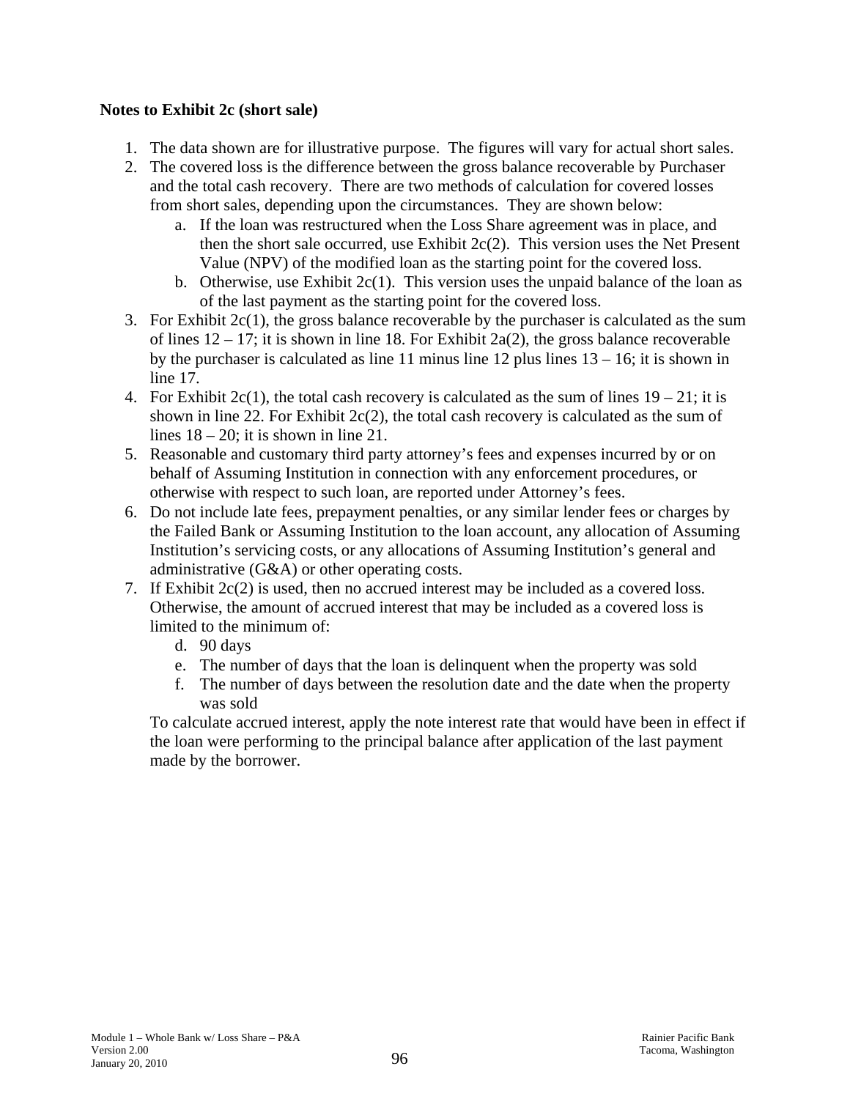## **Notes to Exhibit 2c (short sale)**

- 1. The data shown are for illustrative purpose. The figures will vary for actual short sales.
- 2. The covered loss is the difference between the gross balance recoverable by Purchaser and the total cash recovery. There are two methods of calculation for covered losses from short sales, depending upon the circumstances. They are shown below:
	- a. If the loan was restructured when the Loss Share agreement was in place, and then the short sale occurred, use Exhibit  $2c(2)$ . This version uses the Net Present Value (NPV) of the modified loan as the starting point for the covered loss.
	- b. Otherwise, use Exhibit  $2c(1)$ . This version uses the unpaid balance of the loan as of the last payment as the starting point for the covered loss.
- 3. For Exhibit  $2c(1)$ , the gross balance recoverable by the purchaser is calculated as the sum of lines  $12 - 17$ ; it is shown in line 18. For Exhibit 2a(2), the gross balance recoverable by the purchaser is calculated as line 11 minus line 12 plus lines 13 – 16; it is shown in line 17.
- 4. For Exhibit 2c(1), the total cash recovery is calculated as the sum of lines  $19 21$ ; it is shown in line 22. For Exhibit  $2c(2)$ , the total cash recovery is calculated as the sum of lines  $18 - 20$ ; it is shown in line 21.
- 5. Reasonable and customary third party attorney's fees and expenses incurred by or on behalf of Assuming Institution in connection with any enforcement procedures, or otherwise with respect to such loan, are reported under Attorney's fees.
- 6. Do not include late fees, prepayment penalties, or any similar lender fees or charges by the Failed Bank or Assuming Institution to the loan account, any allocation of Assuming Institution's servicing costs, or any allocations of Assuming Institution's general and administrative (G&A) or other operating costs.
- 7. If Exhibit  $2c(2)$  is used, then no accrued interest may be included as a covered loss. Otherwise, the amount of accrued interest that may be included as a covered loss is limited to the minimum of:
	- d. 90 days
	- e. The number of days that the loan is delinquent when the property was sold
	- f. The number of days between the resolution date and the date when the property was sold

To calculate accrued interest, apply the note interest rate that would have been in effect if the loan were performing to the principal balance after application of the last payment made by the borrower.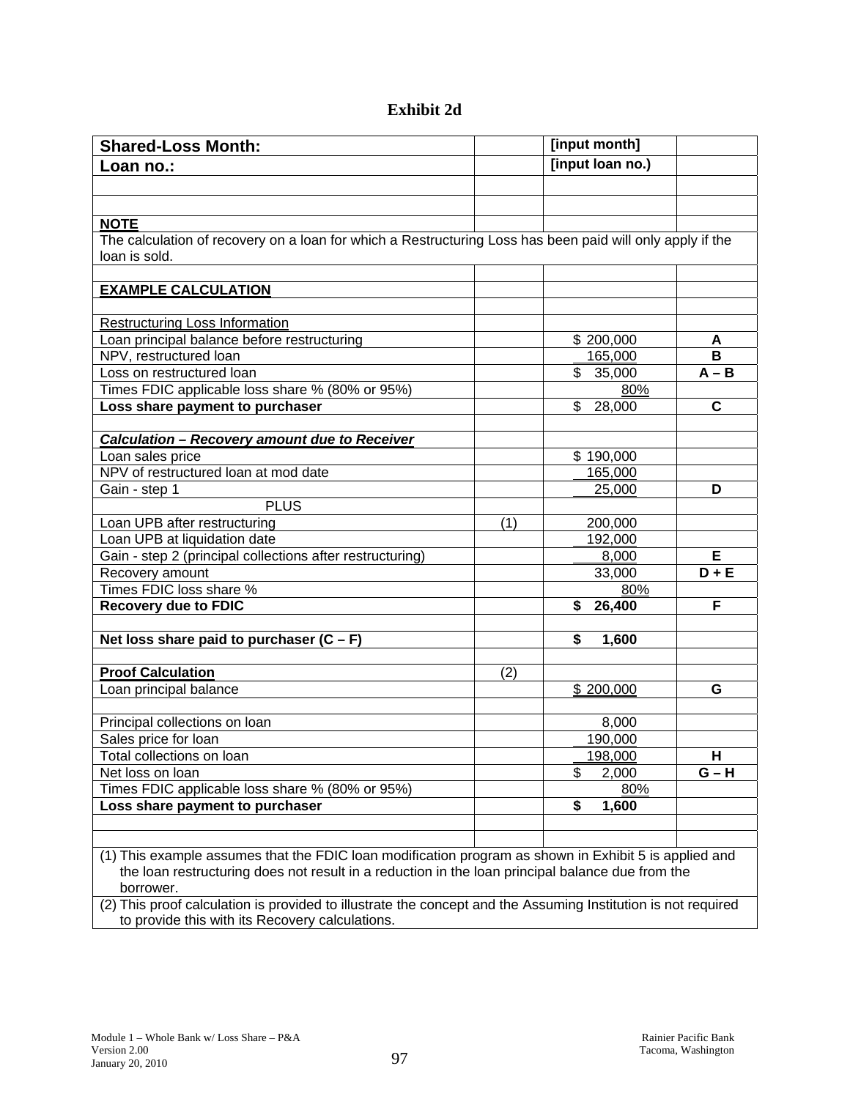# **Exhibit 2d**

| <b>Shared-Loss Month:</b>                                                                                                                                                                                 |     |                    |         |
|-----------------------------------------------------------------------------------------------------------------------------------------------------------------------------------------------------------|-----|--------------------|---------|
| Loan no.:                                                                                                                                                                                                 |     | [input loan no.)   |         |
|                                                                                                                                                                                                           |     |                    |         |
|                                                                                                                                                                                                           |     |                    |         |
| <b>NOTE</b>                                                                                                                                                                                               |     |                    |         |
| The calculation of recovery on a loan for which a Restructuring Loss has been paid will only apply if the                                                                                                 |     |                    |         |
| loan is sold.                                                                                                                                                                                             |     |                    |         |
|                                                                                                                                                                                                           |     |                    |         |
| <b>EXAMPLE CALCULATION</b>                                                                                                                                                                                |     |                    |         |
|                                                                                                                                                                                                           |     |                    |         |
| <b>Restructuring Loss Information</b>                                                                                                                                                                     |     |                    |         |
| Loan principal balance before restructuring                                                                                                                                                               |     | \$200,000          | A       |
| NPV, restructured loan                                                                                                                                                                                    |     | 165,000            | B       |
| Loss on restructured loan                                                                                                                                                                                 |     | \$35,000           | $A - B$ |
| Times FDIC applicable loss share % (80% or 95%)                                                                                                                                                           |     | 80%                |         |
| Loss share payment to purchaser                                                                                                                                                                           |     | \$28,000           | C       |
|                                                                                                                                                                                                           |     |                    |         |
| Calculation - Recovery amount due to Receiver                                                                                                                                                             |     |                    |         |
| Loan sales price                                                                                                                                                                                          |     | \$190,000          |         |
| NPV of restructured loan at mod date                                                                                                                                                                      |     | 165,000            |         |
| Gain - step 1                                                                                                                                                                                             |     | 25,000             | D       |
| <b>PLUS</b>                                                                                                                                                                                               |     |                    |         |
| Loan UPB after restructuring<br>Loan UPB at liquidation date                                                                                                                                              | (1) | 200,000<br>192,000 |         |
| Gain - step 2 (principal collections after restructuring)                                                                                                                                                 |     | 8,000              | Е       |
| Recovery amount                                                                                                                                                                                           |     | 33,000             | $D + E$ |
| Times FDIC loss share %                                                                                                                                                                                   |     | 80%                |         |
| <b>Recovery due to FDIC</b>                                                                                                                                                                               |     | \$26,400           | F       |
|                                                                                                                                                                                                           |     |                    |         |
| Net loss share paid to purchaser $(C - F)$                                                                                                                                                                |     | \$<br>1,600        |         |
|                                                                                                                                                                                                           |     |                    |         |
| <b>Proof Calculation</b>                                                                                                                                                                                  | (2) |                    |         |
| Loan principal balance                                                                                                                                                                                    |     | \$200,000          | G       |
|                                                                                                                                                                                                           |     |                    |         |
| Principal collections on loan                                                                                                                                                                             |     | 8,000              |         |
| Sales price for loan                                                                                                                                                                                      |     | 190,000            |         |
| Total collections on loan                                                                                                                                                                                 |     | 198,000            | H       |
| Net loss on loan                                                                                                                                                                                          |     | \$<br>2,000        | G – H   |
| Times FDIC applicable loss share % (80% or 95%)                                                                                                                                                           |     | 80%                |         |
| Loss share payment to purchaser                                                                                                                                                                           |     | 1,600<br>\$        |         |
|                                                                                                                                                                                                           |     |                    |         |
|                                                                                                                                                                                                           |     |                    |         |
| (1) This example assumes that the FDIC loan modification program as shown in Exhibit 5 is applied and<br>the loan restructuring does not result in a reduction in the loan principal balance due from the |     |                    |         |
| borrower.                                                                                                                                                                                                 |     |                    |         |
| (2) This proof calculation is provided to illustrate the concept and the Assuming Institution is not required                                                                                             |     |                    |         |
| to provide this with its Recovery calculations.                                                                                                                                                           |     |                    |         |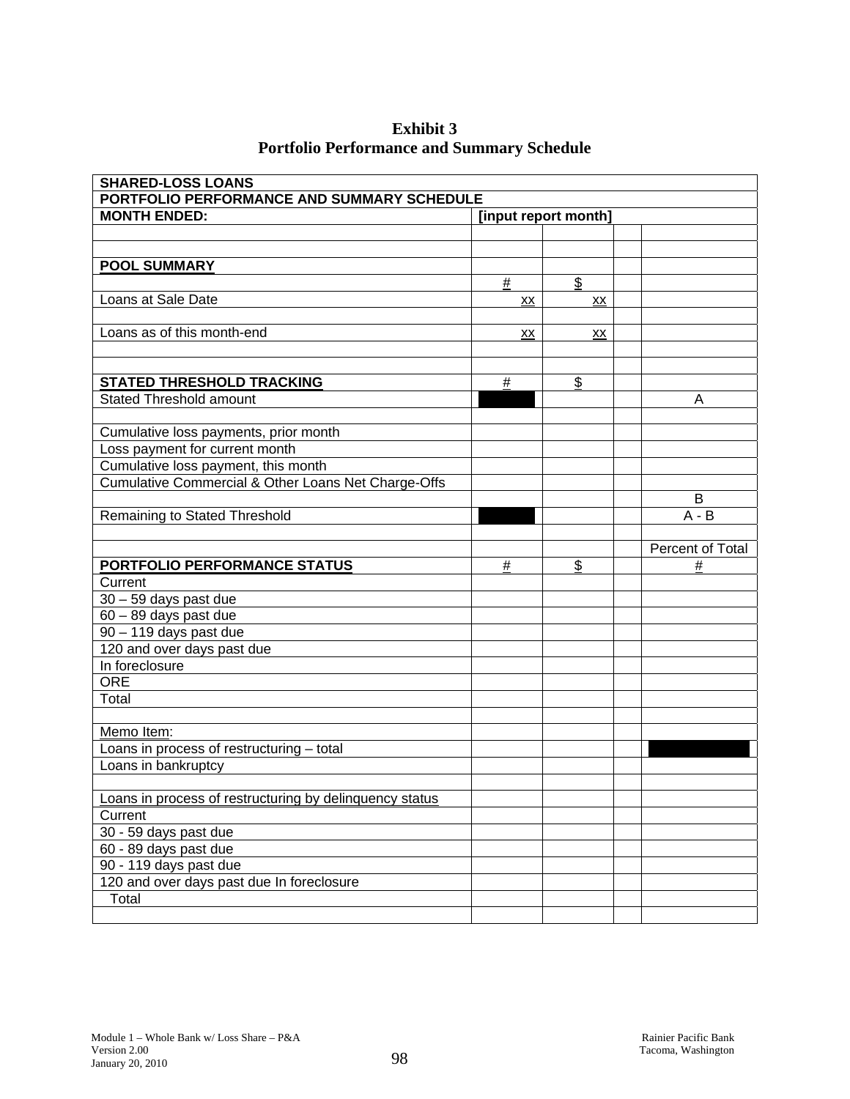| <b>SHARED-LOSS LOANS</b><br>PORTFOLIO PERFORMANCE AND SUMMARY SCHEDULE |                      |    |                         |
|------------------------------------------------------------------------|----------------------|----|-------------------------|
| <b>MONTH ENDED:</b>                                                    | [input report month] |    |                         |
|                                                                        |                      |    |                         |
|                                                                        |                      |    |                         |
| <b>POOL SUMMARY</b>                                                    |                      |    |                         |
|                                                                        | $\#$                 | \$ |                         |
| Loans at Sale Date                                                     | XX                   | XX |                         |
|                                                                        |                      |    |                         |
| Loans as of this month-end                                             | XX                   | XX |                         |
|                                                                        |                      |    |                         |
| <b>STATED THRESHOLD TRACKING</b>                                       | $\#$                 | \$ |                         |
| <b>Stated Threshold amount</b>                                         |                      |    | A                       |
|                                                                        |                      |    |                         |
| Cumulative loss payments, prior month                                  |                      |    |                         |
| Loss payment for current month                                         |                      |    |                         |
| Cumulative loss payment, this month                                    |                      |    |                         |
| Cumulative Commercial & Other Loans Net Charge-Offs                    |                      |    |                         |
|                                                                        |                      |    | B                       |
| Remaining to Stated Threshold                                          |                      |    | $A - B$                 |
|                                                                        |                      |    |                         |
|                                                                        |                      |    | <b>Percent of Total</b> |
| <b>PORTFOLIO PERFORMANCE STATUS</b>                                    | $\#$                 | \$ | $\#$                    |
| Current                                                                |                      |    |                         |
| $30 - 59$ days past due                                                |                      |    |                         |
| $60 - 89$ days past due                                                |                      |    |                         |
| $90 - 119$ days past due                                               |                      |    |                         |
| 120 and over days past due                                             |                      |    |                         |
| In foreclosure                                                         |                      |    |                         |
| <b>ORE</b>                                                             |                      |    |                         |
| Total                                                                  |                      |    |                         |
|                                                                        |                      |    |                         |
| Memo Item:                                                             |                      |    |                         |
| Loans in process of restructuring - total                              |                      |    |                         |
| Loans in bankruptcy                                                    |                      |    |                         |
|                                                                        |                      |    |                         |
| Loans in process of restructuring by delinquency status                |                      |    |                         |
| Current                                                                |                      |    |                         |
| 30 - 59 days past due                                                  |                      |    |                         |
| 60 - 89 days past due                                                  |                      |    |                         |
| 90 - 119 days past due                                                 |                      |    |                         |
| 120 and over days past due In foreclosure<br>Total                     |                      |    |                         |
|                                                                        |                      |    |                         |

# **Exhibit 3 Portfolio Performance and Summary Schedule**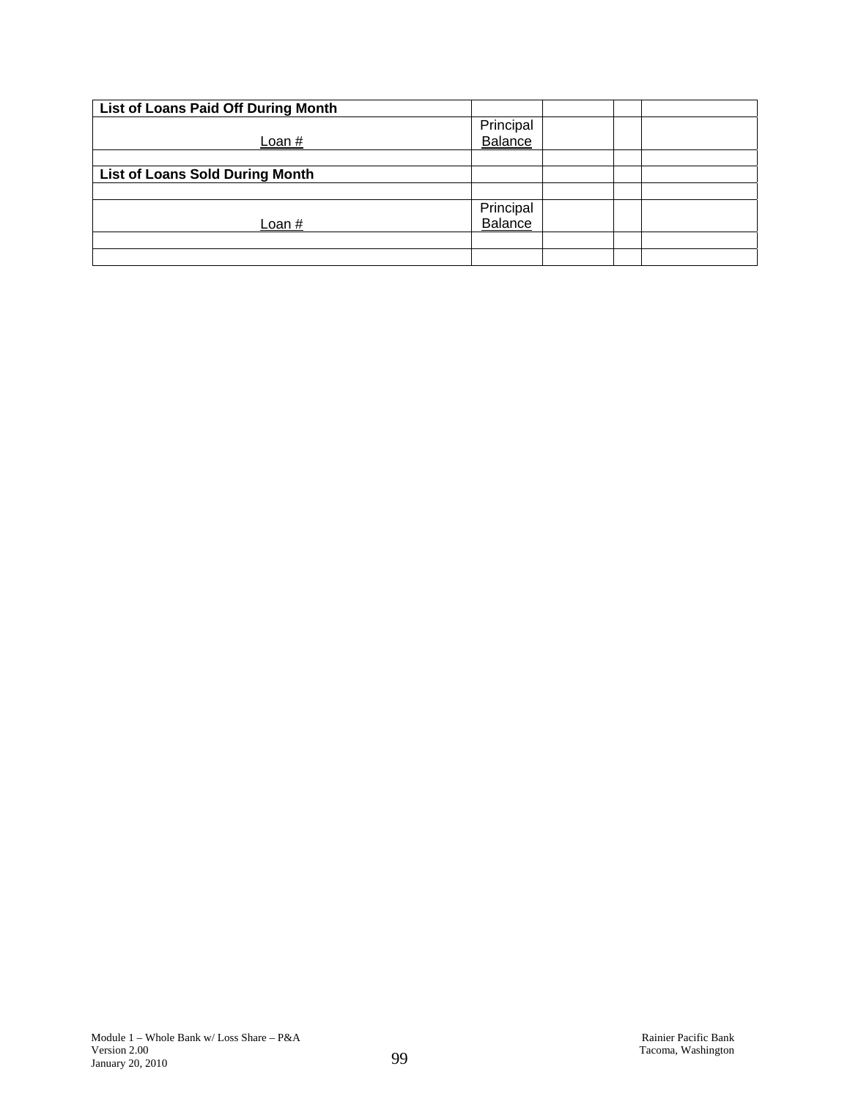| List of Loans Paid Off During Month    |                      |  |  |
|----------------------------------------|----------------------|--|--|
|                                        | Principal            |  |  |
| Loan #                                 | Balance              |  |  |
|                                        |                      |  |  |
| <b>List of Loans Sold During Month</b> |                      |  |  |
|                                        |                      |  |  |
|                                        | Principal<br>Balance |  |  |
| Loan #                                 |                      |  |  |
|                                        |                      |  |  |
|                                        |                      |  |  |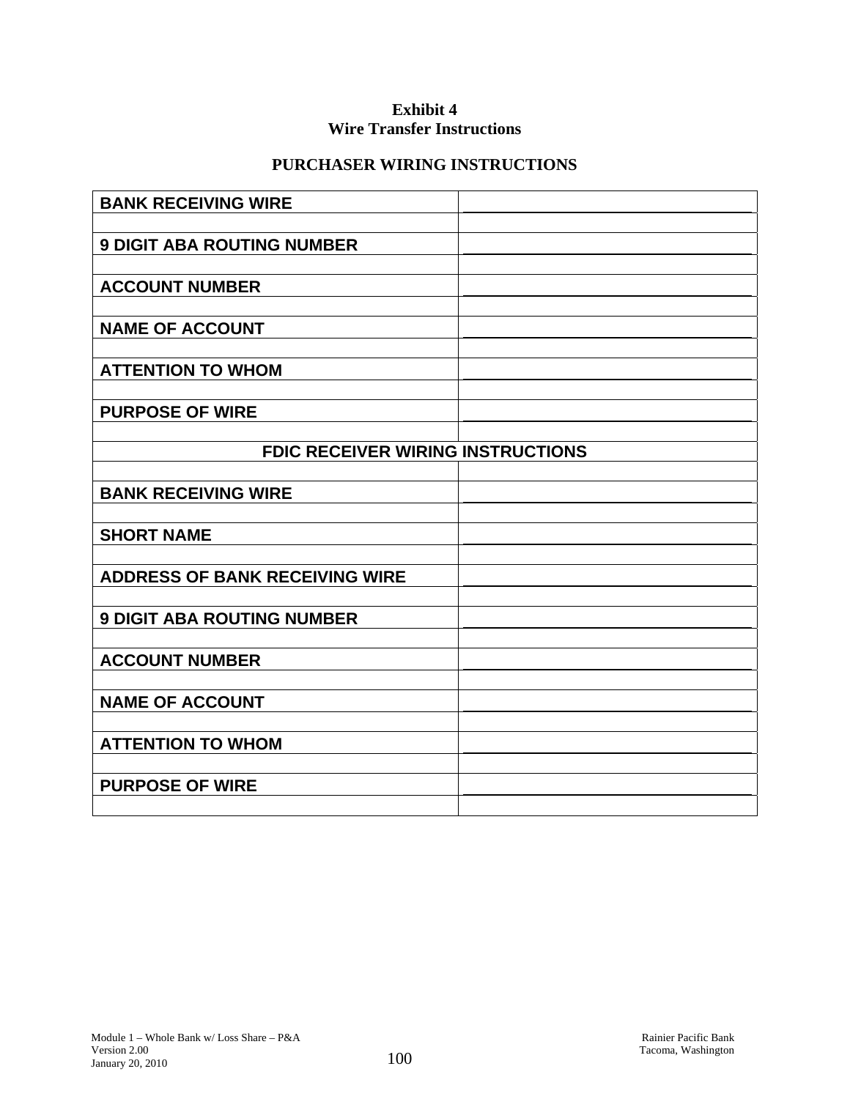## **Exhibit 4 Wire Transfer Instructions**

# **PURCHASER WIRING INSTRUCTIONS**

| <b>BANK RECEIVING WIRE</b>            |  |
|---------------------------------------|--|
|                                       |  |
| <b>9 DIGIT ABA ROUTING NUMBER</b>     |  |
|                                       |  |
| <b>ACCOUNT NUMBER</b>                 |  |
|                                       |  |
| <b>NAME OF ACCOUNT</b>                |  |
|                                       |  |
| <b>ATTENTION TO WHOM</b>              |  |
| <b>PURPOSE OF WIRE</b>                |  |
|                                       |  |
| FDIC RECEIVER WIRING INSTRUCTIONS     |  |
|                                       |  |
| <b>BANK RECEIVING WIRE</b>            |  |
|                                       |  |
| <b>SHORT NAME</b>                     |  |
|                                       |  |
| <b>ADDRESS OF BANK RECEIVING WIRE</b> |  |
|                                       |  |
| <b>9 DIGIT ABA ROUTING NUMBER</b>     |  |
|                                       |  |
| <b>ACCOUNT NUMBER</b>                 |  |
|                                       |  |
| <b>NAME OF ACCOUNT</b>                |  |
| <b>ATTENTION TO WHOM</b>              |  |
|                                       |  |
| <b>PURPOSE OF WIRE</b>                |  |
|                                       |  |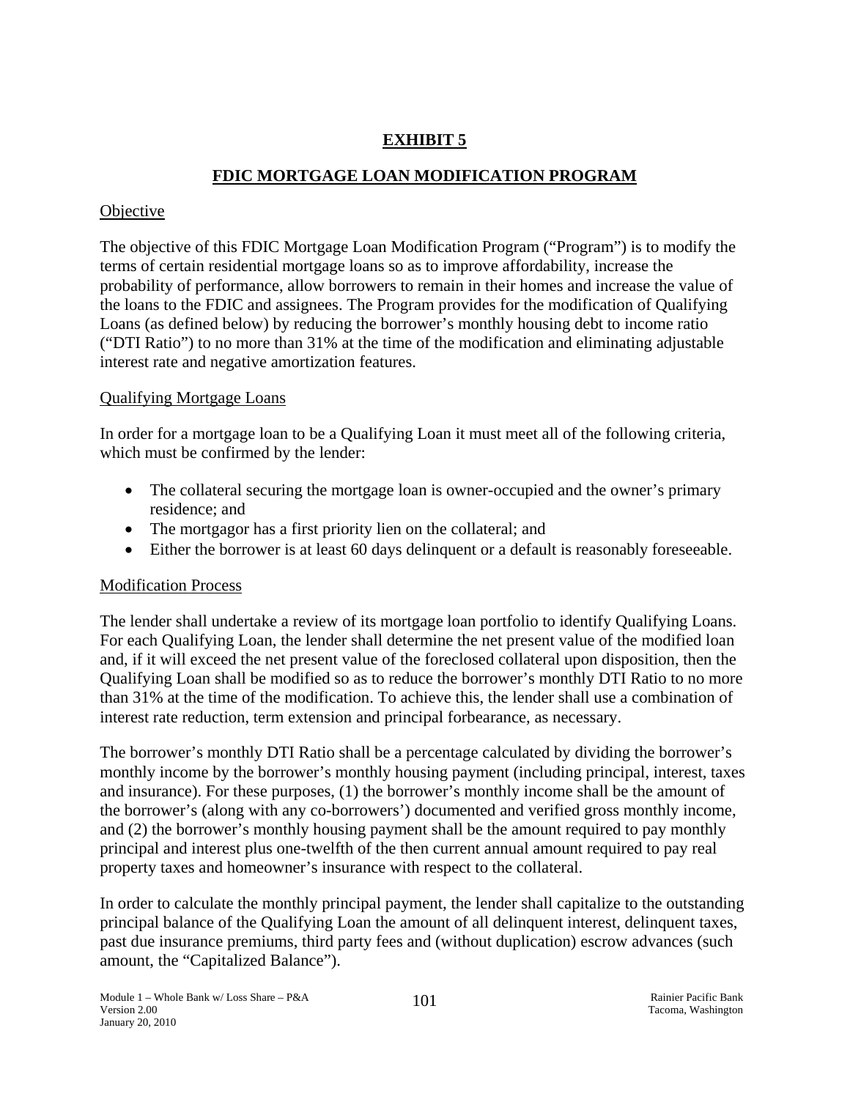# **EXHIBIT 5**

# **FDIC MORTGAGE LOAN MODIFICATION PROGRAM**

# **Objective**

The objective of this FDIC Mortgage Loan Modification Program ("Program") is to modify the terms of certain residential mortgage loans so as to improve affordability, increase the probability of performance, allow borrowers to remain in their homes and increase the value of the loans to the FDIC and assignees. The Program provides for the modification of Qualifying Loans (as defined below) by reducing the borrower's monthly housing debt to income ratio ("DTI Ratio") to no more than 31% at the time of the modification and eliminating adjustable interest rate and negative amortization features.

# Qualifying Mortgage Loans

In order for a mortgage loan to be a Qualifying Loan it must meet all of the following criteria, which must be confirmed by the lender:

- The collateral securing the mortgage loan is owner-occupied and the owner's primary residence; and
- The mortgagor has a first priority lien on the collateral; and
- Either the borrower is at least 60 days delinquent or a default is reasonably foreseeable.

## Modification Process

The lender shall undertake a review of its mortgage loan portfolio to identify Qualifying Loans. For each Qualifying Loan, the lender shall determine the net present value of the modified loan and, if it will exceed the net present value of the foreclosed collateral upon disposition, then the Qualifying Loan shall be modified so as to reduce the borrower's monthly DTI Ratio to no more than 31% at the time of the modification. To achieve this, the lender shall use a combination of interest rate reduction, term extension and principal forbearance, as necessary.

The borrower's monthly DTI Ratio shall be a percentage calculated by dividing the borrower's monthly income by the borrower's monthly housing payment (including principal, interest, taxes and insurance). For these purposes, (1) the borrower's monthly income shall be the amount of the borrower's (along with any co-borrowers') documented and verified gross monthly income, and (2) the borrower's monthly housing payment shall be the amount required to pay monthly principal and interest plus one-twelfth of the then current annual amount required to pay real property taxes and homeowner's insurance with respect to the collateral.

In order to calculate the monthly principal payment, the lender shall capitalize to the outstanding principal balance of the Qualifying Loan the amount of all delinquent interest, delinquent taxes, past due insurance premiums, third party fees and (without duplication) escrow advances (such amount, the "Capitalized Balance").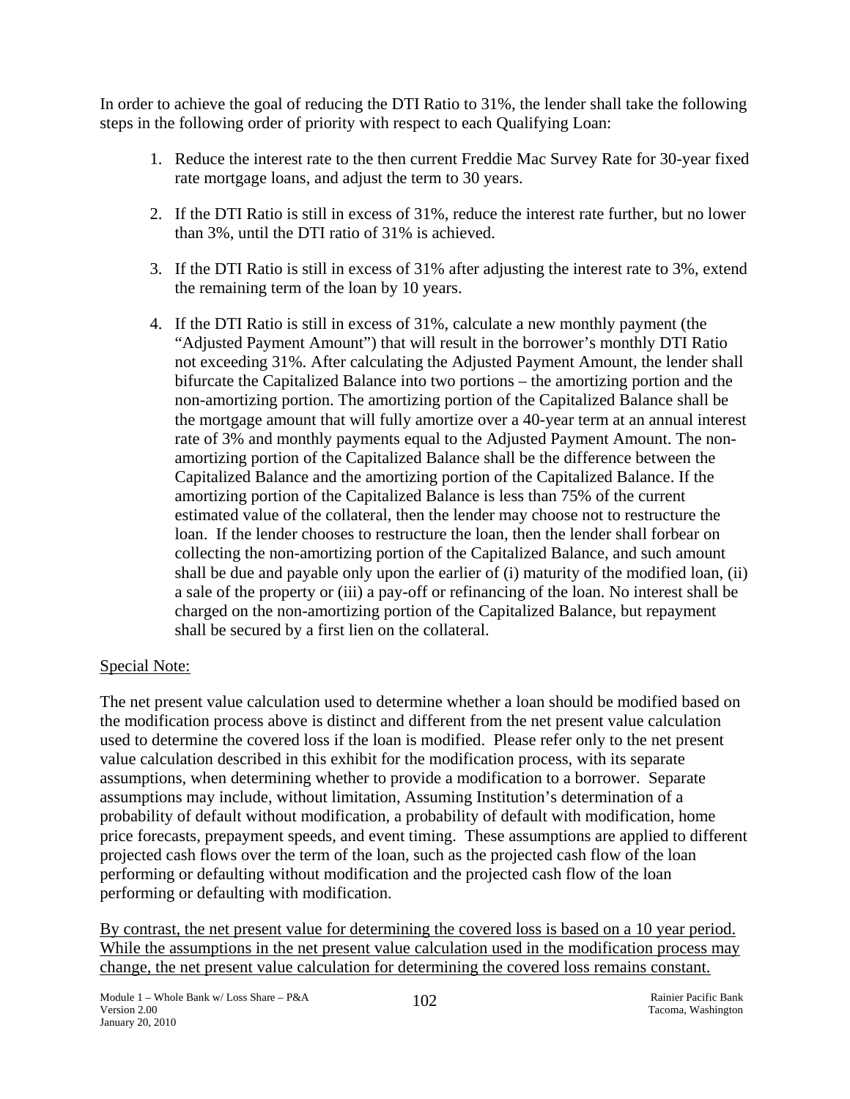In order to achieve the goal of reducing the DTI Ratio to 31%, the lender shall take the following steps in the following order of priority with respect to each Qualifying Loan:

- 1. Reduce the interest rate to the then current Freddie Mac Survey Rate for 30-year fixed rate mortgage loans, and adjust the term to 30 years.
- 2. If the DTI Ratio is still in excess of 31%, reduce the interest rate further, but no lower than 3%, until the DTI ratio of 31% is achieved.
- 3. If the DTI Ratio is still in excess of 31% after adjusting the interest rate to 3%, extend the remaining term of the loan by 10 years.
- 4. If the DTI Ratio is still in excess of 31%, calculate a new monthly payment (the "Adjusted Payment Amount") that will result in the borrower's monthly DTI Ratio not exceeding 31%. After calculating the Adjusted Payment Amount, the lender shall bifurcate the Capitalized Balance into two portions – the amortizing portion and the non-amortizing portion. The amortizing portion of the Capitalized Balance shall be the mortgage amount that will fully amortize over a 40-year term at an annual interest rate of 3% and monthly payments equal to the Adjusted Payment Amount. The nonamortizing portion of the Capitalized Balance shall be the difference between the Capitalized Balance and the amortizing portion of the Capitalized Balance. If the amortizing portion of the Capitalized Balance is less than 75% of the current estimated value of the collateral, then the lender may choose not to restructure the loan. If the lender chooses to restructure the loan, then the lender shall forbear on collecting the non-amortizing portion of the Capitalized Balance, and such amount shall be due and payable only upon the earlier of (i) maturity of the modified loan, (ii) a sale of the property or (iii) a pay-off or refinancing of the loan. No interest shall be charged on the non-amortizing portion of the Capitalized Balance, but repayment shall be secured by a first lien on the collateral.

## Special Note:

The net present value calculation used to determine whether a loan should be modified based on the modification process above is distinct and different from the net present value calculation used to determine the covered loss if the loan is modified. Please refer only to the net present value calculation described in this exhibit for the modification process, with its separate assumptions, when determining whether to provide a modification to a borrower. Separate assumptions may include, without limitation, Assuming Institution's determination of a probability of default without modification, a probability of default with modification, home price forecasts, prepayment speeds, and event timing. These assumptions are applied to different projected cash flows over the term of the loan, such as the projected cash flow of the loan performing or defaulting without modification and the projected cash flow of the loan performing or defaulting with modification.

change, the net present value calculation for determining the covered loss remains constant.<br>
Module 1 – Whole Bank w/ Loss Share – P&A 102 Rainier Pacific Bank Tacoma, Washington By contrast, the net present value for determining the covered loss is based on a 10 year period. While the assumptions in the net present value calculation used in the modification process may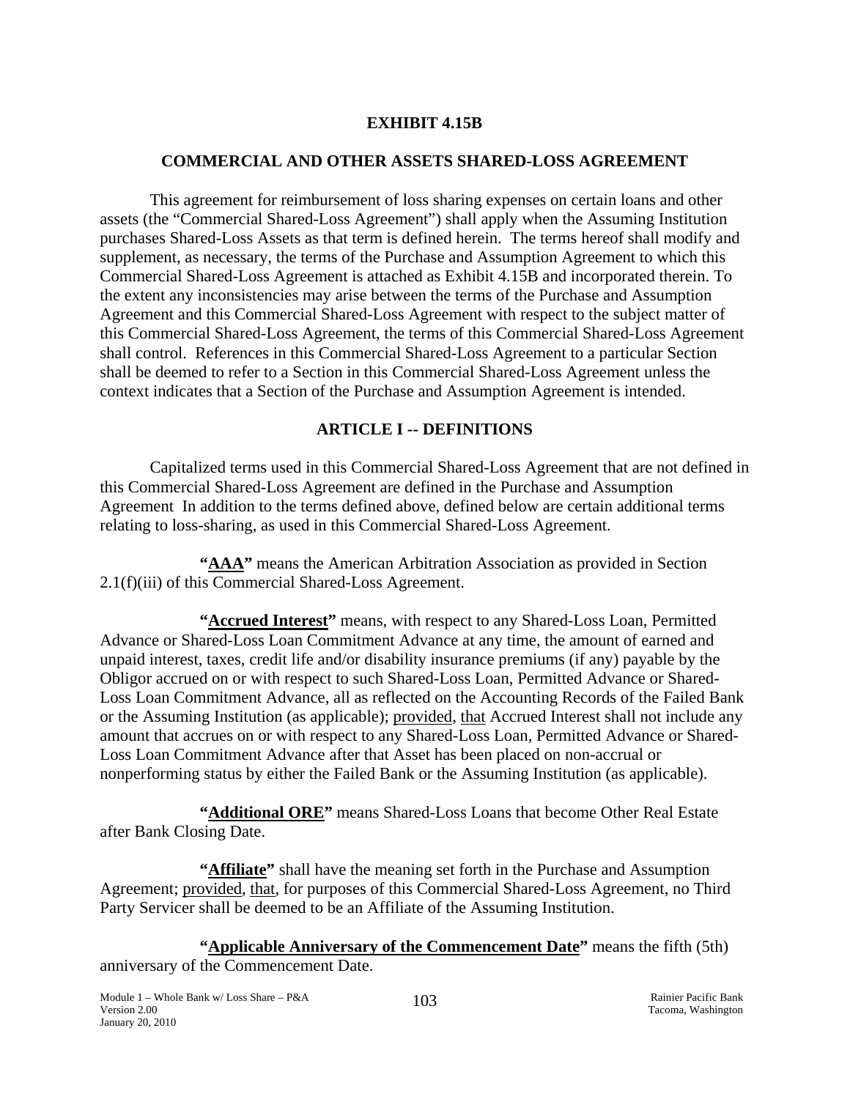## **EXHIBIT 4.15B**

## **COMMERCIAL AND OTHER ASSETS SHARED-LOSS AGREEMENT**

This agreement for reimbursement of loss sharing expenses on certain loans and other assets (the "Commercial Shared-Loss Agreement") shall apply when the Assuming Institution purchases Shared-Loss Assets as that term is defined herein. The terms hereof shall modify and supplement, as necessary, the terms of the Purchase and Assumption Agreement to which this Commercial Shared-Loss Agreement is attached as Exhibit 4.15B and incorporated therein. To the extent any inconsistencies may arise between the terms of the Purchase and Assumption Agreement and this Commercial Shared-Loss Agreement with respect to the subject matter of this Commercial Shared-Loss Agreement, the terms of this Commercial Shared-Loss Agreement shall control. References in this Commercial Shared-Loss Agreement to a particular Section shall be deemed to refer to a Section in this Commercial Shared-Loss Agreement unless the context indicates that a Section of the Purchase and Assumption Agreement is intended.

## **ARTICLE I -- DEFINITIONS**

Capitalized terms used in this Commercial Shared-Loss Agreement that are not defined in this Commercial Shared-Loss Agreement are defined in the Purchase and Assumption Agreement In addition to the terms defined above, defined below are certain additional terms relating to loss-sharing, as used in this Commercial Shared-Loss Agreement.

**"AAA"** means the American Arbitration Association as provided in Section 2.1(f)(iii) of this Commercial Shared-Loss Agreement.

**"Accrued Interest"** means, with respect to any Shared-Loss Loan, Permitted Advance or Shared-Loss Loan Commitment Advance at any time, the amount of earned and unpaid interest, taxes, credit life and/or disability insurance premiums (if any) payable by the Obligor accrued on or with respect to such Shared-Loss Loan, Permitted Advance or Shared-Loss Loan Commitment Advance, all as reflected on the Accounting Records of the Failed Bank or the Assuming Institution (as applicable); provided, that Accrued Interest shall not include any amount that accrues on or with respect to any Shared-Loss Loan, Permitted Advance or Shared-Loss Loan Commitment Advance after that Asset has been placed on non-accrual or nonperforming status by either the Failed Bank or the Assuming Institution (as applicable).

"**Additional ORE**" means Shared-Loss Loans that become Other Real Estate after Bank Closing Date.

"**Affiliate**" shall have the meaning set forth in the Purchase and Assumption Agreement; provided, that, for purposes of this Commercial Shared-Loss Agreement, no Third Party Servicer shall be deemed to be an Affiliate of the Assuming Institution.

**Examplicable Anniversary of the Commencement Date**" means the fifth (5th) anniversary of the Commencement Date.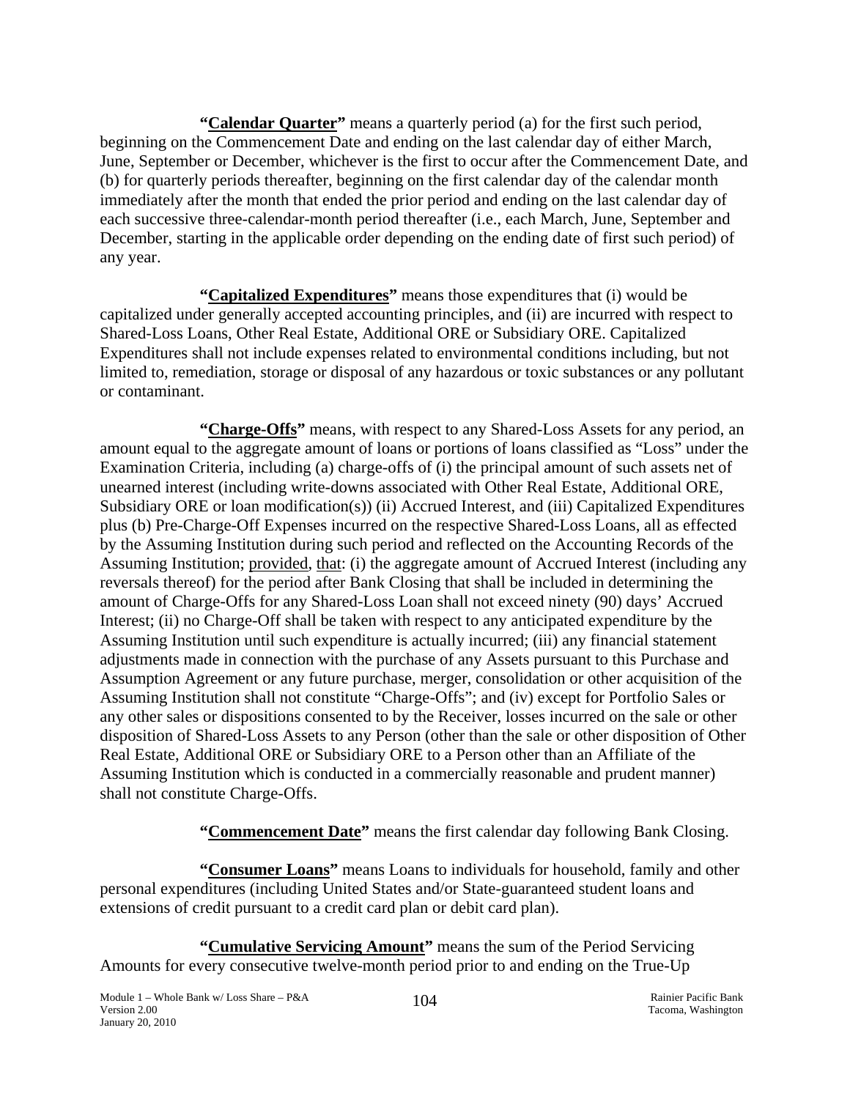**"Calendar Quarter"** means a quarterly period (a) for the first such period, beginning on the Commencement Date and ending on the last calendar day of either March, June, September or December, whichever is the first to occur after the Commencement Date, and (b) for quarterly periods thereafter, beginning on the first calendar day of the calendar month immediately after the month that ended the prior period and ending on the last calendar day of each successive three-calendar-month period thereafter (i.e., each March, June, September and December, starting in the applicable order depending on the ending date of first such period) of any year.

**"Capitalized Expenditures"** means those expenditures that (i) would be capitalized under generally accepted accounting principles, and (ii) are incurred with respect to Shared-Loss Loans, Other Real Estate, Additional ORE or Subsidiary ORE. Capitalized Expenditures shall not include expenses related to environmental conditions including, but not limited to, remediation, storage or disposal of any hazardous or toxic substances or any pollutant or contaminant.

**"Charge-Offs"** means, with respect to any Shared-Loss Assets for any period, an amount equal to the aggregate amount of loans or portions of loans classified as "Loss" under the Examination Criteria, including (a) charge-offs of (i) the principal amount of such assets net of unearned interest (including write-downs associated with Other Real Estate, Additional ORE, Subsidiary ORE or loan modification(s)) (ii) Accrued Interest, and (iii) Capitalized Expenditures plus (b) Pre-Charge-Off Expenses incurred on the respective Shared-Loss Loans, all as effected by the Assuming Institution during such period and reflected on the Accounting Records of the Assuming Institution; provided, that: (i) the aggregate amount of Accrued Interest (including any reversals thereof) for the period after Bank Closing that shall be included in determining the amount of Charge-Offs for any Shared-Loss Loan shall not exceed ninety (90) days' Accrued Interest; (ii) no Charge-Off shall be taken with respect to any anticipated expenditure by the Assuming Institution until such expenditure is actually incurred; (iii) any financial statement adjustments made in connection with the purchase of any Assets pursuant to this Purchase and Assumption Agreement or any future purchase, merger, consolidation or other acquisition of the Assuming Institution shall not constitute "Charge-Offs"; and (iv) except for Portfolio Sales or any other sales or dispositions consented to by the Receiver, losses incurred on the sale or other disposition of Shared-Loss Assets to any Person (other than the sale or other disposition of Other Real Estate, Additional ORE or Subsidiary ORE to a Person other than an Affiliate of the Assuming Institution which is conducted in a commercially reasonable and prudent manner) shall not constitute Charge-Offs.

**"Commencement Date"** means the first calendar day following Bank Closing.

**"Consumer Loans"** means Loans to individuals for household, family and other personal expenditures (including United States and/or State-guaranteed student loans and extensions of credit pursuant to a credit card plan or debit card plan).

**"Cumulative Servicing Amount"** means the sum of the Period Servicing Amounts for every consecutive twelve-month period prior to and ending on the True-Up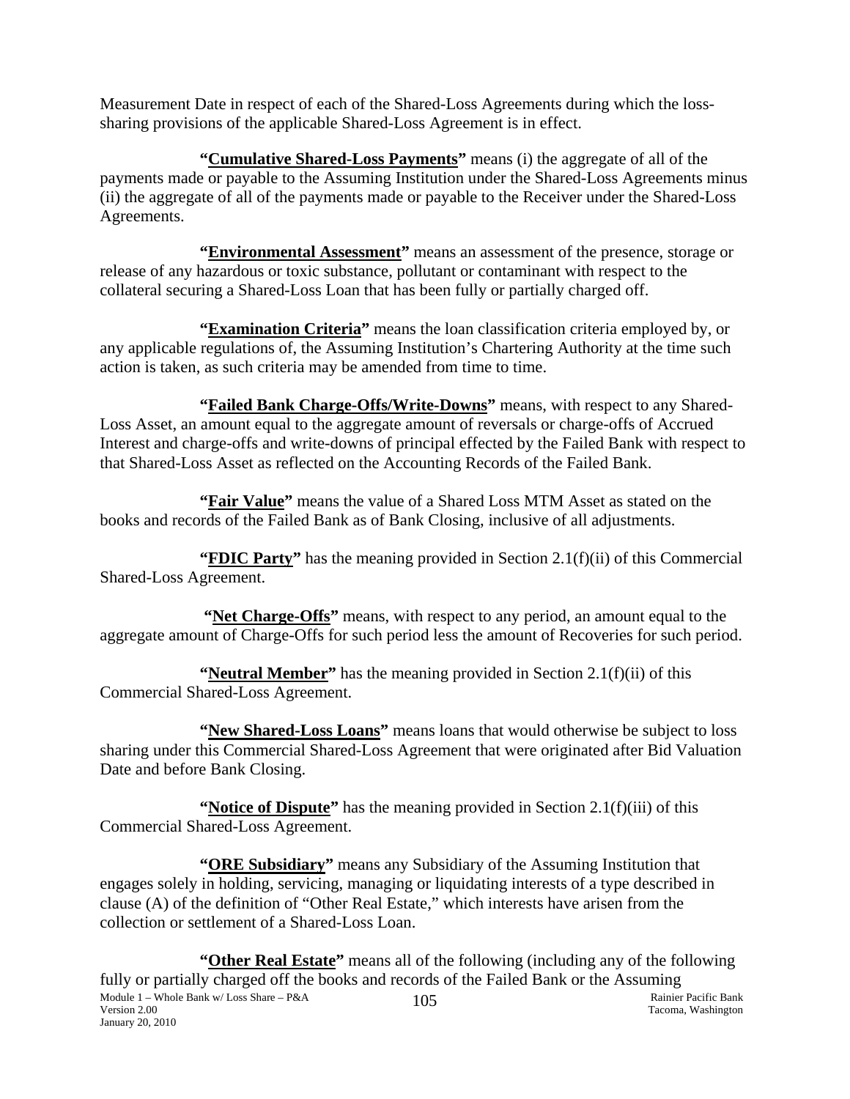Measurement Date in respect of each of the Shared-Loss Agreements during which the losssharing provisions of the applicable Shared-Loss Agreement is in effect.

**"Cumulative Shared-Loss Payments"** means (i) the aggregate of all of the payments made or payable to the Assuming Institution under the Shared-Loss Agreements minus (ii) the aggregate of all of the payments made or payable to the Receiver under the Shared-Loss Agreements.

**"Environmental Assessment"** means an assessment of the presence, storage or release of any hazardous or toxic substance, pollutant or contaminant with respect to the collateral securing a Shared-Loss Loan that has been fully or partially charged off.

**"Examination Criteria"** means the loan classification criteria employed by, or any applicable regulations of, the Assuming Institution's Chartering Authority at the time such action is taken, as such criteria may be amended from time to time.

**"Failed Bank Charge-Offs/Write-Downs"** means, with respect to any Shared-Loss Asset, an amount equal to the aggregate amount of reversals or charge-offs of Accrued Interest and charge-offs and write-downs of principal effected by the Failed Bank with respect to that Shared-Loss Asset as reflected on the Accounting Records of the Failed Bank.

**"Fair Value"** means the value of a Shared Loss MTM Asset as stated on the books and records of the Failed Bank as of Bank Closing, inclusive of all adjustments.

**"FDIC Party"** has the meaning provided in Section 2.1(f)(ii) of this Commercial Shared-Loss Agreement.

**"Net Charge-Offs"** means, with respect to any period, an amount equal to the aggregate amount of Charge-Offs for such period less the amount of Recoveries for such period.

 Commercial Shared-Loss Agreement. **"Neutral Member"** has the meaning provided in Section 2.1(f)(ii) of this

**"New Shared-Loss Loans"** means loans that would otherwise be subject to loss sharing under this Commercial Shared-Loss Agreement that were originated after Bid Valuation Date and before Bank Closing.

**"Notice of Dispute"** has the meaning provided in Section 2.1(f)(iii) of this Commercial Shared-Loss Agreement.

**"ORE Subsidiary"** means any Subsidiary of the Assuming Institution that engages solely in holding, servicing, managing or liquidating interests of a type described in clause (A) of the definition of "Other Real Estate," which interests have arisen from the collection or settlement of a Shared-Loss Loan.

**"Other Real Estate"** means all of the following (including any of the following fully or partially charged off the books and records of the Failed Bank or the Assuming Module 1 – Whole Bank w/ Loss Share – P&A  $105$  Rainier Pacific Bank 105 Cersion 2.00 Tacoma, Washington January 20, 2010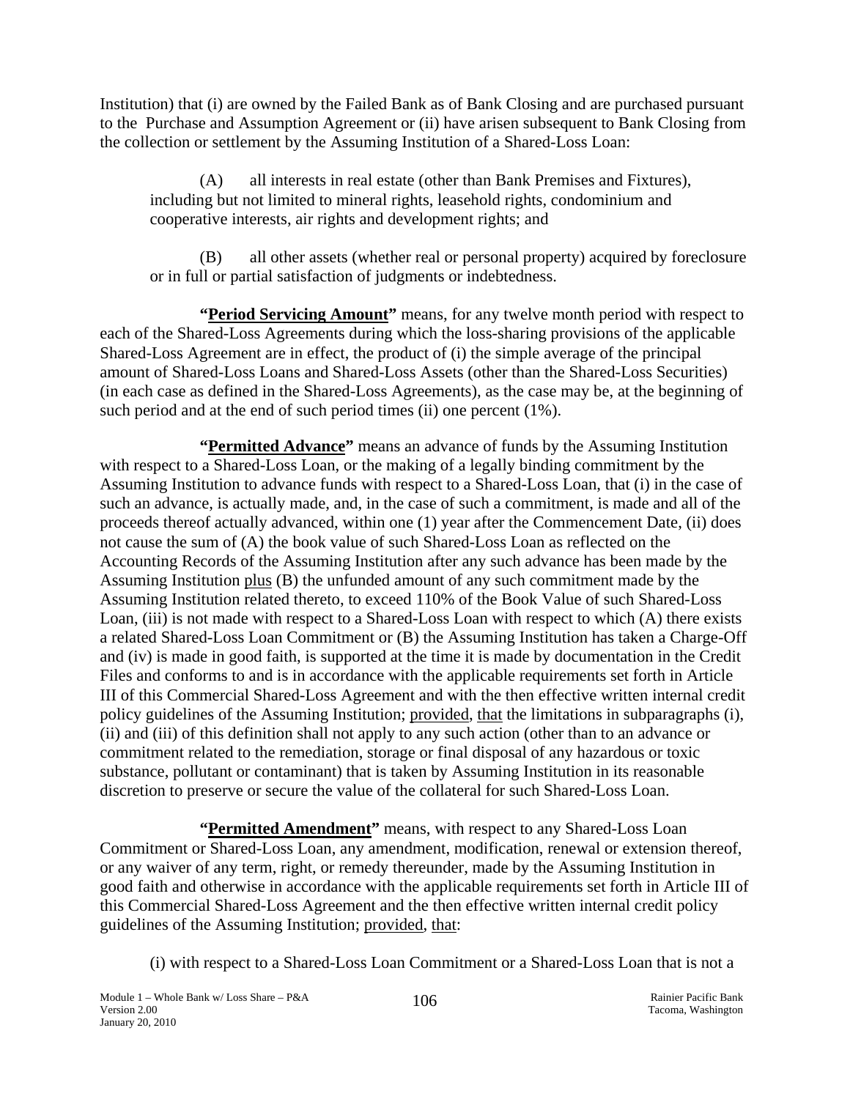Institution) that (i) are owned by the Failed Bank as of Bank Closing and are purchased pursuant to the Purchase and Assumption Agreement or (ii) have arisen subsequent to Bank Closing from the collection or settlement by the Assuming Institution of a Shared-Loss Loan:

(A) all interests in real estate (other than Bank Premises and Fixtures), including but not limited to mineral rights, leasehold rights, condominium and cooperative interests, air rights and development rights; and

(B) all other assets (whether real or personal property) acquired by foreclosure or in full or partial satisfaction of judgments or indebtedness.

**"Period Servicing Amount"** means, for any twelve month period with respect to each of the Shared-Loss Agreements during which the loss-sharing provisions of the applicable Shared-Loss Agreement are in effect, the product of (i) the simple average of the principal amount of Shared-Loss Loans and Shared-Loss Assets (other than the Shared-Loss Securities) (in each case as defined in the Shared-Loss Agreements), as the case may be, at the beginning of such period and at the end of such period times (ii) one percent (1%).

**"Permitted Advance"** means an advance of funds by the Assuming Institution with respect to a Shared-Loss Loan, or the making of a legally binding commitment by the Assuming Institution to advance funds with respect to a Shared-Loss Loan, that (i) in the case of such an advance, is actually made, and, in the case of such a commitment, is made and all of the proceeds thereof actually advanced, within one (1) year after the Commencement Date, (ii) does not cause the sum of (A) the book value of such Shared-Loss Loan as reflected on the Accounting Records of the Assuming Institution after any such advance has been made by the Assuming Institution plus (B) the unfunded amount of any such commitment made by the Assuming Institution related thereto, to exceed 110% of the Book Value of such Shared-Loss Loan, (iii) is not made with respect to a Shared-Loss Loan with respect to which (A) there exists a related Shared-Loss Loan Commitment or (B) the Assuming Institution has taken a Charge-Off and (iv) is made in good faith, is supported at the time it is made by documentation in the Credit Files and conforms to and is in accordance with the applicable requirements set forth in Article III of this Commercial Shared-Loss Agreement and with the then effective written internal credit policy guidelines of the Assuming Institution; provided, that the limitations in subparagraphs (i), (ii) and (iii) of this definition shall not apply to any such action (other than to an advance or commitment related to the remediation, storage or final disposal of any hazardous or toxic substance, pollutant or contaminant) that is taken by Assuming Institution in its reasonable discretion to preserve or secure the value of the collateral for such Shared-Loss Loan.

**"Permitted Amendment"** means, with respect to any Shared-Loss Loan Commitment or Shared-Loss Loan, any amendment, modification, renewal or extension thereof, or any waiver of any term, right, or remedy thereunder, made by the Assuming Institution in good faith and otherwise in accordance with the applicable requirements set forth in Article III of this Commercial Shared-Loss Agreement and the then effective written internal credit policy guidelines of the Assuming Institution; provided, that:

(i) with respect to a Shared-Loss Loan Commitment or a Shared-Loss Loan that is not a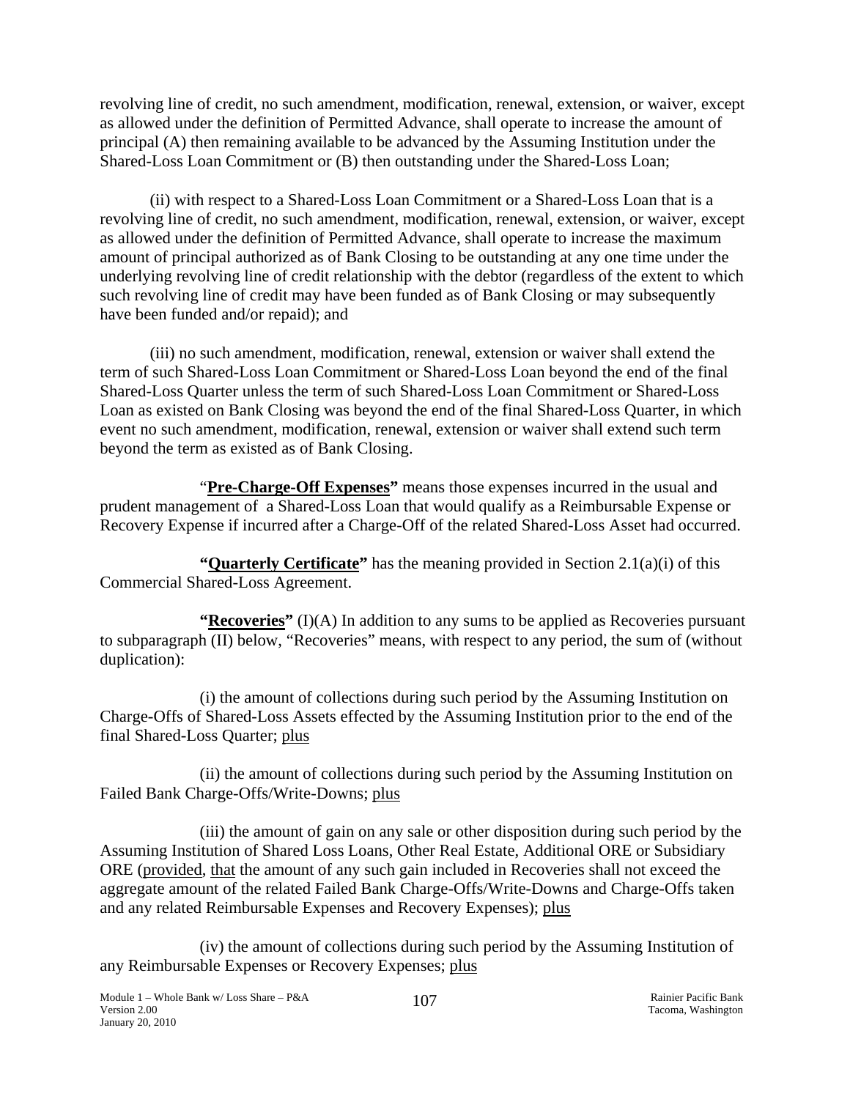revolving line of credit, no such amendment, modification, renewal, extension, or waiver, except as allowed under the definition of Permitted Advance, shall operate to increase the amount of principal (A) then remaining available to be advanced by the Assuming Institution under the Shared-Loss Loan Commitment or (B) then outstanding under the Shared-Loss Loan;

(ii) with respect to a Shared-Loss Loan Commitment or a Shared-Loss Loan that is a revolving line of credit, no such amendment, modification, renewal, extension, or waiver, except as allowed under the definition of Permitted Advance, shall operate to increase the maximum amount of principal authorized as of Bank Closing to be outstanding at any one time under the underlying revolving line of credit relationship with the debtor (regardless of the extent to which such revolving line of credit may have been funded as of Bank Closing or may subsequently have been funded and/or repaid); and

(iii) no such amendment, modification, renewal, extension or waiver shall extend the term of such Shared-Loss Loan Commitment or Shared-Loss Loan beyond the end of the final Shared-Loss Quarter unless the term of such Shared-Loss Loan Commitment or Shared-Loss Loan as existed on Bank Closing was beyond the end of the final Shared-Loss Quarter, in which event no such amendment, modification, renewal, extension or waiver shall extend such term beyond the term as existed as of Bank Closing.

"**Pre-Charge-Off Expenses"** means those expenses incurred in the usual and prudent management of a Shared-Loss Loan that would qualify as a Reimbursable Expense or Recovery Expense if incurred after a Charge-Off of the related Shared-Loss Asset had occurred.

**"Quarterly Certificate"** has the meaning provided in Section 2.1(a)(i) of this Commercial Shared-Loss Agreement.

**"Recoveries"** (I)(A) In addition to any sums to be applied as Recoveries pursuant to subparagraph (II) below, "Recoveries" means, with respect to any period, the sum of (without duplication):

final Shared-Loss Quarter; plus (i) the amount of collections during such period by the Assuming Institution on Charge-Offs of Shared-Loss Assets effected by the Assuming Institution prior to the end of the

(ii) the amount of collections during such period by the Assuming Institution on Failed Bank Charge-Offs/Write-Downs; plus

(iii) the amount of gain on any sale or other disposition during such period by the Assuming Institution of Shared Loss Loans, Other Real Estate, Additional ORE or Subsidiary ORE (provided, that the amount of any such gain included in Recoveries shall not exceed the aggregate amount of the related Failed Bank Charge-Offs/Write-Downs and Charge-Offs taken and any related Reimbursable Expenses and Recovery Expenses); plus

(iv) the amount of collections during such period by the Assuming Institution of any Reimbursable Expenses or Recovery Expenses; plus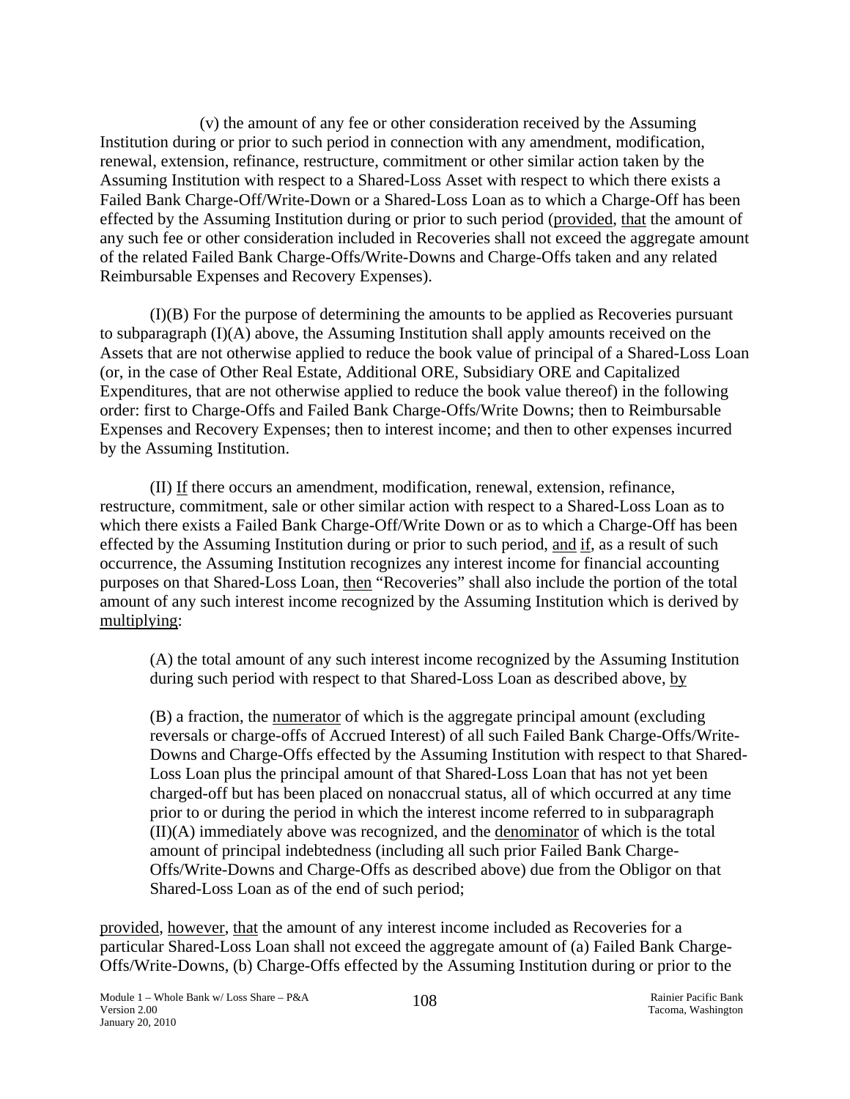(v) the amount of any fee or other consideration received by the Assuming Institution during or prior to such period in connection with any amendment, modification, renewal, extension, refinance, restructure, commitment or other similar action taken by the Assuming Institution with respect to a Shared-Loss Asset with respect to which there exists a Failed Bank Charge-Off/Write-Down or a Shared-Loss Loan as to which a Charge-Off has been effected by the Assuming Institution during or prior to such period (provided, that the amount of any such fee or other consideration included in Recoveries shall not exceed the aggregate amount of the related Failed Bank Charge-Offs/Write-Downs and Charge-Offs taken and any related Reimbursable Expenses and Recovery Expenses).

(I)(B) For the purpose of determining the amounts to be applied as Recoveries pursuant to subparagraph  $(I)(A)$  above, the Assuming Institution shall apply amounts received on the Assets that are not otherwise applied to reduce the book value of principal of a Shared-Loss Loan (or, in the case of Other Real Estate, Additional ORE, Subsidiary ORE and Capitalized Expenditures, that are not otherwise applied to reduce the book value thereof) in the following order: first to Charge-Offs and Failed Bank Charge-Offs/Write Downs; then to Reimbursable Expenses and Recovery Expenses; then to interest income; and then to other expenses incurred by the Assuming Institution.

(II) If there occurs an amendment, modification, renewal, extension, refinance, restructure, commitment, sale or other similar action with respect to a Shared-Loss Loan as to which there exists a Failed Bank Charge-Off/Write Down or as to which a Charge-Off has been effected by the Assuming Institution during or prior to such period, and if, as a result of such occurrence, the Assuming Institution recognizes any interest income for financial accounting purposes on that Shared-Loss Loan, then "Recoveries" shall also include the portion of the total amount of any such interest income recognized by the Assuming Institution which is derived by multiplying:

(A) the total amount of any such interest income recognized by the Assuming Institution during such period with respect to that Shared-Loss Loan as described above, by

(B) a fraction, the numerator of which is the aggregate principal amount (excluding reversals or charge-offs of Accrued Interest) of all such Failed Bank Charge-Offs/Write-Downs and Charge-Offs effected by the Assuming Institution with respect to that Shared-Loss Loan plus the principal amount of that Shared-Loss Loan that has not yet been charged-off but has been placed on nonaccrual status, all of which occurred at any time prior to or during the period in which the interest income referred to in subparagraph (II)(A) immediately above was recognized, and the denominator of which is the total amount of principal indebtedness (including all such prior Failed Bank Charge-Offs/Write-Downs and Charge-Offs as described above) due from the Obligor on that Shared-Loss Loan as of the end of such period;

provided, however, that the amount of any interest income included as Recoveries for a particular Shared-Loss Loan shall not exceed the aggregate amount of (a) Failed Bank Charge-Offs/Write-Downs, (b) Charge-Offs effected by the Assuming Institution during or prior to the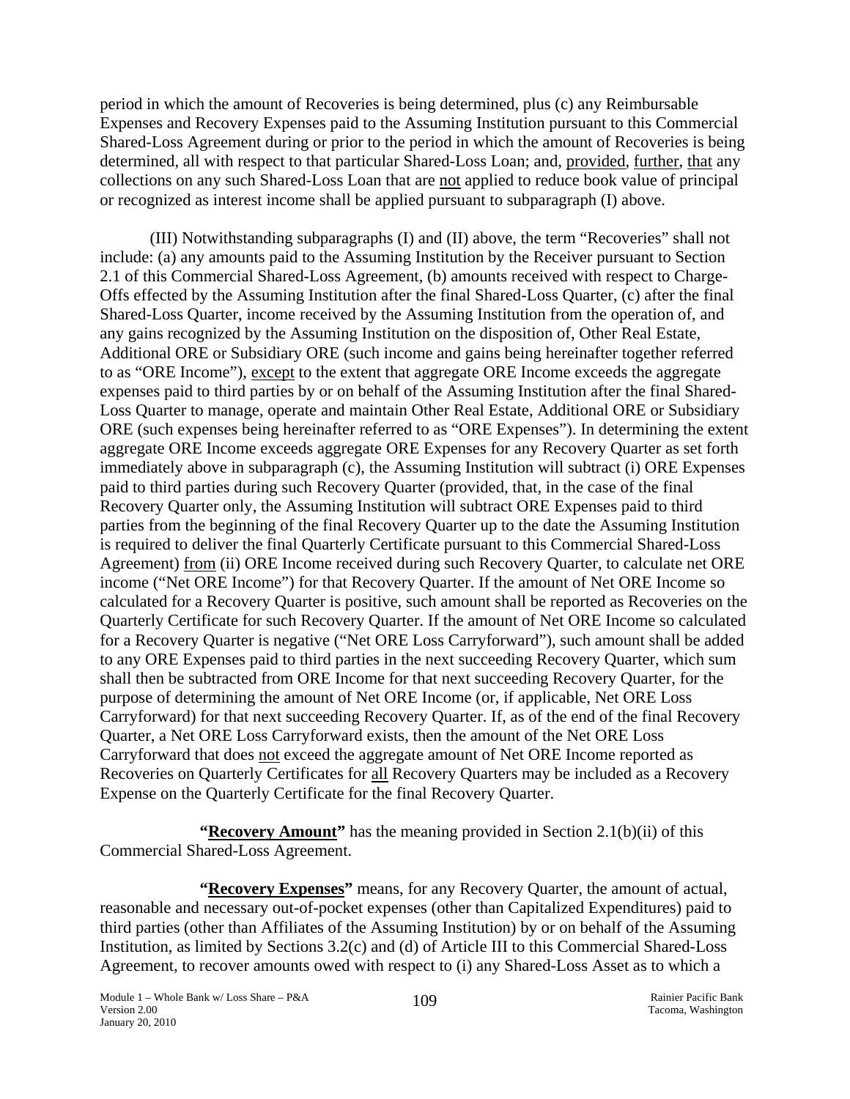period in which the amount of Recoveries is being determined, plus (c) any Reimbursable Expenses and Recovery Expenses paid to the Assuming Institution pursuant to this Commercial Shared-Loss Agreement during or prior to the period in which the amount of Recoveries is being determined, all with respect to that particular Shared-Loss Loan; and, provided, further, that any collections on any such Shared-Loss Loan that are not applied to reduce book value of principal or recognized as interest income shall be applied pursuant to subparagraph (I) above.

(III) Notwithstanding subparagraphs (I) and (II) above, the term "Recoveries" shall not include: (a) any amounts paid to the Assuming Institution by the Receiver pursuant to Section 2.1 of this Commercial Shared-Loss Agreement, (b) amounts received with respect to Charge-Offs effected by the Assuming Institution after the final Shared-Loss Quarter, (c) after the final Shared-Loss Quarter, income received by the Assuming Institution from the operation of, and any gains recognized by the Assuming Institution on the disposition of, Other Real Estate, Additional ORE or Subsidiary ORE (such income and gains being hereinafter together referred to as "ORE Income"), except to the extent that aggregate ORE Income exceeds the aggregate expenses paid to third parties by or on behalf of the Assuming Institution after the final Shared-Loss Quarter to manage, operate and maintain Other Real Estate, Additional ORE or Subsidiary ORE (such expenses being hereinafter referred to as "ORE Expenses"). In determining the extent aggregate ORE Income exceeds aggregate ORE Expenses for any Recovery Quarter as set forth immediately above in subparagraph (c), the Assuming Institution will subtract (i) ORE Expenses paid to third parties during such Recovery Quarter (provided, that, in the case of the final Recovery Quarter only, the Assuming Institution will subtract ORE Expenses paid to third parties from the beginning of the final Recovery Quarter up to the date the Assuming Institution is required to deliver the final Quarterly Certificate pursuant to this Commercial Shared-Loss Agreement) from (ii) ORE Income received during such Recovery Quarter, to calculate net ORE income ("Net ORE Income") for that Recovery Quarter. If the amount of Net ORE Income so calculated for a Recovery Quarter is positive, such amount shall be reported as Recoveries on the Quarterly Certificate for such Recovery Quarter. If the amount of Net ORE Income so calculated for a Recovery Quarter is negative ("Net ORE Loss Carryforward"), such amount shall be added to any ORE Expenses paid to third parties in the next succeeding Recovery Quarter, which sum shall then be subtracted from ORE Income for that next succeeding Recovery Quarter, for the purpose of determining the amount of Net ORE Income (or, if applicable, Net ORE Loss Carryforward) for that next succeeding Recovery Quarter. If, as of the end of the final Recovery Quarter, a Net ORE Loss Carryforward exists, then the amount of the Net ORE Loss Carryforward that does not exceed the aggregate amount of Net ORE Income reported as Recoveries on Quarterly Certificates for all Recovery Quarters may be included as a Recovery Expense on the Quarterly Certificate for the final Recovery Quarter.

**"Recovery Amount"** has the meaning provided in Section 2.1(b)(ii) of this Commercial Shared-Loss Agreement.

**"Recovery Expenses"** means, for any Recovery Quarter, the amount of actual, reasonable and necessary out-of-pocket expenses (other than Capitalized Expenditures) paid to third parties (other than Affiliates of the Assuming Institution) by or on behalf of the Assuming Institution, as limited by Sections 3.2(c) and (d) of Article III to this Commercial Shared-Loss Agreement, to recover amounts owed with respect to (i) any Shared-Loss Asset as to which a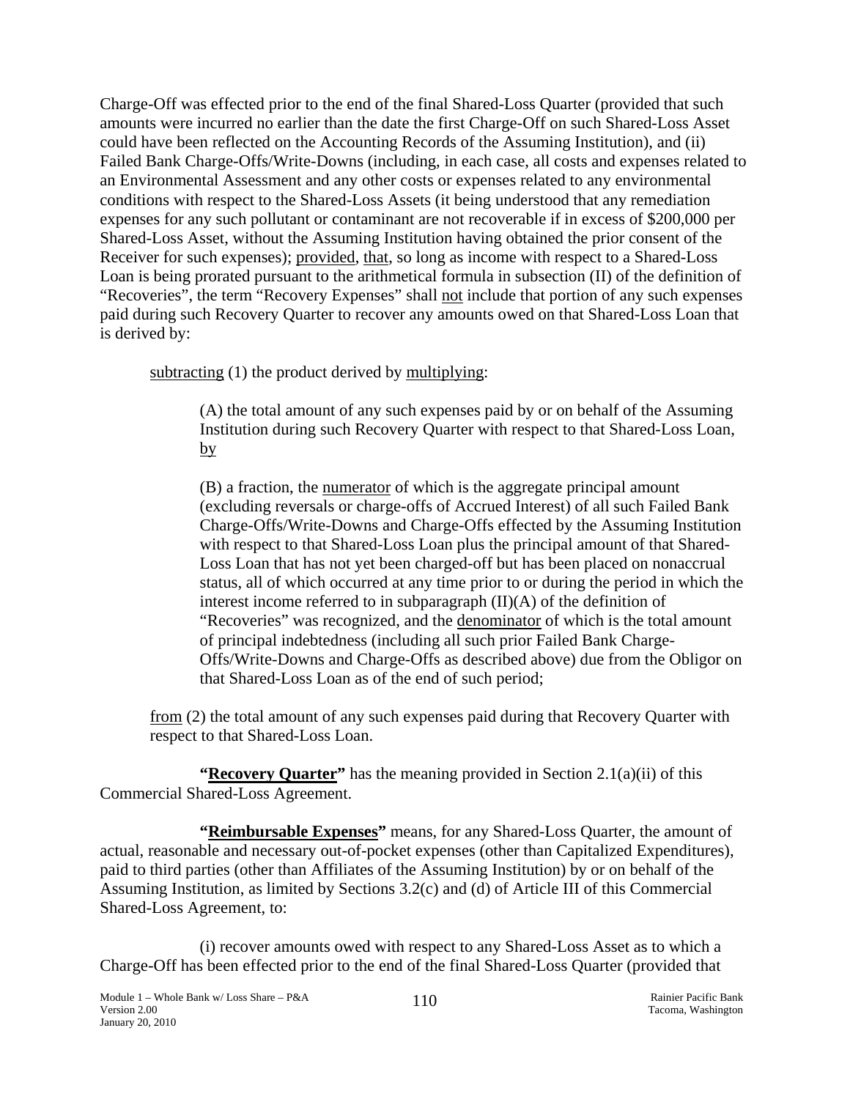Charge-Off was effected prior to the end of the final Shared-Loss Quarter (provided that such amounts were incurred no earlier than the date the first Charge-Off on such Shared-Loss Asset could have been reflected on the Accounting Records of the Assuming Institution), and (ii) Failed Bank Charge-Offs/Write-Downs (including, in each case, all costs and expenses related to an Environmental Assessment and any other costs or expenses related to any environmental conditions with respect to the Shared-Loss Assets (it being understood that any remediation expenses for any such pollutant or contaminant are not recoverable if in excess of \$200,000 per Shared-Loss Asset, without the Assuming Institution having obtained the prior consent of the Receiver for such expenses); provided, that, so long as income with respect to a Shared-Loss Loan is being prorated pursuant to the arithmetical formula in subsection (II) of the definition of "Recoveries", the term "Recovery Expenses" shall not include that portion of any such expenses paid during such Recovery Quarter to recover any amounts owed on that Shared-Loss Loan that is derived by:

subtracting (1) the product derived by multiplying:

(A) the total amount of any such expenses paid by or on behalf of the Assuming Institution during such Recovery Quarter with respect to that Shared-Loss Loan, by

(B) a fraction, the numerator of which is the aggregate principal amount (excluding reversals or charge-offs of Accrued Interest) of all such Failed Bank Charge-Offs/Write-Downs and Charge-Offs effected by the Assuming Institution with respect to that Shared-Loss Loan plus the principal amount of that Shared-Loss Loan that has not yet been charged-off but has been placed on nonaccrual status, all of which occurred at any time prior to or during the period in which the interest income referred to in subparagraph (II)(A) of the definition of "Recoveries" was recognized, and the denominator of which is the total amount of principal indebtedness (including all such prior Failed Bank Charge-Offs/Write-Downs and Charge-Offs as described above) due from the Obligor on that Shared-Loss Loan as of the end of such period;

from (2) the total amount of any such expenses paid during that Recovery Quarter with respect to that Shared-Loss Loan.

**"Recovery Quarter"** has the meaning provided in Section 2.1(a)(ii) of this Commercial Shared-Loss Agreement.

**"Reimbursable Expenses"** means, for any Shared-Loss Quarter, the amount of actual, reasonable and necessary out-of-pocket expenses (other than Capitalized Expenditures), paid to third parties (other than Affiliates of the Assuming Institution) by or on behalf of the Assuming Institution, as limited by Sections 3.2(c) and (d) of Article III of this Commercial Shared-Loss Agreement, to:

(i) recover amounts owed with respect to any Shared-Loss Asset as to which a Charge-Off has been effected prior to the end of the final Shared-Loss Quarter (provided that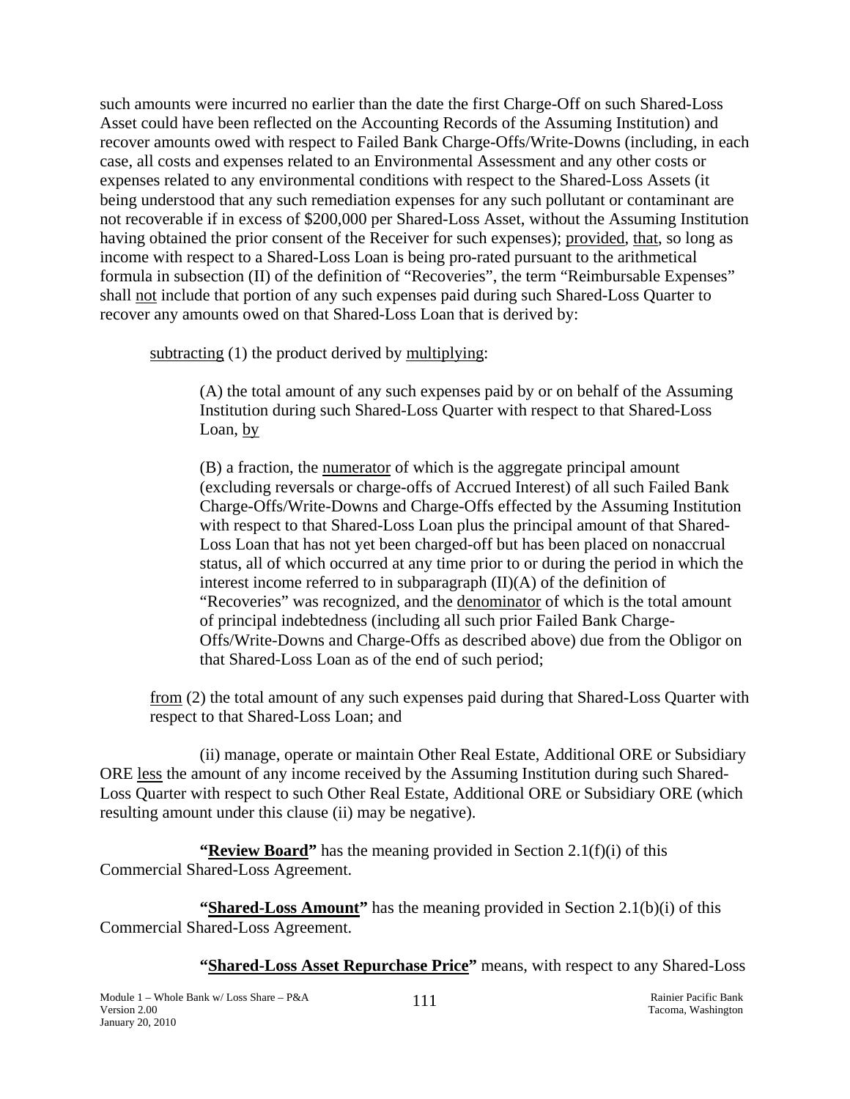such amounts were incurred no earlier than the date the first Charge-Off on such Shared-Loss Asset could have been reflected on the Accounting Records of the Assuming Institution) and recover amounts owed with respect to Failed Bank Charge-Offs/Write-Downs (including, in each case, all costs and expenses related to an Environmental Assessment and any other costs or expenses related to any environmental conditions with respect to the Shared-Loss Assets (it being understood that any such remediation expenses for any such pollutant or contaminant are not recoverable if in excess of \$200,000 per Shared-Loss Asset, without the Assuming Institution having obtained the prior consent of the Receiver for such expenses); provided, that, so long as income with respect to a Shared-Loss Loan is being pro-rated pursuant to the arithmetical formula in subsection (II) of the definition of "Recoveries", the term "Reimbursable Expenses" shall not include that portion of any such expenses paid during such Shared-Loss Quarter to recover any amounts owed on that Shared-Loss Loan that is derived by:

subtracting (1) the product derived by multiplying:

(A) the total amount of any such expenses paid by or on behalf of the Assuming Institution during such Shared-Loss Quarter with respect to that Shared-Loss Loan, by

(B) a fraction, the numerator of which is the aggregate principal amount (excluding reversals or charge-offs of Accrued Interest) of all such Failed Bank Charge-Offs/Write-Downs and Charge-Offs effected by the Assuming Institution with respect to that Shared-Loss Loan plus the principal amount of that Shared-Loss Loan that has not yet been charged-off but has been placed on nonaccrual status, all of which occurred at any time prior to or during the period in which the interest income referred to in subparagraph  $(II)(A)$  of the definition of "Recoveries" was recognized, and the denominator of which is the total amount of principal indebtedness (including all such prior Failed Bank Charge-Offs/Write-Downs and Charge-Offs as described above) due from the Obligor on that Shared-Loss Loan as of the end of such period;

from (2) the total amount of any such expenses paid during that Shared-Loss Quarter with respect to that Shared-Loss Loan; and

(ii) manage, operate or maintain Other Real Estate, Additional ORE or Subsidiary ORE less the amount of any income received by the Assuming Institution during such Shared-Loss Quarter with respect to such Other Real Estate, Additional ORE or Subsidiary ORE (which resulting amount under this clause (ii) may be negative).

**"Review Board"** has the meaning provided in Section 2.1(f)(i) of this Commercial Shared-Loss Agreement.

"Shared-Loss Amount" has the meaning provided in Section 2.1(b)(i) of this Commercial Shared-Loss Agreement.

**"Shared-Loss Asset Repurchase Price"** means, with respect to any Shared-Loss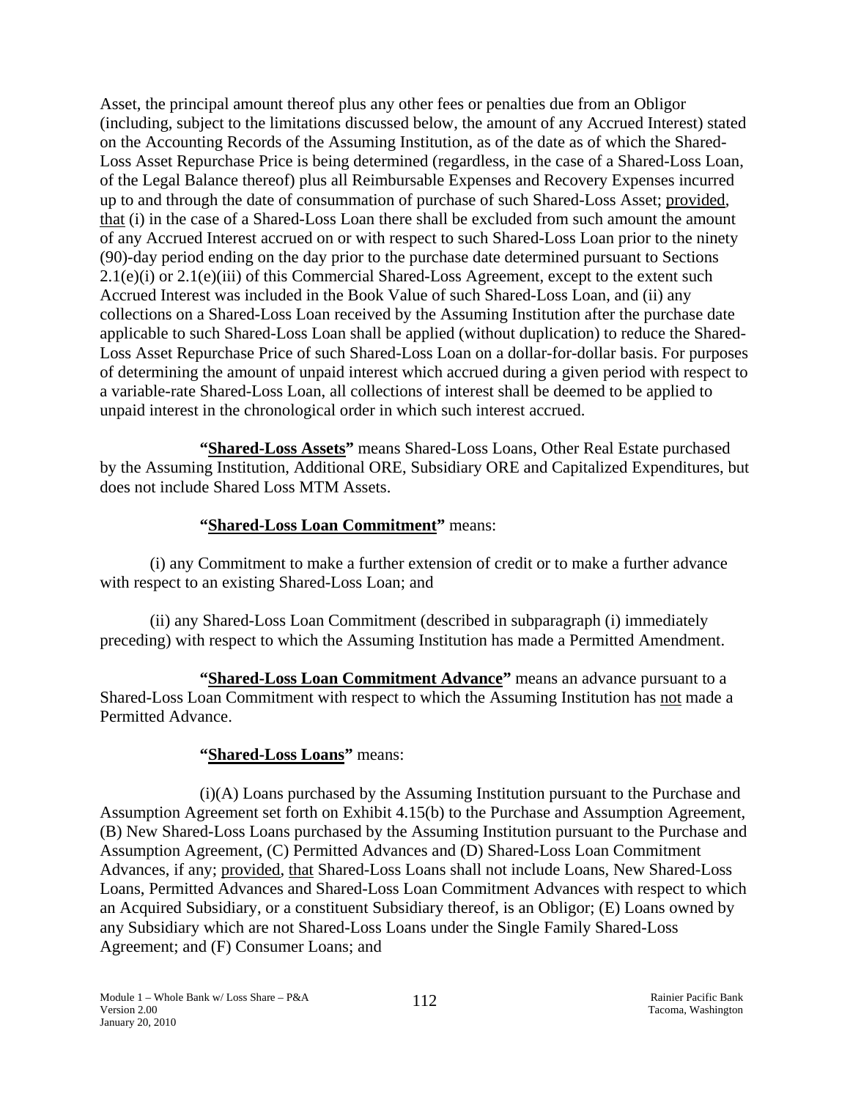Asset, the principal amount thereof plus any other fees or penalties due from an Obligor (including, subject to the limitations discussed below, the amount of any Accrued Interest) stated on the Accounting Records of the Assuming Institution, as of the date as of which the Shared-Loss Asset Repurchase Price is being determined (regardless, in the case of a Shared-Loss Loan, of the Legal Balance thereof) plus all Reimbursable Expenses and Recovery Expenses incurred up to and through the date of consummation of purchase of such Shared-Loss Asset; provided, that (i) in the case of a Shared-Loss Loan there shall be excluded from such amount the amount of any Accrued Interest accrued on or with respect to such Shared-Loss Loan prior to the ninety (90)-day period ending on the day prior to the purchase date determined pursuant to Sections 2.1(e)(i) or 2.1(e)(iii) of this Commercial Shared-Loss Agreement, except to the extent such Accrued Interest was included in the Book Value of such Shared-Loss Loan, and (ii) any collections on a Shared-Loss Loan received by the Assuming Institution after the purchase date applicable to such Shared-Loss Loan shall be applied (without duplication) to reduce the Shared-Loss Asset Repurchase Price of such Shared-Loss Loan on a dollar-for-dollar basis. For purposes of determining the amount of unpaid interest which accrued during a given period with respect to a variable-rate Shared-Loss Loan, all collections of interest shall be deemed to be applied to unpaid interest in the chronological order in which such interest accrued.

**"Shared-Loss Assets"** means Shared-Loss Loans, Other Real Estate purchased by the Assuming Institution, Additional ORE, Subsidiary ORE and Capitalized Expenditures, but does not include Shared Loss MTM Assets.

### **"Shared-Loss Loan Commitment"** means:

(i) any Commitment to make a further extension of credit or to make a further advance with respect to an existing Shared-Loss Loan; and

(ii) any Shared-Loss Loan Commitment (described in subparagraph (i) immediately preceding) with respect to which the Assuming Institution has made a Permitted Amendment.

**"Shared-Loss Loan Commitment Advance"** means an advance pursuant to a Shared-Loss Loan Commitment with respect to which the Assuming Institution has not made a Permitted Advance.

#### **"Shared-Loss Loans"** means:

(i)(A) Loans purchased by the Assuming Institution pursuant to the Purchase and Assumption Agreement set forth on Exhibit 4.15(b) to the Purchase and Assumption Agreement, (B) New Shared-Loss Loans purchased by the Assuming Institution pursuant to the Purchase and Assumption Agreement, (C) Permitted Advances and (D) Shared-Loss Loan Commitment Advances, if any; provided, that Shared-Loss Loans shall not include Loans, New Shared-Loss Loans, Permitted Advances and Shared-Loss Loan Commitment Advances with respect to which an Acquired Subsidiary, or a constituent Subsidiary thereof, is an Obligor; (E) Loans owned by any Subsidiary which are not Shared-Loss Loans under the Single Family Shared-Loss Agreement; and (F) Consumer Loans; and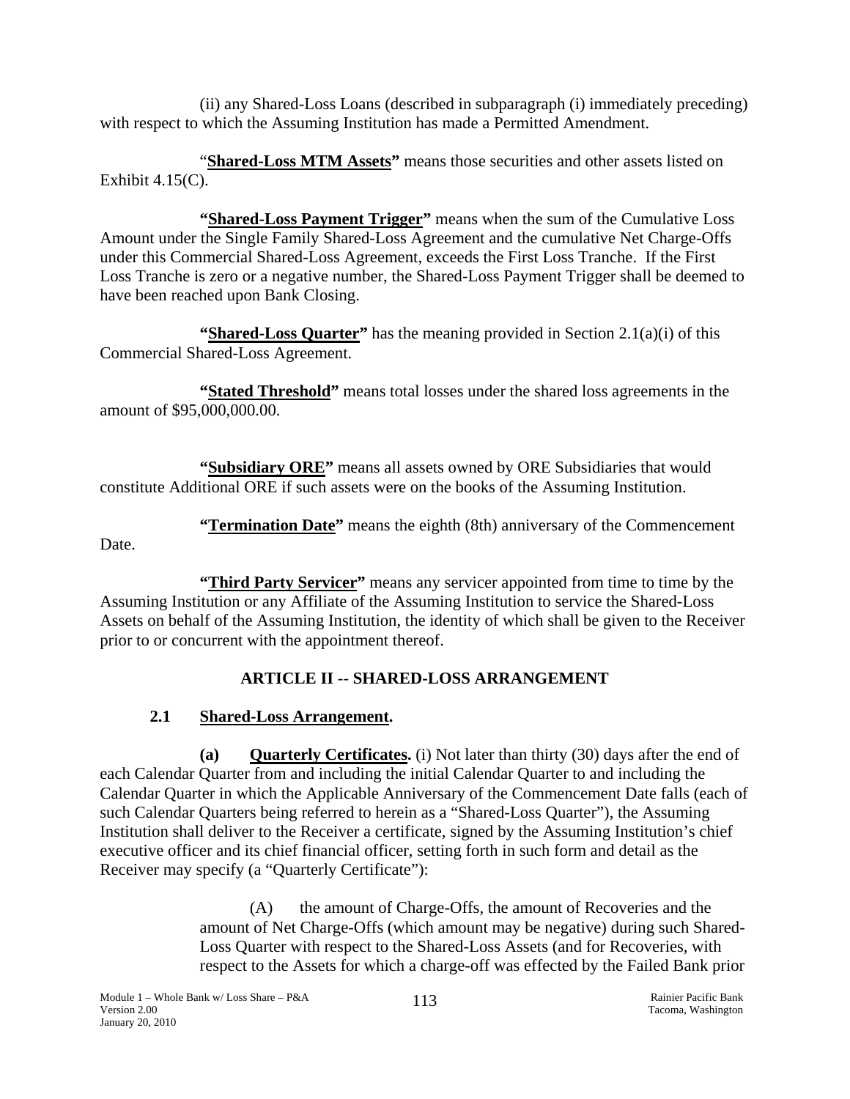(ii) any Shared-Loss Loans (described in subparagraph (i) immediately preceding) with respect to which the Assuming Institution has made a Permitted Amendment.

"**Shared-Loss MTM Assets"** means those securities and other assets listed on Exhibit  $4.15(C)$ .

**"Shared-Loss Payment Trigger"** means when the sum of the Cumulative Loss Amount under the Single Family Shared-Loss Agreement and the cumulative Net Charge-Offs under this Commercial Shared-Loss Agreement, exceeds the First Loss Tranche. If the First Loss Tranche is zero or a negative number, the Shared-Loss Payment Trigger shall be deemed to have been reached upon Bank Closing.

**"Shared-Loss Quarter"** has the meaning provided in Section 2.1(a)(i) of this Commercial Shared-Loss Agreement.

**"Stated Threshold"** means total losses under the shared loss agreements in the amount of \$95,000,000.00.

"Subsidiary ORE" means all assets owned by ORE Subsidiaries that would constitute Additional ORE if such assets were on the books of the Assuming Institution.

**"Termination Date"** means the eighth (8th) anniversary of the Commencement

Date.

**"Third Party Servicer"** means any servicer appointed from time to time by the Assuming Institution or any Affiliate of the Assuming Institution to service the Shared-Loss Assets on behalf of the Assuming Institution, the identity of which shall be given to the Receiver prior to or concurrent with the appointment thereof.

## **ARTICLE II** -- **SHARED-LOSS ARRANGEMENT**

## **2.1 Shared-Loss Arrangement.**

**(a) Quarterly Certificates.** (i) Not later than thirty (30) days after the end of each Calendar Quarter from and including the initial Calendar Quarter to and including the Calendar Quarter in which the Applicable Anniversary of the Commencement Date falls (each of such Calendar Quarters being referred to herein as a "Shared-Loss Quarter"), the Assuming Institution shall deliver to the Receiver a certificate, signed by the Assuming Institution's chief executive officer and its chief financial officer, setting forth in such form and detail as the Receiver may specify (a "Quarterly Certificate"):

> (A) the amount of Charge-Offs, the amount of Recoveries and the amount of Net Charge-Offs (which amount may be negative) during such Shared-Loss Quarter with respect to the Shared-Loss Assets (and for Recoveries, with respect to the Assets for which a charge-off was effected by the Failed Bank prior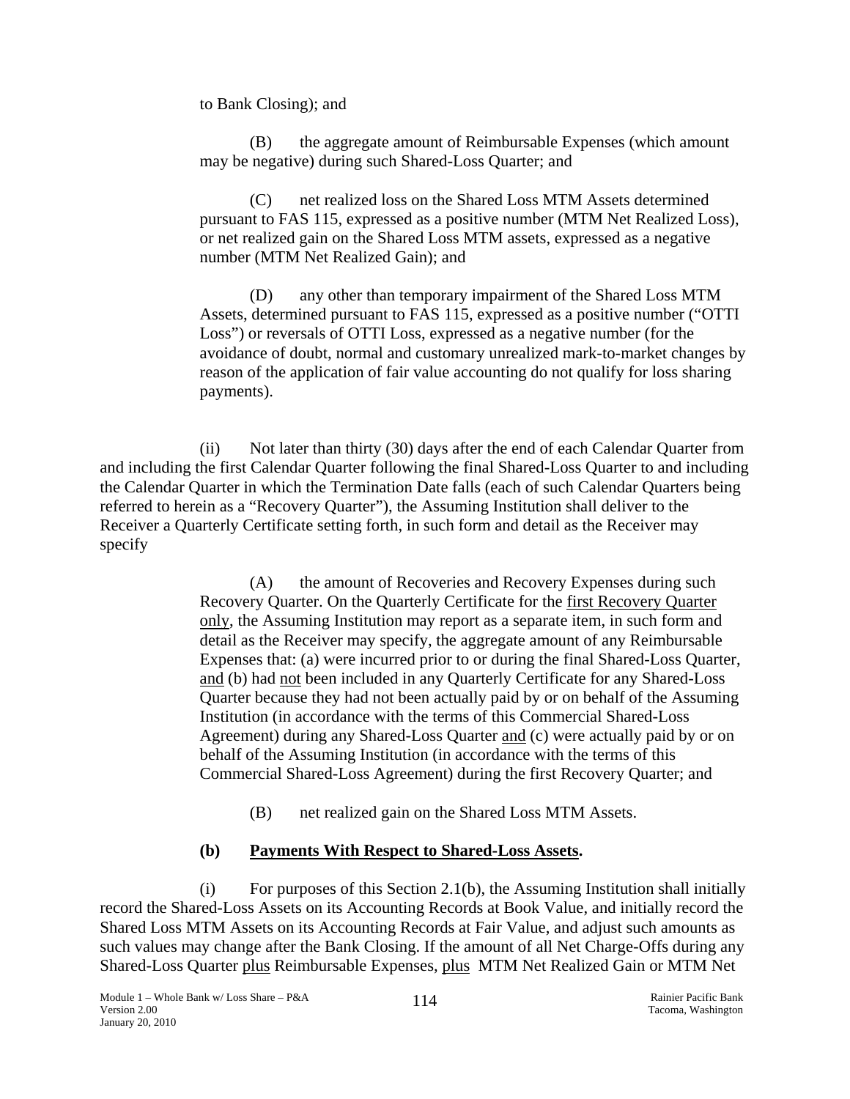to Bank Closing); and

(B) the aggregate amount of Reimbursable Expenses (which amount may be negative) during such Shared-Loss Quarter; and

(C) net realized loss on the Shared Loss MTM Assets determined pursuant to FAS 115, expressed as a positive number (MTM Net Realized Loss), or net realized gain on the Shared Loss MTM assets, expressed as a negative number (MTM Net Realized Gain); and

(D) any other than temporary impairment of the Shared Loss MTM Assets, determined pursuant to FAS 115, expressed as a positive number ("OTTI Loss") or reversals of OTTI Loss, expressed as a negative number (for the avoidance of doubt, normal and customary unrealized mark-to-market changes by reason of the application of fair value accounting do not qualify for loss sharing payments).

(ii) Not later than thirty (30) days after the end of each Calendar Quarter from and including the first Calendar Quarter following the final Shared-Loss Quarter to and including the Calendar Quarter in which the Termination Date falls (each of such Calendar Quarters being referred to herein as a "Recovery Quarter"), the Assuming Institution shall deliver to the Receiver a Quarterly Certificate setting forth, in such form and detail as the Receiver may specify

> (A) the amount of Recoveries and Recovery Expenses during such Recovery Quarter. On the Quarterly Certificate for the first Recovery Quarter only, the Assuming Institution may report as a separate item, in such form and detail as the Receiver may specify, the aggregate amount of any Reimbursable Expenses that: (a) were incurred prior to or during the final Shared-Loss Quarter, and (b) had not been included in any Quarterly Certificate for any Shared-Loss Quarter because they had not been actually paid by or on behalf of the Assuming Institution (in accordance with the terms of this Commercial Shared-Loss Agreement) during any Shared-Loss Quarter and (c) were actually paid by or on behalf of the Assuming Institution (in accordance with the terms of this Commercial Shared-Loss Agreement) during the first Recovery Quarter; and

(B) net realized gain on the Shared Loss MTM Assets.

## **(b) Payments With Respect to Shared-Loss Assets.**

(i) For purposes of this Section 2.1(b), the Assuming Institution shall initially record the Shared-Loss Assets on its Accounting Records at Book Value, and initially record the Shared Loss MTM Assets on its Accounting Records at Fair Value, and adjust such amounts as such values may change after the Bank Closing. If the amount of all Net Charge-Offs during any Shared-Loss Quarter plus Reimbursable Expenses, plus MTM Net Realized Gain or MTM Net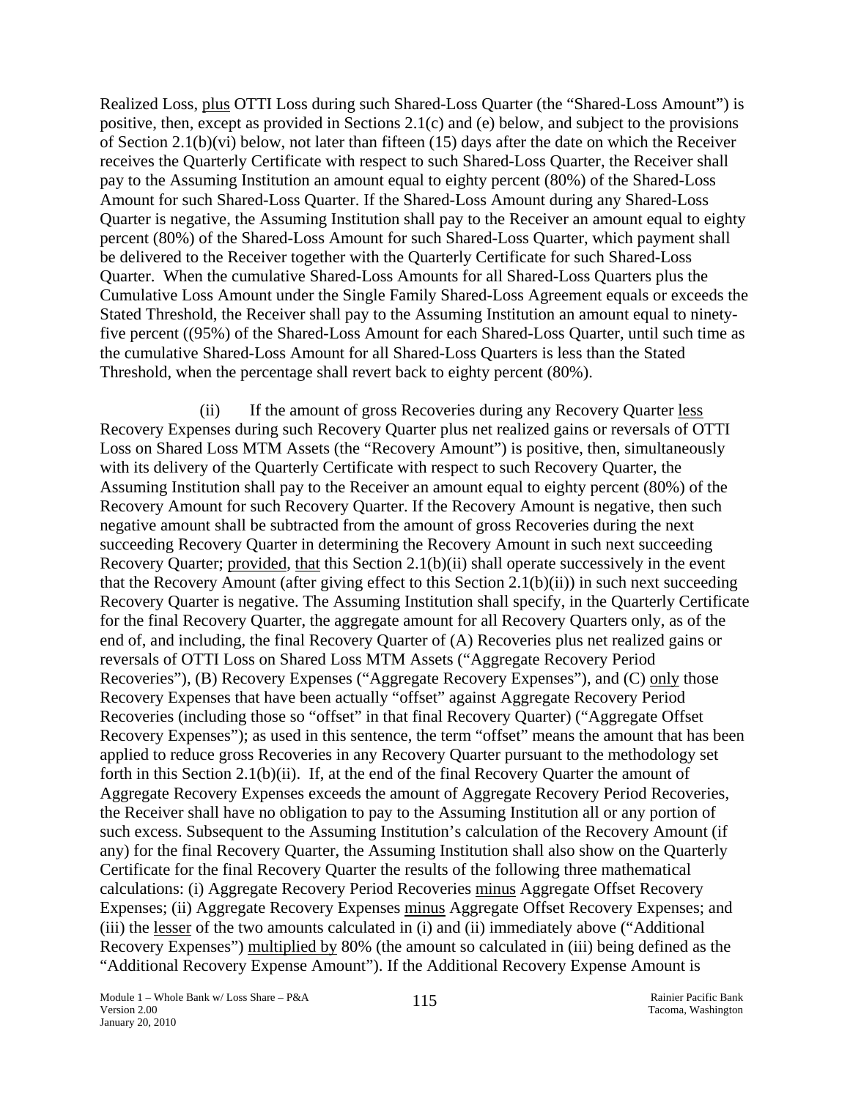Realized Loss, plus OTTI Loss during such Shared-Loss Quarter (the "Shared-Loss Amount") is positive, then, except as provided in Sections 2.1(c) and (e) below, and subject to the provisions of Section 2.1(b)(vi) below, not later than fifteen (15) days after the date on which the Receiver receives the Quarterly Certificate with respect to such Shared-Loss Quarter, the Receiver shall pay to the Assuming Institution an amount equal to eighty percent (80%) of the Shared-Loss Amount for such Shared-Loss Quarter. If the Shared-Loss Amount during any Shared-Loss Quarter is negative, the Assuming Institution shall pay to the Receiver an amount equal to eighty percent (80%) of the Shared-Loss Amount for such Shared-Loss Quarter, which payment shall be delivered to the Receiver together with the Quarterly Certificate for such Shared-Loss Quarter. When the cumulative Shared-Loss Amounts for all Shared-Loss Quarters plus the Cumulative Loss Amount under the Single Family Shared-Loss Agreement equals or exceeds the Stated Threshold, the Receiver shall pay to the Assuming Institution an amount equal to ninetyfive percent ((95%) of the Shared-Loss Amount for each Shared-Loss Quarter, until such time as the cumulative Shared-Loss Amount for all Shared-Loss Quarters is less than the Stated Threshold, when the percentage shall revert back to eighty percent (80%).

(ii) If the amount of gross Recoveries during any Recovery Quarter less Recovery Expenses during such Recovery Quarter plus net realized gains or reversals of OTTI Loss on Shared Loss MTM Assets (the "Recovery Amount") is positive, then, simultaneously with its delivery of the Quarterly Certificate with respect to such Recovery Quarter, the Assuming Institution shall pay to the Receiver an amount equal to eighty percent (80%) of the Recovery Amount for such Recovery Quarter. If the Recovery Amount is negative, then such negative amount shall be subtracted from the amount of gross Recoveries during the next succeeding Recovery Quarter in determining the Recovery Amount in such next succeeding Recovery Quarter; provided, that this Section 2.1(b)(ii) shall operate successively in the event that the Recovery Amount (after giving effect to this Section 2.1(b)(ii)) in such next succeeding Recovery Quarter is negative. The Assuming Institution shall specify, in the Quarterly Certificate for the final Recovery Quarter, the aggregate amount for all Recovery Quarters only, as of the end of, and including, the final Recovery Quarter of (A) Recoveries plus net realized gains or reversals of OTTI Loss on Shared Loss MTM Assets ("Aggregate Recovery Period Recoveries"), (B) Recovery Expenses ("Aggregate Recovery Expenses"), and (C) only those Recovery Expenses that have been actually "offset" against Aggregate Recovery Period Recoveries (including those so "offset" in that final Recovery Quarter) ("Aggregate Offset Recovery Expenses"); as used in this sentence, the term "offset" means the amount that has been applied to reduce gross Recoveries in any Recovery Quarter pursuant to the methodology set forth in this Section 2.1(b)(ii). If, at the end of the final Recovery Quarter the amount of Aggregate Recovery Expenses exceeds the amount of Aggregate Recovery Period Recoveries, the Receiver shall have no obligation to pay to the Assuming Institution all or any portion of such excess. Subsequent to the Assuming Institution's calculation of the Recovery Amount (if any) for the final Recovery Quarter, the Assuming Institution shall also show on the Quarterly Certificate for the final Recovery Quarter the results of the following three mathematical calculations: (i) Aggregate Recovery Period Recoveries minus Aggregate Offset Recovery Expenses; (ii) Aggregate Recovery Expenses minus Aggregate Offset Recovery Expenses; and (iii) the lesser of the two amounts calculated in (i) and (ii) immediately above ("Additional Recovery Expenses") multiplied by 80% (the amount so calculated in (iii) being defined as the "Additional Recovery Expense Amount"). If the Additional Recovery Expense Amount is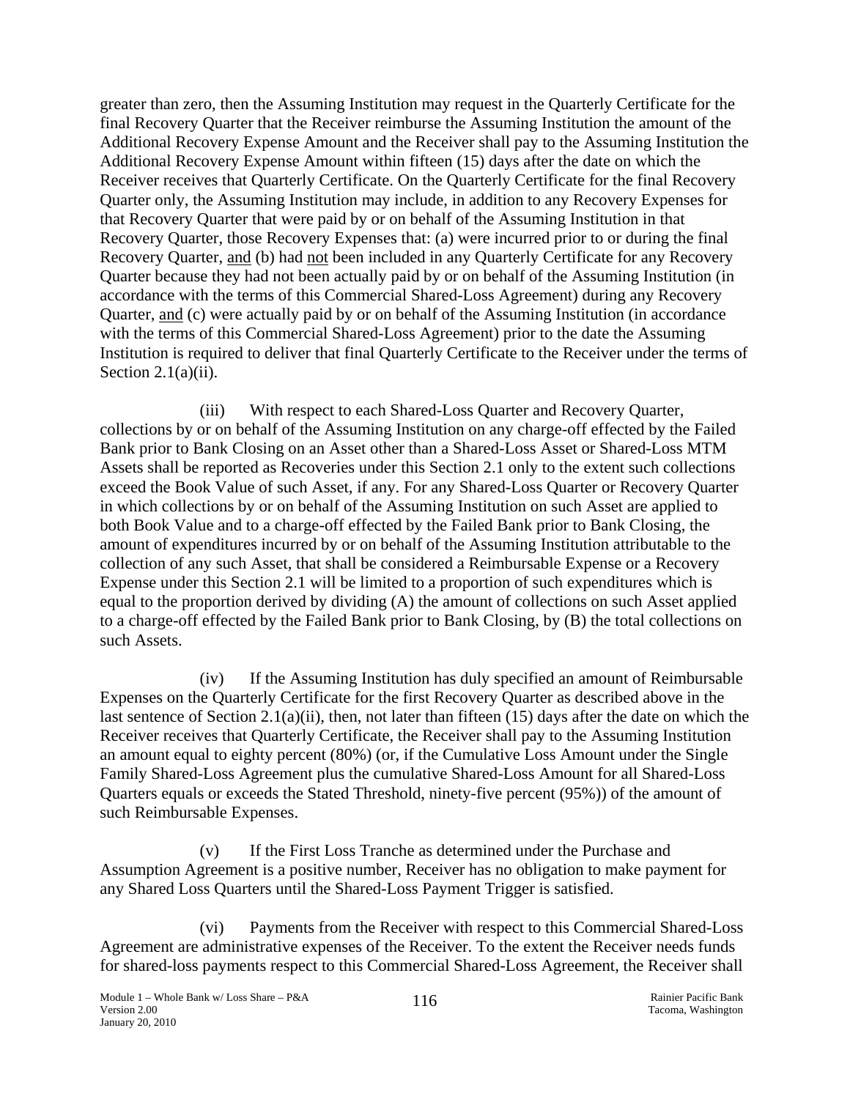greater than zero, then the Assuming Institution may request in the Quarterly Certificate for the final Recovery Quarter that the Receiver reimburse the Assuming Institution the amount of the Additional Recovery Expense Amount and the Receiver shall pay to the Assuming Institution the Additional Recovery Expense Amount within fifteen (15) days after the date on which the Receiver receives that Quarterly Certificate. On the Quarterly Certificate for the final Recovery Quarter only, the Assuming Institution may include, in addition to any Recovery Expenses for that Recovery Quarter that were paid by or on behalf of the Assuming Institution in that Recovery Quarter, those Recovery Expenses that: (a) were incurred prior to or during the final Recovery Quarter, and (b) had not been included in any Quarterly Certificate for any Recovery Quarter because they had not been actually paid by or on behalf of the Assuming Institution (in accordance with the terms of this Commercial Shared-Loss Agreement) during any Recovery Quarter, and (c) were actually paid by or on behalf of the Assuming Institution (in accordance with the terms of this Commercial Shared-Loss Agreement) prior to the date the Assuming Institution is required to deliver that final Quarterly Certificate to the Receiver under the terms of Section  $2.1(a)(ii)$ .

(iii) With respect to each Shared-Loss Quarter and Recovery Quarter, collections by or on behalf of the Assuming Institution on any charge-off effected by the Failed Bank prior to Bank Closing on an Asset other than a Shared-Loss Asset or Shared-Loss MTM Assets shall be reported as Recoveries under this Section 2.1 only to the extent such collections exceed the Book Value of such Asset, if any. For any Shared-Loss Quarter or Recovery Quarter in which collections by or on behalf of the Assuming Institution on such Asset are applied to both Book Value and to a charge-off effected by the Failed Bank prior to Bank Closing, the amount of expenditures incurred by or on behalf of the Assuming Institution attributable to the collection of any such Asset, that shall be considered a Reimbursable Expense or a Recovery Expense under this Section 2.1 will be limited to a proportion of such expenditures which is equal to the proportion derived by dividing (A) the amount of collections on such Asset applied to a charge-off effected by the Failed Bank prior to Bank Closing, by (B) the total collections on such Assets.

(iv) If the Assuming Institution has duly specified an amount of Reimbursable Expenses on the Quarterly Certificate for the first Recovery Quarter as described above in the last sentence of Section 2.1(a)(ii), then, not later than fifteen (15) days after the date on which the Receiver receives that Quarterly Certificate, the Receiver shall pay to the Assuming Institution an amount equal to eighty percent (80%) (or, if the Cumulative Loss Amount under the Single Family Shared-Loss Agreement plus the cumulative Shared-Loss Amount for all Shared-Loss Quarters equals or exceeds the Stated Threshold, ninety-five percent (95%)) of the amount of such Reimbursable Expenses.

(v) If the First Loss Tranche as determined under the Purchase and Assumption Agreement is a positive number, Receiver has no obligation to make payment for any Shared Loss Quarters until the Shared-Loss Payment Trigger is satisfied.

(vi) Payments from the Receiver with respect to this Commercial Shared-Loss Agreement are administrative expenses of the Receiver. To the extent the Receiver needs funds for shared-loss payments respect to this Commercial Shared-Loss Agreement, the Receiver shall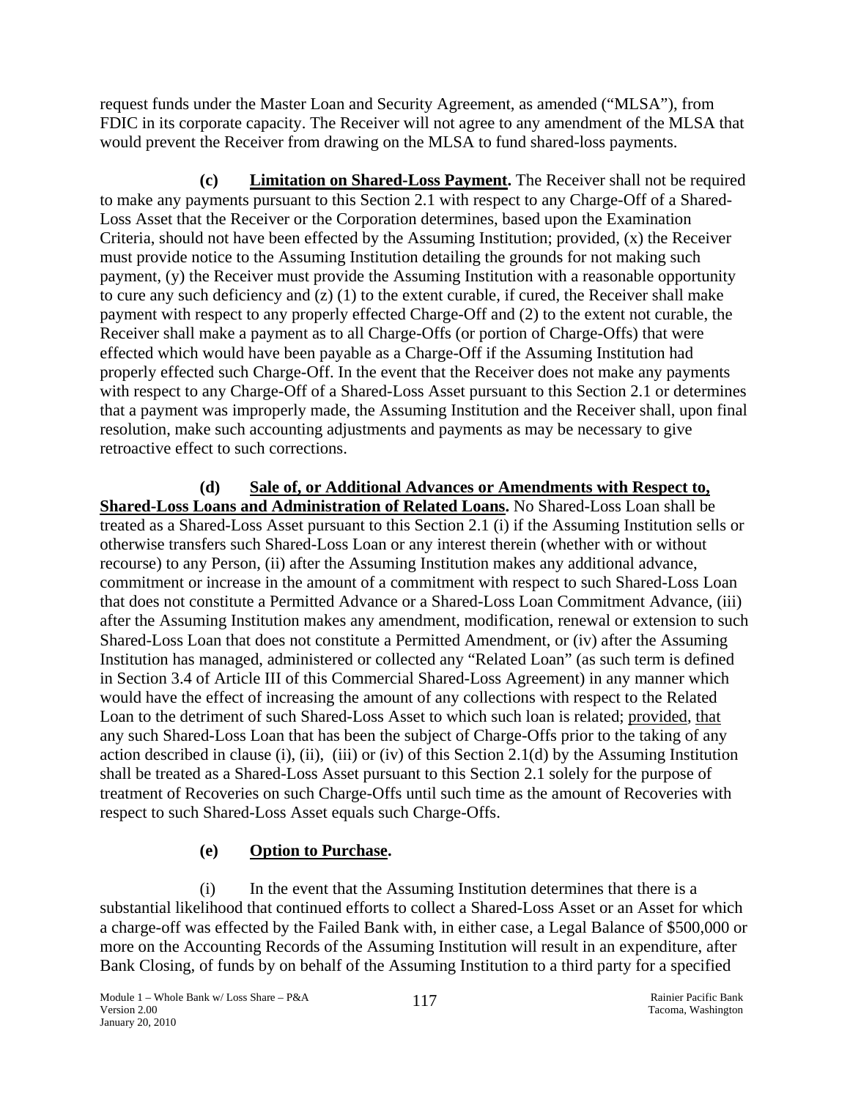request funds under the Master Loan and Security Agreement, as amended ("MLSA"), from FDIC in its corporate capacity. The Receiver will not agree to any amendment of the MLSA that would prevent the Receiver from drawing on the MLSA to fund shared-loss payments.

**(c) Limitation on Shared-Loss Payment.** The Receiver shall not be required to make any payments pursuant to this Section 2.1 with respect to any Charge-Off of a Shared-Loss Asset that the Receiver or the Corporation determines, based upon the Examination Criteria, should not have been effected by the Assuming Institution; provided, (x) the Receiver must provide notice to the Assuming Institution detailing the grounds for not making such payment, (y) the Receiver must provide the Assuming Institution with a reasonable opportunity to cure any such deficiency and (z) (1) to the extent curable, if cured, the Receiver shall make payment with respect to any properly effected Charge-Off and (2) to the extent not curable, the Receiver shall make a payment as to all Charge-Offs (or portion of Charge-Offs) that were effected which would have been payable as a Charge-Off if the Assuming Institution had properly effected such Charge-Off. In the event that the Receiver does not make any payments with respect to any Charge-Off of a Shared-Loss Asset pursuant to this Section 2.1 or determines that a payment was improperly made, the Assuming Institution and the Receiver shall, upon final resolution, make such accounting adjustments and payments as may be necessary to give retroactive effect to such corrections.

Loan to the detriment of such Shared-Loss Asset to which such loan is related; provided, that **(d) Sale of, or Additional Advances or Amendments with Respect to, Shared-Loss Loans and Administration of Related Loans.** No Shared-Loss Loan shall be treated as a Shared-Loss Asset pursuant to this Section 2.1 (i) if the Assuming Institution sells or otherwise transfers such Shared-Loss Loan or any interest therein (whether with or without recourse) to any Person, (ii) after the Assuming Institution makes any additional advance, commitment or increase in the amount of a commitment with respect to such Shared-Loss Loan that does not constitute a Permitted Advance or a Shared-Loss Loan Commitment Advance, (iii) after the Assuming Institution makes any amendment, modification, renewal or extension to such Shared-Loss Loan that does not constitute a Permitted Amendment, or (iv) after the Assuming Institution has managed, administered or collected any "Related Loan" (as such term is defined in Section 3.4 of Article III of this Commercial Shared-Loss Agreement) in any manner which would have the effect of increasing the amount of any collections with respect to the Related any such Shared-Loss Loan that has been the subject of Charge-Offs prior to the taking of any action described in clause (i), (ii), (iii) or (iv) of this Section 2.1(d) by the Assuming Institution shall be treated as a Shared-Loss Asset pursuant to this Section 2.1 solely for the purpose of treatment of Recoveries on such Charge-Offs until such time as the amount of Recoveries with respect to such Shared-Loss Asset equals such Charge-Offs.

## **(e) Option to Purchase.**

(i) In the event that the Assuming Institution determines that there is a substantial likelihood that continued efforts to collect a Shared-Loss Asset or an Asset for which a charge-off was effected by the Failed Bank with, in either case, a Legal Balance of \$500,000 or more on the Accounting Records of the Assuming Institution will result in an expenditure, after Bank Closing, of funds by on behalf of the Assuming Institution to a third party for a specified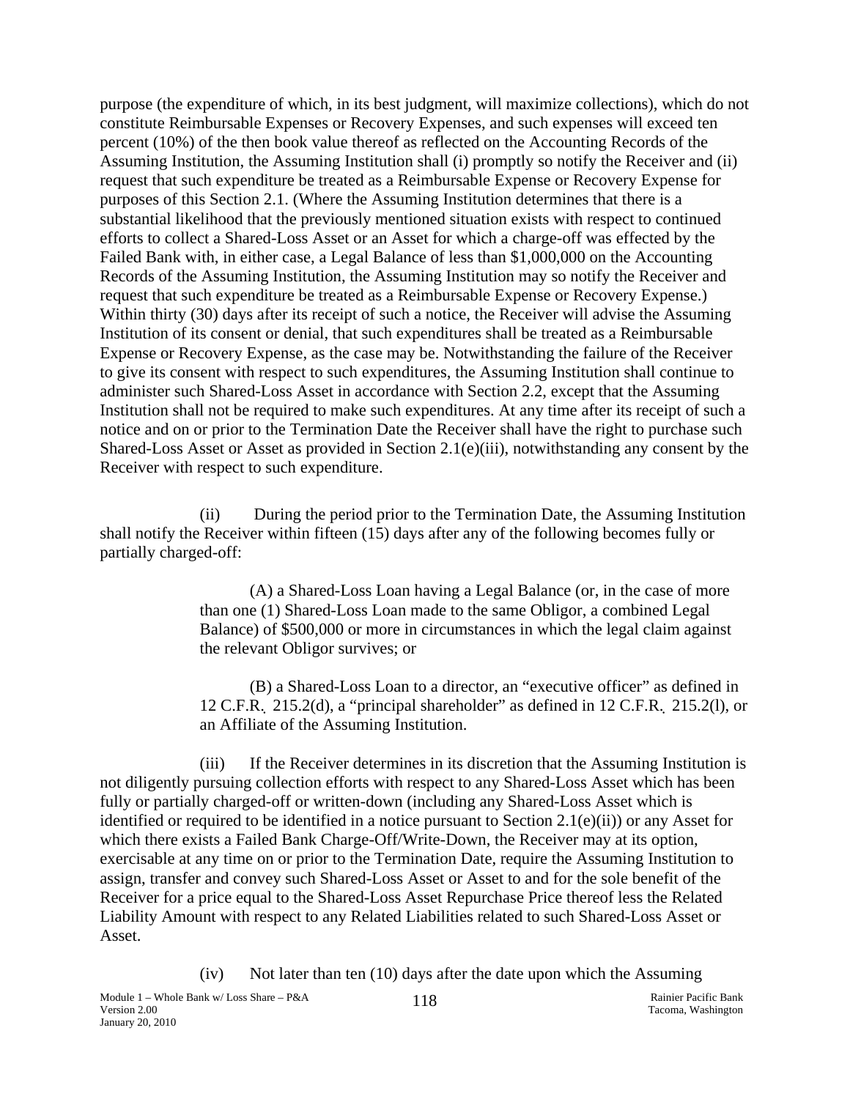purpose (the expenditure of which, in its best judgment, will maximize collections), which do not constitute Reimbursable Expenses or Recovery Expenses, and such expenses will exceed ten percent (10%) of the then book value thereof as reflected on the Accounting Records of the Assuming Institution, the Assuming Institution shall (i) promptly so notify the Receiver and (ii) request that such expenditure be treated as a Reimbursable Expense or Recovery Expense for purposes of this Section 2.1. (Where the Assuming Institution determines that there is a substantial likelihood that the previously mentioned situation exists with respect to continued efforts to collect a Shared-Loss Asset or an Asset for which a charge-off was effected by the Failed Bank with, in either case, a Legal Balance of less than \$1,000,000 on the Accounting Records of the Assuming Institution, the Assuming Institution may so notify the Receiver and request that such expenditure be treated as a Reimbursable Expense or Recovery Expense.) Within thirty (30) days after its receipt of such a notice, the Receiver will advise the Assuming Institution of its consent or denial, that such expenditures shall be treated as a Reimbursable Expense or Recovery Expense, as the case may be. Notwithstanding the failure of the Receiver to give its consent with respect to such expenditures, the Assuming Institution shall continue to administer such Shared-Loss Asset in accordance with Section 2.2, except that the Assuming Institution shall not be required to make such expenditures. At any time after its receipt of such a notice and on or prior to the Termination Date the Receiver shall have the right to purchase such Shared-Loss Asset or Asset as provided in Section 2.1(e)(iii), notwithstanding any consent by the Receiver with respect to such expenditure.

(ii) During the period prior to the Termination Date, the Assuming Institution shall notify the Receiver within fifteen (15) days after any of the following becomes fully or partially charged-off:

> (A) a Shared-Loss Loan having a Legal Balance (or, in the case of more than one (1) Shared-Loss Loan made to the same Obligor, a combined Legal Balance) of \$500,000 or more in circumstances in which the legal claim against the relevant Obligor survives; or

(B) a Shared-Loss Loan to a director, an "executive officer" as defined in 12 C.F.R. 215.2(d), a "principal shareholder" as defined in 12 C.F.R. 215.2(l), or an Affiliate of the Assuming Institution.

(iii) If the Receiver determines in its discretion that the Assuming Institution is not diligently pursuing collection efforts with respect to any Shared-Loss Asset which has been fully or partially charged-off or written-down (including any Shared-Loss Asset which is identified or required to be identified in a notice pursuant to Section 2.1(e)(ii)) or any Asset for which there exists a Failed Bank Charge-Off/Write-Down, the Receiver may at its option, exercisable at any time on or prior to the Termination Date, require the Assuming Institution to assign, transfer and convey such Shared-Loss Asset or Asset to and for the sole benefit of the Receiver for a price equal to the Shared-Loss Asset Repurchase Price thereof less the Related Liability Amount with respect to any Related Liabilities related to such Shared-Loss Asset or Asset.

(iv) Not later than ten (10) days after the date upon which the Assuming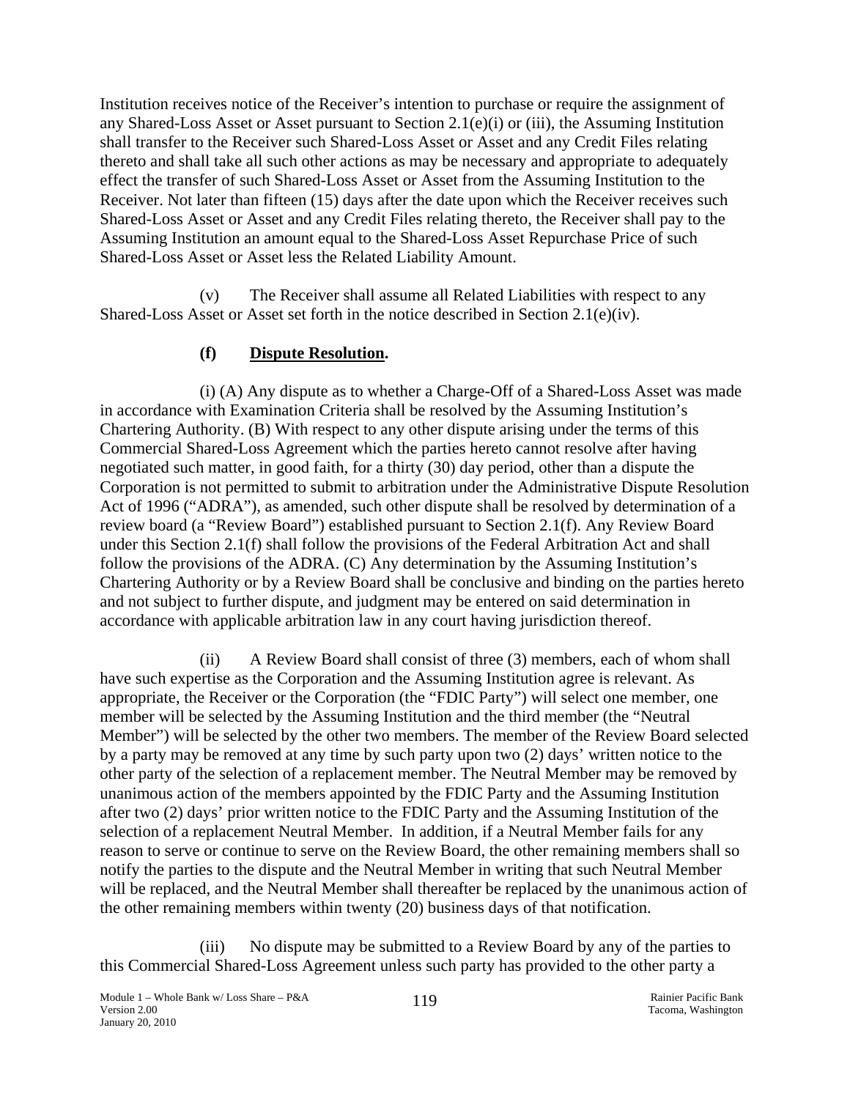Institution receives notice of the Receiver's intention to purchase or require the assignment of any Shared-Loss Asset or Asset pursuant to Section 2.1(e)(i) or (iii), the Assuming Institution shall transfer to the Receiver such Shared-Loss Asset or Asset and any Credit Files relating thereto and shall take all such other actions as may be necessary and appropriate to adequately effect the transfer of such Shared-Loss Asset or Asset from the Assuming Institution to the Receiver. Not later than fifteen (15) days after the date upon which the Receiver receives such Shared-Loss Asset or Asset and any Credit Files relating thereto, the Receiver shall pay to the Assuming Institution an amount equal to the Shared-Loss Asset Repurchase Price of such Shared-Loss Asset or Asset less the Related Liability Amount.

(v) The Receiver shall assume all Related Liabilities with respect to any Shared-Loss Asset or Asset set forth in the notice described in Section 2.1(e)(iv).

#### **(f) Dispute Resolution.**

(i) (A) Any dispute as to whether a Charge-Off of a Shared-Loss Asset was made in accordance with Examination Criteria shall be resolved by the Assuming Institution's Chartering Authority. (B) With respect to any other dispute arising under the terms of this Commercial Shared-Loss Agreement which the parties hereto cannot resolve after having negotiated such matter, in good faith, for a thirty (30) day period, other than a dispute the Corporation is not permitted to submit to arbitration under the Administrative Dispute Resolution Act of 1996 ("ADRA"), as amended, such other dispute shall be resolved by determination of a review board (a "Review Board") established pursuant to Section 2.1(f). Any Review Board under this Section 2.1(f) shall follow the provisions of the Federal Arbitration Act and shall follow the provisions of the ADRA. (C) Any determination by the Assuming Institution's Chartering Authority or by a Review Board shall be conclusive and binding on the parties hereto and not subject to further dispute, and judgment may be entered on said determination in accordance with applicable arbitration law in any court having jurisdiction thereof.

(ii) A Review Board shall consist of three (3) members, each of whom shall have such expertise as the Corporation and the Assuming Institution agree is relevant. As appropriate, the Receiver or the Corporation (the "FDIC Party") will select one member, one member will be selected by the Assuming Institution and the third member (the "Neutral Member") will be selected by the other two members. The member of the Review Board selected by a party may be removed at any time by such party upon two (2) days' written notice to the other party of the selection of a replacement member. The Neutral Member may be removed by unanimous action of the members appointed by the FDIC Party and the Assuming Institution after two (2) days' prior written notice to the FDIC Party and the Assuming Institution of the selection of a replacement Neutral Member. In addition, if a Neutral Member fails for any reason to serve or continue to serve on the Review Board, the other remaining members shall so notify the parties to the dispute and the Neutral Member in writing that such Neutral Member will be replaced, and the Neutral Member shall thereafter be replaced by the unanimous action of the other remaining members within twenty (20) business days of that notification.

(iii) No dispute may be submitted to a Review Board by any of the parties to this Commercial Shared-Loss Agreement unless such party has provided to the other party a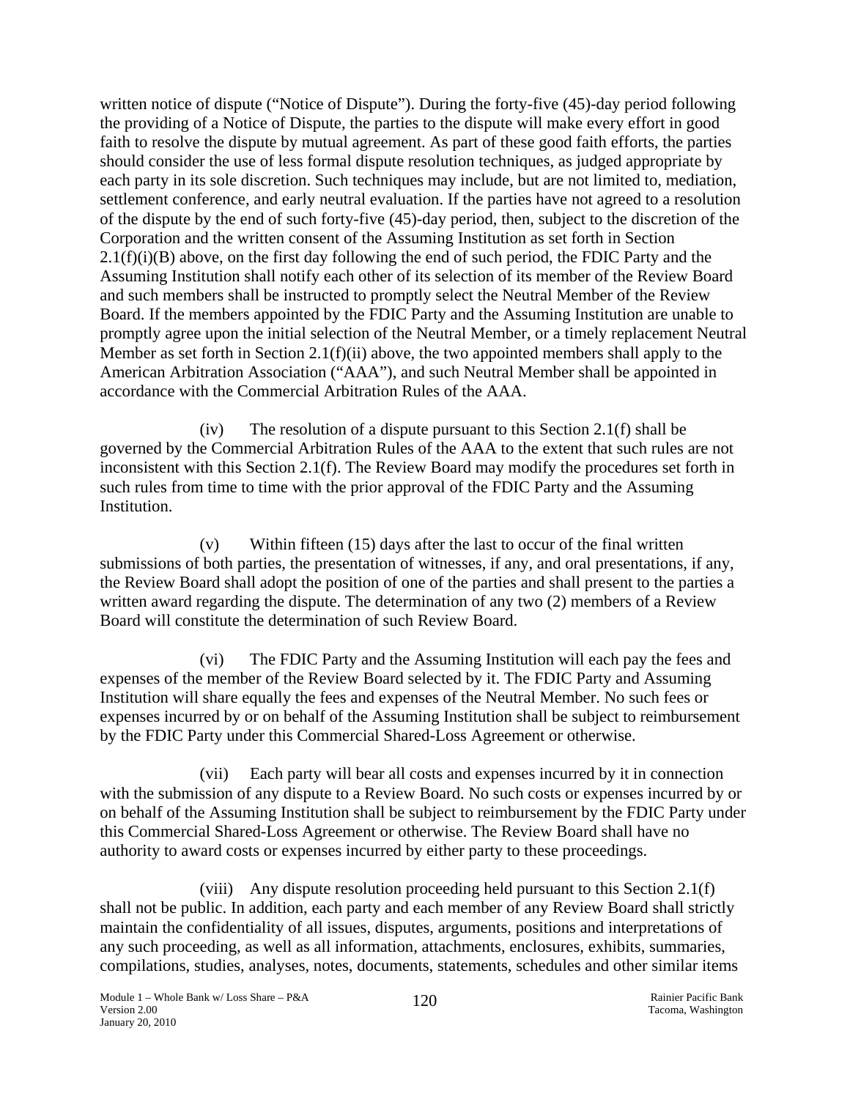written notice of dispute ("Notice of Dispute"). During the forty-five (45)-day period following the providing of a Notice of Dispute, the parties to the dispute will make every effort in good faith to resolve the dispute by mutual agreement. As part of these good faith efforts, the parties should consider the use of less formal dispute resolution techniques, as judged appropriate by each party in its sole discretion. Such techniques may include, but are not limited to, mediation, settlement conference, and early neutral evaluation. If the parties have not agreed to a resolution of the dispute by the end of such forty-five (45)-day period, then, subject to the discretion of the Corporation and the written consent of the Assuming Institution as set forth in Section  $2.1(f)(i)(B)$  above, on the first day following the end of such period, the FDIC Party and the Assuming Institution shall notify each other of its selection of its member of the Review Board and such members shall be instructed to promptly select the Neutral Member of the Review Board. If the members appointed by the FDIC Party and the Assuming Institution are unable to promptly agree upon the initial selection of the Neutral Member, or a timely replacement Neutral Member as set forth in Section 2.1(f)(ii) above, the two appointed members shall apply to the American Arbitration Association ("AAA"), and such Neutral Member shall be appointed in accordance with the Commercial Arbitration Rules of the AAA.

(iv) The resolution of a dispute pursuant to this Section 2.1(f) shall be governed by the Commercial Arbitration Rules of the AAA to the extent that such rules are not inconsistent with this Section 2.1(f). The Review Board may modify the procedures set forth in such rules from time to time with the prior approval of the FDIC Party and the Assuming Institution.

(v) Within fifteen (15) days after the last to occur of the final written submissions of both parties, the presentation of witnesses, if any, and oral presentations, if any, the Review Board shall adopt the position of one of the parties and shall present to the parties a written award regarding the dispute. The determination of any two (2) members of a Review Board will constitute the determination of such Review Board.

(vi) The FDIC Party and the Assuming Institution will each pay the fees and expenses of the member of the Review Board selected by it. The FDIC Party and Assuming Institution will share equally the fees and expenses of the Neutral Member. No such fees or expenses incurred by or on behalf of the Assuming Institution shall be subject to reimbursement by the FDIC Party under this Commercial Shared-Loss Agreement or otherwise.

(vii) Each party will bear all costs and expenses incurred by it in connection with the submission of any dispute to a Review Board. No such costs or expenses incurred by or on behalf of the Assuming Institution shall be subject to reimbursement by the FDIC Party under this Commercial Shared-Loss Agreement or otherwise. The Review Board shall have no authority to award costs or expenses incurred by either party to these proceedings.

(viii) Any dispute resolution proceeding held pursuant to this Section 2.1(f) shall not be public. In addition, each party and each member of any Review Board shall strictly maintain the confidentiality of all issues, disputes, arguments, positions and interpretations of any such proceeding, as well as all information, attachments, enclosures, exhibits, summaries, compilations, studies, analyses, notes, documents, statements, schedules and other similar items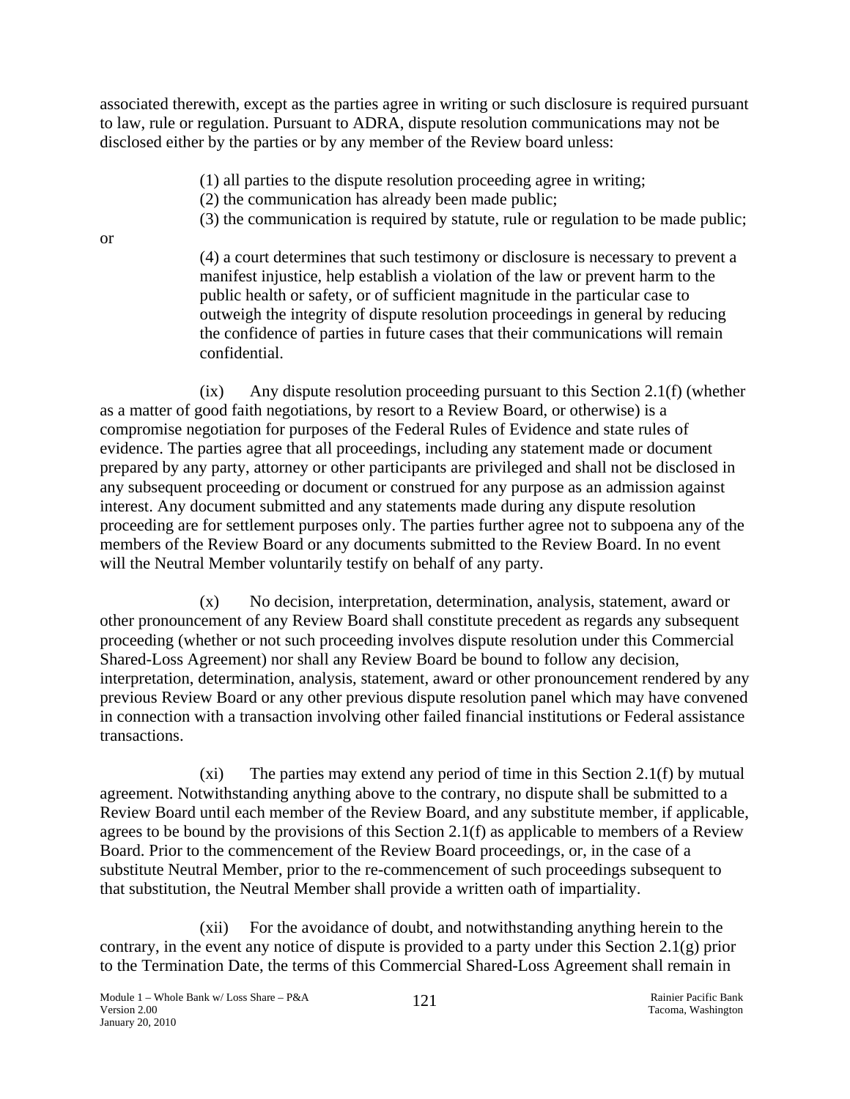associated therewith, except as the parties agree in writing or such disclosure is required pursuant to law, rule or regulation. Pursuant to ADRA, dispute resolution communications may not be disclosed either by the parties or by any member of the Review board unless:

- (1) all parties to the dispute resolution proceeding agree in writing;
- (2) the communication has already been made public;
- (3) the communication is required by statute, rule or regulation to be made public;

(4) a court determines that such testimony or disclosure is necessary to prevent a manifest injustice, help establish a violation of the law or prevent harm to the public health or safety, or of sufficient magnitude in the particular case to outweigh the integrity of dispute resolution proceedings in general by reducing the confidence of parties in future cases that their communications will remain confidential.

(ix) Any dispute resolution proceeding pursuant to this Section 2.1(f) (whether as a matter of good faith negotiations, by resort to a Review Board, or otherwise) is a compromise negotiation for purposes of the Federal Rules of Evidence and state rules of evidence. The parties agree that all proceedings, including any statement made or document prepared by any party, attorney or other participants are privileged and shall not be disclosed in any subsequent proceeding or document or construed for any purpose as an admission against interest. Any document submitted and any statements made during any dispute resolution proceeding are for settlement purposes only. The parties further agree not to subpoena any of the members of the Review Board or any documents submitted to the Review Board. In no event will the Neutral Member voluntarily testify on behalf of any party.

(x) No decision, interpretation, determination, analysis, statement, award or other pronouncement of any Review Board shall constitute precedent as regards any subsequent proceeding (whether or not such proceeding involves dispute resolution under this Commercial Shared-Loss Agreement) nor shall any Review Board be bound to follow any decision, interpretation, determination, analysis, statement, award or other pronouncement rendered by any previous Review Board or any other previous dispute resolution panel which may have convened in connection with a transaction involving other failed financial institutions or Federal assistance transactions.

 $(xi)$  The parties may extend any period of time in this Section 2.1(f) by mutual agreement. Notwithstanding anything above to the contrary, no dispute shall be submitted to a Review Board until each member of the Review Board, and any substitute member, if applicable, agrees to be bound by the provisions of this Section 2.1(f) as applicable to members of a Review Board. Prior to the commencement of the Review Board proceedings, or, in the case of a substitute Neutral Member, prior to the re-commencement of such proceedings subsequent to that substitution, the Neutral Member shall provide a written oath of impartiality.

(xii) For the avoidance of doubt, and notwithstanding anything herein to the contrary, in the event any notice of dispute is provided to a party under this Section 2.1(g) prior to the Termination Date, the terms of this Commercial Shared-Loss Agreement shall remain in

or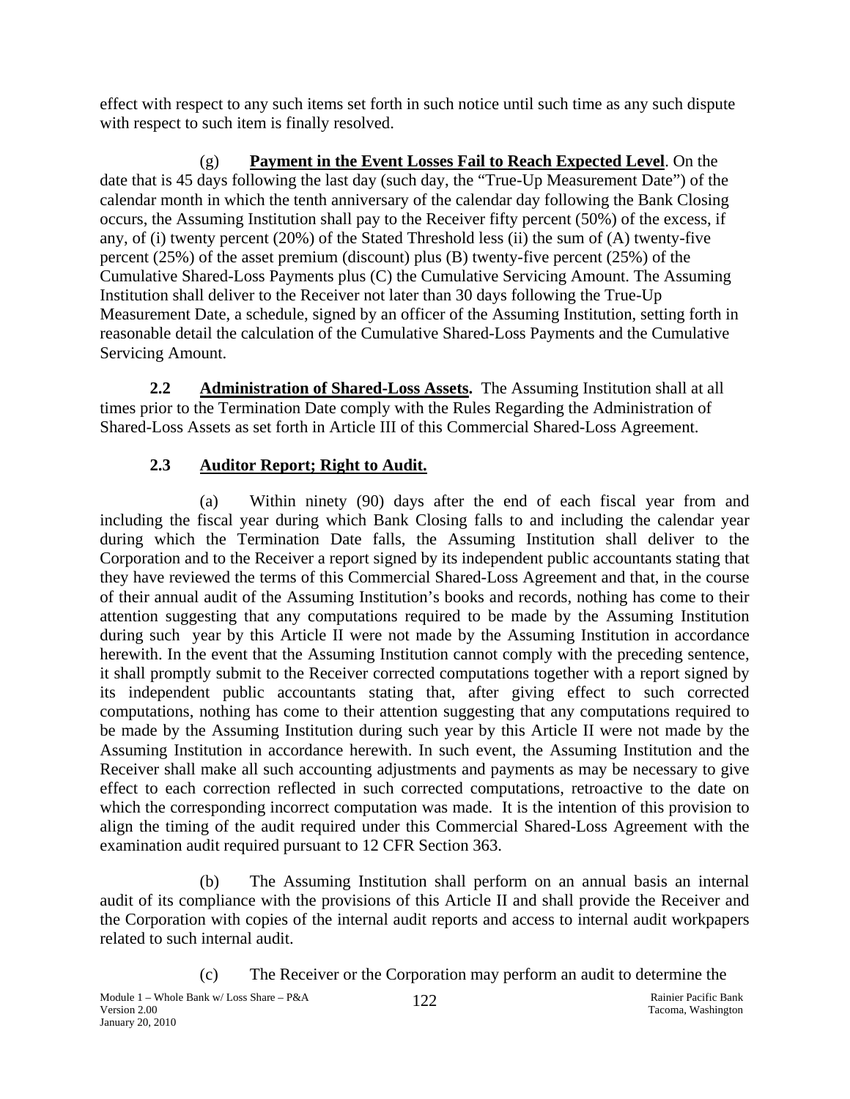effect with respect to any such items set forth in such notice until such time as any such dispute with respect to such item is finally resolved.

 (g) **Payment in the Event Losses Fail to Reach Expected Level**. On the date that is 45 days following the last day (such day, the "True-Up Measurement Date") of the calendar month in which the tenth anniversary of the calendar day following the Bank Closing occurs, the Assuming Institution shall pay to the Receiver fifty percent (50%) of the excess, if any, of (i) twenty percent (20%) of the Stated Threshold less (ii) the sum of (A) twenty-five percent (25%) of the asset premium (discount) plus (B) twenty-five percent (25%) of the Cumulative Shared-Loss Payments plus (C) the Cumulative Servicing Amount. The Assuming Institution shall deliver to the Receiver not later than 30 days following the True-Up Measurement Date, a schedule, signed by an officer of the Assuming Institution, setting forth in reasonable detail the calculation of the Cumulative Shared-Loss Payments and the Cumulative Servicing Amount.

**2.2 Administration of Shared-Loss Assets.** The Assuming Institution shall at all times prior to the Termination Date comply with the Rules Regarding the Administration of Shared-Loss Assets as set forth in Article III of this Commercial Shared-Loss Agreement.

## **2.3 Auditor Report; Right to Audit.**

(a) Within ninety (90) days after the end of each fiscal year from and including the fiscal year during which Bank Closing falls to and including the calendar year during which the Termination Date falls, the Assuming Institution shall deliver to the Corporation and to the Receiver a report signed by its independent public accountants stating that they have reviewed the terms of this Commercial Shared-Loss Agreement and that, in the course of their annual audit of the Assuming Institution's books and records, nothing has come to their attention suggesting that any computations required to be made by the Assuming Institution during such year by this Article II were not made by the Assuming Institution in accordance herewith. In the event that the Assuming Institution cannot comply with the preceding sentence, it shall promptly submit to the Receiver corrected computations together with a report signed by its independent public accountants stating that, after giving effect to such corrected computations, nothing has come to their attention suggesting that any computations required to be made by the Assuming Institution during such year by this Article II were not made by the Assuming Institution in accordance herewith. In such event, the Assuming Institution and the Receiver shall make all such accounting adjustments and payments as may be necessary to give effect to each correction reflected in such corrected computations, retroactive to the date on which the corresponding incorrect computation was made. It is the intention of this provision to align the timing of the audit required under this Commercial Shared-Loss Agreement with the examination audit required pursuant to 12 CFR Section 363.

(b) The Assuming Institution shall perform on an annual basis an internal audit of its compliance with the provisions of this Article II and shall provide the Receiver and the Corporation with copies of the internal audit reports and access to internal audit workpapers related to such internal audit.

(c) The Receiver or the Corporation may perform an audit to determine the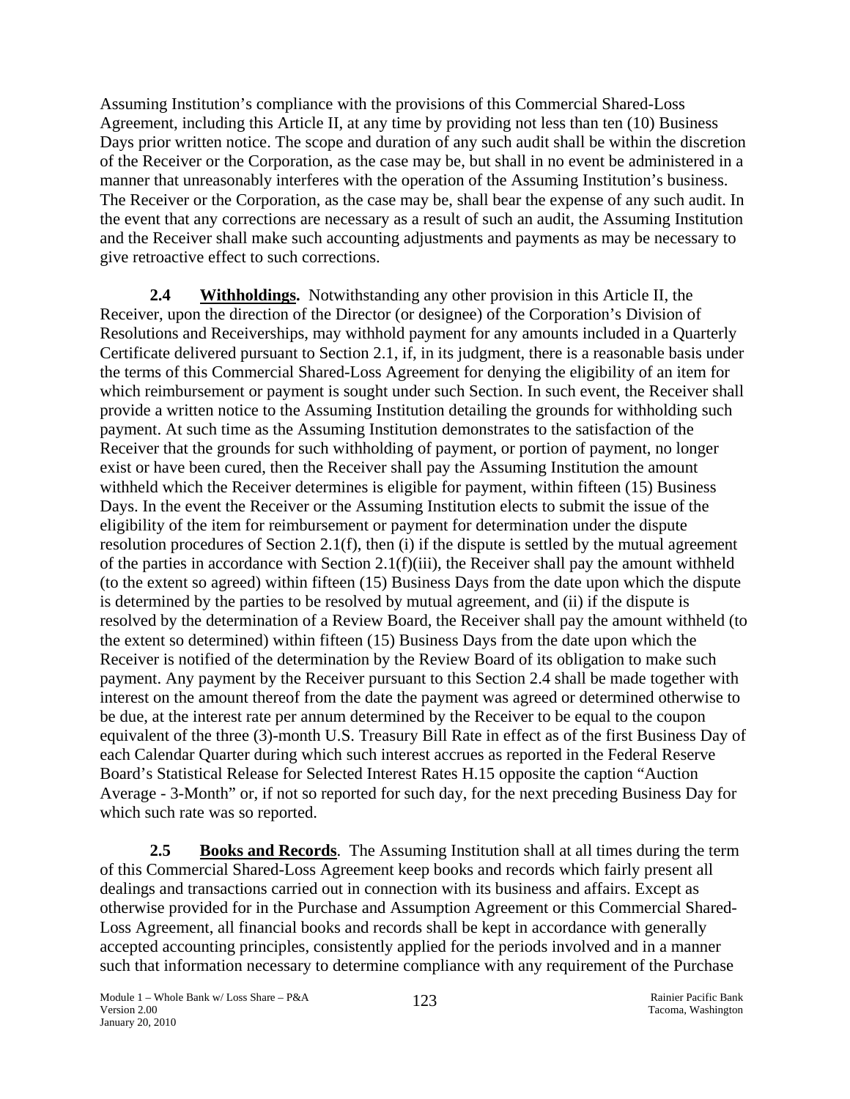Assuming Institution's compliance with the provisions of this Commercial Shared-Loss Agreement, including this Article II, at any time by providing not less than ten (10) Business Days prior written notice. The scope and duration of any such audit shall be within the discretion of the Receiver or the Corporation, as the case may be, but shall in no event be administered in a manner that unreasonably interferes with the operation of the Assuming Institution's business. The Receiver or the Corporation, as the case may be, shall bear the expense of any such audit. In the event that any corrections are necessary as a result of such an audit, the Assuming Institution and the Receiver shall make such accounting adjustments and payments as may be necessary to give retroactive effect to such corrections.

**2.4 Withholdings.** Notwithstanding any other provision in this Article II, the Receiver, upon the direction of the Director (or designee) of the Corporation's Division of Resolutions and Receiverships, may withhold payment for any amounts included in a Quarterly Certificate delivered pursuant to Section 2.1, if, in its judgment, there is a reasonable basis under the terms of this Commercial Shared-Loss Agreement for denying the eligibility of an item for which reimbursement or payment is sought under such Section. In such event, the Receiver shall provide a written notice to the Assuming Institution detailing the grounds for withholding such payment. At such time as the Assuming Institution demonstrates to the satisfaction of the Receiver that the grounds for such withholding of payment, or portion of payment, no longer exist or have been cured, then the Receiver shall pay the Assuming Institution the amount withheld which the Receiver determines is eligible for payment, within fifteen (15) Business Days. In the event the Receiver or the Assuming Institution elects to submit the issue of the eligibility of the item for reimbursement or payment for determination under the dispute resolution procedures of Section 2.1(f), then (i) if the dispute is settled by the mutual agreement of the parties in accordance with Section 2.1(f)(iii), the Receiver shall pay the amount withheld (to the extent so agreed) within fifteen (15) Business Days from the date upon which the dispute is determined by the parties to be resolved by mutual agreement, and (ii) if the dispute is resolved by the determination of a Review Board, the Receiver shall pay the amount withheld (to the extent so determined) within fifteen (15) Business Days from the date upon which the Receiver is notified of the determination by the Review Board of its obligation to make such payment. Any payment by the Receiver pursuant to this Section 2.4 shall be made together with interest on the amount thereof from the date the payment was agreed or determined otherwise to be due, at the interest rate per annum determined by the Receiver to be equal to the coupon equivalent of the three (3)-month U.S. Treasury Bill Rate in effect as of the first Business Day of each Calendar Quarter during which such interest accrues as reported in the Federal Reserve Board's Statistical Release for Selected Interest Rates H.15 opposite the caption "Auction Average - 3-Month" or, if not so reported for such day, for the next preceding Business Day for which such rate was so reported.

**2.5 Books and Records**. The Assuming Institution shall at all times during the term of this Commercial Shared-Loss Agreement keep books and records which fairly present all dealings and transactions carried out in connection with its business and affairs. Except as otherwise provided for in the Purchase and Assumption Agreement or this Commercial Shared-Loss Agreement, all financial books and records shall be kept in accordance with generally accepted accounting principles, consistently applied for the periods involved and in a manner such that information necessary to determine compliance with any requirement of the Purchase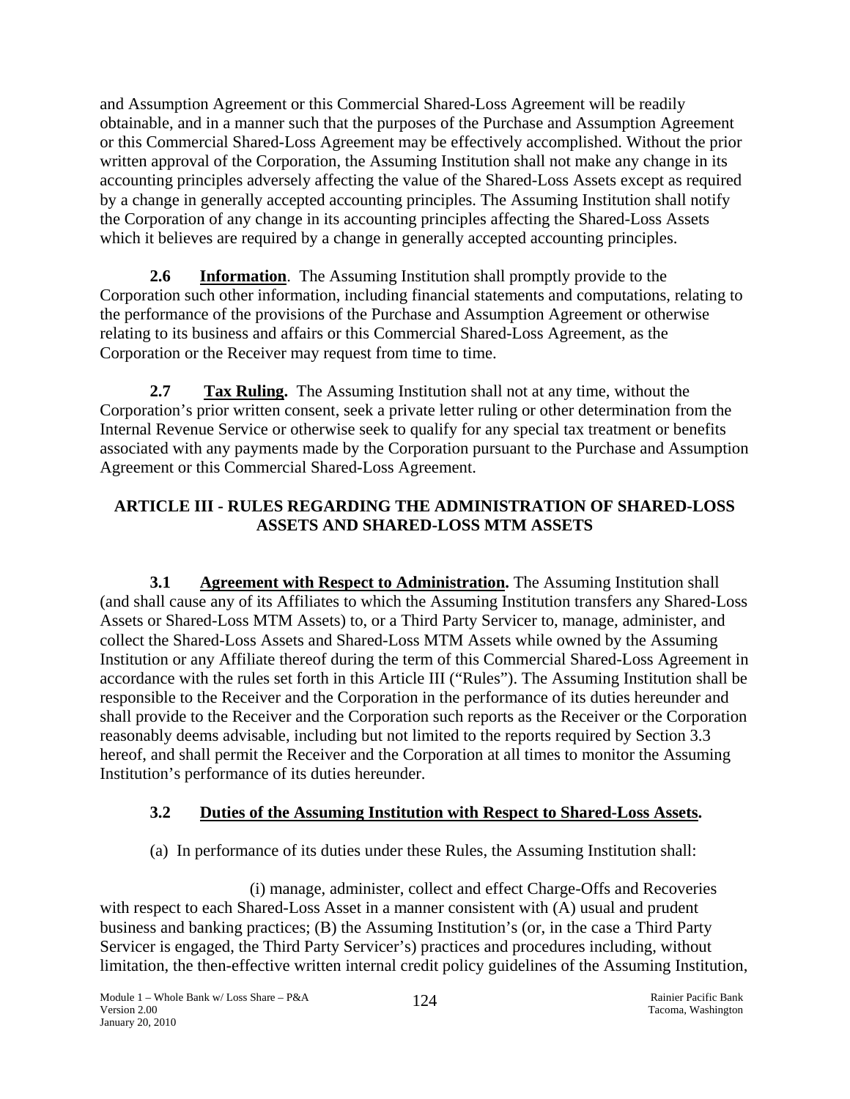and Assumption Agreement or this Commercial Shared-Loss Agreement will be readily obtainable, and in a manner such that the purposes of the Purchase and Assumption Agreement or this Commercial Shared-Loss Agreement may be effectively accomplished. Without the prior written approval of the Corporation, the Assuming Institution shall not make any change in its accounting principles adversely affecting the value of the Shared-Loss Assets except as required by a change in generally accepted accounting principles. The Assuming Institution shall notify the Corporation of any change in its accounting principles affecting the Shared-Loss Assets which it believes are required by a change in generally accepted accounting principles.

**2.6 Information**. The Assuming Institution shall promptly provide to the Corporation such other information, including financial statements and computations, relating to the performance of the provisions of the Purchase and Assumption Agreement or otherwise relating to its business and affairs or this Commercial Shared-Loss Agreement, as the Corporation or the Receiver may request from time to time.

**2.7 Tax Ruling.** The Assuming Institution shall not at any time, without the Corporation's prior written consent, seek a private letter ruling or other determination from the Internal Revenue Service or otherwise seek to qualify for any special tax treatment or benefits associated with any payments made by the Corporation pursuant to the Purchase and Assumption Agreement or this Commercial Shared-Loss Agreement.

## **ARTICLE III - RULES REGARDING THE ADMINISTRATION OF SHARED-LOSS ASSETS AND SHARED-LOSS MTM ASSETS**

**3.1 Agreement with Respect to Administration.** The Assuming Institution shall (and shall cause any of its Affiliates to which the Assuming Institution transfers any Shared-Loss Assets or Shared-Loss MTM Assets) to, or a Third Party Servicer to, manage, administer, and collect the Shared-Loss Assets and Shared-Loss MTM Assets while owned by the Assuming Institution or any Affiliate thereof during the term of this Commercial Shared-Loss Agreement in accordance with the rules set forth in this Article III ("Rules"). The Assuming Institution shall be responsible to the Receiver and the Corporation in the performance of its duties hereunder and shall provide to the Receiver and the Corporation such reports as the Receiver or the Corporation reasonably deems advisable, including but not limited to the reports required by Section 3.3 hereof, and shall permit the Receiver and the Corporation at all times to monitor the Assuming Institution's performance of its duties hereunder.

## **3.2 Duties of the Assuming Institution with Respect to Shared-Loss Assets.**

(a) In performance of its duties under these Rules, the Assuming Institution shall:

(i) manage, administer, collect and effect Charge-Offs and Recoveries with respect to each Shared-Loss Asset in a manner consistent with (A) usual and prudent business and banking practices; (B) the Assuming Institution's (or, in the case a Third Party Servicer is engaged, the Third Party Servicer's) practices and procedures including, without limitation, the then-effective written internal credit policy guidelines of the Assuming Institution,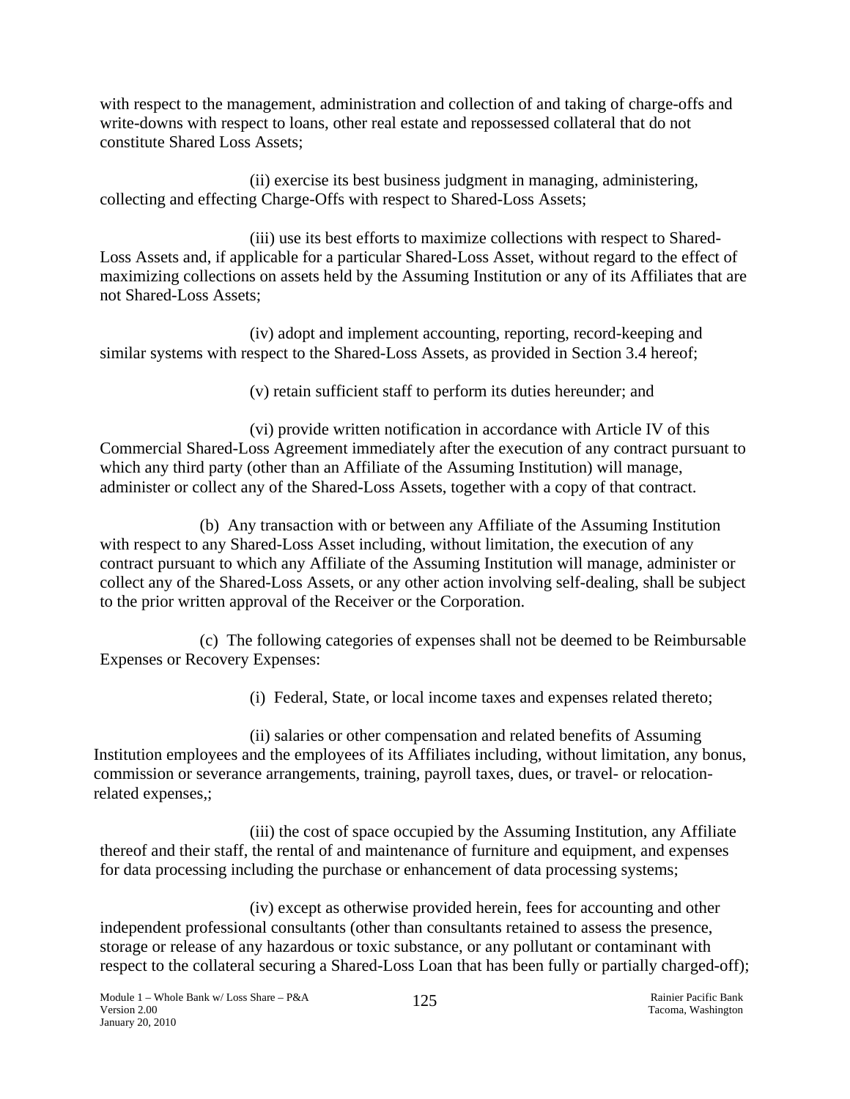with respect to the management, administration and collection of and taking of charge-offs and write-downs with respect to loans, other real estate and repossessed collateral that do not constitute Shared Loss Assets;

(ii) exercise its best business judgment in managing, administering, collecting and effecting Charge-Offs with respect to Shared-Loss Assets;

(iii) use its best efforts to maximize collections with respect to Shared-Loss Assets and, if applicable for a particular Shared-Loss Asset, without regard to the effect of maximizing collections on assets held by the Assuming Institution or any of its Affiliates that are not Shared-Loss Assets;

(iv) adopt and implement accounting, reporting, record-keeping and similar systems with respect to the Shared-Loss Assets, as provided in Section 3.4 hereof;

(v) retain sufficient staff to perform its duties hereunder; and

(vi) provide written notification in accordance with Article IV of this Commercial Shared-Loss Agreement immediately after the execution of any contract pursuant to which any third party (other than an Affiliate of the Assuming Institution) will manage, administer or collect any of the Shared-Loss Assets, together with a copy of that contract.

(b) Any transaction with or between any Affiliate of the Assuming Institution with respect to any Shared-Loss Asset including, without limitation, the execution of any contract pursuant to which any Affiliate of the Assuming Institution will manage, administer or collect any of the Shared-Loss Assets, or any other action involving self-dealing, shall be subject to the prior written approval of the Receiver or the Corporation.

(c) The following categories of expenses shall not be deemed to be Reimbursable Expenses or Recovery Expenses:

(i) Federal, State, or local income taxes and expenses related thereto;

(ii) salaries or other compensation and related benefits of Assuming Institution employees and the employees of its Affiliates including, without limitation, any bonus, commission or severance arrangements, training, payroll taxes, dues, or travel- or relocationrelated expenses,;

(iii) the cost of space occupied by the Assuming Institution, any Affiliate thereof and their staff, the rental of and maintenance of furniture and equipment, and expenses for data processing including the purchase or enhancement of data processing systems;

(iv) except as otherwise provided herein, fees for accounting and other independent professional consultants (other than consultants retained to assess the presence, storage or release of any hazardous or toxic substance, or any pollutant or contaminant with respect to the collateral securing a Shared-Loss Loan that has been fully or partially charged-off);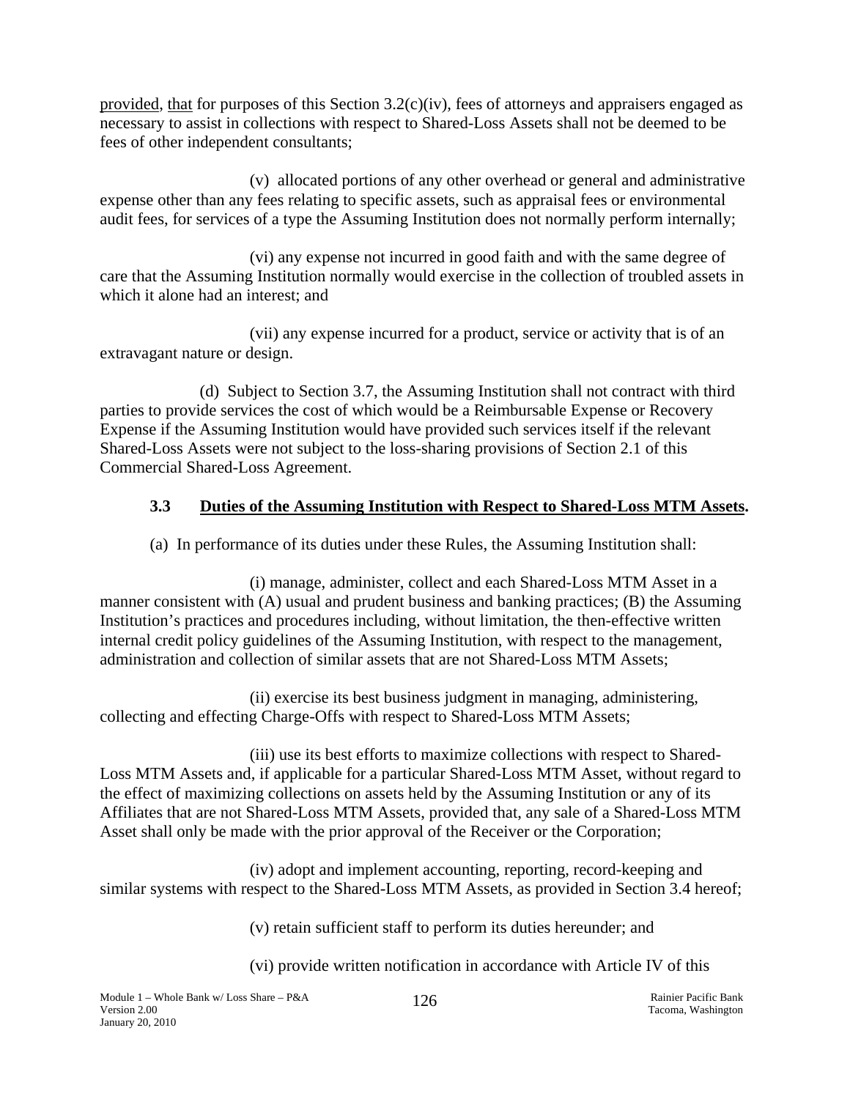provided, that for purposes of this Section 3.2(c)(iv), fees of attorneys and appraisers engaged as necessary to assist in collections with respect to Shared-Loss Assets shall not be deemed to be fees of other independent consultants;

(v) allocated portions of any other overhead or general and administrative expense other than any fees relating to specific assets, such as appraisal fees or environmental audit fees, for services of a type the Assuming Institution does not normally perform internally;

(vi) any expense not incurred in good faith and with the same degree of care that the Assuming Institution normally would exercise in the collection of troubled assets in which it alone had an interest; and

(vii) any expense incurred for a product, service or activity that is of an extravagant nature or design.

(d) Subject to Section 3.7, the Assuming Institution shall not contract with third parties to provide services the cost of which would be a Reimbursable Expense or Recovery Expense if the Assuming Institution would have provided such services itself if the relevant Shared-Loss Assets were not subject to the loss-sharing provisions of Section 2.1 of this Commercial Shared-Loss Agreement.

## **3.3 Duties of the Assuming Institution with Respect to Shared-Loss MTM Assets.**

(a) In performance of its duties under these Rules, the Assuming Institution shall:

(i) manage, administer, collect and each Shared-Loss MTM Asset in a manner consistent with (A) usual and prudent business and banking practices; (B) the Assuming Institution's practices and procedures including, without limitation, the then-effective written internal credit policy guidelines of the Assuming Institution, with respect to the management, administration and collection of similar assets that are not Shared-Loss MTM Assets;

(ii) exercise its best business judgment in managing, administering, collecting and effecting Charge-Offs with respect to Shared-Loss MTM Assets;

(iii) use its best efforts to maximize collections with respect to Shared-Loss MTM Assets and, if applicable for a particular Shared-Loss MTM Asset, without regard to the effect of maximizing collections on assets held by the Assuming Institution or any of its Affiliates that are not Shared-Loss MTM Assets, provided that, any sale of a Shared-Loss MTM Asset shall only be made with the prior approval of the Receiver or the Corporation;

(iv) adopt and implement accounting, reporting, record-keeping and similar systems with respect to the Shared-Loss MTM Assets, as provided in Section 3.4 hereof;

(v) retain sufficient staff to perform its duties hereunder; and

(vi) provide written notification in accordance with Article IV of this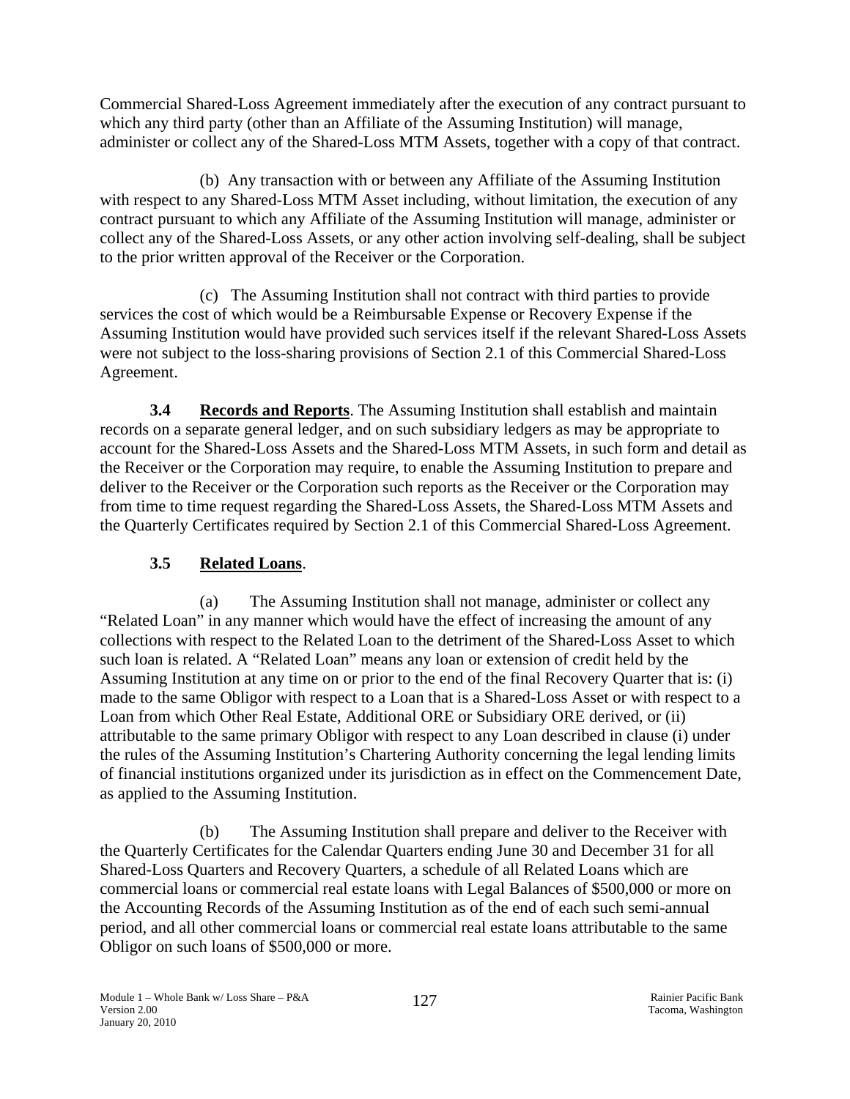Commercial Shared-Loss Agreement immediately after the execution of any contract pursuant to which any third party (other than an Affiliate of the Assuming Institution) will manage, administer or collect any of the Shared-Loss MTM Assets, together with a copy of that contract.

(b) Any transaction with or between any Affiliate of the Assuming Institution with respect to any Shared-Loss MTM Asset including, without limitation, the execution of any contract pursuant to which any Affiliate of the Assuming Institution will manage, administer or collect any of the Shared-Loss Assets, or any other action involving self-dealing, shall be subject to the prior written approval of the Receiver or the Corporation.

(c) The Assuming Institution shall not contract with third parties to provide services the cost of which would be a Reimbursable Expense or Recovery Expense if the Assuming Institution would have provided such services itself if the relevant Shared-Loss Assets were not subject to the loss-sharing provisions of Section 2.1 of this Commercial Shared-Loss Agreement.

**3.4 Records and Reports**. The Assuming Institution shall establish and maintain records on a separate general ledger, and on such subsidiary ledgers as may be appropriate to account for the Shared-Loss Assets and the Shared-Loss MTM Assets, in such form and detail as the Receiver or the Corporation may require, to enable the Assuming Institution to prepare and deliver to the Receiver or the Corporation such reports as the Receiver or the Corporation may from time to time request regarding the Shared-Loss Assets, the Shared-Loss MTM Assets and the Quarterly Certificates required by Section 2.1 of this Commercial Shared-Loss Agreement.

## **3.5 Related Loans**.

(a) The Assuming Institution shall not manage, administer or collect any "Related Loan" in any manner which would have the effect of increasing the amount of any collections with respect to the Related Loan to the detriment of the Shared-Loss Asset to which such loan is related. A "Related Loan" means any loan or extension of credit held by the Assuming Institution at any time on or prior to the end of the final Recovery Quarter that is: (i) made to the same Obligor with respect to a Loan that is a Shared-Loss Asset or with respect to a Loan from which Other Real Estate, Additional ORE or Subsidiary ORE derived, or (ii) attributable to the same primary Obligor with respect to any Loan described in clause (i) under the rules of the Assuming Institution's Chartering Authority concerning the legal lending limits of financial institutions organized under its jurisdiction as in effect on the Commencement Date, as applied to the Assuming Institution.

(b) The Assuming Institution shall prepare and deliver to the Receiver with the Quarterly Certificates for the Calendar Quarters ending June 30 and December 31 for all Shared-Loss Quarters and Recovery Quarters, a schedule of all Related Loans which are commercial loans or commercial real estate loans with Legal Balances of \$500,000 or more on the Accounting Records of the Assuming Institution as of the end of each such semi-annual period, and all other commercial loans or commercial real estate loans attributable to the same Obligor on such loans of \$500,000 or more.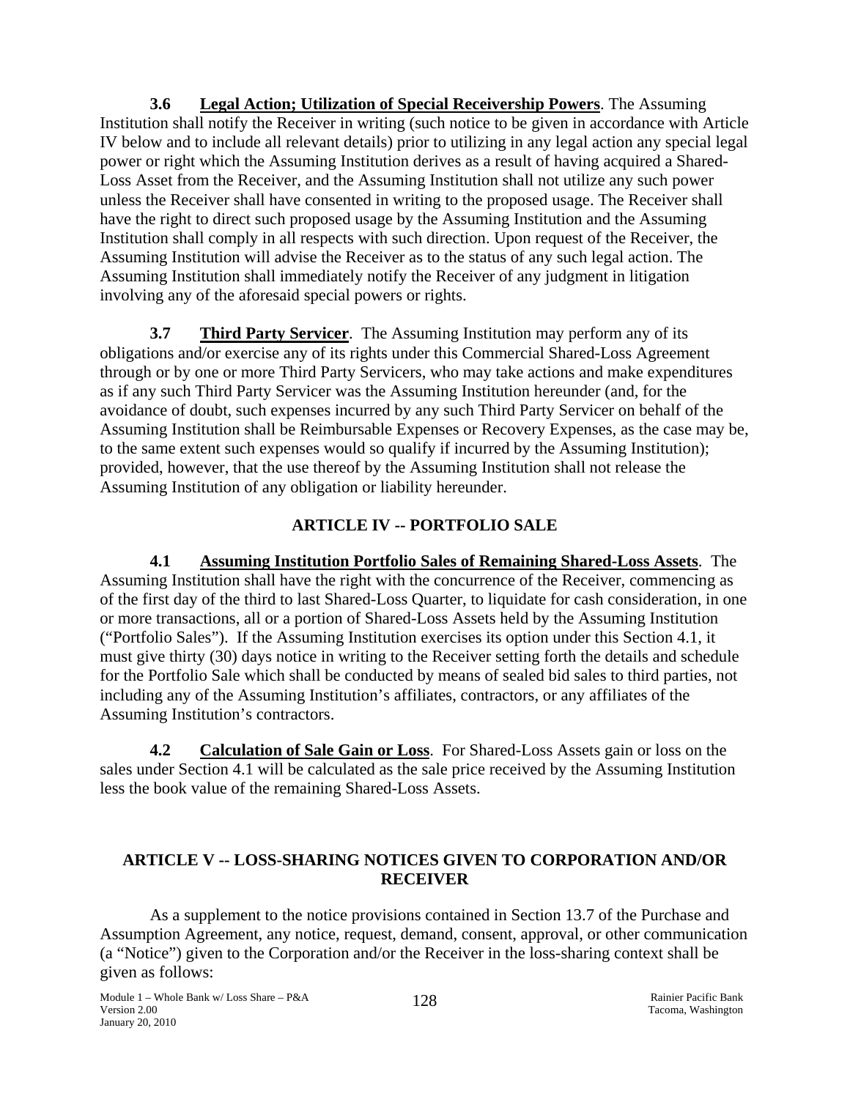**3.6 Legal Action; Utilization of Special Receivership Powers**. The Assuming Institution shall notify the Receiver in writing (such notice to be given in accordance with Article IV below and to include all relevant details) prior to utilizing in any legal action any special legal power or right which the Assuming Institution derives as a result of having acquired a Shared-Loss Asset from the Receiver, and the Assuming Institution shall not utilize any such power unless the Receiver shall have consented in writing to the proposed usage. The Receiver shall have the right to direct such proposed usage by the Assuming Institution and the Assuming Institution shall comply in all respects with such direction. Upon request of the Receiver, the Assuming Institution will advise the Receiver as to the status of any such legal action. The Assuming Institution shall immediately notify the Receiver of any judgment in litigation involving any of the aforesaid special powers or rights.

**3.7 Third Party Servicer**. The Assuming Institution may perform any of its obligations and/or exercise any of its rights under this Commercial Shared-Loss Agreement through or by one or more Third Party Servicers, who may take actions and make expenditures as if any such Third Party Servicer was the Assuming Institution hereunder (and, for the avoidance of doubt, such expenses incurred by any such Third Party Servicer on behalf of the Assuming Institution shall be Reimbursable Expenses or Recovery Expenses, as the case may be, to the same extent such expenses would so qualify if incurred by the Assuming Institution); provided, however, that the use thereof by the Assuming Institution shall not release the Assuming Institution of any obligation or liability hereunder.

## **ARTICLE IV -- PORTFOLIO SALE**

**4.1 Assuming Institution Portfolio Sales of Remaining Shared-Loss Assets**. The Assuming Institution shall have the right with the concurrence of the Receiver, commencing as of the first day of the third to last Shared-Loss Quarter, to liquidate for cash consideration, in one or more transactions, all or a portion of Shared-Loss Assets held by the Assuming Institution ("Portfolio Sales"). If the Assuming Institution exercises its option under this Section 4.1, it must give thirty (30) days notice in writing to the Receiver setting forth the details and schedule for the Portfolio Sale which shall be conducted by means of sealed bid sales to third parties, not including any of the Assuming Institution's affiliates, contractors, or any affiliates of the Assuming Institution's contractors.

**4.2 Calculation of Sale Gain or Loss**. For Shared-Loss Assets gain or loss on the sales under Section 4.1 will be calculated as the sale price received by the Assuming Institution less the book value of the remaining Shared-Loss Assets.

### **ARTICLE V -- LOSS-SHARING NOTICES GIVEN TO CORPORATION AND/OR RECEIVER**

As a supplement to the notice provisions contained in Section 13.7 of the Purchase and Assumption Agreement, any notice, request, demand, consent, approval, or other communication (a "Notice") given to the Corporation and/or the Receiver in the loss-sharing context shall be given as follows: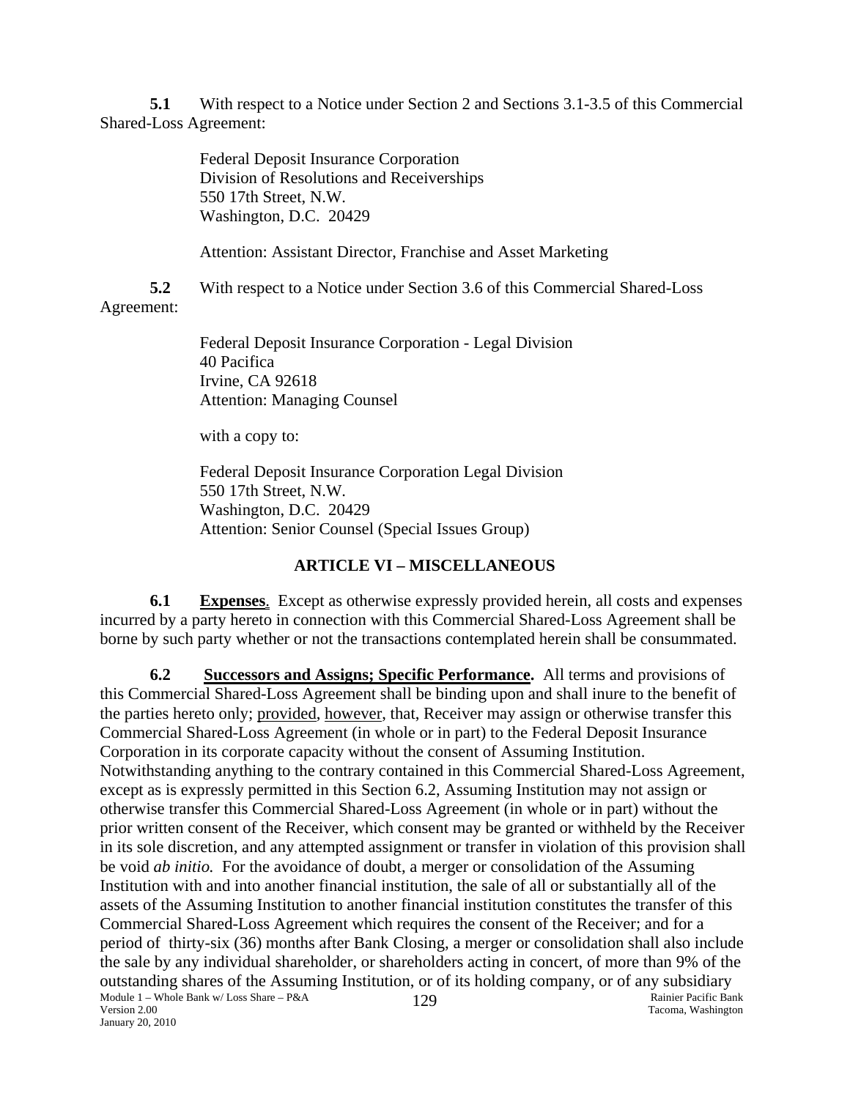**5.1** With respect to a Notice under Section 2 and Sections 3.1-3.5 of this Commercial Shared-Loss Agreement:

> Federal Deposit Insurance Corporation Division of Resolutions and Receiverships 550 17th Street, N.W. Washington, D.C. 20429

Attention: Assistant Director, Franchise and Asset Marketing

**5.2** With respect to a Notice under Section 3.6 of this Commercial Shared-Loss Agreement:

> Federal Deposit Insurance Corporation - Legal Division 40 Pacifica Irvine, CA 92618 Attention: Managing Counsel

with a copy to:

Federal Deposit Insurance Corporation Legal Division 550 17th Street, N.W. Washington, D.C. 20429 Attention: Senior Counsel (Special Issues Group)

## **ARTICLE VI – MISCELLANEOUS**

**6.1** Expenses. Except as otherwise expressly provided herein, all costs and expenses incurred by a party hereto in connection with this Commercial Shared-Loss Agreement shall be borne by such party whether or not the transactions contemplated herein shall be consummated.

**6.2 Successors and Assigns; Specific Performance.** All terms and provisions of this Commercial Shared-Loss Agreement shall be binding upon and shall inure to the benefit of the parties hereto only; provided, however, that, Receiver may assign or otherwise transfer this Commercial Shared-Loss Agreement (in whole or in part) to the Federal Deposit Insurance Corporation in its corporate capacity without the consent of Assuming Institution. Notwithstanding anything to the contrary contained in this Commercial Shared-Loss Agreement, except as is expressly permitted in this Section 6.2, Assuming Institution may not assign or otherwise transfer this Commercial Shared-Loss Agreement (in whole or in part) without the prior written consent of the Receiver, which consent may be granted or withheld by the Receiver in its sole discretion, and any attempted assignment or transfer in violation of this provision shall be void *ab initio.* For the avoidance of doubt, a merger or consolidation of the Assuming Institution with and into another financial institution, the sale of all or substantially all of the assets of the Assuming Institution to another financial institution constitutes the transfer of this Commercial Shared-Loss Agreement which requires the consent of the Receiver; and for a period of thirty-six (36) months after Bank Closing, a merger or consolidation shall also include the sale by any individual shareholder, or shareholders acting in concert, of more than 9% of the outstanding shares of the Assuming Institution, or of its holding company, or of any subsidiary<br>Module 1 – Whole Bank w/ Loss Share – P&A<br>Rainier Pacific Bank Module 1 – Whole Bank w/ Loss Share – P&A  $129$  Rainier Pacific Bank Version 2.00 Tacoma, Washington January 20, 2010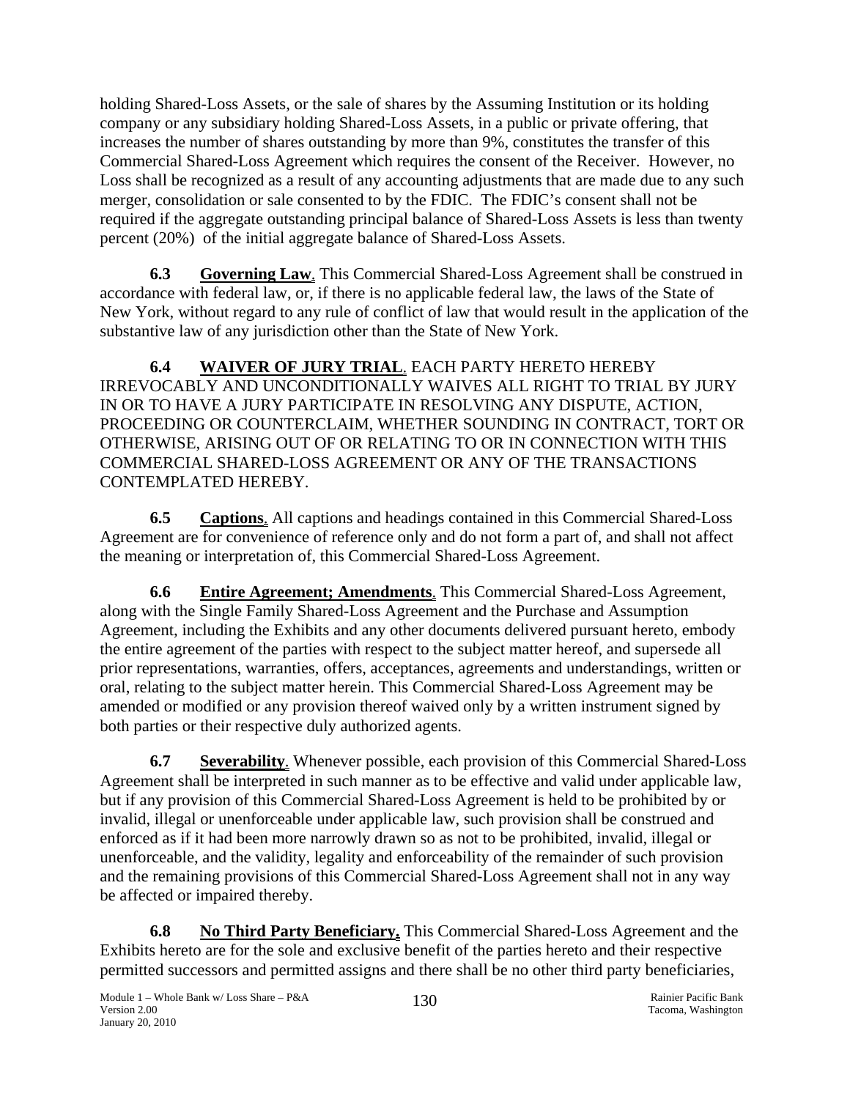holding Shared-Loss Assets, or the sale of shares by the Assuming Institution or its holding company or any subsidiary holding Shared-Loss Assets, in a public or private offering, that increases the number of shares outstanding by more than 9%, constitutes the transfer of this Commercial Shared-Loss Agreement which requires the consent of the Receiver. However, no Loss shall be recognized as a result of any accounting adjustments that are made due to any such merger, consolidation or sale consented to by the FDIC. The FDIC's consent shall not be required if the aggregate outstanding principal balance of Shared-Loss Assets is less than twenty percent (20%) of the initial aggregate balance of Shared-Loss Assets.

**6.3 Governing Law**. This Commercial Shared-Loss Agreement shall be construed in accordance with federal law, or, if there is no applicable federal law, the laws of the State of New York, without regard to any rule of conflict of law that would result in the application of the substantive law of any jurisdiction other than the State of New York.

**6.4 WAIVER OF JURY TRIAL**. EACH PARTY HERETO HEREBY IRREVOCABLY AND UNCONDITIONALLY WAIVES ALL RIGHT TO TRIAL BY JURY IN OR TO HAVE A JURY PARTICIPATE IN RESOLVING ANY DISPUTE, ACTION, PROCEEDING OR COUNTERCLAIM, WHETHER SOUNDING IN CONTRACT, TORT OR OTHERWISE, ARISING OUT OF OR RELATING TO OR IN CONNECTION WITH THIS COMMERCIAL SHARED-LOSS AGREEMENT OR ANY OF THE TRANSACTIONS CONTEMPLATED HEREBY.

**6.5 Captions**. All captions and headings contained in this Commercial Shared-Loss Agreement are for convenience of reference only and do not form a part of, and shall not affect the meaning or interpretation of, this Commercial Shared-Loss Agreement.

**6.6 Entire Agreement; Amendments**. This Commercial Shared-Loss Agreement, along with the Single Family Shared-Loss Agreement and the Purchase and Assumption Agreement, including the Exhibits and any other documents delivered pursuant hereto, embody the entire agreement of the parties with respect to the subject matter hereof, and supersede all prior representations, warranties, offers, acceptances, agreements and understandings, written or oral, relating to the subject matter herein. This Commercial Shared-Loss Agreement may be amended or modified or any provision thereof waived only by a written instrument signed by both parties or their respective duly authorized agents.

**6.7** Severability. Whenever possible, each provision of this Commercial Shared-Loss Agreement shall be interpreted in such manner as to be effective and valid under applicable law, but if any provision of this Commercial Shared-Loss Agreement is held to be prohibited by or invalid, illegal or unenforceable under applicable law, such provision shall be construed and enforced as if it had been more narrowly drawn so as not to be prohibited, invalid, illegal or unenforceable, and the validity, legality and enforceability of the remainder of such provision and the remaining provisions of this Commercial Shared-Loss Agreement shall not in any way be affected or impaired thereby.

**6.8 No Third Party Beneficiary.** This Commercial Shared-Loss Agreement and the Exhibits hereto are for the sole and exclusive benefit of the parties hereto and their respective permitted successors and permitted assigns and there shall be no other third party beneficiaries,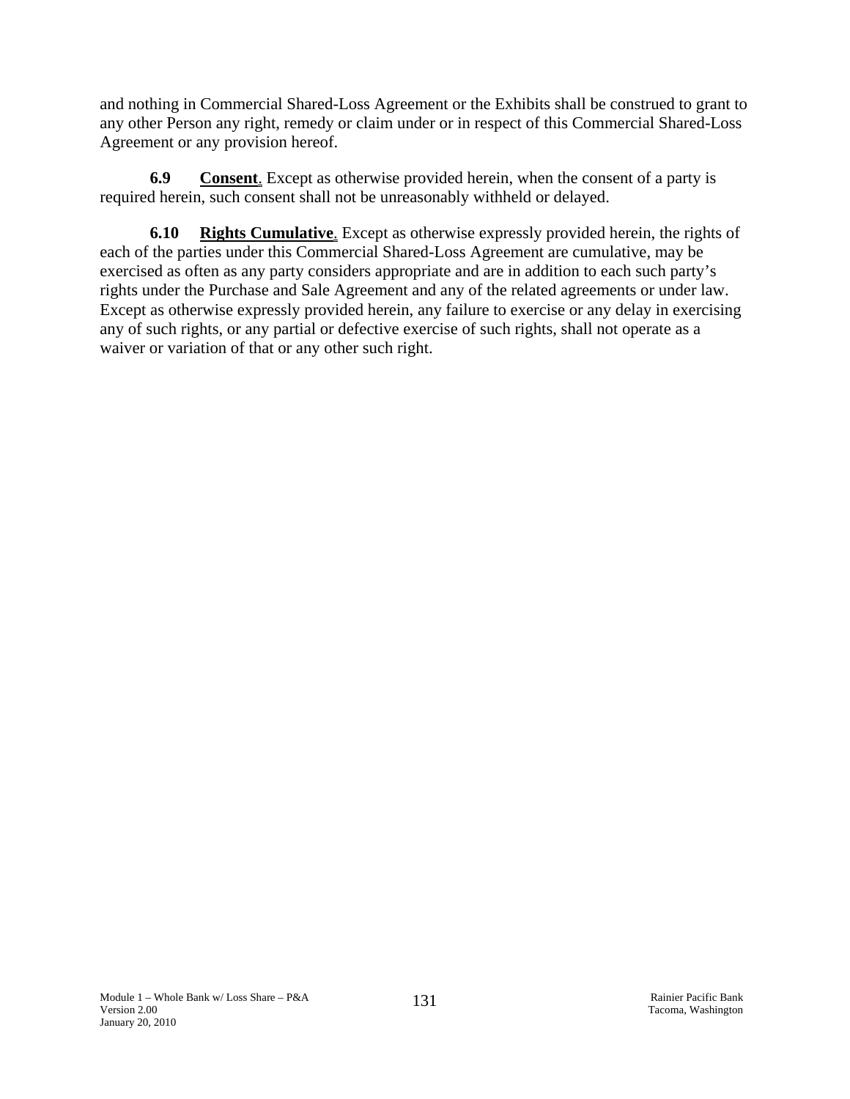and nothing in Commercial Shared-Loss Agreement or the Exhibits shall be construed to grant to any other Person any right, remedy or claim under or in respect of this Commercial Shared-Loss Agreement or any provision hereof.

**6.9 Consent**. Except as otherwise provided herein, when the consent of a party is required herein, such consent shall not be unreasonably withheld or delayed.

**6.10 Rights Cumulative.** Except as otherwise expressly provided herein, the rights of each of the parties under this Commercial Shared-Loss Agreement are cumulative, may be exercised as often as any party considers appropriate and are in addition to each such party's rights under the Purchase and Sale Agreement and any of the related agreements or under law. Except as otherwise expressly provided herein, any failure to exercise or any delay in exercising any of such rights, or any partial or defective exercise of such rights, shall not operate as a waiver or variation of that or any other such right.